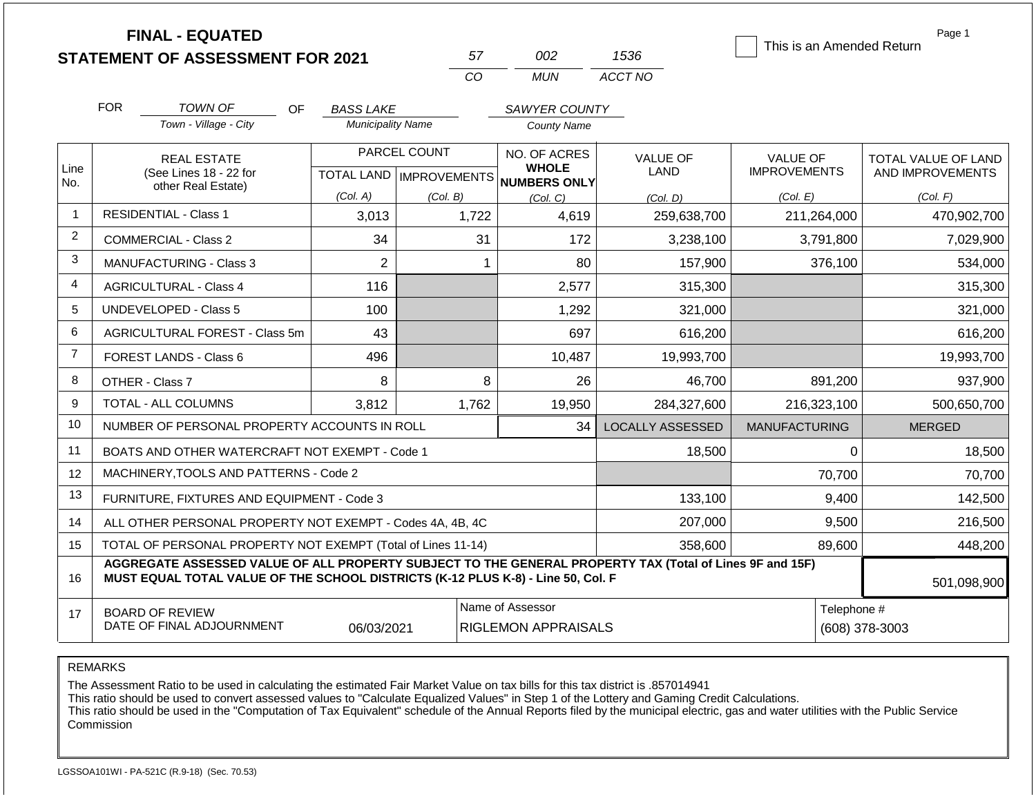|                | <b>FINAL - EQUATED</b>                                                                                                                                                                       |                                              |                           |                                     |                         | This is an Amended Return | Page 1              |
|----------------|----------------------------------------------------------------------------------------------------------------------------------------------------------------------------------------------|----------------------------------------------|---------------------------|-------------------------------------|-------------------------|---------------------------|---------------------|
|                | <b>STATEMENT OF ASSESSMENT FOR 2021</b>                                                                                                                                                      |                                              | 57<br><b>CO</b>           | 002<br><b>MUN</b>                   | 1536<br>ACCT NO         |                           |                     |
|                |                                                                                                                                                                                              |                                              |                           |                                     |                         |                           |                     |
|                | <b>FOR</b><br><b>TOWN OF</b><br>OF.                                                                                                                                                          | <b>BASS LAKE</b><br><b>Municipality Name</b> |                           | SAWYER COUNTY<br><b>County Name</b> |                         |                           |                     |
|                | Town - Village - City                                                                                                                                                                        |                                              |                           |                                     |                         |                           |                     |
|                | <b>REAL ESTATE</b>                                                                                                                                                                           |                                              | PARCEL COUNT              | NO. OF ACRES                        | <b>VALUE OF</b>         | VALUE OF                  | TOTAL VALUE OF LAND |
| Line<br>No.    | (See Lines 18 - 22 for<br>other Real Estate)                                                                                                                                                 |                                              | TOTAL LAND   IMPROVEMENTS | <b>WHOLE</b><br>NUMBERS ONLY        | LAND                    | <b>IMPROVEMENTS</b>       | AND IMPROVEMENTS    |
|                |                                                                                                                                                                                              | (Col. A)                                     | (Col. B)                  | (Col. C)                            | (Col. D)                | (Col. E)                  | (Col. F)            |
| 1              | <b>RESIDENTIAL - Class 1</b>                                                                                                                                                                 | 3,013                                        | 1,722                     | 4,619                               | 259,638,700             | 211,264,000               | 470,902,700         |
| $\overline{2}$ | <b>COMMERCIAL - Class 2</b>                                                                                                                                                                  | 34                                           | 31                        | 172                                 | 3,238,100               | 3,791,800                 | 7,029,900           |
| 3              | <b>MANUFACTURING - Class 3</b>                                                                                                                                                               | $\overline{2}$                               |                           | 80<br>$\mathbf 1$                   | 157,900                 | 376,100                   | 534,000             |
| 4              | <b>AGRICULTURAL - Class 4</b>                                                                                                                                                                | 116                                          |                           | 2,577                               | 315,300                 |                           | 315,300             |
| 5              | <b>UNDEVELOPED - Class 5</b>                                                                                                                                                                 | 100                                          |                           | 1,292                               | 321,000                 |                           | 321,000             |
| 6              | AGRICULTURAL FOREST - Class 5m                                                                                                                                                               | 43                                           |                           | 697                                 | 616,200                 |                           | 616,200             |
| $\overline{7}$ | FOREST LANDS - Class 6                                                                                                                                                                       | 496                                          |                           | 10,487                              | 19,993,700              |                           | 19,993,700          |
| 8              | OTHER - Class 7                                                                                                                                                                              | 8                                            |                           | 8<br>26                             | 46,700                  | 891,200                   | 937,900             |
| 9              | <b>TOTAL - ALL COLUMNS</b>                                                                                                                                                                   | 3,812                                        | 1,762                     | 19,950                              | 284,327,600             | 216,323,100               | 500,650,700         |
| 10             | NUMBER OF PERSONAL PROPERTY ACCOUNTS IN ROLL                                                                                                                                                 |                                              |                           | 34                                  | <b>LOCALLY ASSESSED</b> | <b>MANUFACTURING</b>      | <b>MERGED</b>       |
| 11             | BOATS AND OTHER WATERCRAFT NOT EXEMPT - Code 1                                                                                                                                               |                                              |                           |                                     | 18,500                  | 0                         | 18,500              |
| 12             | MACHINERY, TOOLS AND PATTERNS - Code 2                                                                                                                                                       |                                              |                           |                                     |                         | 70,700                    | 70,700              |
| 13             | FURNITURE, FIXTURES AND EQUIPMENT - Code 3                                                                                                                                                   |                                              |                           |                                     | 133,100                 | 9,400                     | 142,500             |
| 14             | ALL OTHER PERSONAL PROPERTY NOT EXEMPT - Codes 4A, 4B, 4C                                                                                                                                    |                                              |                           |                                     | 207,000                 | 9,500                     | 216,500             |
| 15             | TOTAL OF PERSONAL PROPERTY NOT EXEMPT (Total of Lines 11-14)                                                                                                                                 |                                              | 358,600                   | 89,600                              | 448,200                 |                           |                     |
| 16             | AGGREGATE ASSESSED VALUE OF ALL PROPERTY SUBJECT TO THE GENERAL PROPERTY TAX (Total of Lines 9F and 15F)<br>MUST EQUAL TOTAL VALUE OF THE SCHOOL DISTRICTS (K-12 PLUS K-8) - Line 50, Col. F |                                              |                           |                                     |                         |                           | 501,098,900         |
| 17             | Name of Assessor<br>Telephone #<br><b>BOARD OF REVIEW</b><br>DATE OF FINAL ADJOURNMENT<br><b>RIGLEMON APPRAISALS</b><br>(608) 378-3003<br>06/03/2021                                         |                                              |                           |                                     |                         |                           |                     |

The Assessment Ratio to be used in calculating the estimated Fair Market Value on tax bills for this tax district is .857014941

This ratio should be used to convert assessed values to "Calculate Equalized Values" in Step 1 of the Lottery and Gaming Credit Calculations.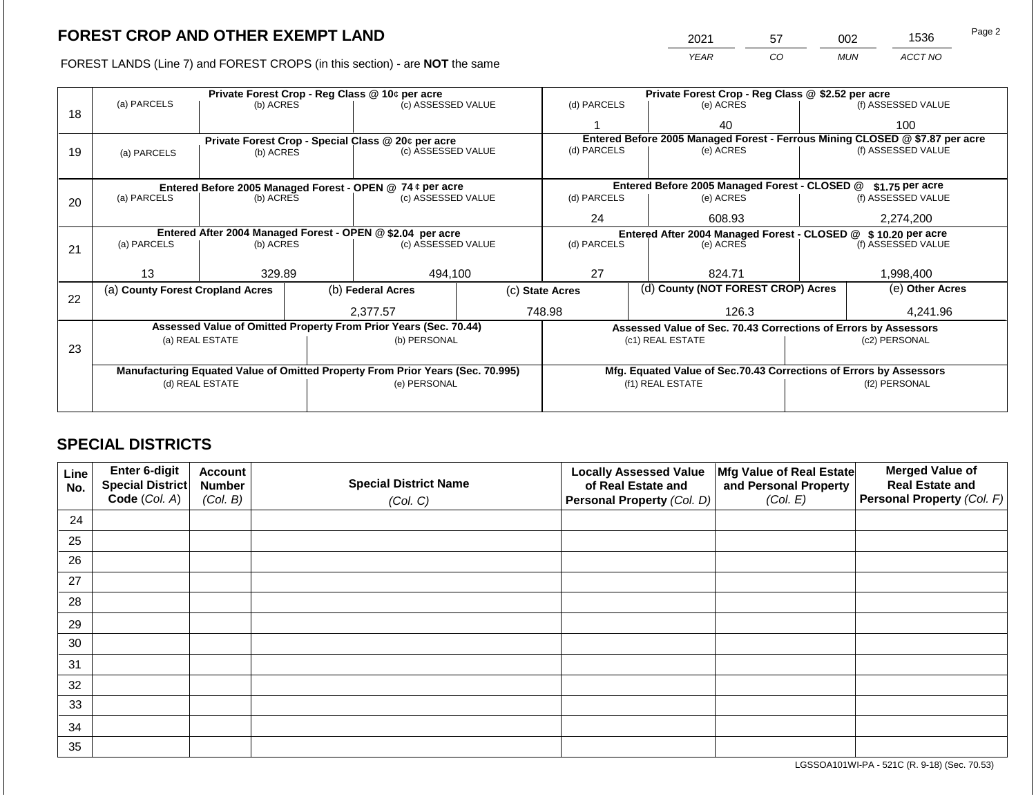FOREST LANDS (Line 7) and FOREST CROPS (in this section) - are NOT the same

| 2021        | 57 | 002 | 1536    | Page 2 |
|-------------|----|-----|---------|--------|
| <b>YEAR</b> | CO | MUN | ACCT NO |        |

|    |                                                                                       |                                 |  | Private Forest Crop - Reg Class @ 10¢ per acre                                 |                                               | Private Forest Crop - Reg Class @ \$2.52 per acre                            |                  |                                                                    |  |                    |  |
|----|---------------------------------------------------------------------------------------|---------------------------------|--|--------------------------------------------------------------------------------|-----------------------------------------------|------------------------------------------------------------------------------|------------------|--------------------------------------------------------------------|--|--------------------|--|
| 18 | (a) PARCELS                                                                           | (b) ACRES                       |  | (c) ASSESSED VALUE                                                             |                                               | (d) PARCELS                                                                  |                  | (e) ACRES                                                          |  | (f) ASSESSED VALUE |  |
|    |                                                                                       |                                 |  |                                                                                |                                               |                                                                              |                  | 40                                                                 |  | 100                |  |
|    |                                                                                       |                                 |  | Private Forest Crop - Special Class @ 20¢ per acre                             |                                               | Entered Before 2005 Managed Forest - Ferrous Mining CLOSED @ \$7.87 per acre |                  |                                                                    |  |                    |  |
| 19 | (a) PARCELS                                                                           | (b) ACRES                       |  | (c) ASSESSED VALUE                                                             |                                               | (d) PARCELS                                                                  |                  | (e) ACRES                                                          |  | (f) ASSESSED VALUE |  |
|    |                                                                                       |                                 |  |                                                                                |                                               |                                                                              |                  |                                                                    |  |                    |  |
|    |                                                                                       |                                 |  |                                                                                | Entered Before 2005 Managed Forest - CLOSED @ |                                                                              | \$1.75 per acre  |                                                                    |  |                    |  |
| 20 | Entered Before 2005 Managed Forest - OPEN @ 74 ¢ per acre<br>(a) PARCELS<br>(b) ACRES |                                 |  | (c) ASSESSED VALUE                                                             |                                               | (d) PARCELS                                                                  |                  | (e) ACRES                                                          |  | (f) ASSESSED VALUE |  |
|    |                                                                                       |                                 |  | 24<br>608.93                                                                   |                                               |                                                                              | 2,274,200        |                                                                    |  |                    |  |
|    | Entered After 2004 Managed Forest - OPEN @ \$2.04 per acre                            |                                 |  |                                                                                |                                               |                                                                              |                  | Entered After 2004 Managed Forest - CLOSED @ \$10.20 per acre      |  |                    |  |
| 21 | (a) PARCELS                                                                           | (b) ACRES<br>(c) ASSESSED VALUE |  | (d) PARCELS                                                                    |                                               | (e) ACRES                                                                    |                  | (f) ASSESSED VALUE                                                 |  |                    |  |
|    |                                                                                       |                                 |  |                                                                                |                                               |                                                                              |                  |                                                                    |  |                    |  |
|    | 13                                                                                    | 329.89                          |  | 494,100                                                                        |                                               | 27                                                                           |                  | 824.71                                                             |  | 1,998,400          |  |
| 22 | (a) County Forest Cropland Acres                                                      |                                 |  | (b) Federal Acres                                                              |                                               | (d) County (NOT FOREST CROP) Acres<br>(c) State Acres                        |                  | (e) Other Acres                                                    |  |                    |  |
|    |                                                                                       |                                 |  | 2.377.57                                                                       |                                               | 748.98                                                                       |                  | 126.3                                                              |  | 4,241.96           |  |
|    |                                                                                       |                                 |  | Assessed Value of Omitted Property From Prior Years (Sec. 70.44)               |                                               |                                                                              |                  | Assessed Value of Sec. 70.43 Corrections of Errors by Assessors    |  |                    |  |
|    |                                                                                       | (a) REAL ESTATE                 |  | (b) PERSONAL                                                                   |                                               |                                                                              | (c1) REAL ESTATE |                                                                    |  | (c2) PERSONAL      |  |
| 23 |                                                                                       |                                 |  |                                                                                |                                               |                                                                              |                  |                                                                    |  |                    |  |
|    |                                                                                       |                                 |  | Manufacturing Equated Value of Omitted Property From Prior Years (Sec. 70.995) |                                               |                                                                              |                  | Mfg. Equated Value of Sec.70.43 Corrections of Errors by Assessors |  |                    |  |
|    |                                                                                       | (d) REAL ESTATE                 |  | (e) PERSONAL                                                                   |                                               |                                                                              | (f1) REAL ESTATE |                                                                    |  | (f2) PERSONAL      |  |
|    |                                                                                       |                                 |  |                                                                                |                                               |                                                                              |                  |                                                                    |  |                    |  |
|    |                                                                                       |                                 |  |                                                                                |                                               |                                                                              |                  |                                                                    |  |                    |  |

## **SPECIAL DISTRICTS**

| Line<br>No. | Enter 6-digit<br>Special District<br>Code (Col. A) | <b>Account</b><br><b>Number</b><br>(Col. B) | <b>Special District Name</b><br>(Col. C) | <b>Locally Assessed Value</b><br>of Real Estate and<br>Personal Property (Col. D) | Mfg Value of Real Estate<br>and Personal Property<br>(Col. E) | <b>Merged Value of</b><br><b>Real Estate and</b><br>Personal Property (Col. F) |
|-------------|----------------------------------------------------|---------------------------------------------|------------------------------------------|-----------------------------------------------------------------------------------|---------------------------------------------------------------|--------------------------------------------------------------------------------|
| 24          |                                                    |                                             |                                          |                                                                                   |                                                               |                                                                                |
| 25          |                                                    |                                             |                                          |                                                                                   |                                                               |                                                                                |
| 26          |                                                    |                                             |                                          |                                                                                   |                                                               |                                                                                |
| 27          |                                                    |                                             |                                          |                                                                                   |                                                               |                                                                                |
| 28          |                                                    |                                             |                                          |                                                                                   |                                                               |                                                                                |
| 29          |                                                    |                                             |                                          |                                                                                   |                                                               |                                                                                |
| 30          |                                                    |                                             |                                          |                                                                                   |                                                               |                                                                                |
| 31          |                                                    |                                             |                                          |                                                                                   |                                                               |                                                                                |
| 32          |                                                    |                                             |                                          |                                                                                   |                                                               |                                                                                |
| 33          |                                                    |                                             |                                          |                                                                                   |                                                               |                                                                                |
| 34          |                                                    |                                             |                                          |                                                                                   |                                                               |                                                                                |
| 35          |                                                    |                                             |                                          |                                                                                   |                                                               |                                                                                |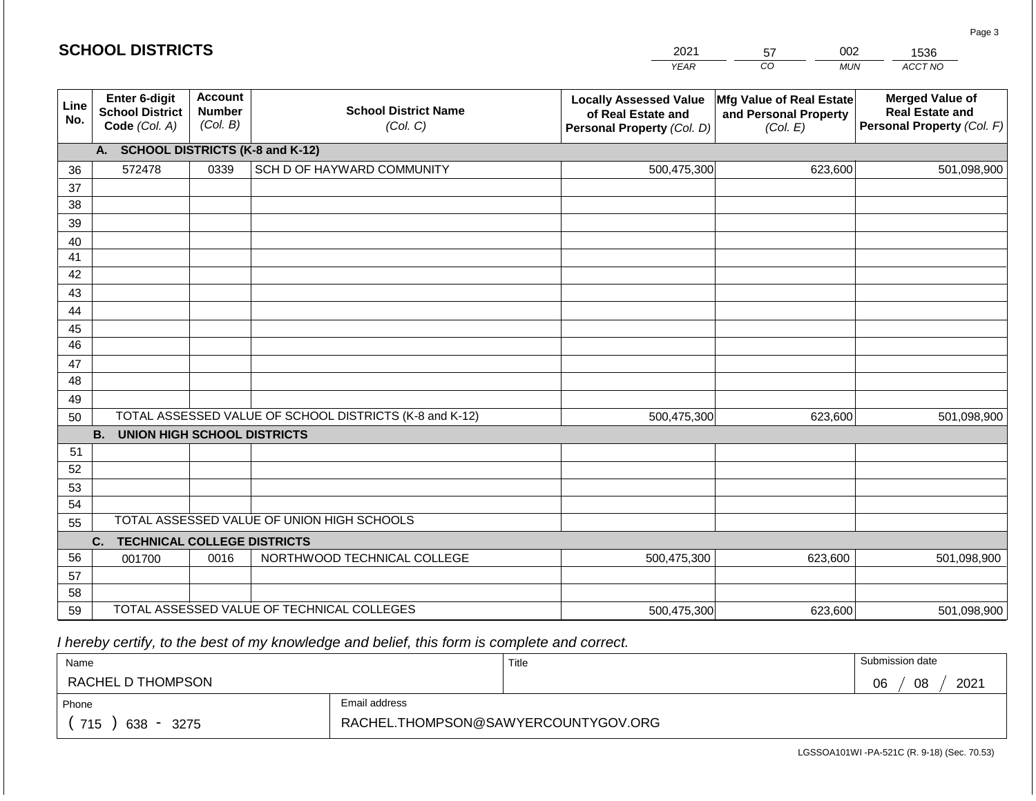| <b>SCHOOL DISTRICTS</b> |                                                          |                                             |                                                         | 2021                                                                              | 002<br>57                                                     | 1536                                                                           |
|-------------------------|----------------------------------------------------------|---------------------------------------------|---------------------------------------------------------|-----------------------------------------------------------------------------------|---------------------------------------------------------------|--------------------------------------------------------------------------------|
|                         |                                                          |                                             |                                                         | <b>YEAR</b>                                                                       | CO<br><b>MUN</b>                                              | ACCT NO                                                                        |
| Line<br>No.             | Enter 6-digit<br><b>School District</b><br>Code (Col. A) | <b>Account</b><br><b>Number</b><br>(Col. B) | <b>School District Name</b><br>(Col. C)                 | <b>Locally Assessed Value</b><br>of Real Estate and<br>Personal Property (Col. D) | Mfg Value of Real Estate<br>and Personal Property<br>(Col. E) | <b>Merged Value of</b><br><b>Real Estate and</b><br>Personal Property (Col. F) |
|                         | A. SCHOOL DISTRICTS (K-8 and K-12)                       |                                             |                                                         |                                                                                   |                                                               |                                                                                |
| 36                      | 572478                                                   | 0339                                        | SCH D OF HAYWARD COMMUNITY                              | 500,475,300                                                                       | 623,600                                                       | 501,098,900                                                                    |
| 37                      |                                                          |                                             |                                                         |                                                                                   |                                                               |                                                                                |
| 38                      |                                                          |                                             |                                                         |                                                                                   |                                                               |                                                                                |
| 39                      |                                                          |                                             |                                                         |                                                                                   |                                                               |                                                                                |
| 40                      |                                                          |                                             |                                                         |                                                                                   |                                                               |                                                                                |
| 41                      |                                                          |                                             |                                                         |                                                                                   |                                                               |                                                                                |
| 42                      |                                                          |                                             |                                                         |                                                                                   |                                                               |                                                                                |
| 43                      |                                                          |                                             |                                                         |                                                                                   |                                                               |                                                                                |
| 44                      |                                                          |                                             |                                                         |                                                                                   |                                                               |                                                                                |
| 45<br>46                |                                                          |                                             |                                                         |                                                                                   |                                                               |                                                                                |
| 47                      |                                                          |                                             |                                                         |                                                                                   |                                                               |                                                                                |
| 48                      |                                                          |                                             |                                                         |                                                                                   |                                                               |                                                                                |
| 49                      |                                                          |                                             |                                                         |                                                                                   |                                                               |                                                                                |
| 50                      |                                                          |                                             | TOTAL ASSESSED VALUE OF SCHOOL DISTRICTS (K-8 and K-12) | 500,475,300                                                                       | 623,600                                                       | 501,098,900                                                                    |
|                         | <b>B.</b><br><b>UNION HIGH SCHOOL DISTRICTS</b>          |                                             |                                                         |                                                                                   |                                                               |                                                                                |
| 51                      |                                                          |                                             |                                                         |                                                                                   |                                                               |                                                                                |
| 52                      |                                                          |                                             |                                                         |                                                                                   |                                                               |                                                                                |
| 53                      |                                                          |                                             |                                                         |                                                                                   |                                                               |                                                                                |
| 54                      |                                                          |                                             |                                                         |                                                                                   |                                                               |                                                                                |
| 55                      |                                                          |                                             | TOTAL ASSESSED VALUE OF UNION HIGH SCHOOLS              |                                                                                   |                                                               |                                                                                |
|                         | C.<br><b>TECHNICAL COLLEGE DISTRICTS</b>                 |                                             |                                                         |                                                                                   |                                                               |                                                                                |
| 56                      | 001700                                                   | 0016                                        | NORTHWOOD TECHNICAL COLLEGE                             | 500,475,300                                                                       | 623,600                                                       | 501,098,900                                                                    |
| 57                      |                                                          |                                             |                                                         |                                                                                   |                                                               |                                                                                |
| 58                      |                                                          |                                             |                                                         |                                                                                   |                                                               |                                                                                |
| 59                      |                                                          |                                             | TOTAL ASSESSED VALUE OF TECHNICAL COLLEGES              | 500,475,300                                                                       | 623,600                                                       | 501,098,900                                                                    |

 *I hereby certify, to the best of my knowledge and belief, this form is complete and correct.*

| Name                                           |                                     | Title | Submission date  |
|------------------------------------------------|-------------------------------------|-------|------------------|
| RACHEL D THOMPSON                              |                                     |       | 2021<br>08<br>06 |
| Phone                                          | Email address                       |       |                  |
| 715<br>638<br>3275<br>$\overline{\phantom{0}}$ | RACHEL.THOMPSON@SAWYERCOUNTYGOV.ORG |       |                  |

Page 3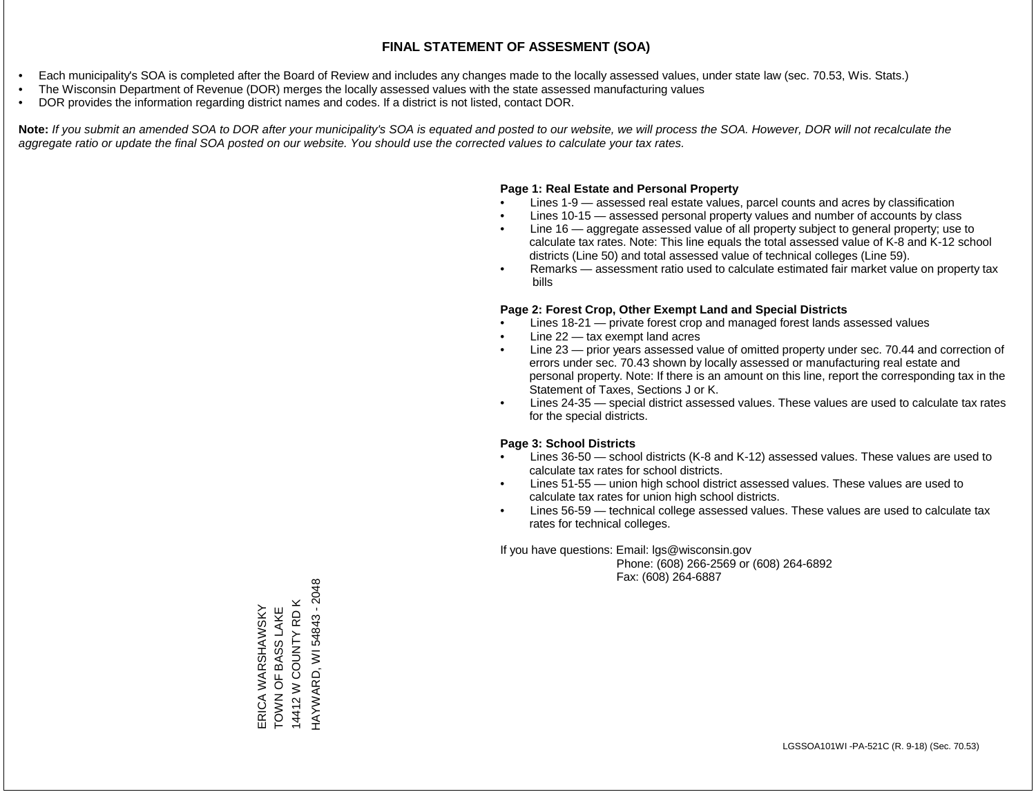- Each municipality's SOA is completed after the Board of Review and includes any changes made to the locally assessed values, under state law (sec. 70.53, Wis. Stats.)
- The Wisconsin Department of Revenue (DOR) merges the locally assessed values with the state assessed manufacturing values
- DOR provides the information regarding district names and codes. If a district is not listed, contact DOR.

Note: If you submit an amended SOA to DOR after your municipality's SOA is equated and posted to our website, we will process the SOA. However, DOR will not recalculate the *aggregate ratio or update the final SOA posted on our website. You should use the corrected values to calculate your tax rates.*

## **Page 1: Real Estate and Personal Property**

- Lines 1-9 assessed real estate values, parcel counts and acres by classification
- Lines 10-15 assessed personal property values and number of accounts by class
- Line 16 aggregate assessed value of all property subject to general property; use to calculate tax rates. Note: This line equals the total assessed value of K-8 and K-12 school districts (Line 50) and total assessed value of technical colleges (Line 59).
- Remarks assessment ratio used to calculate estimated fair market value on property tax bills

## **Page 2: Forest Crop, Other Exempt Land and Special Districts**

- Lines 18-21 private forest crop and managed forest lands assessed values
- Line  $22 -$  tax exempt land acres
- Line 23 prior years assessed value of omitted property under sec. 70.44 and correction of errors under sec. 70.43 shown by locally assessed or manufacturing real estate and personal property. Note: If there is an amount on this line, report the corresponding tax in the Statement of Taxes, Sections J or K.
- Lines 24-35 special district assessed values. These values are used to calculate tax rates for the special districts.

## **Page 3: School Districts**

- Lines 36-50 school districts (K-8 and K-12) assessed values. These values are used to calculate tax rates for school districts.
- Lines 51-55 union high school district assessed values. These values are used to calculate tax rates for union high school districts.
- Lines 56-59 technical college assessed values. These values are used to calculate tax rates for technical colleges.

If you have questions: Email: lgs@wisconsin.gov

 Phone: (608) 266-2569 or (608) 264-6892 Fax: (608) 264-6887

HAYWARD, WI 54843 - 2048 HAYWARD, WI 54843 - 204814412 W COUNTY RD K 14412 W COUNTY RD K TOWN OF BASS LAKE ERICA WARSHAWSKY<br>TOWN OF BASS LAKE ERICA WARSHAWSKY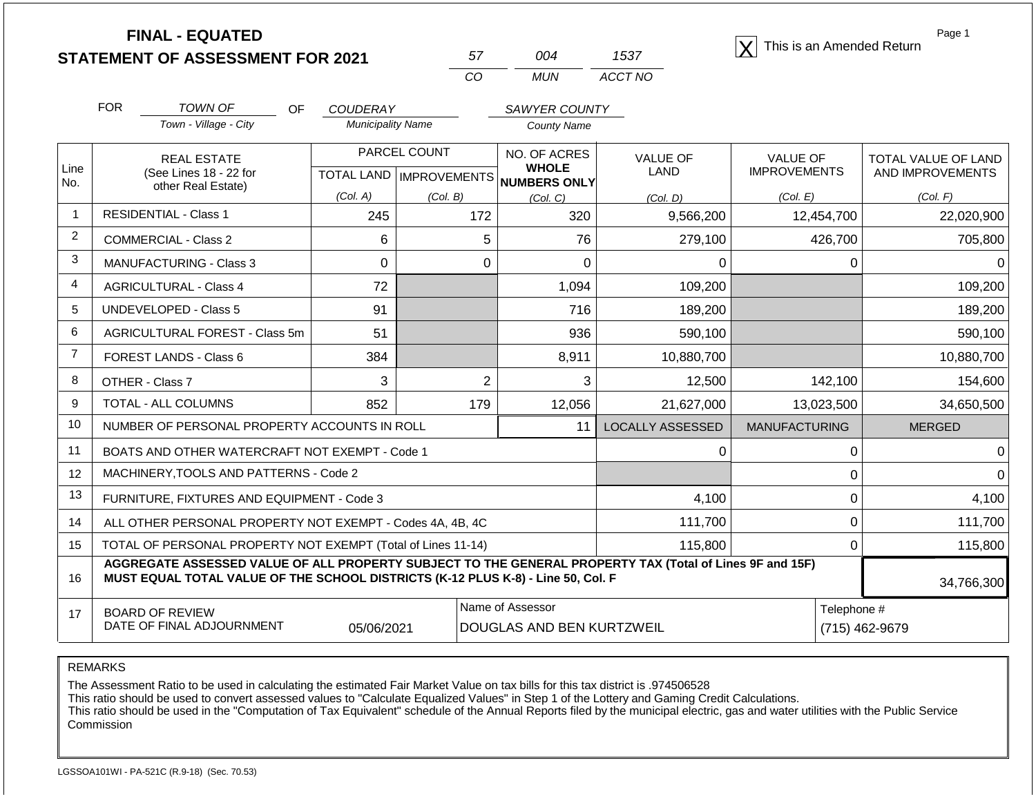**STATEMENT OF ASSESSMENT FOR 2021**

| 57. | ∩∩4  | 1537    |
|-----|------|---------|
| CO. | MUN. | ACCT NO |

**FINAL - EQUATED**<br>  $\overline{X}$  This is an Amended Return

Page 1

|                | <b>FOR</b><br><b>TOWN OF</b><br><b>OF</b>                                                                                                                                                    | <b>COUDERAY</b>          |                           | <b>SAWYER COUNTY</b>         |                         |                      |                     |
|----------------|----------------------------------------------------------------------------------------------------------------------------------------------------------------------------------------------|--------------------------|---------------------------|------------------------------|-------------------------|----------------------|---------------------|
|                | Town - Village - City                                                                                                                                                                        | <b>Municipality Name</b> |                           | County Name                  |                         |                      |                     |
| Line           | <b>REAL ESTATE</b>                                                                                                                                                                           |                          | PARCEL COUNT              | NO. OF ACRES<br><b>WHOLE</b> | <b>VALUE OF</b>         | <b>VALUE OF</b>      | TOTAL VALUE OF LAND |
| No.            | (See Lines 18 - 22 for<br>other Real Estate)                                                                                                                                                 |                          | TOTAL LAND   IMPROVEMENTS | NUMBERS ONLY                 | LAND                    | <b>IMPROVEMENTS</b>  | AND IMPROVEMENTS    |
|                |                                                                                                                                                                                              | (Col. A)                 | (Col. B)                  | (Col, C)                     | (Col. D)                | (Col. E)             | (Col. F)            |
|                | <b>RESIDENTIAL - Class 1</b>                                                                                                                                                                 | 245                      | 172                       | 320                          | 9,566,200               | 12,454,700           | 22,020,900          |
| $\overline{c}$ | <b>COMMERCIAL - Class 2</b>                                                                                                                                                                  | 6                        | 5                         | 76                           | 279,100                 | 426,700              | 705,800             |
| 3              | <b>MANUFACTURING - Class 3</b>                                                                                                                                                               | 0                        | 0                         | $\Omega$                     | 0                       | $\Omega$             |                     |
| 4              | <b>AGRICULTURAL - Class 4</b>                                                                                                                                                                | 72                       |                           | 1,094                        | 109,200                 |                      | 109,200             |
| 5              | <b>UNDEVELOPED - Class 5</b>                                                                                                                                                                 | 91                       |                           | 716                          | 189,200                 |                      | 189,200             |
| 6              | AGRICULTURAL FOREST - Class 5m                                                                                                                                                               | 51                       |                           | 936                          | 590,100                 |                      | 590,100             |
| $\overline{7}$ | FOREST LANDS - Class 6                                                                                                                                                                       | 384                      |                           | 8,911                        | 10,880,700              |                      | 10,880,700          |
| 8              | OTHER - Class 7                                                                                                                                                                              | 3                        | $\overline{2}$            | 3                            | 12,500                  | 142,100              | 154,600             |
| 9              | TOTAL - ALL COLUMNS                                                                                                                                                                          | 852                      | 179                       | 12,056                       | 21,627,000              | 13,023,500           | 34,650,500          |
| 10             | NUMBER OF PERSONAL PROPERTY ACCOUNTS IN ROLL                                                                                                                                                 |                          |                           | 11                           | <b>LOCALLY ASSESSED</b> | <b>MANUFACTURING</b> | <b>MERGED</b>       |
| 11             | BOATS AND OTHER WATERCRAFT NOT EXEMPT - Code 1                                                                                                                                               |                          |                           |                              | 0                       | $\Omega$             |                     |
| 12             | MACHINERY, TOOLS AND PATTERNS - Code 2                                                                                                                                                       |                          |                           |                              |                         | 0                    |                     |
| 13             | FURNITURE, FIXTURES AND EQUIPMENT - Code 3                                                                                                                                                   |                          |                           |                              | 4,100                   | $\Omega$             | 4,100               |
| 14             | ALL OTHER PERSONAL PROPERTY NOT EXEMPT - Codes 4A, 4B, 4C                                                                                                                                    |                          |                           |                              | 111,700                 | $\overline{0}$       | 111,700             |
| 15             | TOTAL OF PERSONAL PROPERTY NOT EXEMPT (Total of Lines 11-14)                                                                                                                                 |                          |                           |                              | 115,800                 | 0                    | 115,800             |
| 16             | AGGREGATE ASSESSED VALUE OF ALL PROPERTY SUBJECT TO THE GENERAL PROPERTY TAX (Total of Lines 9F and 15F)<br>MUST EQUAL TOTAL VALUE OF THE SCHOOL DISTRICTS (K-12 PLUS K-8) - Line 50, Col. F | 34,766,300               |                           |                              |                         |                      |                     |
| 17             | <b>BOARD OF REVIEW</b>                                                                                                                                                                       |                          |                           | Name of Assessor             |                         | Telephone #          |                     |
|                | DATE OF FINAL ADJOURNMENT<br>05/06/2021<br>DOUGLAS AND BEN KURTZWEIL                                                                                                                         |                          |                           |                              |                         |                      | (715) 462-9679      |

REMARKS

The Assessment Ratio to be used in calculating the estimated Fair Market Value on tax bills for this tax district is .974506528

This ratio should be used to convert assessed values to "Calculate Equalized Values" in Step 1 of the Lottery and Gaming Credit Calculations.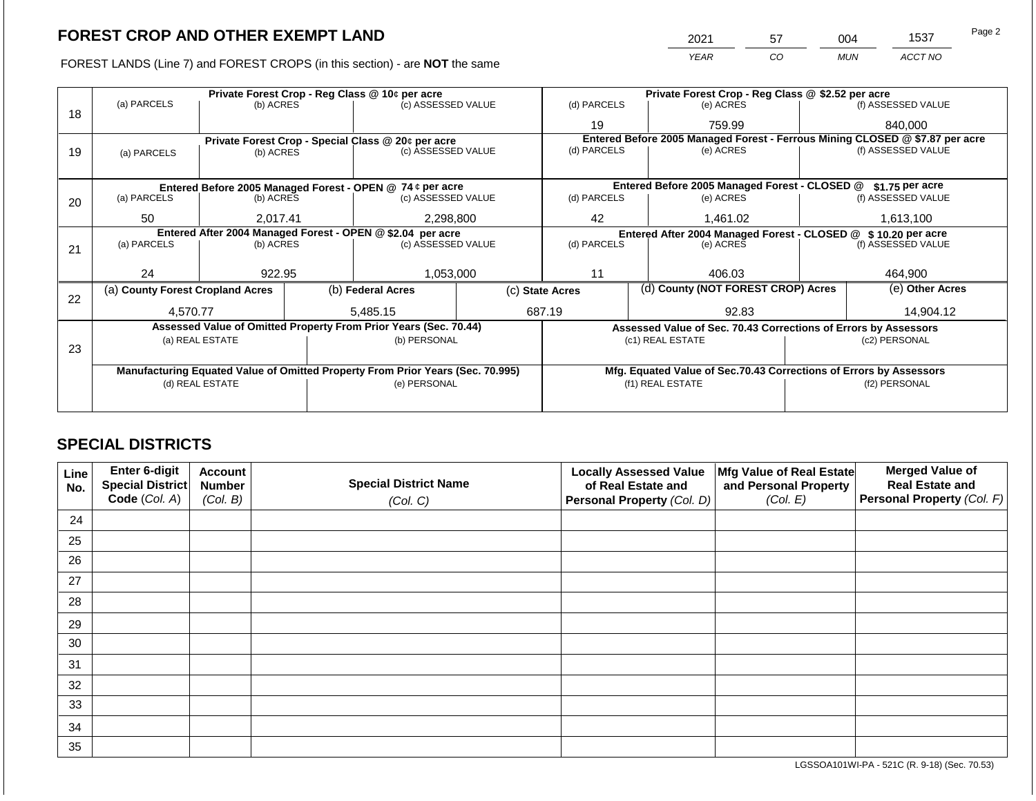2021 57 004 1537

FOREST LANDS (Line 7) and FOREST CROPS (in this section) - are **NOT** the same *YEAR CO MUN ACCT NO*

|    |                                                            |                 | Private Forest Crop - Reg Class @ 10¢ per acre |                                                                                | Private Forest Crop - Reg Class @ \$2.52 per acre |                          |  |                                                                              |  |                    |
|----|------------------------------------------------------------|-----------------|------------------------------------------------|--------------------------------------------------------------------------------|---------------------------------------------------|--------------------------|--|------------------------------------------------------------------------------|--|--------------------|
| 18 | (a) PARCELS                                                | (b) ACRES       |                                                | (c) ASSESSED VALUE                                                             |                                                   | (d) PARCELS              |  | (e) ACRES                                                                    |  | (f) ASSESSED VALUE |
|    |                                                            |                 |                                                |                                                                                |                                                   | 19                       |  | 759.99                                                                       |  | 840,000            |
|    |                                                            |                 |                                                | Private Forest Crop - Special Class @ 20¢ per acre                             |                                                   |                          |  | Entered Before 2005 Managed Forest - Ferrous Mining CLOSED @ \$7.87 per acre |  |                    |
| 19 | (a) PARCELS                                                | (b) ACRES       |                                                | (c) ASSESSED VALUE                                                             |                                                   | (d) PARCELS              |  | (e) ACRES                                                                    |  | (f) ASSESSED VALUE |
|    |                                                            |                 |                                                |                                                                                |                                                   |                          |  |                                                                              |  |                    |
|    |                                                            |                 |                                                | Entered Before 2005 Managed Forest - OPEN @ 74 ¢ per acre                      |                                                   |                          |  | Entered Before 2005 Managed Forest - CLOSED @                                |  | \$1.75 per acre    |
| 20 | (a) PARCELS<br>(b) ACRES                                   |                 |                                                | (c) ASSESSED VALUE                                                             |                                                   | (d) PARCELS              |  | (e) ACRES                                                                    |  | (f) ASSESSED VALUE |
|    | 50                                                         | 2,017.41        |                                                | 2,298,800                                                                      |                                                   | 42                       |  | 1,461.02                                                                     |  | 1,613,100          |
|    | Entered After 2004 Managed Forest - OPEN @ \$2.04 per acre |                 |                                                |                                                                                |                                                   |                          |  | Entered After 2004 Managed Forest - CLOSED @ \$10.20 per acre                |  |                    |
| 21 | (a) PARCELS                                                | (b) ACRES       |                                                | (c) ASSESSED VALUE                                                             |                                                   | (d) PARCELS<br>(e) ACRES |  | (f) ASSESSED VALUE                                                           |  |                    |
|    |                                                            |                 |                                                |                                                                                |                                                   |                          |  |                                                                              |  |                    |
|    | 24                                                         | 922.95          |                                                | 1,053,000                                                                      |                                                   | 11                       |  | 406.03                                                                       |  | 464,900            |
| 22 | (a) County Forest Cropland Acres                           |                 |                                                | (b) Federal Acres                                                              | (c) State Acres                                   |                          |  | (d) County (NOT FOREST CROP) Acres                                           |  | (e) Other Acres    |
|    | 4,570.77                                                   |                 |                                                | 5.485.15                                                                       |                                                   | 687.19<br>92.83          |  |                                                                              |  | 14,904.12          |
|    |                                                            |                 |                                                | Assessed Value of Omitted Property From Prior Years (Sec. 70.44)               |                                                   |                          |  | Assessed Value of Sec. 70.43 Corrections of Errors by Assessors              |  |                    |
|    |                                                            | (a) REAL ESTATE |                                                | (b) PERSONAL                                                                   |                                                   |                          |  | (c1) REAL ESTATE                                                             |  | (c2) PERSONAL      |
| 23 |                                                            |                 |                                                |                                                                                |                                                   |                          |  |                                                                              |  |                    |
|    |                                                            |                 |                                                | Manufacturing Equated Value of Omitted Property From Prior Years (Sec. 70.995) |                                                   |                          |  | Mfg. Equated Value of Sec.70.43 Corrections of Errors by Assessors           |  |                    |
|    | (d) REAL ESTATE                                            |                 |                                                | (e) PERSONAL                                                                   |                                                   |                          |  | (f1) REAL ESTATE                                                             |  | (f2) PERSONAL      |
|    |                                                            |                 |                                                |                                                                                |                                                   |                          |  |                                                                              |  |                    |
|    |                                                            |                 |                                                |                                                                                |                                                   |                          |  |                                                                              |  |                    |

## **SPECIAL DISTRICTS**

| Line<br>No. | <b>Enter 6-digit</b><br>Special District | <b>Account</b><br><b>Number</b> | <b>Special District Name</b> | <b>Locally Assessed Value</b><br>of Real Estate and | Mfg Value of Real Estate<br>and Personal Property | <b>Merged Value of</b><br><b>Real Estate and</b> |
|-------------|------------------------------------------|---------------------------------|------------------------------|-----------------------------------------------------|---------------------------------------------------|--------------------------------------------------|
|             | Code (Col. A)                            | (Col. B)                        | (Col. C)                     | Personal Property (Col. D)                          | (Col. E)                                          | Personal Property (Col. F)                       |
| 24          |                                          |                                 |                              |                                                     |                                                   |                                                  |
| 25          |                                          |                                 |                              |                                                     |                                                   |                                                  |
| 26          |                                          |                                 |                              |                                                     |                                                   |                                                  |
| 27          |                                          |                                 |                              |                                                     |                                                   |                                                  |
| 28          |                                          |                                 |                              |                                                     |                                                   |                                                  |
| 29          |                                          |                                 |                              |                                                     |                                                   |                                                  |
| 30          |                                          |                                 |                              |                                                     |                                                   |                                                  |
| 31          |                                          |                                 |                              |                                                     |                                                   |                                                  |
| 32          |                                          |                                 |                              |                                                     |                                                   |                                                  |
| 33          |                                          |                                 |                              |                                                     |                                                   |                                                  |
| 34          |                                          |                                 |                              |                                                     |                                                   |                                                  |
| 35          |                                          |                                 |                              |                                                     |                                                   |                                                  |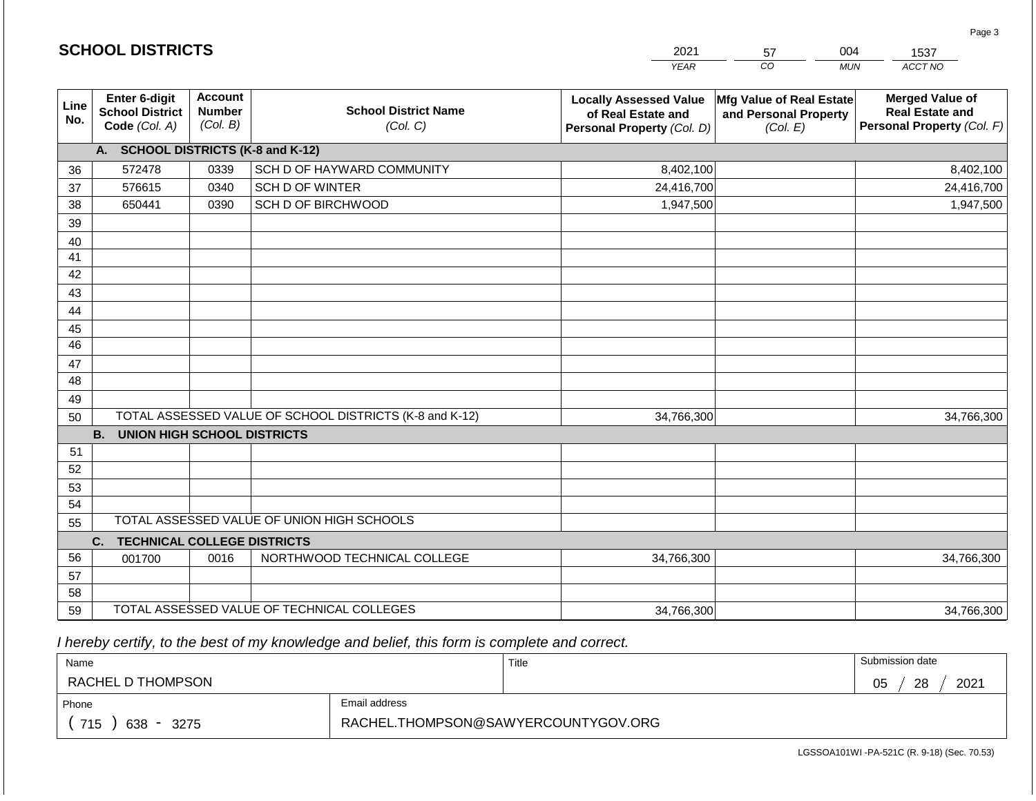|                                    |                                                          |                                             |                                                         | <b>YEAR</b>                                                                       | $\overline{co}$<br><b>MUN</b>                                 | ACCT NO                                                                        |  |  |  |
|------------------------------------|----------------------------------------------------------|---------------------------------------------|---------------------------------------------------------|-----------------------------------------------------------------------------------|---------------------------------------------------------------|--------------------------------------------------------------------------------|--|--|--|
| Line<br>No.                        | Enter 6-digit<br><b>School District</b><br>Code (Col. A) | <b>Account</b><br><b>Number</b><br>(Col. B) | <b>School District Name</b><br>(Col. C)                 | <b>Locally Assessed Value</b><br>of Real Estate and<br>Personal Property (Col. D) | Mfg Value of Real Estate<br>and Personal Property<br>(Col. E) | <b>Merged Value of</b><br><b>Real Estate and</b><br>Personal Property (Col. F) |  |  |  |
| A. SCHOOL DISTRICTS (K-8 and K-12) |                                                          |                                             |                                                         |                                                                                   |                                                               |                                                                                |  |  |  |
| 36                                 | 572478                                                   | 0339                                        | SCH D OF HAYWARD COMMUNITY                              | 8,402,100                                                                         |                                                               | 8,402,100                                                                      |  |  |  |
| 37                                 | 576615                                                   | 0340                                        | SCH D OF WINTER                                         | 24,416,700                                                                        |                                                               | 24,416,700                                                                     |  |  |  |
| 38                                 | 650441                                                   | 0390                                        | SCH D OF BIRCHWOOD                                      | 1,947,500                                                                         |                                                               | 1,947,500                                                                      |  |  |  |
| 39                                 |                                                          |                                             |                                                         |                                                                                   |                                                               |                                                                                |  |  |  |
| 40                                 |                                                          |                                             |                                                         |                                                                                   |                                                               |                                                                                |  |  |  |
| 41                                 |                                                          |                                             |                                                         |                                                                                   |                                                               |                                                                                |  |  |  |
| 42                                 |                                                          |                                             |                                                         |                                                                                   |                                                               |                                                                                |  |  |  |
| 43                                 |                                                          |                                             |                                                         |                                                                                   |                                                               |                                                                                |  |  |  |
| 44                                 |                                                          |                                             |                                                         |                                                                                   |                                                               |                                                                                |  |  |  |
| 45                                 |                                                          |                                             |                                                         |                                                                                   |                                                               |                                                                                |  |  |  |
| $\overline{46}$                    |                                                          |                                             |                                                         |                                                                                   |                                                               |                                                                                |  |  |  |
| 47                                 |                                                          |                                             |                                                         |                                                                                   |                                                               |                                                                                |  |  |  |
| 48                                 |                                                          |                                             |                                                         |                                                                                   |                                                               |                                                                                |  |  |  |
| 49                                 |                                                          |                                             |                                                         |                                                                                   |                                                               |                                                                                |  |  |  |
| 50                                 |                                                          |                                             | TOTAL ASSESSED VALUE OF SCHOOL DISTRICTS (K-8 and K-12) | 34,766,300                                                                        |                                                               | 34,766,300                                                                     |  |  |  |
|                                    | <b>B.</b><br><b>UNION HIGH SCHOOL DISTRICTS</b>          |                                             |                                                         |                                                                                   |                                                               |                                                                                |  |  |  |
| 51<br>52                           |                                                          |                                             |                                                         |                                                                                   |                                                               |                                                                                |  |  |  |
| 53                                 |                                                          |                                             |                                                         |                                                                                   |                                                               |                                                                                |  |  |  |
| 54                                 |                                                          |                                             |                                                         |                                                                                   |                                                               |                                                                                |  |  |  |
| 55                                 |                                                          |                                             | TOTAL ASSESSED VALUE OF UNION HIGH SCHOOLS              |                                                                                   |                                                               |                                                                                |  |  |  |
|                                    | C.<br><b>TECHNICAL COLLEGE DISTRICTS</b>                 |                                             |                                                         |                                                                                   |                                                               |                                                                                |  |  |  |
| 56                                 | 001700                                                   | 0016                                        | NORTHWOOD TECHNICAL COLLEGE                             | 34,766,300                                                                        |                                                               | 34,766,300                                                                     |  |  |  |
| 57                                 |                                                          |                                             |                                                         |                                                                                   |                                                               |                                                                                |  |  |  |
| 58                                 |                                                          |                                             |                                                         |                                                                                   |                                                               |                                                                                |  |  |  |
| 59                                 |                                                          |                                             | TOTAL ASSESSED VALUE OF TECHNICAL COLLEGES              | 34,766,300                                                                        |                                                               | 34,766,300                                                                     |  |  |  |

2021

57

004

1537

Page 3

 *I hereby certify, to the best of my knowledge and belief, this form is complete and correct.*

**SCHOOL DISTRICTS**

| Name               |                                     | Title | Submission date  |
|--------------------|-------------------------------------|-------|------------------|
| RACHEL D THOMPSON  |                                     |       | 28<br>2021<br>05 |
| Phone              | Email address                       |       |                  |
| 715<br>638<br>3275 | RACHEL.THOMPSON@SAWYERCOUNTYGOV.ORG |       |                  |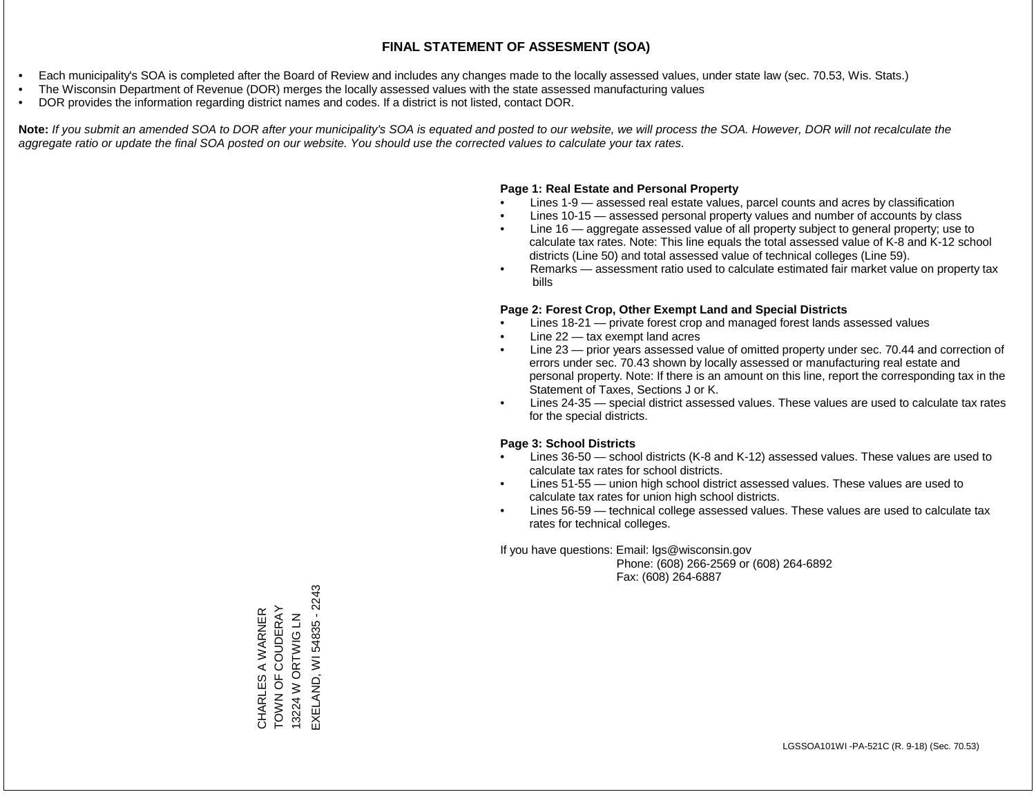- Each municipality's SOA is completed after the Board of Review and includes any changes made to the locally assessed values, under state law (sec. 70.53, Wis. Stats.)
- The Wisconsin Department of Revenue (DOR) merges the locally assessed values with the state assessed manufacturing values
- DOR provides the information regarding district names and codes. If a district is not listed, contact DOR.

Note: If you submit an amended SOA to DOR after your municipality's SOA is equated and posted to our website, we will process the SOA. However, DOR will not recalculate the *aggregate ratio or update the final SOA posted on our website. You should use the corrected values to calculate your tax rates.*

## **Page 1: Real Estate and Personal Property**

- Lines 1-9 assessed real estate values, parcel counts and acres by classification
- Lines 10-15 assessed personal property values and number of accounts by class
- Line 16 aggregate assessed value of all property subject to general property; use to calculate tax rates. Note: This line equals the total assessed value of K-8 and K-12 school districts (Line 50) and total assessed value of technical colleges (Line 59).
- Remarks assessment ratio used to calculate estimated fair market value on property tax bills

## **Page 2: Forest Crop, Other Exempt Land and Special Districts**

- Lines 18-21 private forest crop and managed forest lands assessed values
- Line  $22 -$  tax exempt land acres
- Line 23 prior years assessed value of omitted property under sec. 70.44 and correction of errors under sec. 70.43 shown by locally assessed or manufacturing real estate and personal property. Note: If there is an amount on this line, report the corresponding tax in the Statement of Taxes, Sections J or K.
- Lines 24-35 special district assessed values. These values are used to calculate tax rates for the special districts.

## **Page 3: School Districts**

- Lines 36-50 school districts (K-8 and K-12) assessed values. These values are used to calculate tax rates for school districts.
- Lines 51-55 union high school district assessed values. These values are used to calculate tax rates for union high school districts.
- Lines 56-59 technical college assessed values. These values are used to calculate tax rates for technical colleges.

If you have questions: Email: lgs@wisconsin.gov

 Phone: (608) 266-2569 or (608) 264-6892 Fax: (608) 264-6887

EXELAND, WI 54835 - 2243 EXELAND, WI 54835 - 2243TOWN OF COUDERAY CHARLES A WARNER<br>TOWN OF COUDERAY CHARLES A WARNER 13224 W ORTWIG LN 13224 W ORTWIG LN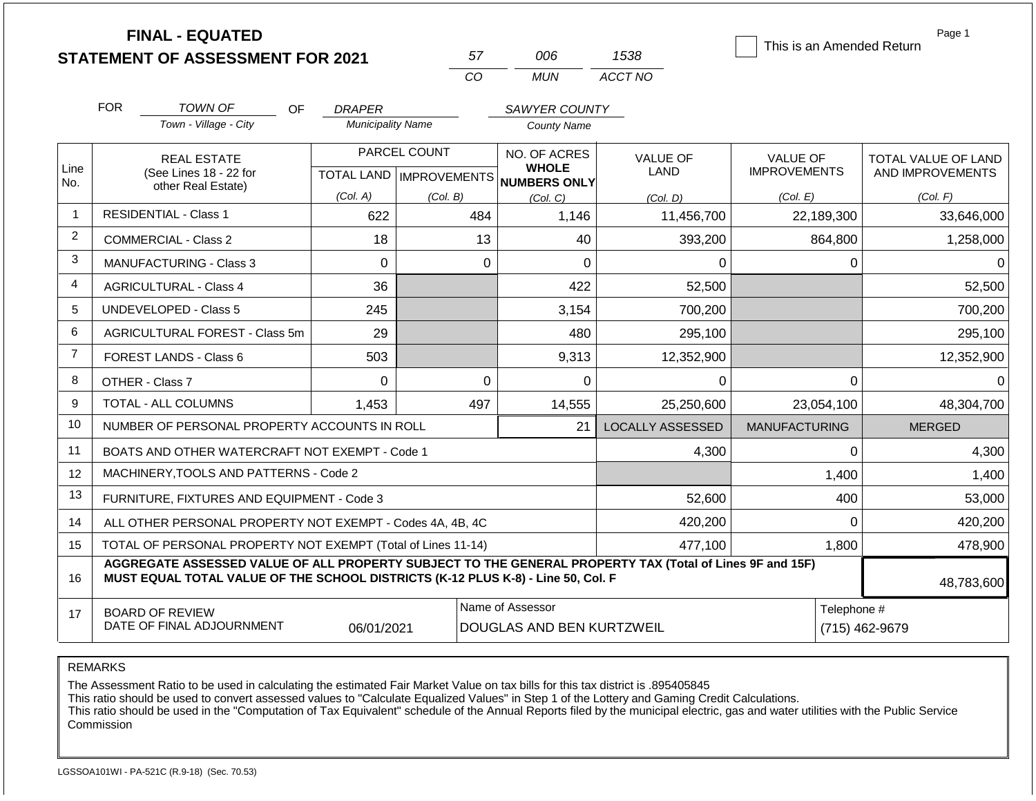|                | <b>FINAL - EQUATED</b><br><b>STATEMENT OF ASSESSMENT FOR 2021</b>                                                                                                                            |                          | 57                                        | 006                                                  | 1538                    | Page 1<br>This is an Amended Return |                                         |  |  |  |
|----------------|----------------------------------------------------------------------------------------------------------------------------------------------------------------------------------------------|--------------------------|-------------------------------------------|------------------------------------------------------|-------------------------|-------------------------------------|-----------------------------------------|--|--|--|
|                |                                                                                                                                                                                              |                          | <b>CO</b>                                 | <b>MUN</b>                                           | ACCT NO                 |                                     |                                         |  |  |  |
|                | <b>FOR</b><br><b>TOWN OF</b><br>OF.                                                                                                                                                          | <b>DRAPER</b>            |                                           | SAWYER COUNTY                                        |                         |                                     |                                         |  |  |  |
|                | Town - Village - City                                                                                                                                                                        | <b>Municipality Name</b> |                                           | <b>County Name</b>                                   |                         |                                     |                                         |  |  |  |
| Line<br>No.    | <b>REAL ESTATE</b><br>(See Lines 18 - 22 for                                                                                                                                                 |                          | PARCEL COUNT<br>TOTAL LAND   IMPROVEMENTS | NO. OF ACRES<br><b>WHOLE</b><br><b>NUMBERS ONLY</b>  | <b>VALUE OF</b><br>LAND | VALUE OF<br><b>IMPROVEMENTS</b>     | TOTAL VALUE OF LAND<br>AND IMPROVEMENTS |  |  |  |
|                | other Real Estate)                                                                                                                                                                           | (Col. A)                 | (Col. B)                                  | (Col, C)                                             | (Col. D)                | (Col. E)                            | (Col. F)                                |  |  |  |
| $\overline{1}$ | <b>RESIDENTIAL - Class 1</b>                                                                                                                                                                 | 622                      | 484                                       | 1,146                                                | 11,456,700              | 22,189,300                          | 33,646,000                              |  |  |  |
| $\overline{2}$ | <b>COMMERCIAL - Class 2</b>                                                                                                                                                                  |                          | 13<br>40                                  | 393,200                                              | 864,800                 | 1,258,000                           |                                         |  |  |  |
| 3              | <b>MANUFACTURING - Class 3</b>                                                                                                                                                               | $\Omega$                 |                                           | $\mathbf 0$<br>$\Omega$                              | $\mathbf 0$             | 0                                   | $\Omega$                                |  |  |  |
| 4              | <b>AGRICULTURAL - Class 4</b>                                                                                                                                                                | 36                       |                                           | 422                                                  | 52,500                  |                                     | 52,500                                  |  |  |  |
| 5              | <b>UNDEVELOPED - Class 5</b>                                                                                                                                                                 |                          | 3,154                                     | 700,200                                              |                         | 700,200                             |                                         |  |  |  |
| 6              | AGRICULTURAL FOREST - Class 5m                                                                                                                                                               |                          | 480                                       | 295,100                                              |                         |                                     |                                         |  |  |  |
| $\overline{7}$ | FOREST LANDS - Class 6                                                                                                                                                                       | 503                      |                                           | 9,313                                                | 12,352,900              |                                     | 12,352,900                              |  |  |  |
| 8              | OTHER - Class 7                                                                                                                                                                              | $\mathbf 0$              |                                           | $\mathbf 0$<br>$\mathbf 0$                           | $\Omega$                | 0                                   | $\Omega$                                |  |  |  |
| 9              | TOTAL - ALL COLUMNS                                                                                                                                                                          | 1,453                    | 497                                       | 14,555                                               | 25,250,600              | 23,054,100                          | 48,304,700                              |  |  |  |
| 10             | NUMBER OF PERSONAL PROPERTY ACCOUNTS IN ROLL                                                                                                                                                 |                          |                                           | 21                                                   | <b>LOCALLY ASSESSED</b> | <b>MANUFACTURING</b>                | <b>MERGED</b>                           |  |  |  |
| 11             | BOATS AND OTHER WATERCRAFT NOT EXEMPT - Code 1                                                                                                                                               |                          |                                           |                                                      | 4,300                   | 0                                   | 4,300                                   |  |  |  |
| 12             | MACHINERY, TOOLS AND PATTERNS - Code 2                                                                                                                                                       |                          |                                           |                                                      |                         | 1,400                               | 1,400                                   |  |  |  |
| 13             | FURNITURE, FIXTURES AND EQUIPMENT - Code 3                                                                                                                                                   |                          |                                           |                                                      | 52,600                  | 400                                 | 53,000                                  |  |  |  |
| 14             | ALL OTHER PERSONAL PROPERTY NOT EXEMPT - Codes 4A, 4B, 4C                                                                                                                                    |                          |                                           |                                                      | 420,200                 | $\Omega$                            | 420,200                                 |  |  |  |
| 15             | TOTAL OF PERSONAL PROPERTY NOT EXEMPT (Total of Lines 11-14)                                                                                                                                 |                          |                                           |                                                      | 477,100                 | 1,800                               | 478,900                                 |  |  |  |
| 16             | AGGREGATE ASSESSED VALUE OF ALL PROPERTY SUBJECT TO THE GENERAL PROPERTY TAX (Total of Lines 9F and 15F)<br>MUST EQUAL TOTAL VALUE OF THE SCHOOL DISTRICTS (K-12 PLUS K-8) - Line 50, Col. F |                          |                                           |                                                      |                         |                                     |                                         |  |  |  |
| 17             | <b>BOARD OF REVIEW</b><br>DATE OF FINAL ADJOURNMENT                                                                                                                                          | 06/01/2021               |                                           | Name of Assessor<br><b>DOUGLAS AND BEN KURTZWEIL</b> |                         |                                     | Telephone #<br>(715) 462-9679           |  |  |  |

The Assessment Ratio to be used in calculating the estimated Fair Market Value on tax bills for this tax district is .895405845

This ratio should be used to convert assessed values to "Calculate Equalized Values" in Step 1 of the Lottery and Gaming Credit Calculations.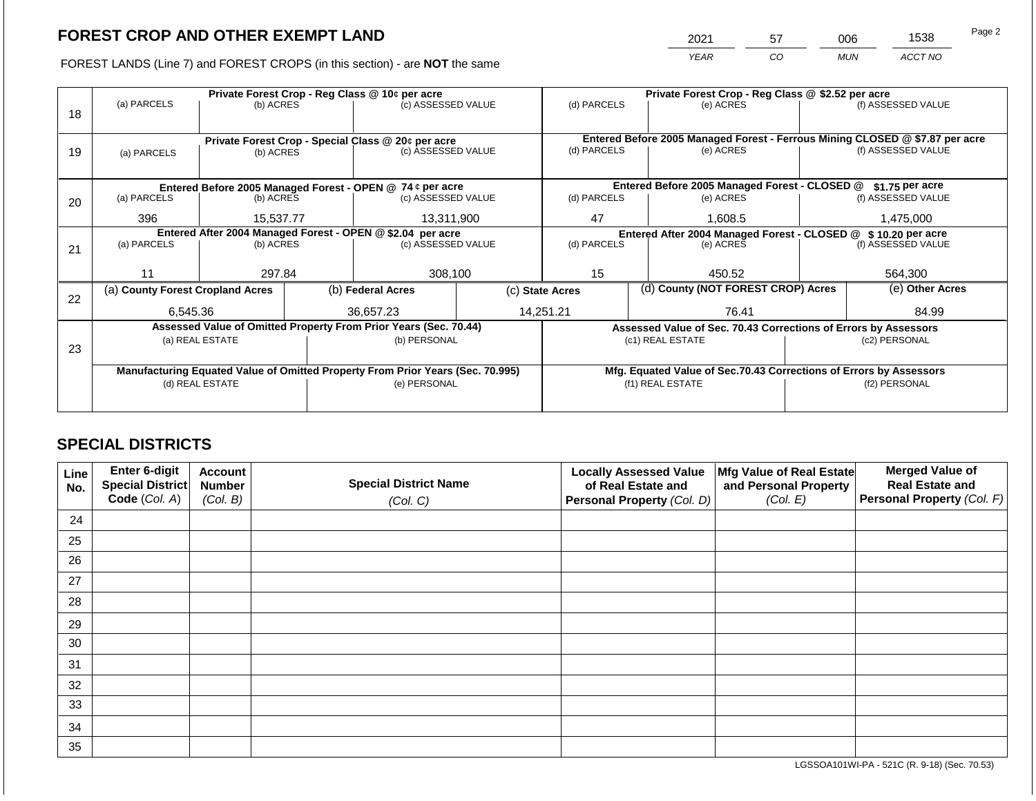2021 57 006 1538

FOREST LANDS (Line 7) and FOREST CROPS (in this section) - are **NOT** the same *YEAR CO MUN ACCT NO*

|    |                                  |                 |            | Private Forest Crop - Reg Class @ 10¢ per acre                                 |                                                                          | Private Forest Crop - Reg Class @ \$2.52 per acre                            |                                                               |                                                                 |                                                                    |                    |  |  |
|----|----------------------------------|-----------------|------------|--------------------------------------------------------------------------------|--------------------------------------------------------------------------|------------------------------------------------------------------------------|---------------------------------------------------------------|-----------------------------------------------------------------|--------------------------------------------------------------------|--------------------|--|--|
|    | (a) PARCELS                      | (b) ACRES       |            | (c) ASSESSED VALUE                                                             |                                                                          | (d) PARCELS                                                                  |                                                               | (e) ACRES                                                       |                                                                    | (f) ASSESSED VALUE |  |  |
| 18 |                                  |                 |            |                                                                                |                                                                          |                                                                              |                                                               |                                                                 |                                                                    |                    |  |  |
|    |                                  |                 |            |                                                                                |                                                                          | Entered Before 2005 Managed Forest - Ferrous Mining CLOSED @ \$7.87 per acre |                                                               |                                                                 |                                                                    |                    |  |  |
|    |                                  |                 |            |                                                                                | Private Forest Crop - Special Class @ 20¢ per acre<br>(c) ASSESSED VALUE |                                                                              | (d) PARCELS<br>(e) ACRES                                      |                                                                 |                                                                    | (f) ASSESSED VALUE |  |  |
| 19 | (a) PARCELS                      | (b) ACRES       |            |                                                                                |                                                                          |                                                                              |                                                               |                                                                 |                                                                    |                    |  |  |
|    |                                  |                 |            |                                                                                |                                                                          |                                                                              |                                                               |                                                                 |                                                                    |                    |  |  |
|    |                                  |                 |            | Entered Before 2005 Managed Forest - OPEN @ 74 ¢ per acre                      |                                                                          |                                                                              |                                                               | Entered Before 2005 Managed Forest - CLOSED @                   |                                                                    | \$1.75 per acre    |  |  |
| 20 | (a) PARCELS                      | (b) ACRES       |            | (c) ASSESSED VALUE                                                             |                                                                          | (d) PARCELS                                                                  |                                                               | (e) ACRES                                                       |                                                                    | (f) ASSESSED VALUE |  |  |
|    |                                  |                 |            |                                                                                |                                                                          |                                                                              |                                                               |                                                                 |                                                                    |                    |  |  |
|    | 396<br>15,537.77                 |                 | 13,311,900 | 47                                                                             |                                                                          | 1,608.5                                                                      |                                                               | 1,475,000                                                       |                                                                    |                    |  |  |
|    |                                  |                 |            | Entered After 2004 Managed Forest - OPEN @ \$2.04 per acre                     |                                                                          |                                                                              | Entered After 2004 Managed Forest - CLOSED @ \$10.20 per acre |                                                                 |                                                                    |                    |  |  |
| 21 | (a) PARCELS<br>(b) ACRES         |                 |            | (c) ASSESSED VALUE                                                             |                                                                          | (d) PARCELS                                                                  |                                                               | (e) ACRES                                                       |                                                                    | (f) ASSESSED VALUE |  |  |
|    |                                  |                 |            |                                                                                |                                                                          |                                                                              |                                                               |                                                                 |                                                                    |                    |  |  |
|    | 297.84<br>11                     |                 |            | 308,100                                                                        | 15                                                                       |                                                                              | 450.52                                                        |                                                                 | 564,300                                                            |                    |  |  |
|    | (a) County Forest Cropland Acres |                 |            | (b) Federal Acres                                                              | (d) County (NOT FOREST CROP) Acres<br>(c) State Acres                    |                                                                              |                                                               |                                                                 | (e) Other Acres                                                    |                    |  |  |
| 22 |                                  |                 |            |                                                                                |                                                                          |                                                                              |                                                               |                                                                 |                                                                    |                    |  |  |
|    | 6,545.36                         |                 |            | 36,657.23                                                                      |                                                                          | 14,251.21                                                                    |                                                               | 76.41                                                           |                                                                    | 84.99              |  |  |
|    |                                  |                 |            | Assessed Value of Omitted Property From Prior Years (Sec. 70.44)               |                                                                          |                                                                              |                                                               | Assessed Value of Sec. 70.43 Corrections of Errors by Assessors |                                                                    |                    |  |  |
|    |                                  | (a) REAL ESTATE |            | (b) PERSONAL                                                                   |                                                                          |                                                                              |                                                               | (c1) REAL ESTATE                                                | (c2) PERSONAL                                                      |                    |  |  |
| 23 |                                  |                 |            |                                                                                |                                                                          |                                                                              |                                                               |                                                                 |                                                                    |                    |  |  |
|    |                                  |                 |            | Manufacturing Equated Value of Omitted Property From Prior Years (Sec. 70.995) |                                                                          |                                                                              |                                                               |                                                                 | Mfg. Equated Value of Sec.70.43 Corrections of Errors by Assessors |                    |  |  |
|    |                                  | (d) REAL ESTATE |            | (e) PERSONAL                                                                   | (f1) REAL ESTATE                                                         |                                                                              |                                                               | (f2) PERSONAL                                                   |                                                                    |                    |  |  |
|    |                                  |                 |            |                                                                                |                                                                          |                                                                              |                                                               |                                                                 |                                                                    |                    |  |  |
|    |                                  |                 |            |                                                                                |                                                                          |                                                                              |                                                               |                                                                 |                                                                    |                    |  |  |

## **SPECIAL DISTRICTS**

| Line<br>No. | Enter 6-digit<br>Special District<br>Code (Col. A) | <b>Account</b><br><b>Number</b><br>(Col. B) | <b>Special District Name</b><br>(Col. C) | <b>Locally Assessed Value</b><br>of Real Estate and<br><b>Personal Property (Col. D)</b> | Mfg Value of Real Estate<br>and Personal Property<br>(Col. E) | <b>Merged Value of</b><br><b>Real Estate and</b><br>Personal Property (Col. F) |
|-------------|----------------------------------------------------|---------------------------------------------|------------------------------------------|------------------------------------------------------------------------------------------|---------------------------------------------------------------|--------------------------------------------------------------------------------|
| 24          |                                                    |                                             |                                          |                                                                                          |                                                               |                                                                                |
| 25          |                                                    |                                             |                                          |                                                                                          |                                                               |                                                                                |
| 26          |                                                    |                                             |                                          |                                                                                          |                                                               |                                                                                |
| 27          |                                                    |                                             |                                          |                                                                                          |                                                               |                                                                                |
| 28          |                                                    |                                             |                                          |                                                                                          |                                                               |                                                                                |
| 29          |                                                    |                                             |                                          |                                                                                          |                                                               |                                                                                |
| 30          |                                                    |                                             |                                          |                                                                                          |                                                               |                                                                                |
| 31          |                                                    |                                             |                                          |                                                                                          |                                                               |                                                                                |
| 32          |                                                    |                                             |                                          |                                                                                          |                                                               |                                                                                |
| 33          |                                                    |                                             |                                          |                                                                                          |                                                               |                                                                                |
| 34          |                                                    |                                             |                                          |                                                                                          |                                                               |                                                                                |
| 35          |                                                    |                                             |                                          |                                                                                          |                                                               |                                                                                |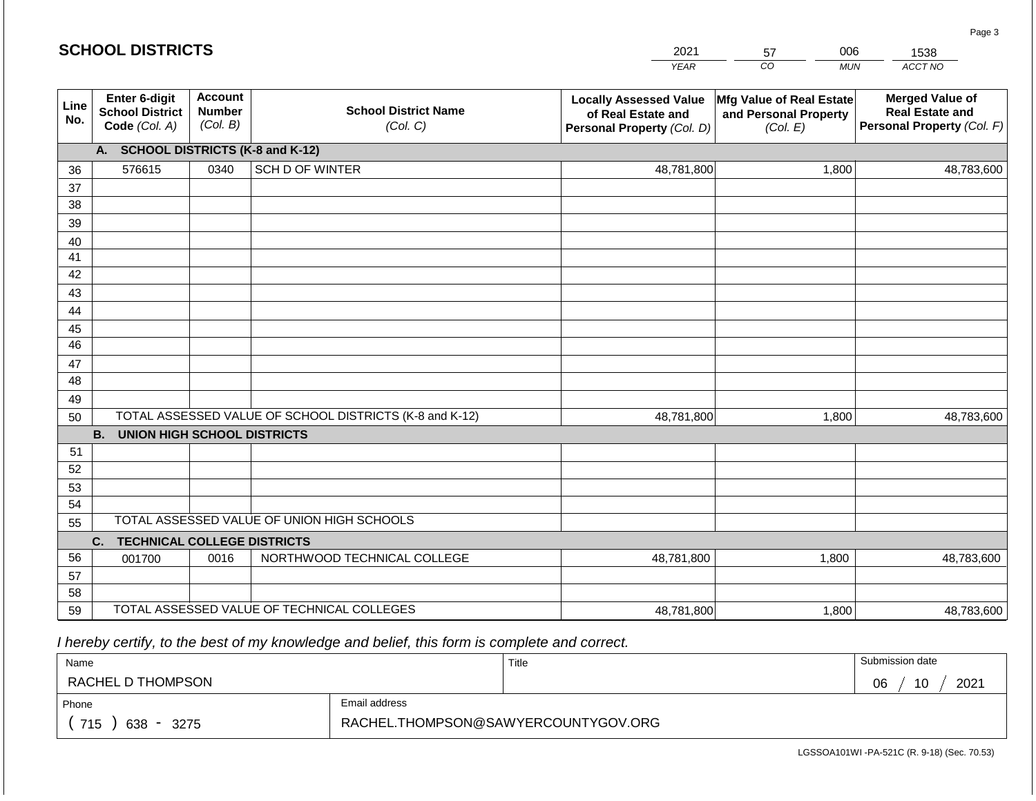|                       |                                                          |                                             |                                                         | <b>YEAR</b>                                                                       | $\overline{co}$<br><b>MUN</b>                                 | ACCT NO                                                                        |
|-----------------------|----------------------------------------------------------|---------------------------------------------|---------------------------------------------------------|-----------------------------------------------------------------------------------|---------------------------------------------------------------|--------------------------------------------------------------------------------|
| Line<br>No.           | Enter 6-digit<br><b>School District</b><br>Code (Col. A) | <b>Account</b><br><b>Number</b><br>(Col. B) | <b>School District Name</b><br>(Col. C)                 | <b>Locally Assessed Value</b><br>of Real Estate and<br>Personal Property (Col. D) | Mfg Value of Real Estate<br>and Personal Property<br>(Col. E) | <b>Merged Value of</b><br><b>Real Estate and</b><br>Personal Property (Col. F) |
|                       | A. SCHOOL DISTRICTS (K-8 and K-12)                       |                                             |                                                         |                                                                                   |                                                               |                                                                                |
| 36                    | 576615                                                   | 0340                                        | SCH D OF WINTER                                         | 48,781,800                                                                        | 1,800                                                         | 48,783,600                                                                     |
| 37                    |                                                          |                                             |                                                         |                                                                                   |                                                               |                                                                                |
| 38                    |                                                          |                                             |                                                         |                                                                                   |                                                               |                                                                                |
| 39                    |                                                          |                                             |                                                         |                                                                                   |                                                               |                                                                                |
| 40                    |                                                          |                                             |                                                         |                                                                                   |                                                               |                                                                                |
| 41                    |                                                          |                                             |                                                         |                                                                                   |                                                               |                                                                                |
| 42                    |                                                          |                                             |                                                         |                                                                                   |                                                               |                                                                                |
| 43                    |                                                          |                                             |                                                         |                                                                                   |                                                               |                                                                                |
| 44                    |                                                          |                                             |                                                         |                                                                                   |                                                               |                                                                                |
| 45<br>$\overline{46}$ |                                                          |                                             |                                                         |                                                                                   |                                                               |                                                                                |
| 47                    |                                                          |                                             |                                                         |                                                                                   |                                                               |                                                                                |
| 48                    |                                                          |                                             |                                                         |                                                                                   |                                                               |                                                                                |
| 49                    |                                                          |                                             |                                                         |                                                                                   |                                                               |                                                                                |
| 50                    |                                                          |                                             | TOTAL ASSESSED VALUE OF SCHOOL DISTRICTS (K-8 and K-12) | 48,781,800                                                                        | 1,800                                                         | 48,783,600                                                                     |
|                       | <b>B.</b><br><b>UNION HIGH SCHOOL DISTRICTS</b>          |                                             |                                                         |                                                                                   |                                                               |                                                                                |
| 51                    |                                                          |                                             |                                                         |                                                                                   |                                                               |                                                                                |
| 52                    |                                                          |                                             |                                                         |                                                                                   |                                                               |                                                                                |
| 53                    |                                                          |                                             |                                                         |                                                                                   |                                                               |                                                                                |
| 54                    |                                                          |                                             |                                                         |                                                                                   |                                                               |                                                                                |
| 55                    |                                                          |                                             | TOTAL ASSESSED VALUE OF UNION HIGH SCHOOLS              |                                                                                   |                                                               |                                                                                |
|                       | C.<br><b>TECHNICAL COLLEGE DISTRICTS</b>                 |                                             |                                                         |                                                                                   |                                                               |                                                                                |
| 56                    | 001700                                                   | 0016                                        | NORTHWOOD TECHNICAL COLLEGE                             | 48,781,800                                                                        | 1,800                                                         | 48,783,600                                                                     |
| 57<br>58              |                                                          |                                             |                                                         |                                                                                   |                                                               |                                                                                |
| 59                    |                                                          |                                             | TOTAL ASSESSED VALUE OF TECHNICAL COLLEGES              | 48,781,800                                                                        | 1,800                                                         | 48,783,600                                                                     |

2021

57

006

1538

Page 3

 *I hereby certify, to the best of my knowledge and belief, this form is complete and correct.*

**SCHOOL DISTRICTS**

| Name                                           |                                     | Title | Submission date  |
|------------------------------------------------|-------------------------------------|-------|------------------|
| RACHEL D THOMPSON                              |                                     |       | 10<br>2021<br>06 |
| Phone                                          | Email address                       |       |                  |
| 715<br>638<br>3275<br>$\overline{\phantom{a}}$ | RACHEL.THOMPSON@SAWYERCOUNTYGOV.ORG |       |                  |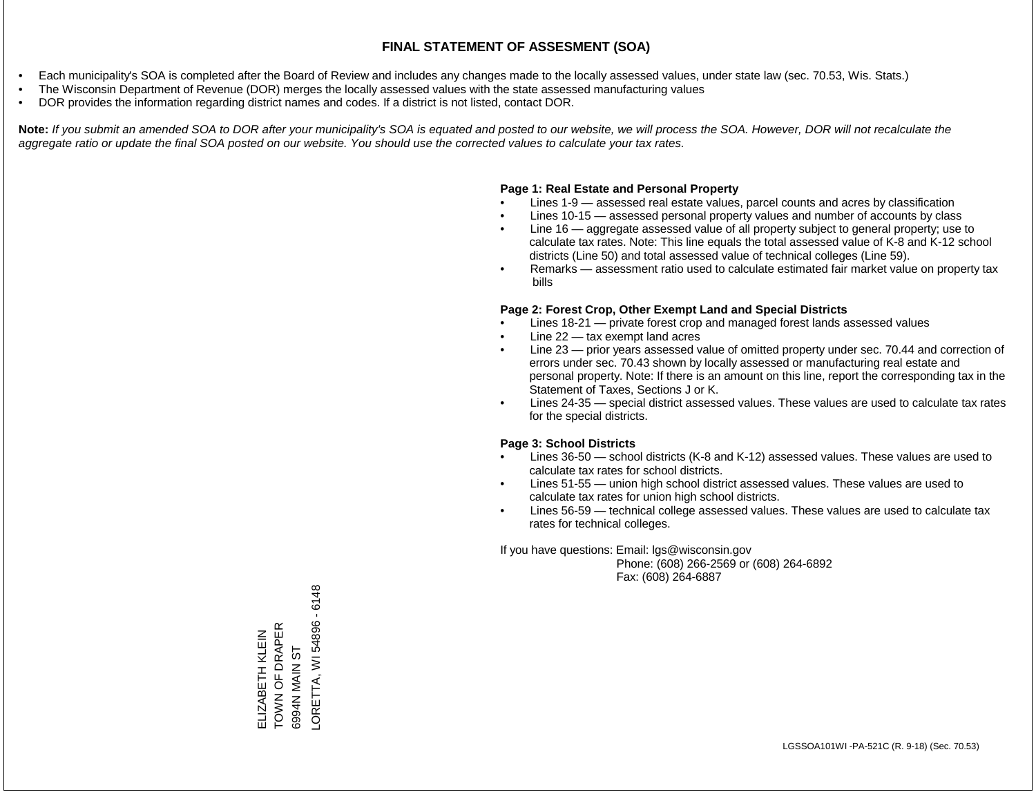- Each municipality's SOA is completed after the Board of Review and includes any changes made to the locally assessed values, under state law (sec. 70.53, Wis. Stats.)
- The Wisconsin Department of Revenue (DOR) merges the locally assessed values with the state assessed manufacturing values
- DOR provides the information regarding district names and codes. If a district is not listed, contact DOR.

Note: If you submit an amended SOA to DOR after your municipality's SOA is equated and posted to our website, we will process the SOA. However, DOR will not recalculate the *aggregate ratio or update the final SOA posted on our website. You should use the corrected values to calculate your tax rates.*

#### **Page 1: Real Estate and Personal Property**

- Lines 1-9 assessed real estate values, parcel counts and acres by classification
- Lines 10-15 assessed personal property values and number of accounts by class
- Line 16 aggregate assessed value of all property subject to general property; use to calculate tax rates. Note: This line equals the total assessed value of K-8 and K-12 school districts (Line 50) and total assessed value of technical colleges (Line 59).
- Remarks assessment ratio used to calculate estimated fair market value on property tax bills

#### **Page 2: Forest Crop, Other Exempt Land and Special Districts**

- Lines 18-21 private forest crop and managed forest lands assessed values
- Line  $22 -$  tax exempt land acres
- Line 23 prior years assessed value of omitted property under sec. 70.44 and correction of errors under sec. 70.43 shown by locally assessed or manufacturing real estate and personal property. Note: If there is an amount on this line, report the corresponding tax in the Statement of Taxes, Sections J or K.
- Lines 24-35 special district assessed values. These values are used to calculate tax rates for the special districts.

#### **Page 3: School Districts**

- Lines 36-50 school districts (K-8 and K-12) assessed values. These values are used to calculate tax rates for school districts.
- Lines 51-55 union high school district assessed values. These values are used to calculate tax rates for union high school districts.
- Lines 56-59 technical college assessed values. These values are used to calculate tax rates for technical colleges.

If you have questions: Email: lgs@wisconsin.gov

 Phone: (608) 266-2569 or (608) 264-6892 Fax: (608) 264-6887

-ORETTA, WI 54896 - 6148 LORETTA, WI 54896 - 6148ELIZABETH KLEIN<br>TOWN OF DRAPER<br>6994N MAIN ST TOWN OF DRAPER ELIZABETH KLEIN 6994N MAIN ST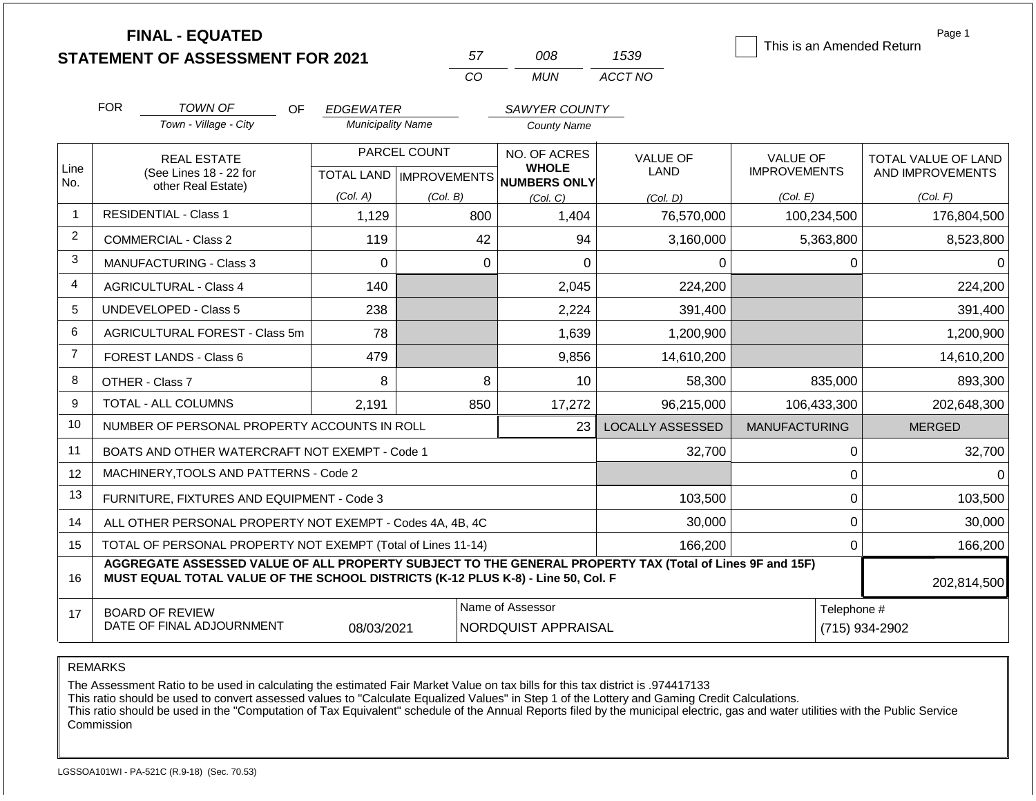|                |                                                                                  | <b>FINAL - EQUATED</b><br><b>STATEMENT OF ASSESSMENT FOR 2021</b>                                        |                           |              | 57                                      | 008                             | 1539                    | Page 1<br>This is an Amended Return    |                                                |  |
|----------------|----------------------------------------------------------------------------------|----------------------------------------------------------------------------------------------------------|---------------------------|--------------|-----------------------------------------|---------------------------------|-------------------------|----------------------------------------|------------------------------------------------|--|
|                |                                                                                  |                                                                                                          |                           |              | CO                                      | <b>MUN</b>                      | ACCT NO                 |                                        |                                                |  |
|                | <b>FOR</b>                                                                       | <b>TOWN OF</b><br><b>OF</b>                                                                              | <b>EDGEWATER</b>          |              |                                         | SAWYER COUNTY                   |                         |                                        |                                                |  |
|                |                                                                                  | Town - Village - City                                                                                    | <b>Municipality Name</b>  |              |                                         | <b>County Name</b>              |                         |                                        |                                                |  |
| Line           |                                                                                  | <b>REAL ESTATE</b><br>(See Lines 18 - 22 for                                                             | TOTAL LAND   IMPROVEMENTS | PARCEL COUNT | NO. OF ACRES<br><b>WHOLE</b>            |                                 | <b>VALUE OF</b><br>LAND | <b>VALUE OF</b><br><b>IMPROVEMENTS</b> | <b>TOTAL VALUE OF LAND</b><br>AND IMPROVEMENTS |  |
| No.            |                                                                                  | other Real Estate)                                                                                       | (Col. A)                  | (Col. B)     |                                         | <b>NUMBERS ONLY</b><br>(Col, C) | (Col. D)                | (Col. E)                               | (Col. F)                                       |  |
| $\mathbf{1}$   |                                                                                  | <b>RESIDENTIAL - Class 1</b>                                                                             | 1,129                     |              | 800                                     | 1,404                           | 76,570,000              | 100,234,500                            | 176,804,500                                    |  |
| $\overline{2}$ | <b>COMMERCIAL - Class 2</b><br>119                                               |                                                                                                          |                           |              |                                         | 94                              | 3,160,000               | 5,363,800                              | 8,523,800                                      |  |
| 3              |                                                                                  | <b>MANUFACTURING - Class 3</b>                                                                           | $\Omega$                  |              | $\mathbf 0$                             | 0                               | $\Omega$                | 0                                      | $\Omega$                                       |  |
| 4              | <b>AGRICULTURAL - Class 4</b><br>140                                             |                                                                                                          |                           |              |                                         | 2,045                           | 224,200                 |                                        | 224,200                                        |  |
| 5              | <b>UNDEVELOPED - Class 5</b><br>238                                              |                                                                                                          |                           |              |                                         | 2,224                           | 391,400                 |                                        | 391,400                                        |  |
| 6              | AGRICULTURAL FOREST - Class 5m<br>78                                             |                                                                                                          |                           |              |                                         | 1,639                           | 1,200,900               |                                        | 1,200,900                                      |  |
| $\overline{7}$ |                                                                                  | FOREST LANDS - Class 6                                                                                   | 479                       |              |                                         | 9,856                           | 14,610,200              |                                        | 14,610,200                                     |  |
| 8              |                                                                                  | OTHER - Class 7                                                                                          | 8                         |              | 8                                       | 10                              | 58,300                  | 835,000                                | 893,300                                        |  |
| 9              |                                                                                  | <b>TOTAL - ALL COLUMNS</b>                                                                               | 2,191                     |              | 850                                     | 17,272                          | 96,215,000              | 106,433,300                            | 202,648,300                                    |  |
| 10             |                                                                                  | NUMBER OF PERSONAL PROPERTY ACCOUNTS IN ROLL                                                             |                           |              |                                         | 23                              | <b>LOCALLY ASSESSED</b> | <b>MANUFACTURING</b>                   | <b>MERGED</b>                                  |  |
| 11             |                                                                                  | BOATS AND OTHER WATERCRAFT NOT EXEMPT - Code 1                                                           |                           |              |                                         |                                 | 32,700                  | $\pmb{0}$                              | 32,700                                         |  |
| 12             |                                                                                  | MACHINERY, TOOLS AND PATTERNS - Code 2                                                                   |                           |              |                                         |                                 |                         | $\mathbf 0$                            | $\Omega$                                       |  |
| 13             |                                                                                  | FURNITURE, FIXTURES AND EQUIPMENT - Code 3                                                               |                           |              |                                         |                                 | 103,500                 | $\mathbf 0$                            | 103,500                                        |  |
| 14             |                                                                                  | ALL OTHER PERSONAL PROPERTY NOT EXEMPT - Codes 4A, 4B, 4C                                                |                           |              |                                         |                                 | 30,000                  | $\mathbf 0$                            | 30,000                                         |  |
| 15             |                                                                                  | TOTAL OF PERSONAL PROPERTY NOT EXEMPT (Total of Lines 11-14)                                             |                           |              |                                         | 166,200                         | $\mathbf 0$             | 166,200                                |                                                |  |
| 16             | MUST EQUAL TOTAL VALUE OF THE SCHOOL DISTRICTS (K-12 PLUS K-8) - Line 50, Col. F | AGGREGATE ASSESSED VALUE OF ALL PROPERTY SUBJECT TO THE GENERAL PROPERTY TAX (Total of Lines 9F and 15F) | 202,814,500               |              |                                         |                                 |                         |                                        |                                                |  |
| 17             |                                                                                  | <b>BOARD OF REVIEW</b><br>DATE OF FINAL ADJOURNMENT                                                      | 08/03/2021                |              | Name of Assessor<br>NORDQUIST APPRAISAL |                                 |                         |                                        | Telephone #<br>(715) 934-2902                  |  |

The Assessment Ratio to be used in calculating the estimated Fair Market Value on tax bills for this tax district is .974417133

This ratio should be used to convert assessed values to "Calculate Equalized Values" in Step 1 of the Lottery and Gaming Credit Calculations.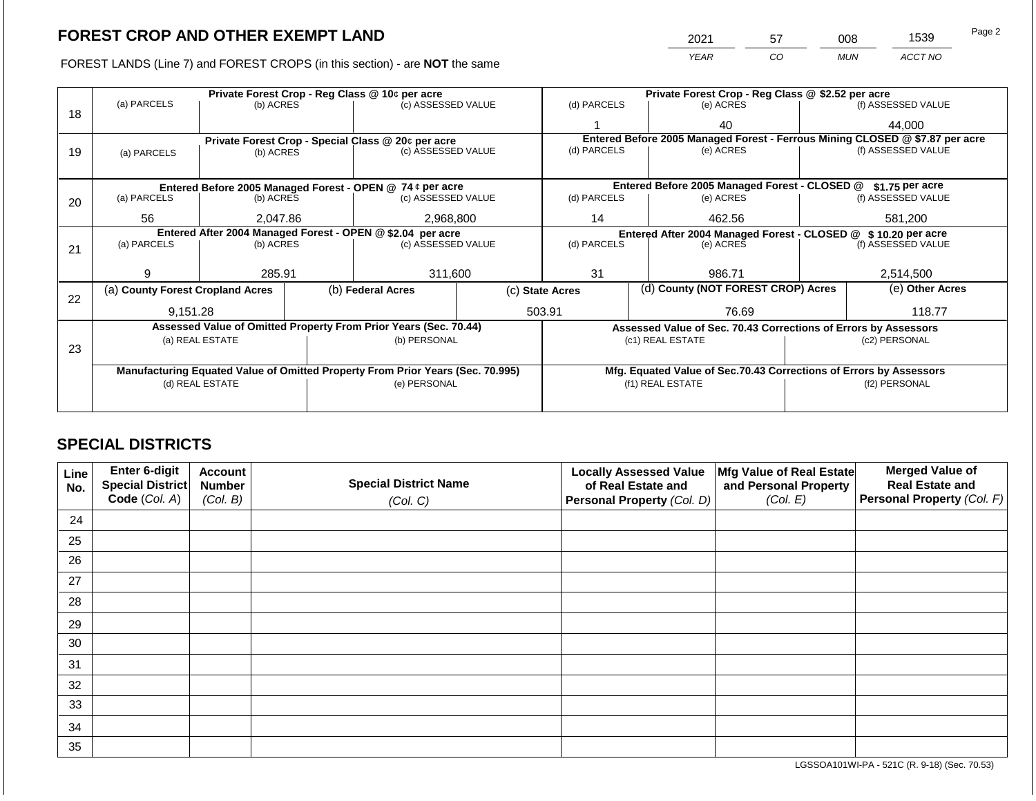FOREST LANDS (Line 7) and FOREST CROPS (in this section) - are **NOT** the same *YEAR CO MUN ACCT NO*

|    |                                  |                                                            |           | Private Forest Crop - Reg Class @ 10¢ per acre                                 |                                              |                                                                    | Private Forest Crop - Reg Class @ \$2.52 per acre |                  |                    |                                                                              |  |
|----|----------------------------------|------------------------------------------------------------|-----------|--------------------------------------------------------------------------------|----------------------------------------------|--------------------------------------------------------------------|---------------------------------------------------|------------------|--------------------|------------------------------------------------------------------------------|--|
|    | (a) PARCELS                      | (b) ACRES                                                  |           | (c) ASSESSED VALUE                                                             |                                              | (d) PARCELS                                                        | (e) ACRES                                         |                  |                    | (f) ASSESSED VALUE                                                           |  |
| 18 |                                  |                                                            |           |                                                                                |                                              |                                                                    | 40                                                |                  |                    | 44,000                                                                       |  |
|    |                                  |                                                            |           | Private Forest Crop - Special Class @ 20¢ per acre                             |                                              |                                                                    |                                                   |                  |                    | Entered Before 2005 Managed Forest - Ferrous Mining CLOSED @ \$7.87 per acre |  |
| 19 | (a) PARCELS                      | (b) ACRES                                                  |           | (c) ASSESSED VALUE                                                             |                                              | (d) PARCELS                                                        | (e) ACRES                                         |                  |                    | (f) ASSESSED VALUE                                                           |  |
|    |                                  |                                                            |           |                                                                                |                                              |                                                                    |                                                   |                  |                    |                                                                              |  |
|    |                                  |                                                            |           | Entered Before 2005 Managed Forest - OPEN @ 74 ¢ per acre                      |                                              |                                                                    | Entered Before 2005 Managed Forest - CLOSED @     |                  |                    | \$1.75 per acre                                                              |  |
| 20 | (a) PARCELS                      | (b) ACRES                                                  |           | (c) ASSESSED VALUE                                                             |                                              | (d) PARCELS                                                        |                                                   | (e) ACRES        |                    | (f) ASSESSED VALUE                                                           |  |
|    |                                  |                                                            |           |                                                                                |                                              |                                                                    |                                                   |                  |                    |                                                                              |  |
|    | 56<br>2.047.86                   |                                                            | 2,968,800 |                                                                                | 14                                           |                                                                    | 462.56                                            |                  | 581.200            |                                                                              |  |
|    |                                  | Entered After 2004 Managed Forest - OPEN @ \$2.04 per acre |           |                                                                                | Entered After 2004 Managed Forest - CLOSED @ |                                                                    |                                                   | \$10.20 per acre |                    |                                                                              |  |
| 21 | (a) PARCELS                      | (b) ACRES<br>(c) ASSESSED VALUE                            |           |                                                                                | (d) PARCELS                                  | (e) ACRES                                                          |                                                   |                  | (f) ASSESSED VALUE |                                                                              |  |
|    |                                  |                                                            |           |                                                                                |                                              |                                                                    |                                                   |                  |                    |                                                                              |  |
|    | 9                                | 285.91                                                     |           | 311,600                                                                        |                                              | 31                                                                 |                                                   | 986.71           |                    | 2,514,500                                                                    |  |
|    | (a) County Forest Cropland Acres |                                                            |           | (b) Federal Acres                                                              |                                              | (c) State Acres                                                    | (d) County (NOT FOREST CROP) Acres                |                  |                    | (e) Other Acres                                                              |  |
| 22 |                                  |                                                            |           |                                                                                |                                              |                                                                    |                                                   |                  |                    |                                                                              |  |
|    | 9,151.28                         |                                                            |           |                                                                                |                                              | 503.91<br>76.69                                                    |                                                   |                  | 118.77             |                                                                              |  |
|    |                                  |                                                            |           | Assessed Value of Omitted Property From Prior Years (Sec. 70.44)               |                                              | Assessed Value of Sec. 70.43 Corrections of Errors by Assessors    |                                                   |                  |                    |                                                                              |  |
|    | (a) REAL ESTATE                  |                                                            |           | (b) PERSONAL                                                                   |                                              |                                                                    | (c1) REAL ESTATE                                  |                  |                    | (c2) PERSONAL                                                                |  |
| 23 |                                  |                                                            |           |                                                                                |                                              |                                                                    |                                                   |                  |                    |                                                                              |  |
|    |                                  |                                                            |           | Manufacturing Equated Value of Omitted Property From Prior Years (Sec. 70.995) |                                              | Mfg. Equated Value of Sec.70.43 Corrections of Errors by Assessors |                                                   |                  |                    |                                                                              |  |
|    | (d) REAL ESTATE                  |                                                            |           | (e) PERSONAL                                                                   |                                              | (f1) REAL ESTATE                                                   |                                                   |                  | (f2) PERSONAL      |                                                                              |  |
|    |                                  |                                                            |           |                                                                                |                                              |                                                                    |                                                   |                  |                    |                                                                              |  |
|    |                                  |                                                            |           |                                                                                |                                              |                                                                    |                                                   |                  |                    |                                                                              |  |

## **SPECIAL DISTRICTS**

| Line<br>No. | Enter 6-digit<br><b>Special District</b> | <b>Account</b><br><b>Number</b> | <b>Special District Name</b> | <b>Locally Assessed Value</b><br>of Real Estate and | Mfg Value of Real Estate<br>and Personal Property | <b>Merged Value of</b><br><b>Real Estate and</b> |
|-------------|------------------------------------------|---------------------------------|------------------------------|-----------------------------------------------------|---------------------------------------------------|--------------------------------------------------|
|             | Code (Col. A)                            | (Col. B)                        | (Col. C)                     | <b>Personal Property (Col. D)</b>                   | (Col. E)                                          | Personal Property (Col. F)                       |
| 24          |                                          |                                 |                              |                                                     |                                                   |                                                  |
| 25          |                                          |                                 |                              |                                                     |                                                   |                                                  |
| 26          |                                          |                                 |                              |                                                     |                                                   |                                                  |
| 27          |                                          |                                 |                              |                                                     |                                                   |                                                  |
| 28          |                                          |                                 |                              |                                                     |                                                   |                                                  |
| 29          |                                          |                                 |                              |                                                     |                                                   |                                                  |
| 30          |                                          |                                 |                              |                                                     |                                                   |                                                  |
| 31          |                                          |                                 |                              |                                                     |                                                   |                                                  |
| 32          |                                          |                                 |                              |                                                     |                                                   |                                                  |
| 33          |                                          |                                 |                              |                                                     |                                                   |                                                  |
| 34          |                                          |                                 |                              |                                                     |                                                   |                                                  |
| 35          |                                          |                                 |                              |                                                     |                                                   |                                                  |

LGSSOA101WI-PA - 521C (R. 9-18) (Sec. 70.53)

2021 57 008 1539

Page 2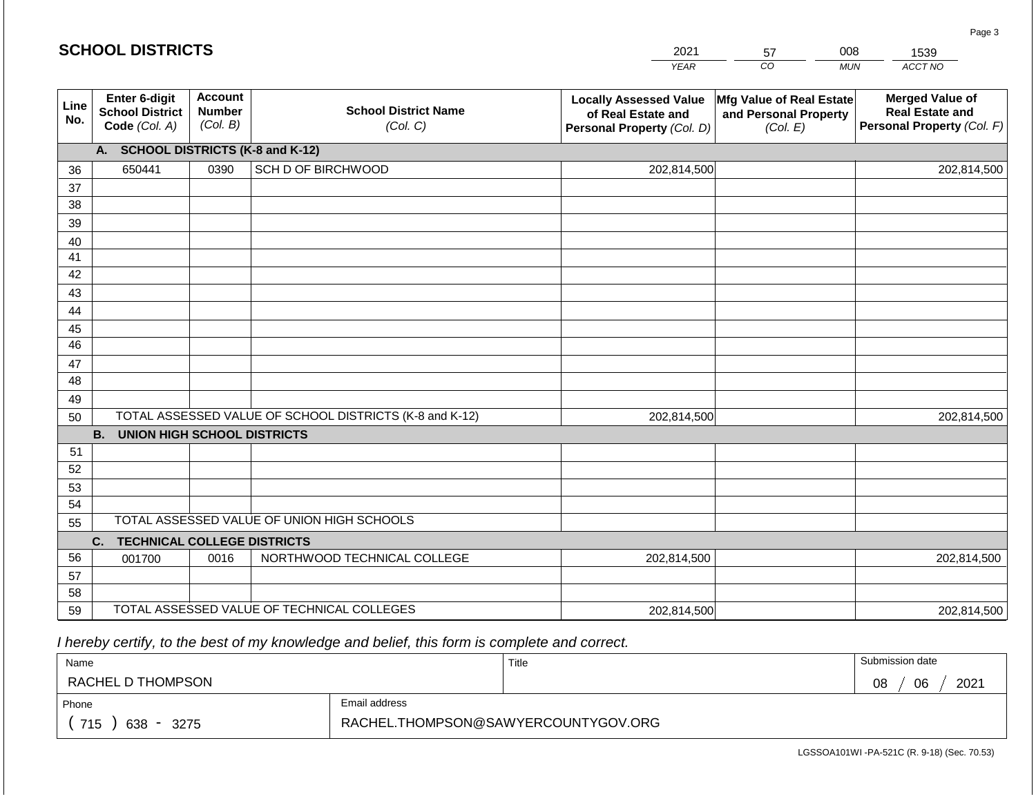| CO<br>ACCT NO<br><b>YEAR</b><br><b>MUN</b><br><b>Account</b><br>Enter 6-digit<br><b>Merged Value of</b><br><b>Locally Assessed Value</b><br>Mfg Value of Real Estate<br>Line<br><b>School District Name</b><br><b>Number</b><br><b>School District</b><br><b>Real Estate and</b><br>and Personal Property<br>of Real Estate and<br>No.<br>(Col. B)<br>Code (Col. A)<br>(Col. C)<br>Personal Property (Col. F)<br>Personal Property (Col. D)<br>(Col. E)<br>A. SCHOOL DISTRICTS (K-8 and K-12)<br>SCH D OF BIRCHWOOD<br>202,814,500<br>650441<br>0390<br>202,814,500<br>36<br>37<br>38<br>39<br>40<br>41<br>42<br>43 |
|---------------------------------------------------------------------------------------------------------------------------------------------------------------------------------------------------------------------------------------------------------------------------------------------------------------------------------------------------------------------------------------------------------------------------------------------------------------------------------------------------------------------------------------------------------------------------------------------------------------------|
|                                                                                                                                                                                                                                                                                                                                                                                                                                                                                                                                                                                                                     |
|                                                                                                                                                                                                                                                                                                                                                                                                                                                                                                                                                                                                                     |
|                                                                                                                                                                                                                                                                                                                                                                                                                                                                                                                                                                                                                     |
|                                                                                                                                                                                                                                                                                                                                                                                                                                                                                                                                                                                                                     |
|                                                                                                                                                                                                                                                                                                                                                                                                                                                                                                                                                                                                                     |
|                                                                                                                                                                                                                                                                                                                                                                                                                                                                                                                                                                                                                     |
|                                                                                                                                                                                                                                                                                                                                                                                                                                                                                                                                                                                                                     |
|                                                                                                                                                                                                                                                                                                                                                                                                                                                                                                                                                                                                                     |
|                                                                                                                                                                                                                                                                                                                                                                                                                                                                                                                                                                                                                     |
|                                                                                                                                                                                                                                                                                                                                                                                                                                                                                                                                                                                                                     |
| 44                                                                                                                                                                                                                                                                                                                                                                                                                                                                                                                                                                                                                  |
| 45                                                                                                                                                                                                                                                                                                                                                                                                                                                                                                                                                                                                                  |
| 46                                                                                                                                                                                                                                                                                                                                                                                                                                                                                                                                                                                                                  |
| 47                                                                                                                                                                                                                                                                                                                                                                                                                                                                                                                                                                                                                  |
| 48                                                                                                                                                                                                                                                                                                                                                                                                                                                                                                                                                                                                                  |
| 49                                                                                                                                                                                                                                                                                                                                                                                                                                                                                                                                                                                                                  |
| TOTAL ASSESSED VALUE OF SCHOOL DISTRICTS (K-8 and K-12)<br>202,814,500<br>202,814,500<br>50                                                                                                                                                                                                                                                                                                                                                                                                                                                                                                                         |
| <b>B. UNION HIGH SCHOOL DISTRICTS</b>                                                                                                                                                                                                                                                                                                                                                                                                                                                                                                                                                                               |
| 51                                                                                                                                                                                                                                                                                                                                                                                                                                                                                                                                                                                                                  |
| 52                                                                                                                                                                                                                                                                                                                                                                                                                                                                                                                                                                                                                  |
| 53                                                                                                                                                                                                                                                                                                                                                                                                                                                                                                                                                                                                                  |
| 54                                                                                                                                                                                                                                                                                                                                                                                                                                                                                                                                                                                                                  |
| TOTAL ASSESSED VALUE OF UNION HIGH SCHOOLS<br>55                                                                                                                                                                                                                                                                                                                                                                                                                                                                                                                                                                    |
| <b>TECHNICAL COLLEGE DISTRICTS</b><br>C.                                                                                                                                                                                                                                                                                                                                                                                                                                                                                                                                                                            |
| 56<br>NORTHWOOD TECHNICAL COLLEGE<br>0016<br>202,814,500<br>202,814,500<br>001700                                                                                                                                                                                                                                                                                                                                                                                                                                                                                                                                   |
| 57<br>58                                                                                                                                                                                                                                                                                                                                                                                                                                                                                                                                                                                                            |
| TOTAL ASSESSED VALUE OF TECHNICAL COLLEGES<br>59<br>202,814,500<br>202,814,500                                                                                                                                                                                                                                                                                                                                                                                                                                                                                                                                      |

 *I hereby certify, to the best of my knowledge and belief, this form is complete and correct.*

| Name                                           |                                     | Title | Submission date  |
|------------------------------------------------|-------------------------------------|-------|------------------|
| RACHEL D THOMPSON                              |                                     |       | 2021<br>06<br>08 |
| Phone                                          | Email address                       |       |                  |
| 715<br>638<br>3275<br>$\overline{\phantom{0}}$ | RACHEL.THOMPSON@SAWYERCOUNTYGOV.ORG |       |                  |

LGSSOA101WI -PA-521C (R. 9-18) (Sec. 70.53)

Page 3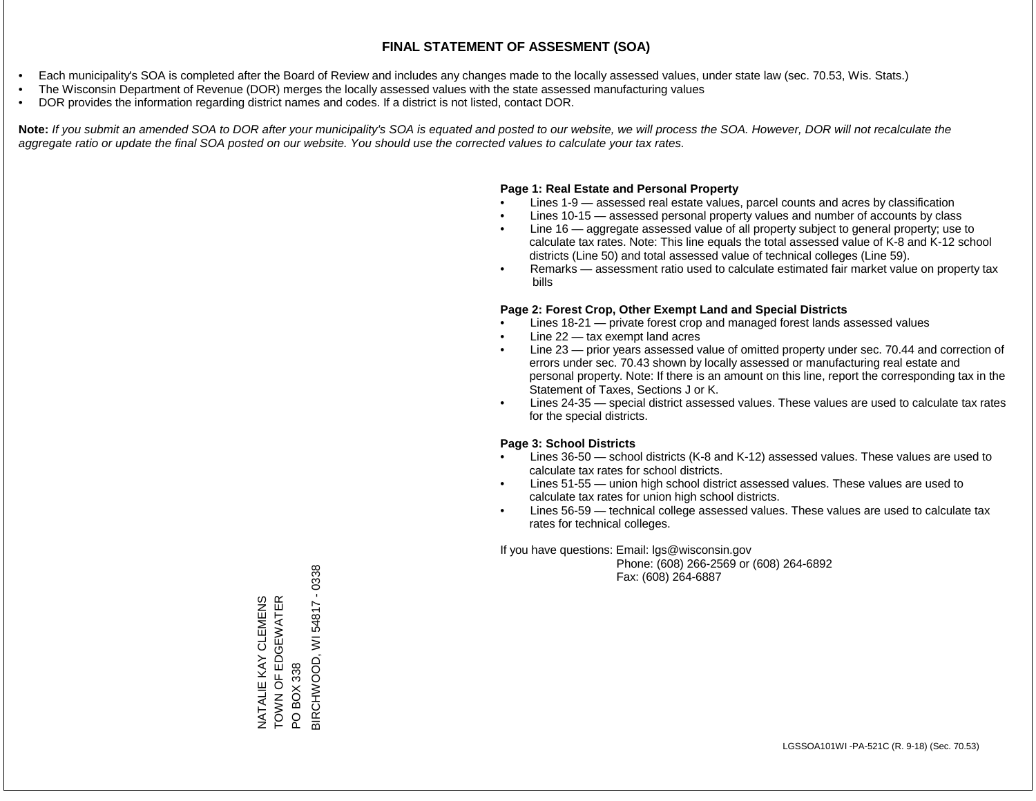- Each municipality's SOA is completed after the Board of Review and includes any changes made to the locally assessed values, under state law (sec. 70.53, Wis. Stats.)
- The Wisconsin Department of Revenue (DOR) merges the locally assessed values with the state assessed manufacturing values
- DOR provides the information regarding district names and codes. If a district is not listed, contact DOR.

Note: If you submit an amended SOA to DOR after your municipality's SOA is equated and posted to our website, we will process the SOA. However, DOR will not recalculate the *aggregate ratio or update the final SOA posted on our website. You should use the corrected values to calculate your tax rates.*

## **Page 1: Real Estate and Personal Property**

- Lines 1-9 assessed real estate values, parcel counts and acres by classification
- Lines 10-15 assessed personal property values and number of accounts by class
- Line 16 aggregate assessed value of all property subject to general property; use to calculate tax rates. Note: This line equals the total assessed value of K-8 and K-12 school districts (Line 50) and total assessed value of technical colleges (Line 59).
- Remarks assessment ratio used to calculate estimated fair market value on property tax bills

## **Page 2: Forest Crop, Other Exempt Land and Special Districts**

- Lines 18-21 private forest crop and managed forest lands assessed values
- Line  $22 -$  tax exempt land acres
- Line 23 prior years assessed value of omitted property under sec. 70.44 and correction of errors under sec. 70.43 shown by locally assessed or manufacturing real estate and personal property. Note: If there is an amount on this line, report the corresponding tax in the Statement of Taxes, Sections J or K.
- Lines 24-35 special district assessed values. These values are used to calculate tax rates for the special districts.

## **Page 3: School Districts**

- Lines 36-50 school districts (K-8 and K-12) assessed values. These values are used to calculate tax rates for school districts.
- Lines 51-55 union high school district assessed values. These values are used to calculate tax rates for union high school districts.
- Lines 56-59 technical college assessed values. These values are used to calculate tax rates for technical colleges.

If you have questions: Email: lgs@wisconsin.gov

 Phone: (608) 266-2569 or (608) 264-6892 Fax: (608) 264-6887

 $-0338$ BIRCHWOOD, WI 54817 - 0338TOWN OF EDGEWATER NATALIE KAY CLEMENS<br>TOWN OF EDGEWATER NATALIE KAY CLEMENS WI54817 3IRCHWOOD, PO BOX 338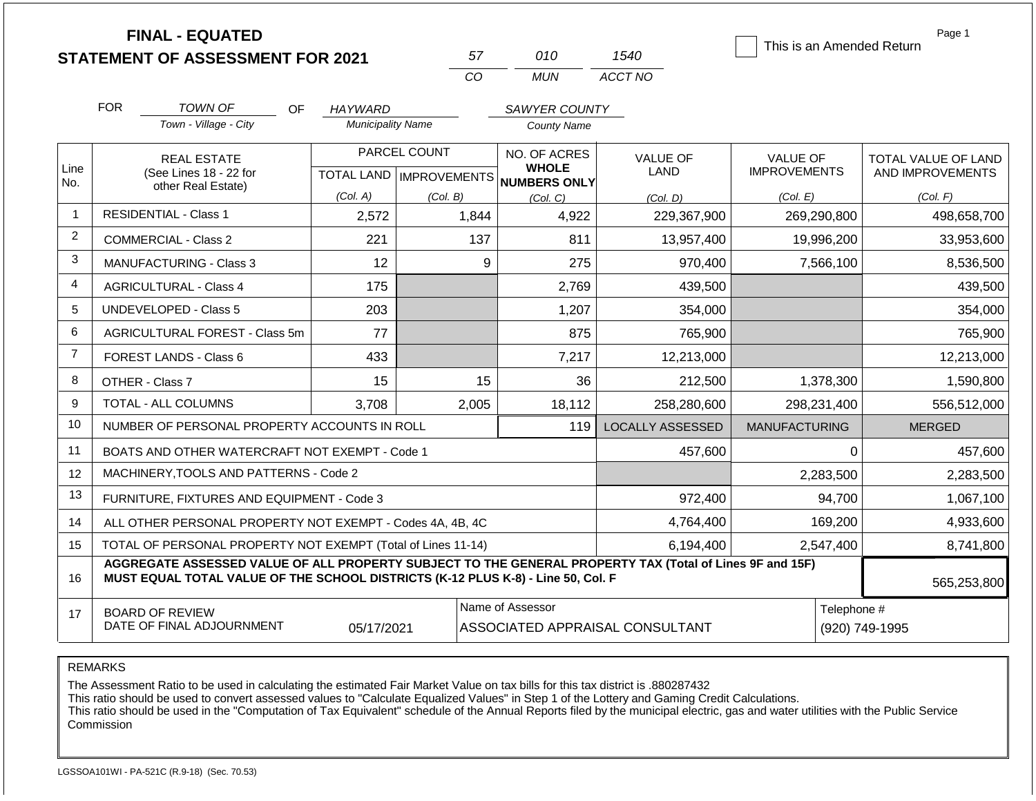|                |                                      | <b>FINAL - EQUATED</b>                                                                                                                                                                       |                           |                               |                              |                    |                                 |                      |                | Page 1<br>This is an Amended Return |  |
|----------------|--------------------------------------|----------------------------------------------------------------------------------------------------------------------------------------------------------------------------------------------|---------------------------|-------------------------------|------------------------------|--------------------|---------------------------------|----------------------|----------------|-------------------------------------|--|
|                |                                      | <b>STATEMENT OF ASSESSMENT FOR 2021</b>                                                                                                                                                      |                           |                               | 57                           | 010                | 1540                            |                      |                |                                     |  |
|                |                                      |                                                                                                                                                                                              |                           |                               | CO                           | <b>MUN</b>         | ACCT NO                         |                      |                |                                     |  |
|                | <b>FOR</b>                           | <b>TOWN OF</b><br>OF                                                                                                                                                                         | <b>HAYWARD</b>            |                               |                              | SAWYER COUNTY      |                                 |                      |                |                                     |  |
|                |                                      | Town - Village - City                                                                                                                                                                        | <b>Municipality Name</b>  |                               |                              | <b>County Name</b> |                                 |                      |                |                                     |  |
|                |                                      | <b>REAL ESTATE</b>                                                                                                                                                                           |                           | PARCEL COUNT                  |                              | NO. OF ACRES       | <b>VALUE OF</b>                 | <b>VALUE OF</b>      |                | <b>TOTAL VALUE OF LAND</b>          |  |
| Line<br>No.    |                                      | (See Lines 18 - 22 for                                                                                                                                                                       | TOTAL LAND   IMPROVEMENTS |                               | <b>WHOLE</b><br>NUMBERS ONLY |                    | LAND                            | <b>IMPROVEMENTS</b>  |                | AND IMPROVEMENTS                    |  |
|                |                                      | other Real Estate)                                                                                                                                                                           | (Col. A)                  | (Col. B)                      |                              | (Col, C)           | (Col. D)                        | (Col. E)             |                | (Col. F)                            |  |
| $\overline{1}$ |                                      | <b>RESIDENTIAL - Class 1</b>                                                                                                                                                                 | 2,572                     | 1,844<br>4,922<br>229,367,900 |                              |                    |                                 |                      | 269,290,800    | 498,658,700                         |  |
| 2              |                                      | <b>COMMERCIAL - Class 2</b>                                                                                                                                                                  | 221                       |                               | 137                          | 811                | 13,957,400                      |                      | 19,996,200     | 33,953,600                          |  |
| 3              |                                      | <b>MANUFACTURING - Class 3</b>                                                                                                                                                               | 12                        |                               | 9                            | 275                | 970,400                         |                      | 7,566,100      | 8,536,500                           |  |
| $\overline{4}$ |                                      | <b>AGRICULTURAL - Class 4</b>                                                                                                                                                                | 175                       |                               |                              | 2,769              | 439,500                         |                      |                | 439,500                             |  |
| 5              | <b>UNDEVELOPED - Class 5</b><br>203  |                                                                                                                                                                                              |                           |                               |                              | 1,207              | 354,000                         |                      |                | 354,000                             |  |
| 6              | AGRICULTURAL FOREST - Class 5m<br>77 |                                                                                                                                                                                              |                           |                               |                              | 875                | 765,900                         |                      |                | 765,900                             |  |
| $\overline{7}$ |                                      | <b>FOREST LANDS - Class 6</b>                                                                                                                                                                | 433                       |                               |                              | 7,217              | 12,213,000                      |                      |                | 12,213,000                          |  |
| 8              |                                      | OTHER - Class 7                                                                                                                                                                              | 15                        |                               | 15                           | 36                 | 212,500                         |                      | 1,378,300      | 1,590,800                           |  |
| 9              |                                      | TOTAL - ALL COLUMNS                                                                                                                                                                          | 3,708                     |                               | 2,005                        | 18,112             | 258,280,600                     |                      | 298,231,400    | 556,512,000                         |  |
| 10             |                                      | NUMBER OF PERSONAL PROPERTY ACCOUNTS IN ROLL                                                                                                                                                 |                           |                               |                              | 119                | <b>LOCALLY ASSESSED</b>         | <b>MANUFACTURING</b> |                | <b>MERGED</b>                       |  |
| 11             |                                      | BOATS AND OTHER WATERCRAFT NOT EXEMPT - Code 1                                                                                                                                               |                           |                               |                              |                    | 457,600                         |                      | 0              | 457,600                             |  |
| 12             |                                      | MACHINERY, TOOLS AND PATTERNS - Code 2                                                                                                                                                       |                           |                               |                              |                    |                                 |                      | 2,283,500      | 2,283,500                           |  |
| 13             |                                      | FURNITURE, FIXTURES AND EQUIPMENT - Code 3                                                                                                                                                   |                           |                               |                              |                    | 972,400                         |                      | 94,700         | 1,067,100                           |  |
| 14             |                                      | ALL OTHER PERSONAL PROPERTY NOT EXEMPT - Codes 4A, 4B, 4C                                                                                                                                    |                           |                               |                              |                    | 4,764,400                       |                      | 169,200        | 4,933,600                           |  |
| 15             |                                      | TOTAL OF PERSONAL PROPERTY NOT EXEMPT (Total of Lines 11-14)                                                                                                                                 |                           |                               |                              | 6,194,400          |                                 | 2,547,400            | 8,741,800      |                                     |  |
| 16             |                                      | AGGREGATE ASSESSED VALUE OF ALL PROPERTY SUBJECT TO THE GENERAL PROPERTY TAX (Total of Lines 9F and 15F)<br>MUST EQUAL TOTAL VALUE OF THE SCHOOL DISTRICTS (K-12 PLUS K-8) - Line 50, Col. F |                           | 565,253,800                   |                              |                    |                                 |                      |                |                                     |  |
| 17             |                                      | <b>BOARD OF REVIEW</b>                                                                                                                                                                       |                           |                               |                              | Name of Assessor   |                                 |                      | Telephone #    |                                     |  |
|                |                                      | DATE OF FINAL ADJOURNMENT                                                                                                                                                                    | 05/17/2021                |                               |                              |                    | ASSOCIATED APPRAISAL CONSULTANT |                      | (920) 749-1995 |                                     |  |

The Assessment Ratio to be used in calculating the estimated Fair Market Value on tax bills for this tax district is .880287432

This ratio should be used to convert assessed values to "Calculate Equalized Values" in Step 1 of the Lottery and Gaming Credit Calculations.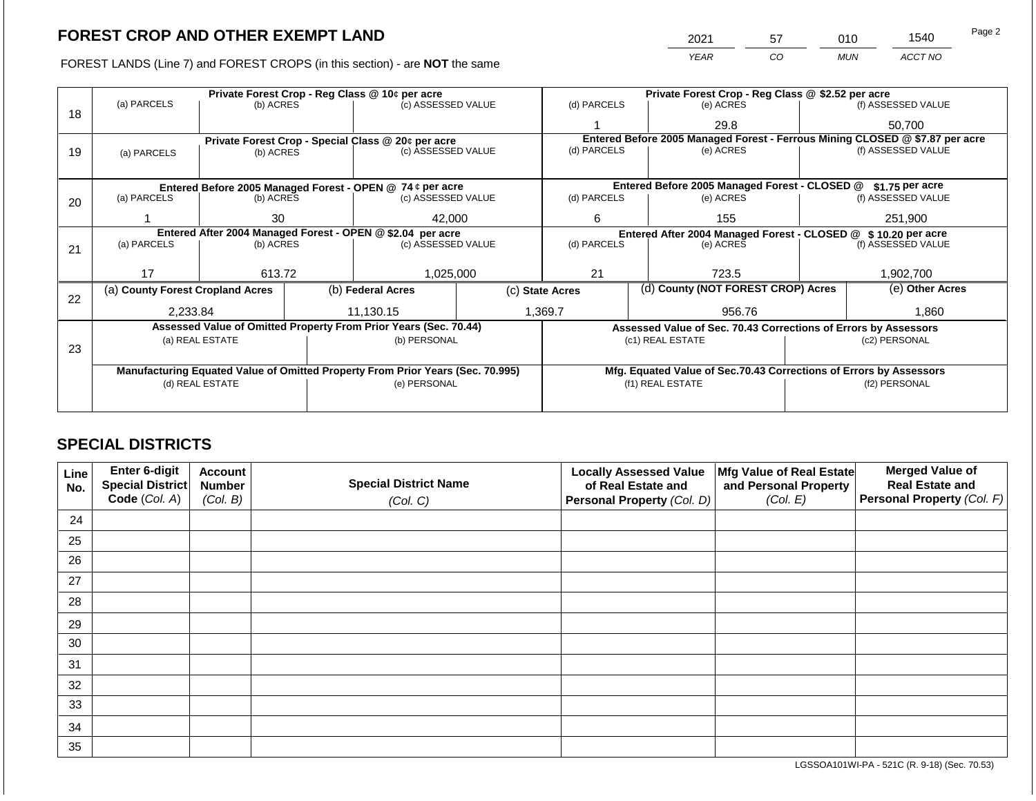2021 57 010 1540 Page 2

FOREST LANDS (Line 7) and FOREST CROPS (in this section) - are **NOT** the same *YEAR CO MUN ACCT NO*

|    |                                                            |                 |                                                                                | Private Forest Crop - Reg Class @ 10¢ per acre                   |                                                       |             |                                                                    | Private Forest Crop - Reg Class @ \$2.52 per acre                            |                    |                    |
|----|------------------------------------------------------------|-----------------|--------------------------------------------------------------------------------|------------------------------------------------------------------|-------------------------------------------------------|-------------|--------------------------------------------------------------------|------------------------------------------------------------------------------|--------------------|--------------------|
| 18 | (a) PARCELS                                                | (b) ACRES       |                                                                                | (c) ASSESSED VALUE                                               |                                                       | (d) PARCELS |                                                                    | (e) ACRES                                                                    |                    | (f) ASSESSED VALUE |
|    |                                                            |                 |                                                                                |                                                                  |                                                       |             |                                                                    | 29.8                                                                         |                    | 50,700             |
|    |                                                            |                 |                                                                                | Private Forest Crop - Special Class @ 20¢ per acre               |                                                       |             |                                                                    | Entered Before 2005 Managed Forest - Ferrous Mining CLOSED @ \$7.87 per acre |                    |                    |
| 19 | (a) PARCELS                                                | (b) ACRES       |                                                                                | (c) ASSESSED VALUE                                               |                                                       | (d) PARCELS |                                                                    | (e) ACRES                                                                    |                    | (f) ASSESSED VALUE |
|    |                                                            |                 |                                                                                |                                                                  |                                                       |             |                                                                    |                                                                              |                    |                    |
|    |                                                            |                 |                                                                                | Entered Before 2005 Managed Forest - OPEN @ 74 ¢ per acre        |                                                       |             |                                                                    | Entered Before 2005 Managed Forest - CLOSED @                                |                    | $$1.75$ per acre   |
| 20 | (a) PARCELS                                                | (b) ACRES       |                                                                                | (c) ASSESSED VALUE                                               | (d) PARCELS                                           |             | (e) ACRES                                                          |                                                                              | (f) ASSESSED VALUE |                    |
|    |                                                            | 42,000<br>30    |                                                                                |                                                                  |                                                       |             |                                                                    |                                                                              |                    |                    |
|    | Entered After 2004 Managed Forest - OPEN @ \$2.04 per acre |                 |                                                                                |                                                                  | 6<br>155                                              |             |                                                                    | 251,900                                                                      |                    |                    |
|    |                                                            |                 |                                                                                |                                                                  |                                                       |             |                                                                    | Entered After 2004 Managed Forest - CLOSED @ \$10.20 per acre                |                    |                    |
| 21 | (a) PARCELS<br>(b) ACRES                                   |                 |                                                                                | (c) ASSESSED VALUE                                               |                                                       | (d) PARCELS |                                                                    | (e) ACRES                                                                    |                    | (f) ASSESSED VALUE |
|    |                                                            |                 |                                                                                |                                                                  |                                                       |             |                                                                    |                                                                              |                    |                    |
|    | 17                                                         | 613.72          |                                                                                | 1,025,000                                                        |                                                       | 21          |                                                                    | 723.5                                                                        |                    | 1,902,700          |
|    | (a) County Forest Cropland Acres                           |                 |                                                                                | (b) Federal Acres                                                | (d) County (NOT FOREST CROP) Acres<br>(c) State Acres |             |                                                                    |                                                                              | (e) Other Acres    |                    |
| 22 |                                                            |                 |                                                                                |                                                                  |                                                       |             |                                                                    |                                                                              |                    |                    |
|    | 2,233.84                                                   |                 |                                                                                | 11,130.15                                                        |                                                       | 1,369.7     |                                                                    | 956.76                                                                       |                    | 1,860              |
|    |                                                            |                 |                                                                                | Assessed Value of Omitted Property From Prior Years (Sec. 70.44) |                                                       |             |                                                                    | Assessed Value of Sec. 70.43 Corrections of Errors by Assessors              |                    |                    |
|    |                                                            | (a) REAL ESTATE |                                                                                | (b) PERSONAL                                                     |                                                       |             |                                                                    | (c1) REAL ESTATE                                                             | (c2) PERSONAL      |                    |
| 23 |                                                            |                 |                                                                                |                                                                  |                                                       |             |                                                                    |                                                                              |                    |                    |
|    |                                                            |                 | Manufacturing Equated Value of Omitted Property From Prior Years (Sec. 70.995) |                                                                  |                                                       |             | Mfg. Equated Value of Sec.70.43 Corrections of Errors by Assessors |                                                                              |                    |                    |
|    |                                                            | (d) REAL ESTATE |                                                                                | (e) PERSONAL                                                     |                                                       |             |                                                                    | (f1) REAL ESTATE                                                             | (f2) PERSONAL      |                    |
|    |                                                            |                 |                                                                                |                                                                  |                                                       |             |                                                                    |                                                                              |                    |                    |
|    |                                                            |                 |                                                                                |                                                                  |                                                       |             |                                                                    |                                                                              |                    |                    |

## **SPECIAL DISTRICTS**

| Line<br>No. | <b>Enter 6-digit</b><br>Special District | <b>Account</b><br><b>Number</b> | <b>Special District Name</b> | <b>Locally Assessed Value</b><br>of Real Estate and | Mfg Value of Real Estate<br>and Personal Property | <b>Merged Value of</b><br><b>Real Estate and</b> |
|-------------|------------------------------------------|---------------------------------|------------------------------|-----------------------------------------------------|---------------------------------------------------|--------------------------------------------------|
|             | Code (Col. A)                            | (Col. B)                        | (Col. C)                     | Personal Property (Col. D)                          | (Col. E)                                          | Personal Property (Col. F)                       |
| 24          |                                          |                                 |                              |                                                     |                                                   |                                                  |
| 25          |                                          |                                 |                              |                                                     |                                                   |                                                  |
| 26          |                                          |                                 |                              |                                                     |                                                   |                                                  |
| 27          |                                          |                                 |                              |                                                     |                                                   |                                                  |
| 28          |                                          |                                 |                              |                                                     |                                                   |                                                  |
| 29          |                                          |                                 |                              |                                                     |                                                   |                                                  |
| 30          |                                          |                                 |                              |                                                     |                                                   |                                                  |
| 31          |                                          |                                 |                              |                                                     |                                                   |                                                  |
| 32          |                                          |                                 |                              |                                                     |                                                   |                                                  |
| 33          |                                          |                                 |                              |                                                     |                                                   |                                                  |
| 34          |                                          |                                 |                              |                                                     |                                                   |                                                  |
| 35          |                                          |                                 |                              |                                                     |                                                   |                                                  |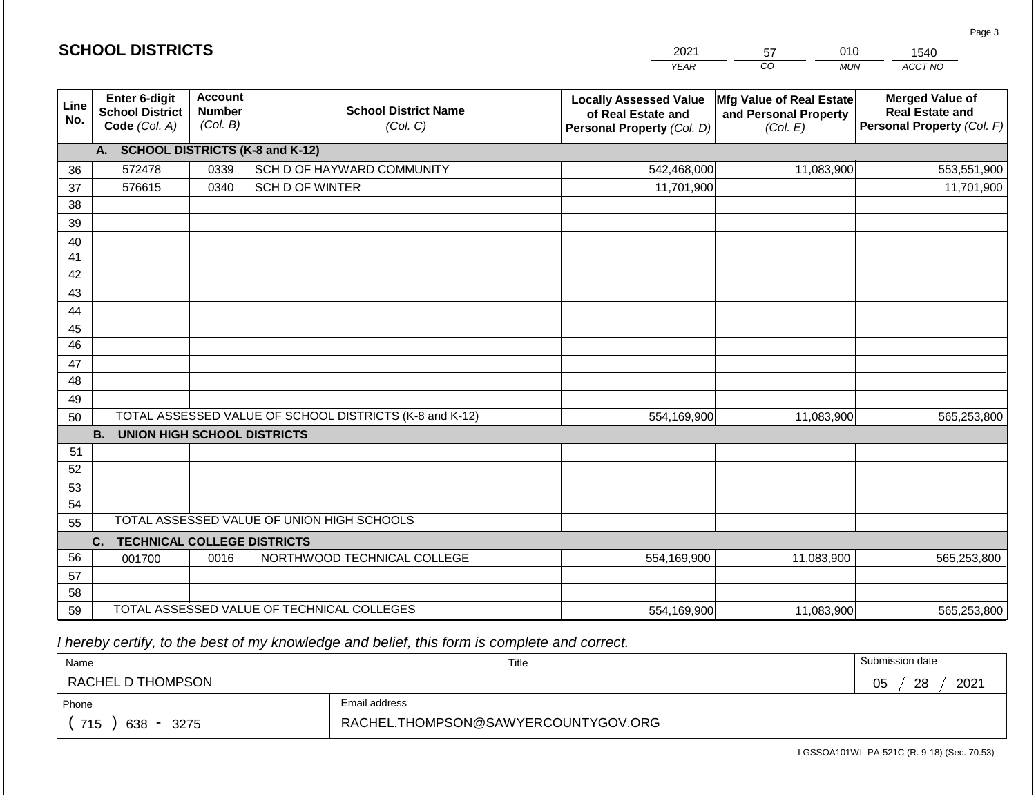|                       |                                                          |                                             |                                                         | <b>YEAR</b>                                                                       | CO<br><b>MUN</b>                                              | ACCT NO                                                                        |
|-----------------------|----------------------------------------------------------|---------------------------------------------|---------------------------------------------------------|-----------------------------------------------------------------------------------|---------------------------------------------------------------|--------------------------------------------------------------------------------|
| Line<br>No.           | Enter 6-digit<br><b>School District</b><br>Code (Col. A) | <b>Account</b><br><b>Number</b><br>(Col. B) | <b>School District Name</b><br>(Col. C)                 | <b>Locally Assessed Value</b><br>of Real Estate and<br>Personal Property (Col. D) | Mfg Value of Real Estate<br>and Personal Property<br>(Col. E) | <b>Merged Value of</b><br><b>Real Estate and</b><br>Personal Property (Col. F) |
|                       | A. SCHOOL DISTRICTS (K-8 and K-12)                       |                                             |                                                         |                                                                                   |                                                               |                                                                                |
| 36                    | 572478                                                   | 0339                                        | SCH D OF HAYWARD COMMUNITY                              | 542,468,000                                                                       | 11,083,900                                                    | 553,551,900                                                                    |
| 37                    | 576615                                                   | 0340                                        | <b>SCH D OF WINTER</b>                                  | 11,701,900                                                                        |                                                               | 11,701,900                                                                     |
| 38                    |                                                          |                                             |                                                         |                                                                                   |                                                               |                                                                                |
| 39                    |                                                          |                                             |                                                         |                                                                                   |                                                               |                                                                                |
| 40                    |                                                          |                                             |                                                         |                                                                                   |                                                               |                                                                                |
| 41                    |                                                          |                                             |                                                         |                                                                                   |                                                               |                                                                                |
| 42                    |                                                          |                                             |                                                         |                                                                                   |                                                               |                                                                                |
| 43                    |                                                          |                                             |                                                         |                                                                                   |                                                               |                                                                                |
| 44                    |                                                          |                                             |                                                         |                                                                                   |                                                               |                                                                                |
| 45<br>$\overline{46}$ |                                                          |                                             |                                                         |                                                                                   |                                                               |                                                                                |
| 47                    |                                                          |                                             |                                                         |                                                                                   |                                                               |                                                                                |
| 48                    |                                                          |                                             |                                                         |                                                                                   |                                                               |                                                                                |
| 49                    |                                                          |                                             |                                                         |                                                                                   |                                                               |                                                                                |
| 50                    |                                                          |                                             | TOTAL ASSESSED VALUE OF SCHOOL DISTRICTS (K-8 and K-12) | 554,169,900                                                                       | 11,083,900                                                    | 565,253,800                                                                    |
|                       | <b>B.</b><br><b>UNION HIGH SCHOOL DISTRICTS</b>          |                                             |                                                         |                                                                                   |                                                               |                                                                                |
| 51                    |                                                          |                                             |                                                         |                                                                                   |                                                               |                                                                                |
| 52                    |                                                          |                                             |                                                         |                                                                                   |                                                               |                                                                                |
| 53                    |                                                          |                                             |                                                         |                                                                                   |                                                               |                                                                                |
| 54                    |                                                          |                                             |                                                         |                                                                                   |                                                               |                                                                                |
| 55                    |                                                          |                                             | TOTAL ASSESSED VALUE OF UNION HIGH SCHOOLS              |                                                                                   |                                                               |                                                                                |
|                       | C.<br><b>TECHNICAL COLLEGE DISTRICTS</b>                 |                                             |                                                         |                                                                                   |                                                               |                                                                                |
| 56                    | 001700                                                   | 0016                                        | NORTHWOOD TECHNICAL COLLEGE                             | 554,169,900                                                                       | 11,083,900                                                    | 565,253,800                                                                    |
| 57                    |                                                          |                                             |                                                         |                                                                                   |                                                               |                                                                                |
| 58<br>59              |                                                          |                                             | TOTAL ASSESSED VALUE OF TECHNICAL COLLEGES              | 554,169,900                                                                       | 11,083,900                                                    | 565,253,800                                                                    |
|                       |                                                          |                                             |                                                         |                                                                                   |                                                               |                                                                                |

2021

57

010

 *I hereby certify, to the best of my knowledge and belief, this form is complete and correct.*

**SCHOOL DISTRICTS**

| Name               |                                     | Title | Submission date  |
|--------------------|-------------------------------------|-------|------------------|
| RACHEL D THOMPSON  |                                     |       | 28<br>2021<br>05 |
| Phone              | Email address                       |       |                  |
| 715<br>638<br>3275 | RACHEL.THOMPSON@SAWYERCOUNTYGOV.ORG |       |                  |

Page 3

1540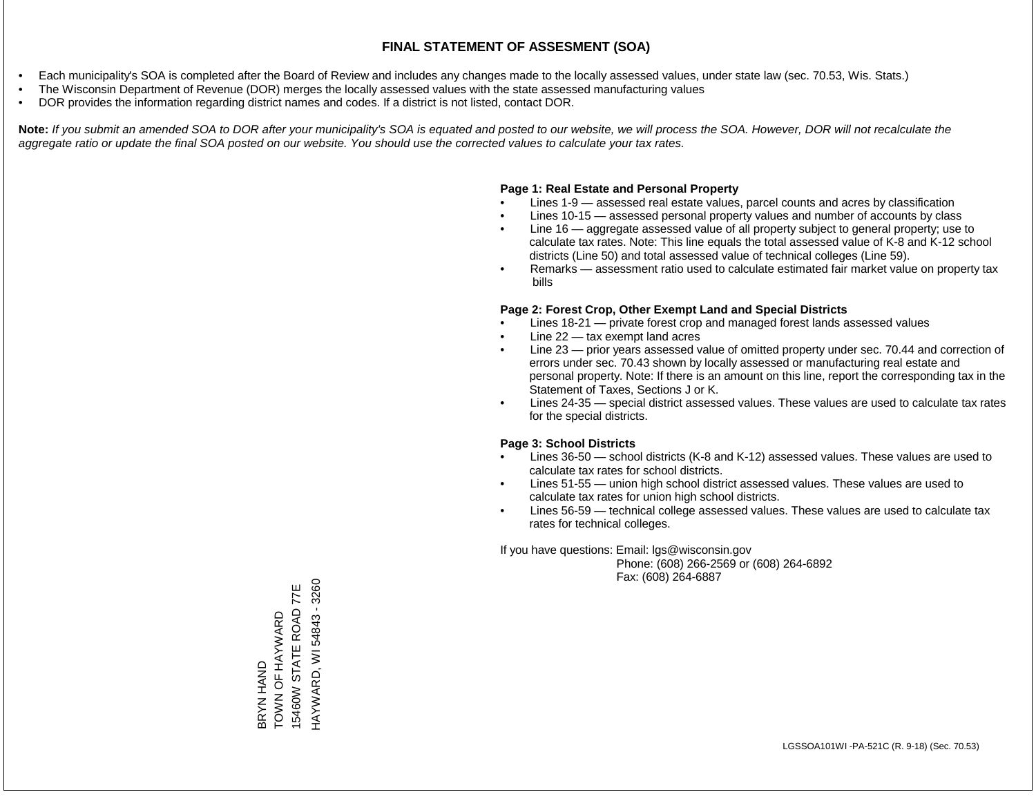- Each municipality's SOA is completed after the Board of Review and includes any changes made to the locally assessed values, under state law (sec. 70.53, Wis. Stats.)
- The Wisconsin Department of Revenue (DOR) merges the locally assessed values with the state assessed manufacturing values
- DOR provides the information regarding district names and codes. If a district is not listed, contact DOR.

Note: If you submit an amended SOA to DOR after your municipality's SOA is equated and posted to our website, we will process the SOA. However, DOR will not recalculate the *aggregate ratio or update the final SOA posted on our website. You should use the corrected values to calculate your tax rates.*

#### **Page 1: Real Estate and Personal Property**

- Lines 1-9 assessed real estate values, parcel counts and acres by classification
- Lines 10-15 assessed personal property values and number of accounts by class
- Line 16 aggregate assessed value of all property subject to general property; use to calculate tax rates. Note: This line equals the total assessed value of K-8 and K-12 school districts (Line 50) and total assessed value of technical colleges (Line 59).
- Remarks assessment ratio used to calculate estimated fair market value on property tax bills

#### **Page 2: Forest Crop, Other Exempt Land and Special Districts**

- Lines 18-21 private forest crop and managed forest lands assessed values
- Line  $22 -$  tax exempt land acres
- Line 23 prior years assessed value of omitted property under sec. 70.44 and correction of errors under sec. 70.43 shown by locally assessed or manufacturing real estate and personal property. Note: If there is an amount on this line, report the corresponding tax in the Statement of Taxes, Sections J or K.
- Lines 24-35 special district assessed values. These values are used to calculate tax rates for the special districts.

#### **Page 3: School Districts**

- Lines 36-50 school districts (K-8 and K-12) assessed values. These values are used to calculate tax rates for school districts.
- Lines 51-55 union high school district assessed values. These values are used to calculate tax rates for union high school districts.
- Lines 56-59 technical college assessed values. These values are used to calculate tax rates for technical colleges.

If you have questions: Email: lgs@wisconsin.gov

 Phone: (608) 266-2569 or (608) 264-6892 Fax: (608) 264-6887

BRYN HAND<br>TOWN OF HAYWARD<br>15460W STATE ROAD 77E HAYWARD, WI 54843 - 3260 HAYWARD, WI 54843 - 326015460W STATE ROAD 77E TOWN OF HAYWARD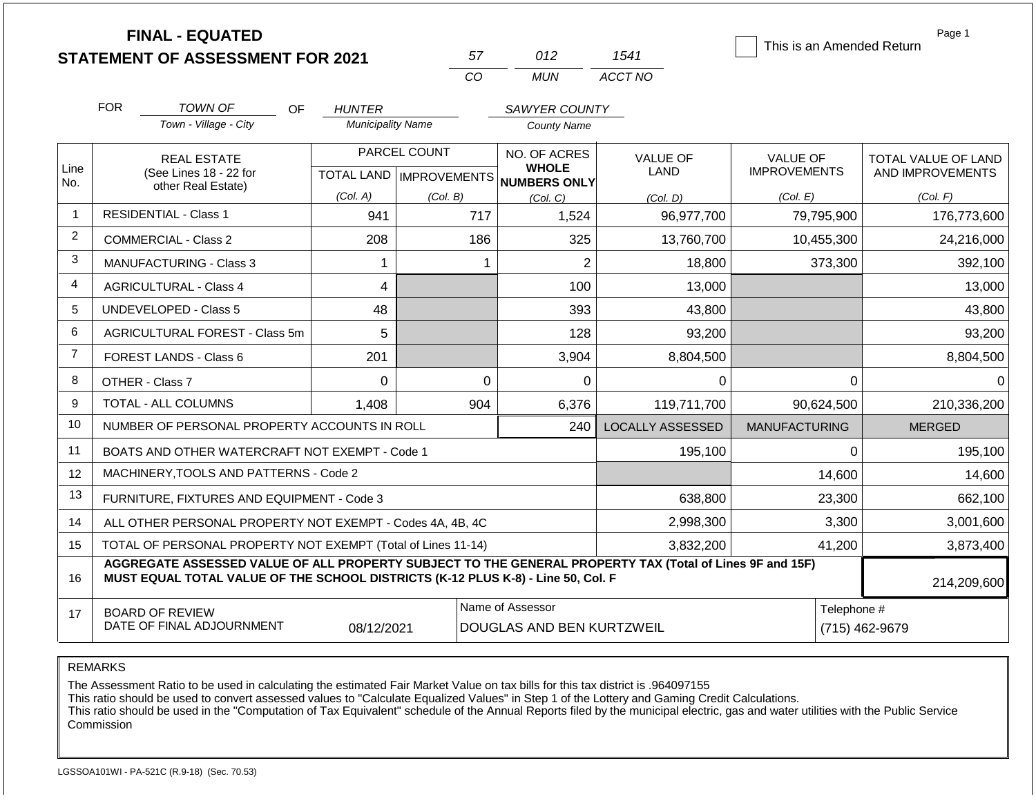|                | <b>FINAL - EQUATED</b>                                                                                                                                                                       |                               |              |                              |                         |                           | Page 1              |
|----------------|----------------------------------------------------------------------------------------------------------------------------------------------------------------------------------------------|-------------------------------|--------------|------------------------------|-------------------------|---------------------------|---------------------|
|                | <b>STATEMENT OF ASSESSMENT FOR 2021</b>                                                                                                                                                      |                               | 57           | 012                          | 1541                    | This is an Amended Return |                     |
|                |                                                                                                                                                                                              |                               | CO           | <b>MUN</b>                   | ACCT NO                 |                           |                     |
|                | <b>FOR</b><br><b>TOWN OF</b><br>OF.                                                                                                                                                          | <b>HUNTER</b>                 |              | SAWYER COUNTY                |                         |                           |                     |
|                | Town - Village - City                                                                                                                                                                        | <b>Municipality Name</b>      |              | <b>County Name</b>           |                         |                           |                     |
|                | <b>REAL ESTATE</b>                                                                                                                                                                           |                               | PARCEL COUNT | NO. OF ACRES                 | <b>VALUE OF</b>         | <b>VALUE OF</b>           | TOTAL VALUE OF LAND |
| Line<br>No.    | (See Lines 18 - 22 for<br>other Real Estate)                                                                                                                                                 | TOTAL LAND   IMPROVEMENTS     |              | <b>WHOLE</b><br>NUMBERS ONLY | <b>LAND</b>             | <b>IMPROVEMENTS</b>       | AND IMPROVEMENTS    |
|                |                                                                                                                                                                                              | (Col. A)                      | (Col. B)     | (Col, C)                     | (Col. D)                | (Col. E)                  | (Col. F)            |
| -1             | <b>RESIDENTIAL - Class 1</b>                                                                                                                                                                 | 941                           | 717          | 1,524                        | 96,977,700              | 79,795,900                | 176,773,600         |
| 2              | <b>COMMERCIAL - Class 2</b>                                                                                                                                                                  | 208                           | 186          | 325                          | 13,760,700              | 10,455,300                | 24,216,000          |
| 3              | <b>MANUFACTURING - Class 3</b>                                                                                                                                                               | $\mathbf 1$                   | $\mathbf{1}$ | $\overline{2}$               | 18,800                  | 373,300                   | 392,100             |
| $\overline{4}$ | <b>AGRICULTURAL - Class 4</b>                                                                                                                                                                | 4                             |              | 100                          | 13,000                  |                           | 13,000              |
| 5              | UNDEVELOPED - Class 5                                                                                                                                                                        | 48                            |              | 393                          | 43,800                  |                           | 43,800              |
| 6              | AGRICULTURAL FOREST - Class 5m                                                                                                                                                               | 5                             |              | 128                          | 93,200                  |                           | 93,200              |
| $\overline{7}$ | FOREST LANDS - Class 6                                                                                                                                                                       | 201                           |              | 3,904                        | 8,804,500               |                           | 8,804,500           |
| 8              | OTHER - Class 7                                                                                                                                                                              | $\Omega$                      | $\Omega$     | 0                            | $\Omega$                | $\Omega$                  | 0                   |
| 9              | <b>TOTAL - ALL COLUMNS</b>                                                                                                                                                                   | 1,408                         | 904          | 6,376                        | 119,711,700             | 90,624,500                | 210,336,200         |
| 10             | NUMBER OF PERSONAL PROPERTY ACCOUNTS IN ROLL                                                                                                                                                 |                               |              | 240                          | <b>LOCALLY ASSESSED</b> | <b>MANUFACTURING</b>      | <b>MERGED</b>       |
| 11             | BOATS AND OTHER WATERCRAFT NOT EXEMPT - Code 1                                                                                                                                               |                               |              |                              | 195,100                 | $\Omega$                  | 195,100             |
| 12             | MACHINERY, TOOLS AND PATTERNS - Code 2                                                                                                                                                       |                               |              |                              |                         | 14,600                    | 14,600              |
| 13             | FURNITURE, FIXTURES AND EQUIPMENT - Code 3                                                                                                                                                   |                               |              |                              | 638,800                 | 23,300                    | 662,100             |
| 14             | ALL OTHER PERSONAL PROPERTY NOT EXEMPT - Codes 4A, 4B, 4C                                                                                                                                    |                               |              |                              | 2,998,300               | 3,300                     | 3,001,600           |
| 15             | TOTAL OF PERSONAL PROPERTY NOT EXEMPT (Total of Lines 11-14)                                                                                                                                 | 41,200                        | 3,873,400    |                              |                         |                           |                     |
| 16             | AGGREGATE ASSESSED VALUE OF ALL PROPERTY SUBJECT TO THE GENERAL PROPERTY TAX (Total of Lines 9F and 15F)<br>MUST EQUAL TOTAL VALUE OF THE SCHOOL DISTRICTS (K-12 PLUS K-8) - Line 50, Col. F |                               | 214,209,600  |                              |                         |                           |                     |
| 17             | <b>BOARD OF REVIEW</b><br>DATE OF FINAL ADJOURNMENT                                                                                                                                          | Telephone #<br>(715) 462-9679 |              |                              |                         |                           |                     |

The Assessment Ratio to be used in calculating the estimated Fair Market Value on tax bills for this tax district is .964097155

This ratio should be used to convert assessed values to "Calculate Equalized Values" in Step 1 of the Lottery and Gaming Credit Calculations.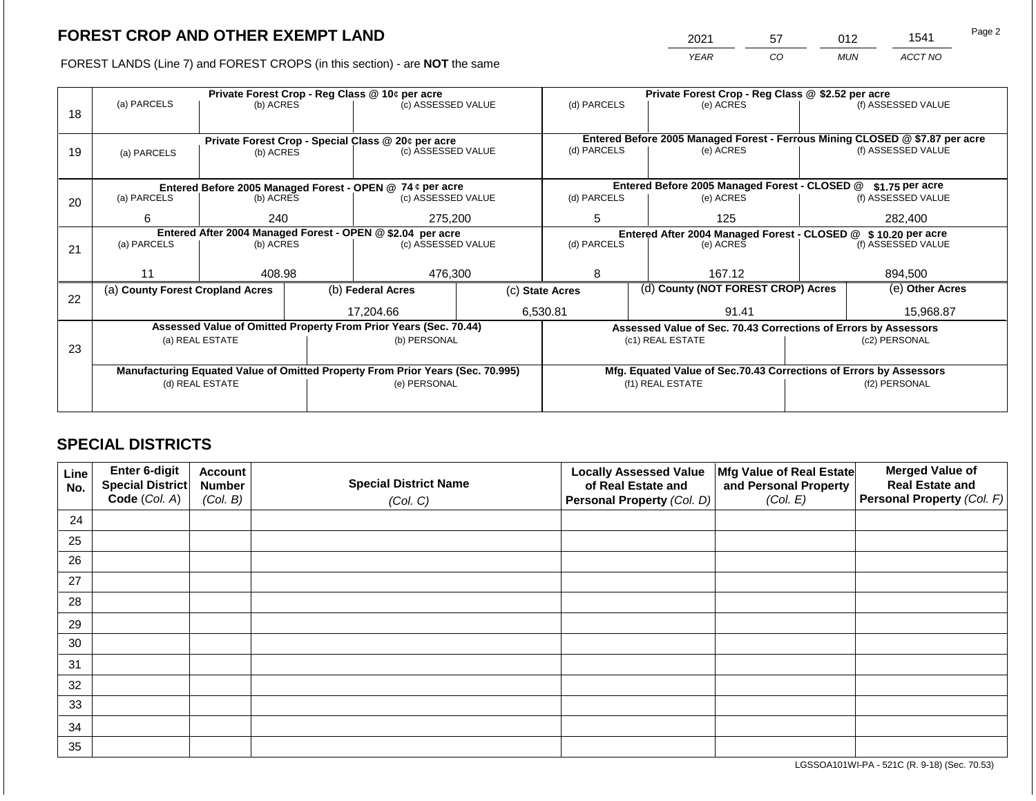2021 57 012 1541

FOREST LANDS (Line 7) and FOREST CROPS (in this section) - are **NOT** the same *YEAR CO MUN ACCT NO*

|    |                                  | Private Forest Crop - Reg Class @ 10¢ per acre             |  |                                                                                |  |                                                                              |  | Private Forest Crop - Reg Class @ \$2.52 per acre                  |                    |                    |  |  |
|----|----------------------------------|------------------------------------------------------------|--|--------------------------------------------------------------------------------|--|------------------------------------------------------------------------------|--|--------------------------------------------------------------------|--------------------|--------------------|--|--|
|    | (a) PARCELS                      | (b) ACRES                                                  |  | (c) ASSESSED VALUE                                                             |  | (d) PARCELS                                                                  |  | (e) ACRES                                                          |                    | (f) ASSESSED VALUE |  |  |
| 18 |                                  |                                                            |  |                                                                                |  |                                                                              |  |                                                                    |                    |                    |  |  |
|    |                                  |                                                            |  |                                                                                |  |                                                                              |  |                                                                    |                    |                    |  |  |
|    |                                  |                                                            |  | Private Forest Crop - Special Class @ 20¢ per acre<br>(c) ASSESSED VALUE       |  | Entered Before 2005 Managed Forest - Ferrous Mining CLOSED @ \$7.87 per acre |  |                                                                    |                    |                    |  |  |
| 19 | (a) PARCELS                      | (b) ACRES                                                  |  |                                                                                |  | (d) PARCELS                                                                  |  | (e) ACRES                                                          |                    | (f) ASSESSED VALUE |  |  |
|    |                                  |                                                            |  |                                                                                |  |                                                                              |  |                                                                    |                    |                    |  |  |
|    |                                  |                                                            |  | Entered Before 2005 Managed Forest - OPEN @ 74 ¢ per acre                      |  | Entered Before 2005 Managed Forest - CLOSED @<br>$$1.75$ per acre            |  |                                                                    |                    |                    |  |  |
| 20 | (a) PARCELS                      | (b) ACRES                                                  |  | (c) ASSESSED VALUE                                                             |  | (d) PARCELS                                                                  |  | (e) ACRES                                                          |                    | (f) ASSESSED VALUE |  |  |
|    |                                  |                                                            |  |                                                                                |  |                                                                              |  |                                                                    |                    |                    |  |  |
|    | 6                                | 240                                                        |  | 275,200                                                                        |  | 5<br>125                                                                     |  |                                                                    |                    | 282,400            |  |  |
|    |                                  | Entered After 2004 Managed Forest - OPEN @ \$2.04 per acre |  |                                                                                |  |                                                                              |  | Entered After 2004 Managed Forest - CLOSED @ \$ 10.20 per acre     |                    |                    |  |  |
| 21 | (a) PARCELS                      | (b) ACRES                                                  |  | (c) ASSESSED VALUE                                                             |  | (d) PARCELS<br>(e) ACRES                                                     |  |                                                                    | (f) ASSESSED VALUE |                    |  |  |
|    |                                  |                                                            |  |                                                                                |  |                                                                              |  |                                                                    |                    |                    |  |  |
|    | 11                               | 408.98                                                     |  | 476,300                                                                        |  | 8                                                                            |  | 167.12                                                             |                    | 894,500            |  |  |
|    | (a) County Forest Cropland Acres |                                                            |  | (b) Federal Acres                                                              |  | (d) County (NOT FOREST CROP) Acres<br>(c) State Acres                        |  |                                                                    |                    | (e) Other Acres    |  |  |
| 22 |                                  |                                                            |  |                                                                                |  |                                                                              |  |                                                                    |                    |                    |  |  |
|    |                                  |                                                            |  | 17,204.66                                                                      |  | 6,530.81                                                                     |  | 91.41                                                              |                    | 15,968.87          |  |  |
|    |                                  |                                                            |  | Assessed Value of Omitted Property From Prior Years (Sec. 70.44)               |  |                                                                              |  | Assessed Value of Sec. 70.43 Corrections of Errors by Assessors    |                    |                    |  |  |
|    |                                  | (a) REAL ESTATE                                            |  | (b) PERSONAL                                                                   |  |                                                                              |  | (c1) REAL ESTATE                                                   |                    | (c2) PERSONAL      |  |  |
| 23 |                                  |                                                            |  |                                                                                |  |                                                                              |  |                                                                    |                    |                    |  |  |
|    |                                  |                                                            |  | Manufacturing Equated Value of Omitted Property From Prior Years (Sec. 70.995) |  |                                                                              |  | Mfg. Equated Value of Sec.70.43 Corrections of Errors by Assessors |                    |                    |  |  |
|    |                                  | (d) REAL ESTATE                                            |  | (e) PERSONAL                                                                   |  |                                                                              |  | (f1) REAL ESTATE                                                   | (f2) PERSONAL      |                    |  |  |
|    |                                  |                                                            |  |                                                                                |  |                                                                              |  |                                                                    |                    |                    |  |  |
|    |                                  |                                                            |  |                                                                                |  |                                                                              |  |                                                                    |                    |                    |  |  |

## **SPECIAL DISTRICTS**

| Line<br>No. | <b>Enter 6-digit</b><br>Special District | <b>Account</b><br><b>Number</b> | <b>Special District Name</b> | <b>Locally Assessed Value</b><br>of Real Estate and | Mfg Value of Real Estate<br>and Personal Property | <b>Merged Value of</b><br><b>Real Estate and</b> |
|-------------|------------------------------------------|---------------------------------|------------------------------|-----------------------------------------------------|---------------------------------------------------|--------------------------------------------------|
|             | Code (Col. A)                            | (Col. B)                        | (Col. C)                     | Personal Property (Col. D)                          | (Col. E)                                          | Personal Property (Col. F)                       |
| 24          |                                          |                                 |                              |                                                     |                                                   |                                                  |
| 25          |                                          |                                 |                              |                                                     |                                                   |                                                  |
| 26          |                                          |                                 |                              |                                                     |                                                   |                                                  |
| 27          |                                          |                                 |                              |                                                     |                                                   |                                                  |
| 28          |                                          |                                 |                              |                                                     |                                                   |                                                  |
| 29          |                                          |                                 |                              |                                                     |                                                   |                                                  |
| 30          |                                          |                                 |                              |                                                     |                                                   |                                                  |
| 31          |                                          |                                 |                              |                                                     |                                                   |                                                  |
| 32          |                                          |                                 |                              |                                                     |                                                   |                                                  |
| 33          |                                          |                                 |                              |                                                     |                                                   |                                                  |
| 34          |                                          |                                 |                              |                                                     |                                                   |                                                  |
| 35          |                                          |                                 |                              |                                                     |                                                   |                                                  |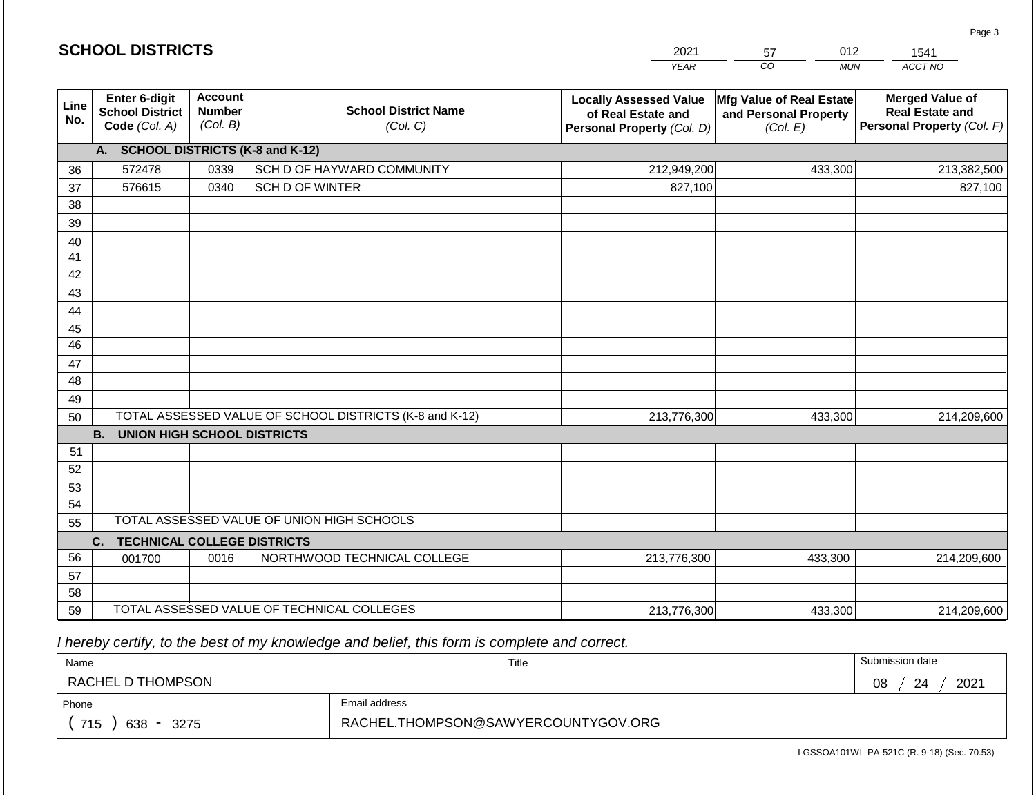| <b>SCHOOL DISTRICTS</b> |                                                                                                                |      |                                                         | 2021                                                                              | 012<br>57                                                            | 1541                                                                           |  |
|-------------------------|----------------------------------------------------------------------------------------------------------------|------|---------------------------------------------------------|-----------------------------------------------------------------------------------|----------------------------------------------------------------------|--------------------------------------------------------------------------------|--|
|                         |                                                                                                                |      |                                                         | <b>YEAR</b>                                                                       | $\overline{co}$<br><b>MUN</b>                                        | ACCT NO                                                                        |  |
| Line<br>No.             | <b>Account</b><br><b>Enter 6-digit</b><br><b>Number</b><br><b>School District</b><br>(Col. B)<br>Code (Col. A) |      | <b>School District Name</b><br>(Col. C)                 | <b>Locally Assessed Value</b><br>of Real Estate and<br>Personal Property (Col. D) | <b>Mfg Value of Real Estate</b><br>and Personal Property<br>(Col. E) | <b>Merged Value of</b><br><b>Real Estate and</b><br>Personal Property (Col. F) |  |
|                         | A. SCHOOL DISTRICTS (K-8 and K-12)                                                                             |      |                                                         |                                                                                   |                                                                      |                                                                                |  |
| 36                      | 572478                                                                                                         | 0339 | SCH D OF HAYWARD COMMUNITY                              | 212,949,200                                                                       | 433,300                                                              | 213,382,500                                                                    |  |
| 37                      | 576615                                                                                                         | 0340 | SCH D OF WINTER                                         | 827,100                                                                           |                                                                      | 827,100                                                                        |  |
| 38                      |                                                                                                                |      |                                                         |                                                                                   |                                                                      |                                                                                |  |
| 39                      |                                                                                                                |      |                                                         |                                                                                   |                                                                      |                                                                                |  |
| 40                      |                                                                                                                |      |                                                         |                                                                                   |                                                                      |                                                                                |  |
| 41                      |                                                                                                                |      |                                                         |                                                                                   |                                                                      |                                                                                |  |
| 42                      |                                                                                                                |      |                                                         |                                                                                   |                                                                      |                                                                                |  |
| 43                      |                                                                                                                |      |                                                         |                                                                                   |                                                                      |                                                                                |  |
| 44                      |                                                                                                                |      |                                                         |                                                                                   |                                                                      |                                                                                |  |
| 45                      |                                                                                                                |      |                                                         |                                                                                   |                                                                      |                                                                                |  |
| 46                      |                                                                                                                |      |                                                         |                                                                                   |                                                                      |                                                                                |  |
| 47<br>48                |                                                                                                                |      |                                                         |                                                                                   |                                                                      |                                                                                |  |
| 49                      |                                                                                                                |      |                                                         |                                                                                   |                                                                      |                                                                                |  |
| 50                      |                                                                                                                |      | TOTAL ASSESSED VALUE OF SCHOOL DISTRICTS (K-8 and K-12) | 213,776,300                                                                       | 433,300                                                              | 214,209,600                                                                    |  |
|                         | <b>B.</b><br><b>UNION HIGH SCHOOL DISTRICTS</b>                                                                |      |                                                         |                                                                                   |                                                                      |                                                                                |  |
| 51                      |                                                                                                                |      |                                                         |                                                                                   |                                                                      |                                                                                |  |
| 52                      |                                                                                                                |      |                                                         |                                                                                   |                                                                      |                                                                                |  |
| 53                      |                                                                                                                |      |                                                         |                                                                                   |                                                                      |                                                                                |  |
| 54                      |                                                                                                                |      |                                                         |                                                                                   |                                                                      |                                                                                |  |
| 55                      |                                                                                                                |      | TOTAL ASSESSED VALUE OF UNION HIGH SCHOOLS              |                                                                                   |                                                                      |                                                                                |  |
|                         | <b>TECHNICAL COLLEGE DISTRICTS</b><br>C.                                                                       |      |                                                         |                                                                                   |                                                                      |                                                                                |  |
| 56                      | 001700                                                                                                         | 0016 | NORTHWOOD TECHNICAL COLLEGE                             | 213,776,300                                                                       | 433,300                                                              | 214,209,600                                                                    |  |
| 57                      |                                                                                                                |      |                                                         |                                                                                   |                                                                      |                                                                                |  |
| 58                      |                                                                                                                |      |                                                         |                                                                                   |                                                                      |                                                                                |  |
| 59                      |                                                                                                                |      | TOTAL ASSESSED VALUE OF TECHNICAL COLLEGES              | 213,776,300                                                                       | 433,300                                                              | 214,209,600                                                                    |  |

2021

012

Page 3

 *I hereby certify, to the best of my knowledge and belief, this form is complete and correct.*

**SCHOOL DISTRICTS**

| Name                                           |                                     | Title | Submission date  |
|------------------------------------------------|-------------------------------------|-------|------------------|
| RACHEL D THOMPSON                              |                                     |       | 2021<br>08<br>24 |
| Phone                                          | Email address                       |       |                  |
| 715<br>638<br>3275<br>$\overline{\phantom{0}}$ | RACHEL.THOMPSON@SAWYERCOUNTYGOV.ORG |       |                  |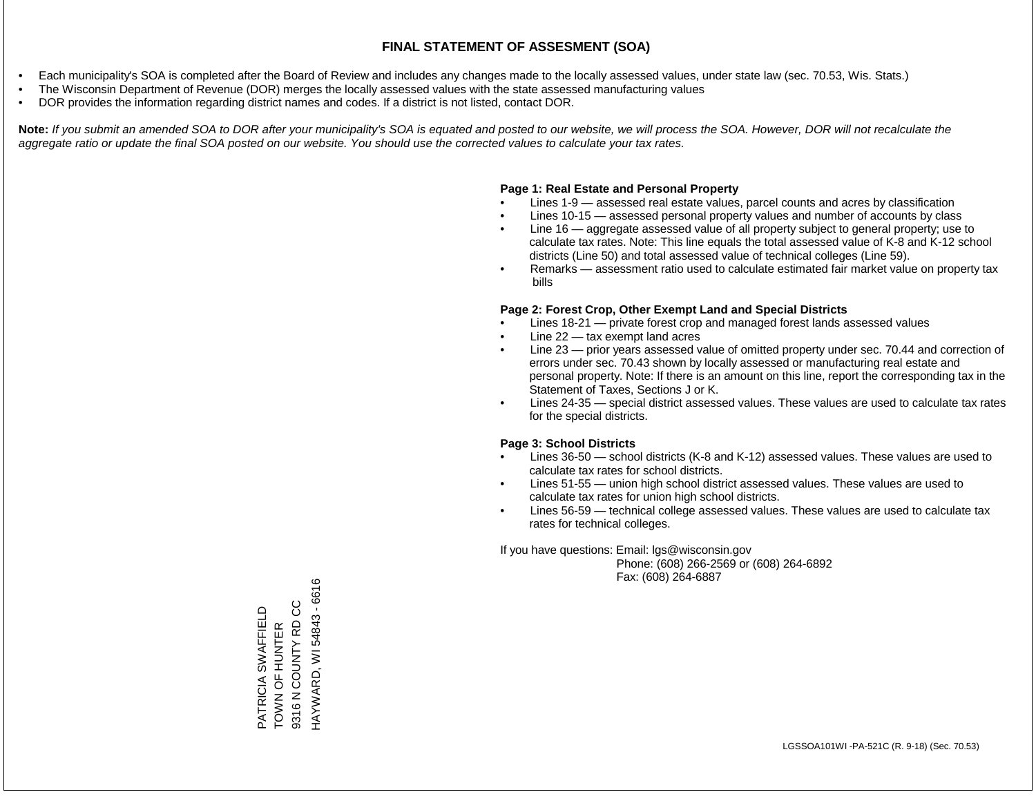- Each municipality's SOA is completed after the Board of Review and includes any changes made to the locally assessed values, under state law (sec. 70.53, Wis. Stats.)
- The Wisconsin Department of Revenue (DOR) merges the locally assessed values with the state assessed manufacturing values
- DOR provides the information regarding district names and codes. If a district is not listed, contact DOR.

Note: If you submit an amended SOA to DOR after your municipality's SOA is equated and posted to our website, we will process the SOA. However, DOR will not recalculate the *aggregate ratio or update the final SOA posted on our website. You should use the corrected values to calculate your tax rates.*

#### **Page 1: Real Estate and Personal Property**

- Lines 1-9 assessed real estate values, parcel counts and acres by classification
- Lines 10-15 assessed personal property values and number of accounts by class
- Line 16 aggregate assessed value of all property subject to general property; use to calculate tax rates. Note: This line equals the total assessed value of K-8 and K-12 school districts (Line 50) and total assessed value of technical colleges (Line 59).
- Remarks assessment ratio used to calculate estimated fair market value on property tax bills

#### **Page 2: Forest Crop, Other Exempt Land and Special Districts**

- Lines 18-21 private forest crop and managed forest lands assessed values
- Line  $22 -$  tax exempt land acres
- Line 23 prior years assessed value of omitted property under sec. 70.44 and correction of errors under sec. 70.43 shown by locally assessed or manufacturing real estate and personal property. Note: If there is an amount on this line, report the corresponding tax in the Statement of Taxes, Sections J or K.
- Lines 24-35 special district assessed values. These values are used to calculate tax rates for the special districts.

#### **Page 3: School Districts**

- Lines 36-50 school districts (K-8 and K-12) assessed values. These values are used to calculate tax rates for school districts.
- Lines 51-55 union high school district assessed values. These values are used to calculate tax rates for union high school districts.
- Lines 56-59 technical college assessed values. These values are used to calculate tax rates for technical colleges.

If you have questions: Email: lgs@wisconsin.gov

 Phone: (608) 266-2569 or (608) 264-6892 Fax: (608) 264-6887

HAYWARD, WI 54843 - 6616 HAYWARD, WI 54843 - 6616PATRICIA SWAFFIELD<br>TOWN OF HUNTER<br>9316 N COUNTY RD CC 9316 N COUNTY RD CC PATRICIA SWAFFIELD TOWN OF HUNTER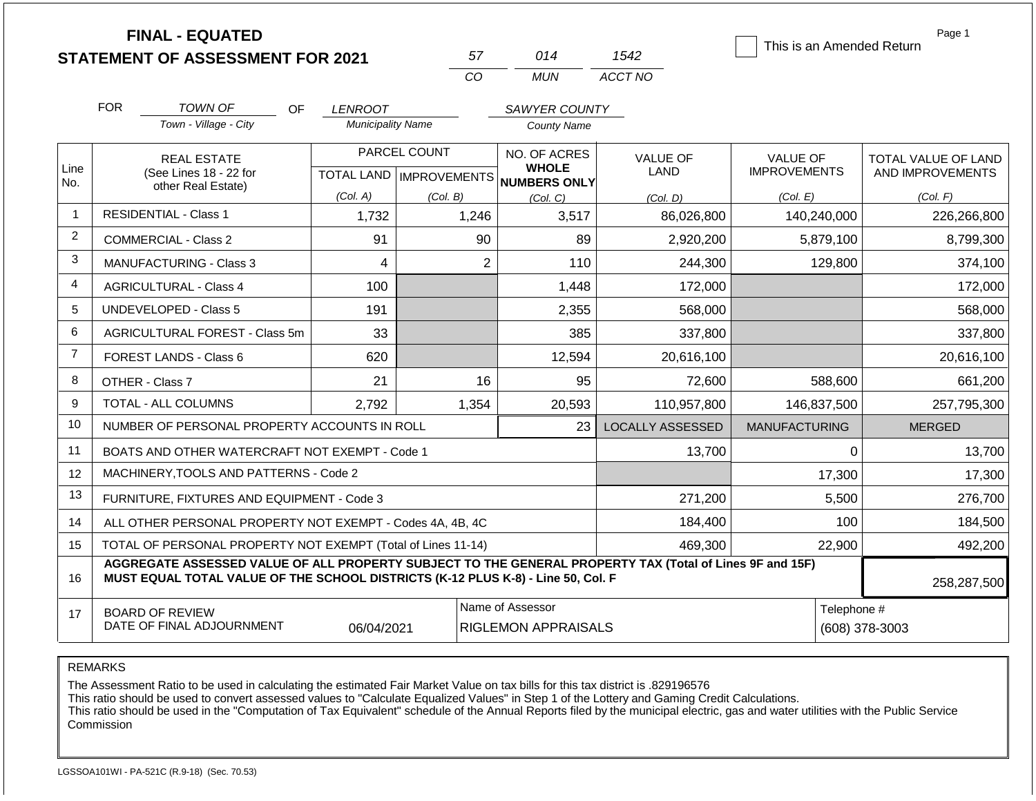|                | <b>FINAL - EQUATED</b>                                                                                                                                                                       |                          |                           |                              |                         | This is an Amended Return | Page 1                     |
|----------------|----------------------------------------------------------------------------------------------------------------------------------------------------------------------------------------------|--------------------------|---------------------------|------------------------------|-------------------------|---------------------------|----------------------------|
|                | <b>STATEMENT OF ASSESSMENT FOR 2021</b>                                                                                                                                                      |                          | 57<br>CO                  | 014<br><b>MUN</b>            | 1542<br>ACCT NO         |                           |                            |
|                |                                                                                                                                                                                              |                          |                           |                              |                         |                           |                            |
|                | <b>FOR</b><br><b>TOWN OF</b><br>OF                                                                                                                                                           | <b>LENROOT</b>           |                           | SAWYER COUNTY                |                         |                           |                            |
|                | Town - Village - City                                                                                                                                                                        | <b>Municipality Name</b> |                           | <b>County Name</b>           |                         |                           |                            |
|                | <b>REAL ESTATE</b>                                                                                                                                                                           |                          | PARCEL COUNT              | NO. OF ACRES                 | <b>VALUE OF</b>         | <b>VALUE OF</b>           | <b>TOTAL VALUE OF LAND</b> |
| Line<br>No.    | (See Lines 18 - 22 for<br>other Real Estate)                                                                                                                                                 |                          | TOTAL LAND   IMPROVEMENTS | <b>WHOLE</b><br>NUMBERS ONLY | <b>LAND</b>             | <b>IMPROVEMENTS</b>       | AND IMPROVEMENTS           |
|                |                                                                                                                                                                                              | (Col. A)                 | (Col. B)                  | (Col. C)                     | (Col. D)                | (Col. E)                  | (Col. F)                   |
| $\overline{1}$ | <b>RESIDENTIAL - Class 1</b>                                                                                                                                                                 | 1,732                    | 1,246                     | 3,517                        | 86,026,800              | 140,240,000               | 226,266,800                |
| 2              | <b>COMMERCIAL - Class 2</b>                                                                                                                                                                  | 91                       | 90                        | 89                           | 2,920,200               | 5,879,100                 | 8,799,300                  |
| 3              | <b>MANUFACTURING - Class 3</b>                                                                                                                                                               | 4                        | $\overline{2}$            | 110                          | 244,300                 | 129,800                   | 374,100                    |
| $\overline{4}$ | <b>AGRICULTURAL - Class 4</b>                                                                                                                                                                | 100                      |                           | 1,448                        | 172,000                 |                           | 172,000                    |
| 5              | <b>UNDEVELOPED - Class 5</b>                                                                                                                                                                 | 191                      |                           | 2,355                        | 568,000                 |                           | 568,000                    |
| 6              | AGRICULTURAL FOREST - Class 5m                                                                                                                                                               | 33                       |                           | 385                          | 337,800                 |                           | 337,800                    |
| $\overline{7}$ | FOREST LANDS - Class 6                                                                                                                                                                       | 620                      |                           | 12,594                       | 20,616,100              |                           | 20,616,100                 |
| 8              | OTHER - Class 7                                                                                                                                                                              | 21                       | 16                        | 95                           | 72,600                  | 588,600                   | 661,200                    |
| 9              | TOTAL - ALL COLUMNS                                                                                                                                                                          | 2,792                    | 1,354                     | 20,593                       | 110,957,800             | 146,837,500               | 257,795,300                |
| 10             | NUMBER OF PERSONAL PROPERTY ACCOUNTS IN ROLL                                                                                                                                                 |                          |                           | 23                           | <b>LOCALLY ASSESSED</b> | <b>MANUFACTURING</b>      | <b>MERGED</b>              |
| 11             | BOATS AND OTHER WATERCRAFT NOT EXEMPT - Code 1                                                                                                                                               |                          |                           |                              | 13,700                  | 0                         | 13,700                     |
| 12             | MACHINERY, TOOLS AND PATTERNS - Code 2                                                                                                                                                       |                          |                           |                              |                         | 17,300                    | 17,300                     |
| 13             | FURNITURE, FIXTURES AND EQUIPMENT - Code 3                                                                                                                                                   |                          |                           |                              | 271,200                 | 5,500                     | 276,700                    |
| 14             | ALL OTHER PERSONAL PROPERTY NOT EXEMPT - Codes 4A, 4B, 4C                                                                                                                                    |                          |                           |                              | 184,400                 | 100                       | 184,500                    |
| 15             | TOTAL OF PERSONAL PROPERTY NOT EXEMPT (Total of Lines 11-14)                                                                                                                                 | 22,900                   | 492,200                   |                              |                         |                           |                            |
| 16             | AGGREGATE ASSESSED VALUE OF ALL PROPERTY SUBJECT TO THE GENERAL PROPERTY TAX (Total of Lines 9F and 15F)<br>MUST EQUAL TOTAL VALUE OF THE SCHOOL DISTRICTS (K-12 PLUS K-8) - Line 50, Col. F |                          |                           | 258,287,500                  |                         |                           |                            |
| 17             | <b>BOARD OF REVIEW</b><br>DATE OF FINAL ADJOURNMENT                                                                                                                                          | Telephone #              | (608) 378-3003            |                              |                         |                           |                            |

The Assessment Ratio to be used in calculating the estimated Fair Market Value on tax bills for this tax district is .829196576

This ratio should be used to convert assessed values to "Calculate Equalized Values" in Step 1 of the Lottery and Gaming Credit Calculations.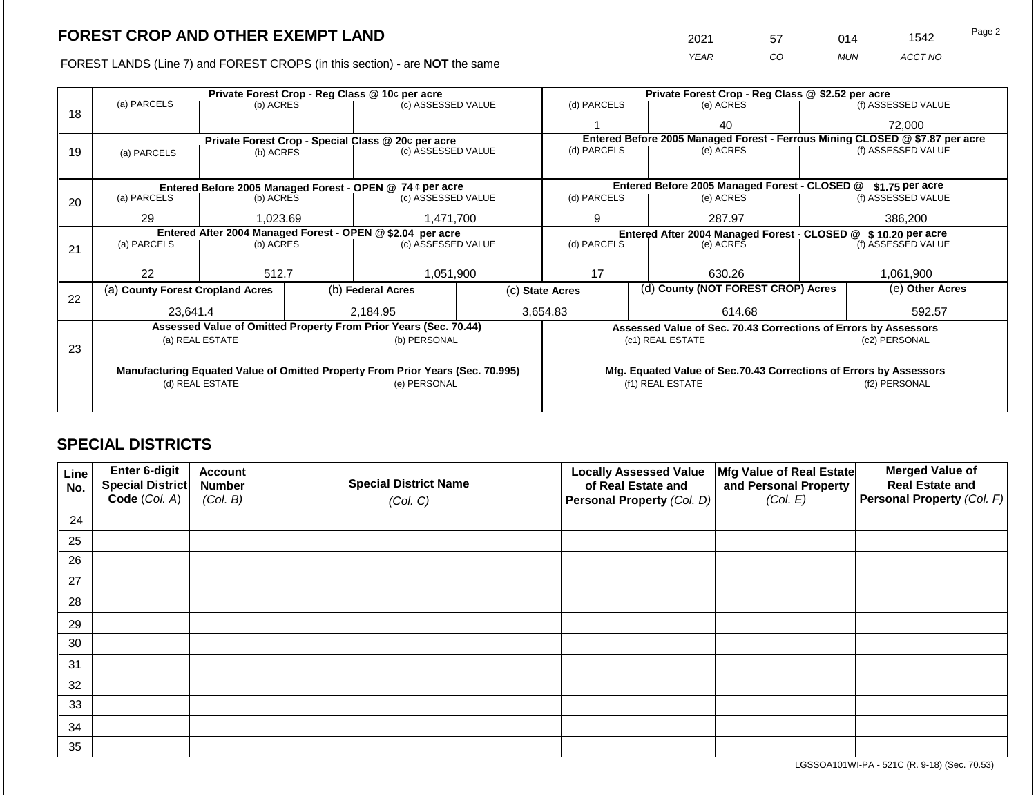2021 57 014 1542

FOREST LANDS (Line 7) and FOREST CROPS (in this section) - are **NOT** the same *YEAR CO MUN ACCT NO*

|    |                                                                                |                 |  | Private Forest Crop - Reg Class @ 10¢ per acre                   |  | Private Forest Crop - Reg Class @ \$2.52 per acre                 |  |                                                                    |               |                                                                              |  |  |
|----|--------------------------------------------------------------------------------|-----------------|--|------------------------------------------------------------------|--|-------------------------------------------------------------------|--|--------------------------------------------------------------------|---------------|------------------------------------------------------------------------------|--|--|
| 18 | (a) PARCELS                                                                    | (b) ACRES       |  | (c) ASSESSED VALUE                                               |  | (d) PARCELS                                                       |  | (e) ACRES                                                          |               | (f) ASSESSED VALUE                                                           |  |  |
|    |                                                                                |                 |  |                                                                  |  |                                                                   |  | 40                                                                 |               | 72,000                                                                       |  |  |
|    |                                                                                |                 |  | Private Forest Crop - Special Class @ 20¢ per acre               |  |                                                                   |  |                                                                    |               | Entered Before 2005 Managed Forest - Ferrous Mining CLOSED @ \$7.87 per acre |  |  |
| 19 | (a) PARCELS                                                                    | (b) ACRES       |  | (c) ASSESSED VALUE                                               |  | (d) PARCELS                                                       |  | (e) ACRES                                                          |               | (f) ASSESSED VALUE                                                           |  |  |
|    |                                                                                |                 |  |                                                                  |  |                                                                   |  |                                                                    |               |                                                                              |  |  |
|    |                                                                                |                 |  | Entered Before 2005 Managed Forest - OPEN @ 74 ¢ per acre        |  | Entered Before 2005 Managed Forest - CLOSED @<br>$$1.75$ per acre |  |                                                                    |               |                                                                              |  |  |
| 20 | (a) PARCELS                                                                    | (b) ACRES       |  | (c) ASSESSED VALUE                                               |  | (d) PARCELS                                                       |  | (e) ACRES                                                          |               | (f) ASSESSED VALUE                                                           |  |  |
|    |                                                                                |                 |  |                                                                  |  |                                                                   |  |                                                                    |               |                                                                              |  |  |
|    | 29                                                                             | 1,023.69        |  | 1,471,700                                                        |  | 9                                                                 |  | 287.97                                                             |               | 386,200                                                                      |  |  |
|    | Entered After 2004 Managed Forest - OPEN @ \$2.04 per acre                     |                 |  |                                                                  |  |                                                                   |  | Entered After 2004 Managed Forest - CLOSED @ \$10.20 per acre      |               |                                                                              |  |  |
| 21 | (a) PARCELS                                                                    | (b) ACRES       |  | (c) ASSESSED VALUE                                               |  | (d) PARCELS                                                       |  | (e) ACRES                                                          |               | (f) ASSESSED VALUE                                                           |  |  |
|    |                                                                                |                 |  |                                                                  |  |                                                                   |  |                                                                    |               |                                                                              |  |  |
|    | 22                                                                             | 512.7           |  | 1,051,900                                                        |  | 17                                                                |  | 630.26                                                             |               | 1.061.900                                                                    |  |  |
| 22 | (a) County Forest Cropland Acres                                               |                 |  | (b) Federal Acres                                                |  | (d) County (NOT FOREST CROP) Acres<br>(c) State Acres             |  |                                                                    |               | (e) Other Acres                                                              |  |  |
|    | 23.641.4                                                                       |                 |  | 2.184.95                                                         |  | 3,654.83                                                          |  | 614.68                                                             |               | 592.57                                                                       |  |  |
|    |                                                                                |                 |  | Assessed Value of Omitted Property From Prior Years (Sec. 70.44) |  |                                                                   |  | Assessed Value of Sec. 70.43 Corrections of Errors by Assessors    |               |                                                                              |  |  |
|    |                                                                                | (a) REAL ESTATE |  | (b) PERSONAL                                                     |  |                                                                   |  | (c1) REAL ESTATE                                                   |               | (c2) PERSONAL                                                                |  |  |
| 23 |                                                                                |                 |  |                                                                  |  |                                                                   |  |                                                                    |               |                                                                              |  |  |
|    |                                                                                |                 |  |                                                                  |  |                                                                   |  |                                                                    |               |                                                                              |  |  |
|    | Manufacturing Equated Value of Omitted Property From Prior Years (Sec. 70.995) |                 |  |                                                                  |  |                                                                   |  | Mfg. Equated Value of Sec.70.43 Corrections of Errors by Assessors |               |                                                                              |  |  |
|    |                                                                                | (d) REAL ESTATE |  | (e) PERSONAL                                                     |  |                                                                   |  | (f1) REAL ESTATE                                                   | (f2) PERSONAL |                                                                              |  |  |
|    |                                                                                |                 |  |                                                                  |  |                                                                   |  |                                                                    |               |                                                                              |  |  |
|    |                                                                                |                 |  |                                                                  |  |                                                                   |  |                                                                    |               |                                                                              |  |  |

## **SPECIAL DISTRICTS**

| Line<br>No. | <b>Enter 6-digit</b><br>Special District | <b>Account</b><br><b>Number</b> | <b>Special District Name</b> | <b>Locally Assessed Value</b><br>of Real Estate and | Mfg Value of Real Estate<br>and Personal Property | <b>Merged Value of</b><br><b>Real Estate and</b> |
|-------------|------------------------------------------|---------------------------------|------------------------------|-----------------------------------------------------|---------------------------------------------------|--------------------------------------------------|
|             | Code (Col. A)                            | (Col. B)                        | (Col. C)                     | Personal Property (Col. D)                          | (Col. E)                                          | Personal Property (Col. F)                       |
| 24          |                                          |                                 |                              |                                                     |                                                   |                                                  |
| 25          |                                          |                                 |                              |                                                     |                                                   |                                                  |
| 26          |                                          |                                 |                              |                                                     |                                                   |                                                  |
| 27          |                                          |                                 |                              |                                                     |                                                   |                                                  |
| 28          |                                          |                                 |                              |                                                     |                                                   |                                                  |
| 29          |                                          |                                 |                              |                                                     |                                                   |                                                  |
| 30          |                                          |                                 |                              |                                                     |                                                   |                                                  |
| 31          |                                          |                                 |                              |                                                     |                                                   |                                                  |
| 32          |                                          |                                 |                              |                                                     |                                                   |                                                  |
| 33          |                                          |                                 |                              |                                                     |                                                   |                                                  |
| 34          |                                          |                                 |                              |                                                     |                                                   |                                                  |
| 35          |                                          |                                 |                              |                                                     |                                                   |                                                  |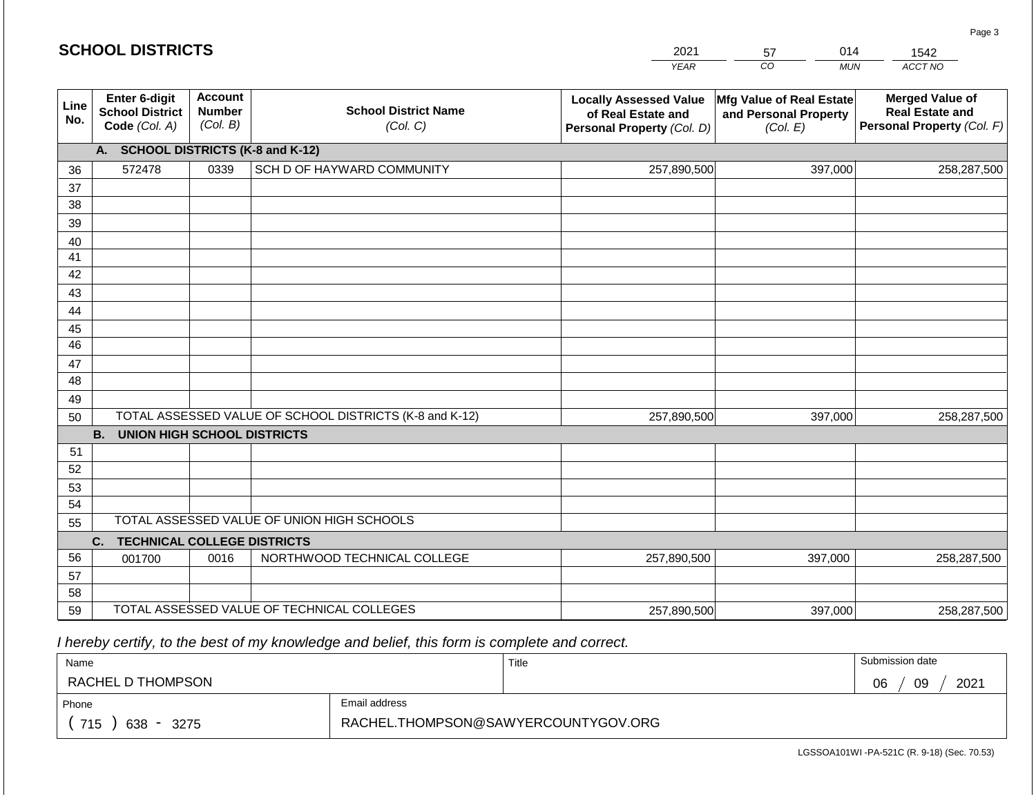|             | <b>SCHOOL DISTRICTS</b>                                  |                                             |                                                         | 2021<br><b>YEAR</b>                                                               | 014<br>57<br>CO<br><b>MUN</b>                                 | 1542<br>ACCT NO                                                                |
|-------------|----------------------------------------------------------|---------------------------------------------|---------------------------------------------------------|-----------------------------------------------------------------------------------|---------------------------------------------------------------|--------------------------------------------------------------------------------|
|             |                                                          |                                             |                                                         |                                                                                   |                                                               |                                                                                |
| Line<br>No. | Enter 6-digit<br><b>School District</b><br>Code (Col. A) | <b>Account</b><br><b>Number</b><br>(Col. B) | <b>School District Name</b><br>(Col. C)                 | <b>Locally Assessed Value</b><br>of Real Estate and<br>Personal Property (Col. D) | Mfg Value of Real Estate<br>and Personal Property<br>(Col. E) | <b>Merged Value of</b><br><b>Real Estate and</b><br>Personal Property (Col. F) |
|             | A. SCHOOL DISTRICTS (K-8 and K-12)                       |                                             |                                                         |                                                                                   |                                                               |                                                                                |
| 36          | 572478                                                   | 0339                                        | SCH D OF HAYWARD COMMUNITY                              | 257,890,500                                                                       | 397,000                                                       | 258,287,500                                                                    |
| 37          |                                                          |                                             |                                                         |                                                                                   |                                                               |                                                                                |
| 38          |                                                          |                                             |                                                         |                                                                                   |                                                               |                                                                                |
| 39          |                                                          |                                             |                                                         |                                                                                   |                                                               |                                                                                |
| 40          |                                                          |                                             |                                                         |                                                                                   |                                                               |                                                                                |
| 41          |                                                          |                                             |                                                         |                                                                                   |                                                               |                                                                                |
| 42          |                                                          |                                             |                                                         |                                                                                   |                                                               |                                                                                |
| 43          |                                                          |                                             |                                                         |                                                                                   |                                                               |                                                                                |
| 44<br>45    |                                                          |                                             |                                                         |                                                                                   |                                                               |                                                                                |
| 46          |                                                          |                                             |                                                         |                                                                                   |                                                               |                                                                                |
| 47          |                                                          |                                             |                                                         |                                                                                   |                                                               |                                                                                |
| 48          |                                                          |                                             |                                                         |                                                                                   |                                                               |                                                                                |
| 49          |                                                          |                                             |                                                         |                                                                                   |                                                               |                                                                                |
| 50          |                                                          |                                             | TOTAL ASSESSED VALUE OF SCHOOL DISTRICTS (K-8 and K-12) | 257,890,500                                                                       | 397,000                                                       | 258,287,500                                                                    |
|             | <b>B.</b><br><b>UNION HIGH SCHOOL DISTRICTS</b>          |                                             |                                                         |                                                                                   |                                                               |                                                                                |
| 51          |                                                          |                                             |                                                         |                                                                                   |                                                               |                                                                                |
| 52          |                                                          |                                             |                                                         |                                                                                   |                                                               |                                                                                |
| 53          |                                                          |                                             |                                                         |                                                                                   |                                                               |                                                                                |
| 54          |                                                          |                                             |                                                         |                                                                                   |                                                               |                                                                                |
| 55          |                                                          |                                             | TOTAL ASSESSED VALUE OF UNION HIGH SCHOOLS              |                                                                                   |                                                               |                                                                                |
|             | C.<br><b>TECHNICAL COLLEGE DISTRICTS</b>                 |                                             |                                                         |                                                                                   |                                                               |                                                                                |
| 56          | 001700                                                   | 0016                                        | NORTHWOOD TECHNICAL COLLEGE                             | 257,890,500                                                                       | 397,000                                                       | 258,287,500                                                                    |
| 57          |                                                          |                                             |                                                         |                                                                                   |                                                               |                                                                                |
| 58          |                                                          |                                             |                                                         |                                                                                   |                                                               |                                                                                |
| 59          |                                                          |                                             | TOTAL ASSESSED VALUE OF TECHNICAL COLLEGES              | 257,890,500                                                                       | 397,000                                                       | 258,287,500                                                                    |

 *I hereby certify, to the best of my knowledge and belief, this form is complete and correct.*

| Name                                           |                                     | Title | Submission date  |
|------------------------------------------------|-------------------------------------|-------|------------------|
| RACHEL D THOMPSON                              |                                     |       | 2021<br>09<br>06 |
| Phone                                          | Email address                       |       |                  |
| 715<br>638<br>3275<br>$\overline{\phantom{0}}$ | RACHEL.THOMPSON@SAWYERCOUNTYGOV.ORG |       |                  |

LGSSOA101WI -PA-521C (R. 9-18) (Sec. 70.53)

Page 3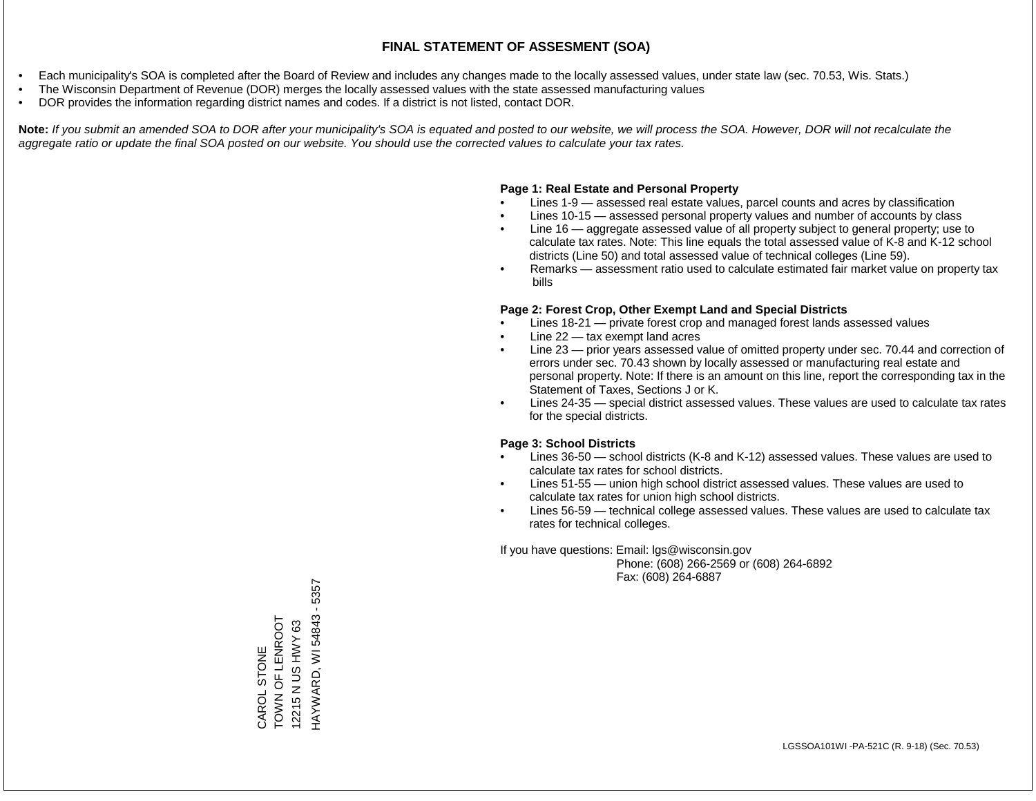- Each municipality's SOA is completed after the Board of Review and includes any changes made to the locally assessed values, under state law (sec. 70.53, Wis. Stats.)
- The Wisconsin Department of Revenue (DOR) merges the locally assessed values with the state assessed manufacturing values
- DOR provides the information regarding district names and codes. If a district is not listed, contact DOR.

Note: If you submit an amended SOA to DOR after your municipality's SOA is equated and posted to our website, we will process the SOA. However, DOR will not recalculate the *aggregate ratio or update the final SOA posted on our website. You should use the corrected values to calculate your tax rates.*

#### **Page 1: Real Estate and Personal Property**

- Lines 1-9 assessed real estate values, parcel counts and acres by classification
- Lines 10-15 assessed personal property values and number of accounts by class
- Line 16 aggregate assessed value of all property subject to general property; use to calculate tax rates. Note: This line equals the total assessed value of K-8 and K-12 school districts (Line 50) and total assessed value of technical colleges (Line 59).
- Remarks assessment ratio used to calculate estimated fair market value on property tax bills

#### **Page 2: Forest Crop, Other Exempt Land and Special Districts**

- Lines 18-21 private forest crop and managed forest lands assessed values
- Line  $22 -$  tax exempt land acres
- Line 23 prior years assessed value of omitted property under sec. 70.44 and correction of errors under sec. 70.43 shown by locally assessed or manufacturing real estate and personal property. Note: If there is an amount on this line, report the corresponding tax in the Statement of Taxes, Sections J or K.
- Lines 24-35 special district assessed values. These values are used to calculate tax rates for the special districts.

#### **Page 3: School Districts**

- Lines 36-50 school districts (K-8 and K-12) assessed values. These values are used to calculate tax rates for school districts.
- Lines 51-55 union high school district assessed values. These values are used to calculate tax rates for union high school districts.
- Lines 56-59 technical college assessed values. These values are used to calculate tax rates for technical colleges.

If you have questions: Email: lgs@wisconsin.gov

 Phone: (608) 266-2569 or (608) 264-6892 Fax: (608) 264-6887

HAYWARD, WI 54843 - 5357 HAYWARD, WI 54843 - 5357TOWN OF LENROOT CAROL STONE<br>TOWN OF LENROOT<br>12215 N US HWY 63 12215 N US HWY 63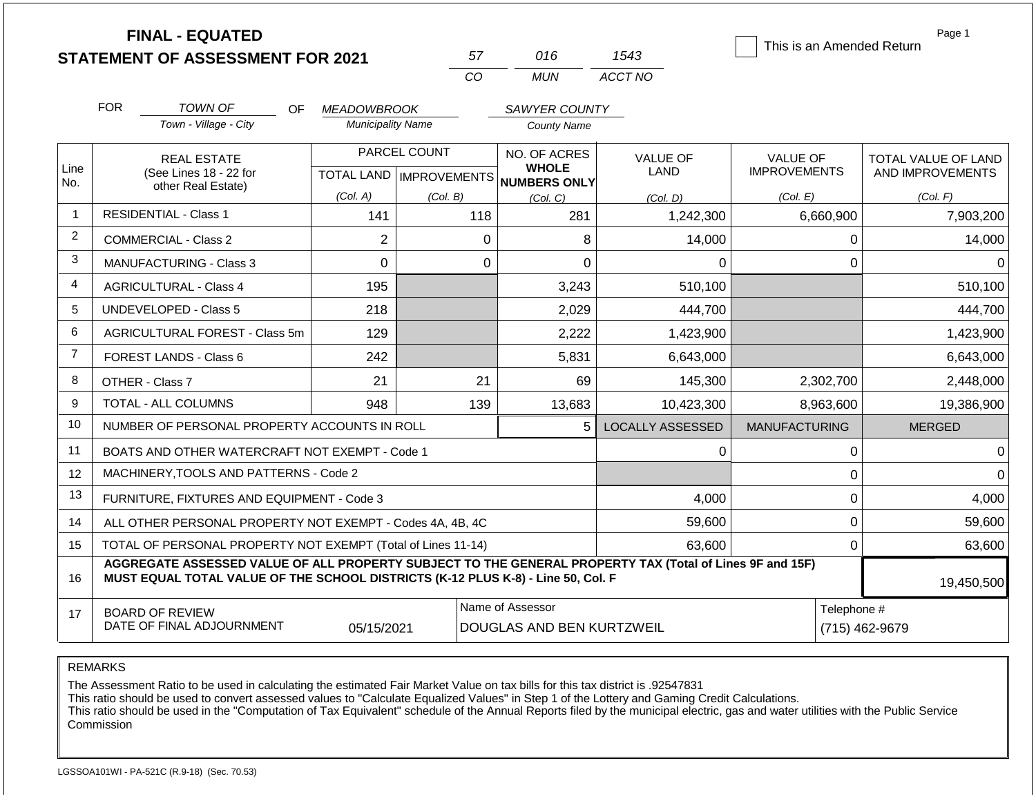|                |                                                                   | <b>FINAL - EQUATED</b>                                                                                                                                                                       |                          |              | 57             | 016                                                          | 1543                    | This is an Amended Return | Page 1                     |
|----------------|-------------------------------------------------------------------|----------------------------------------------------------------------------------------------------------------------------------------------------------------------------------------------|--------------------------|--------------|----------------|--------------------------------------------------------------|-------------------------|---------------------------|----------------------------|
|                |                                                                   | <b>STATEMENT OF ASSESSMENT FOR 2021</b>                                                                                                                                                      |                          |              | CO             | <b>MUN</b>                                                   | ACCT NO                 |                           |                            |
|                |                                                                   |                                                                                                                                                                                              |                          |              |                |                                                              |                         |                           |                            |
|                | <b>FOR</b>                                                        | <b>TOWN OF</b><br>OF.                                                                                                                                                                        | <b>MEADOWBROOK</b>       |              |                | SAWYER COUNTY                                                |                         |                           |                            |
|                |                                                                   | Town - Village - City                                                                                                                                                                        | <b>Municipality Name</b> |              |                | <b>County Name</b>                                           |                         |                           |                            |
|                |                                                                   | <b>REAL ESTATE</b>                                                                                                                                                                           |                          | PARCEL COUNT |                | NO. OF ACRES                                                 | <b>VALUE OF</b>         | <b>VALUE OF</b>           | <b>TOTAL VALUE OF LAND</b> |
| Line<br>No.    |                                                                   | (See Lines 18 - 22 for                                                                                                                                                                       |                          |              |                | <b>WHOLE</b><br>TOTAL LAND MPROVEMENTS NUMBERS ONLY          | <b>LAND</b>             | <b>IMPROVEMENTS</b>       | AND IMPROVEMENTS           |
|                |                                                                   | other Real Estate)                                                                                                                                                                           | (Col. A)                 | (Col. B)     |                | (Col, C)                                                     | (Col. D)                | (Col. E)                  | (Col. F)                   |
| $\mathbf{1}$   |                                                                   | <b>RESIDENTIAL - Class 1</b>                                                                                                                                                                 | 141                      |              | 118            | 281                                                          | 1,242,300               | 6,660,900                 | 7,903,200                  |
| $\overline{2}$ | $\mathbf{2}$<br><b>COMMERCIAL - Class 2</b>                       |                                                                                                                                                                                              |                          | $\mathbf 0$  | 8              | 14,000                                                       | 0                       | 14,000                    |                            |
| 3              | $\overline{0}$<br><b>MANUFACTURING - Class 3</b>                  |                                                                                                                                                                                              |                          | $\Omega$     | $\overline{0}$ | $\Omega$                                                     | $\Omega$                | $\Omega$                  |                            |
| 4              | 195<br><b>AGRICULTURAL - Class 4</b>                              |                                                                                                                                                                                              |                          |              | 3,243          | 510,100                                                      |                         | 510,100                   |                            |
| 5              |                                                                   | UNDEVELOPED - Class 5                                                                                                                                                                        | 218                      |              |                | 2,029                                                        | 444,700                 |                           | 444,700                    |
| 6              |                                                                   | AGRICULTURAL FOREST - Class 5m                                                                                                                                                               | 129                      |              |                | 2,222                                                        | 1,423,900               |                           | 1,423,900                  |
| $\overline{7}$ |                                                                   | FOREST LANDS - Class 6                                                                                                                                                                       | 242                      |              |                | 5,831                                                        | 6,643,000               |                           | 6,643,000                  |
| 8              |                                                                   | OTHER - Class 7                                                                                                                                                                              | 21                       |              | 21             | 69                                                           | 145,300                 | 2,302,700                 | 2,448,000                  |
| 9              |                                                                   | TOTAL - ALL COLUMNS                                                                                                                                                                          | 948                      |              | 139            | 13,683                                                       | 10,423,300              | 8,963,600                 | 19,386,900                 |
| 10             |                                                                   | NUMBER OF PERSONAL PROPERTY ACCOUNTS IN ROLL                                                                                                                                                 |                          |              |                | 5                                                            | <b>LOCALLY ASSESSED</b> | <b>MANUFACTURING</b>      | <b>MERGED</b>              |
| 11             |                                                                   | BOATS AND OTHER WATERCRAFT NOT EXEMPT - Code 1                                                                                                                                               |                          |              |                |                                                              | 0                       | $\pmb{0}$                 | $\Omega$                   |
| 12             |                                                                   | MACHINERY, TOOLS AND PATTERNS - Code 2                                                                                                                                                       |                          |              |                |                                                              |                         | $\mathbf 0$               | $\Omega$                   |
| 13             |                                                                   | FURNITURE, FIXTURES AND EQUIPMENT - Code 3                                                                                                                                                   |                          |              |                |                                                              | 4,000                   | $\pmb{0}$                 | 4,000                      |
| 14             |                                                                   | ALL OTHER PERSONAL PROPERTY NOT EXEMPT - Codes 4A, 4B, 4C                                                                                                                                    |                          |              |                |                                                              | 59,600                  | $\mathbf 0$               | 59,600                     |
| 15             |                                                                   | TOTAL OF PERSONAL PROPERTY NOT EXEMPT (Total of Lines 11-14)                                                                                                                                 |                          |              |                |                                                              | 63.600                  | $\mathbf 0$               | 63,600                     |
| 16             |                                                                   | AGGREGATE ASSESSED VALUE OF ALL PROPERTY SUBJECT TO THE GENERAL PROPERTY TAX (Total of Lines 9F and 15F)<br>MUST EQUAL TOTAL VALUE OF THE SCHOOL DISTRICTS (K-12 PLUS K-8) - Line 50, Col. F |                          |              |                |                                                              |                         |                           | 19,450,500                 |
| 17             | <b>BOARD OF REVIEW</b><br>DATE OF FINAL ADJOURNMENT<br>05/15/2021 |                                                                                                                                                                                              |                          |              |                | Name of Assessor<br>Telephone #<br>DOUGLAS AND BEN KURTZWEIL |                         |                           | (715) 462-9679             |

The Assessment Ratio to be used in calculating the estimated Fair Market Value on tax bills for this tax district is .92547831

This ratio should be used to convert assessed values to "Calculate Equalized Values" in Step 1 of the Lottery and Gaming Credit Calculations.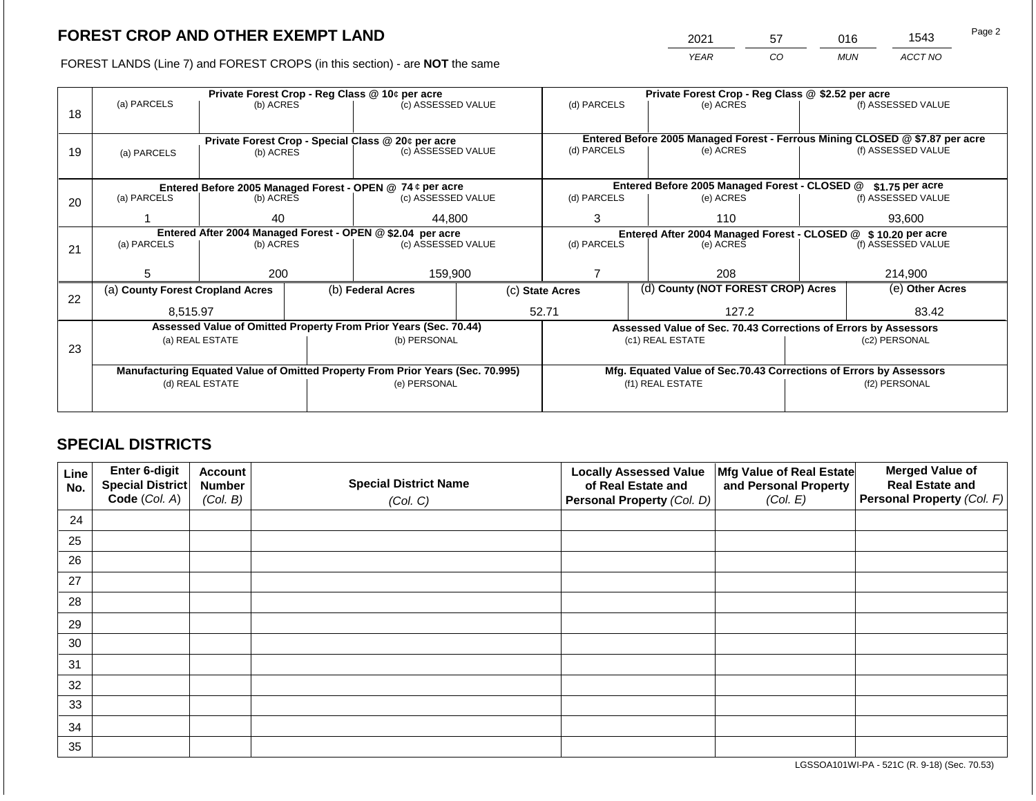2021 57 016 1543

FOREST LANDS (Line 7) and FOREST CROPS (in this section) - are **NOT** the same *YEAR CO MUN ACCT NO*

|    |                                                                                |                                                            |  | Private Forest Crop - Reg Class @ 10¢ per acre                   | Private Forest Crop - Reg Class @ \$2.52 per acre |                                                                    |                                                               |                                                                                           |               |                    |
|----|--------------------------------------------------------------------------------|------------------------------------------------------------|--|------------------------------------------------------------------|---------------------------------------------------|--------------------------------------------------------------------|---------------------------------------------------------------|-------------------------------------------------------------------------------------------|---------------|--------------------|
|    | (a) PARCELS                                                                    | (b) ACRES                                                  |  | (c) ASSESSED VALUE                                               |                                                   | (d) PARCELS                                                        |                                                               | (e) ACRES                                                                                 |               | (f) ASSESSED VALUE |
| 18 |                                                                                |                                                            |  |                                                                  |                                                   |                                                                    |                                                               |                                                                                           |               |                    |
|    |                                                                                |                                                            |  |                                                                  |                                                   |                                                                    |                                                               |                                                                                           |               |                    |
|    |                                                                                |                                                            |  | Private Forest Crop - Special Class @ 20¢ per acre               |                                                   | (d) PARCELS                                                        |                                                               | Entered Before 2005 Managed Forest - Ferrous Mining CLOSED @ \$7.87 per acre<br>(e) ACRES |               | (f) ASSESSED VALUE |
| 19 | (a) PARCELS                                                                    | (b) ACRES                                                  |  | (c) ASSESSED VALUE                                               |                                                   |                                                                    |                                                               |                                                                                           |               |                    |
|    |                                                                                |                                                            |  |                                                                  |                                                   |                                                                    |                                                               |                                                                                           |               |                    |
|    |                                                                                |                                                            |  | Entered Before 2005 Managed Forest - OPEN @ 74 ¢ per acre        |                                                   |                                                                    |                                                               | Entered Before 2005 Managed Forest - CLOSED @                                             |               | \$1.75 per acre    |
| 20 | (a) PARCELS                                                                    | (b) ACRES<br>(c) ASSESSED VALUE                            |  | (d) PARCELS                                                      |                                                   | (e) ACRES                                                          |                                                               | (f) ASSESSED VALUE                                                                        |               |                    |
|    |                                                                                |                                                            |  |                                                                  |                                                   |                                                                    |                                                               |                                                                                           |               |                    |
|    |                                                                                | 40                                                         |  | 44.800                                                           | 3                                                 | 110                                                                |                                                               |                                                                                           | 93,600        |                    |
|    |                                                                                | Entered After 2004 Managed Forest - OPEN @ \$2.04 per acre |  |                                                                  |                                                   |                                                                    | Entered After 2004 Managed Forest - CLOSED @ \$10.20 per acre |                                                                                           |               |                    |
| 21 | (a) PARCELS                                                                    | (b) ACRES                                                  |  | (c) ASSESSED VALUE                                               |                                                   | (d) PARCELS                                                        |                                                               | (e) ACRES                                                                                 |               | (f) ASSESSED VALUE |
|    |                                                                                |                                                            |  |                                                                  |                                                   |                                                                    |                                                               |                                                                                           |               |                    |
|    | 5                                                                              | 200                                                        |  | 159,900                                                          |                                                   |                                                                    |                                                               | 208                                                                                       |               | 214,900            |
|    | (a) County Forest Cropland Acres                                               |                                                            |  | (b) Federal Acres                                                | (c) State Acres                                   |                                                                    |                                                               | (d) County (NOT FOREST CROP) Acres                                                        |               | (e) Other Acres    |
| 22 |                                                                                |                                                            |  |                                                                  |                                                   |                                                                    |                                                               |                                                                                           |               |                    |
|    | 8.515.97                                                                       |                                                            |  |                                                                  |                                                   | 52.71                                                              |                                                               | 127.2                                                                                     |               | 83.42              |
|    |                                                                                |                                                            |  | Assessed Value of Omitted Property From Prior Years (Sec. 70.44) |                                                   |                                                                    |                                                               | Assessed Value of Sec. 70.43 Corrections of Errors by Assessors                           |               |                    |
|    |                                                                                | (a) REAL ESTATE                                            |  | (b) PERSONAL                                                     |                                                   |                                                                    |                                                               | (c1) REAL ESTATE                                                                          |               | (c2) PERSONAL      |
| 23 |                                                                                |                                                            |  |                                                                  |                                                   |                                                                    |                                                               |                                                                                           |               |                    |
|    | Manufacturing Equated Value of Omitted Property From Prior Years (Sec. 70.995) |                                                            |  |                                                                  |                                                   | Mfg. Equated Value of Sec.70.43 Corrections of Errors by Assessors |                                                               |                                                                                           |               |                    |
|    |                                                                                | (d) REAL ESTATE                                            |  | (e) PERSONAL                                                     |                                                   | (f1) REAL ESTATE                                                   |                                                               |                                                                                           | (f2) PERSONAL |                    |
|    |                                                                                |                                                            |  |                                                                  |                                                   |                                                                    |                                                               |                                                                                           |               |                    |
|    |                                                                                |                                                            |  |                                                                  |                                                   |                                                                    |                                                               |                                                                                           |               |                    |

## **SPECIAL DISTRICTS**

| Line<br>No. | <b>Enter 6-digit</b><br>Special District | <b>Account</b><br><b>Number</b> | <b>Special District Name</b> | <b>Locally Assessed Value</b><br>of Real Estate and | Mfg Value of Real Estate<br>and Personal Property | <b>Merged Value of</b><br><b>Real Estate and</b> |
|-------------|------------------------------------------|---------------------------------|------------------------------|-----------------------------------------------------|---------------------------------------------------|--------------------------------------------------|
|             | Code (Col. A)                            | (Col. B)                        | (Col. C)                     | Personal Property (Col. D)                          | (Col. E)                                          | <b>Personal Property (Col. F)</b>                |
| 24          |                                          |                                 |                              |                                                     |                                                   |                                                  |
| 25          |                                          |                                 |                              |                                                     |                                                   |                                                  |
| 26          |                                          |                                 |                              |                                                     |                                                   |                                                  |
| 27          |                                          |                                 |                              |                                                     |                                                   |                                                  |
| 28          |                                          |                                 |                              |                                                     |                                                   |                                                  |
| 29          |                                          |                                 |                              |                                                     |                                                   |                                                  |
| 30          |                                          |                                 |                              |                                                     |                                                   |                                                  |
| 31          |                                          |                                 |                              |                                                     |                                                   |                                                  |
| 32          |                                          |                                 |                              |                                                     |                                                   |                                                  |
| 33          |                                          |                                 |                              |                                                     |                                                   |                                                  |
| 34          |                                          |                                 |                              |                                                     |                                                   |                                                  |
| 35          |                                          |                                 |                              |                                                     |                                                   |                                                  |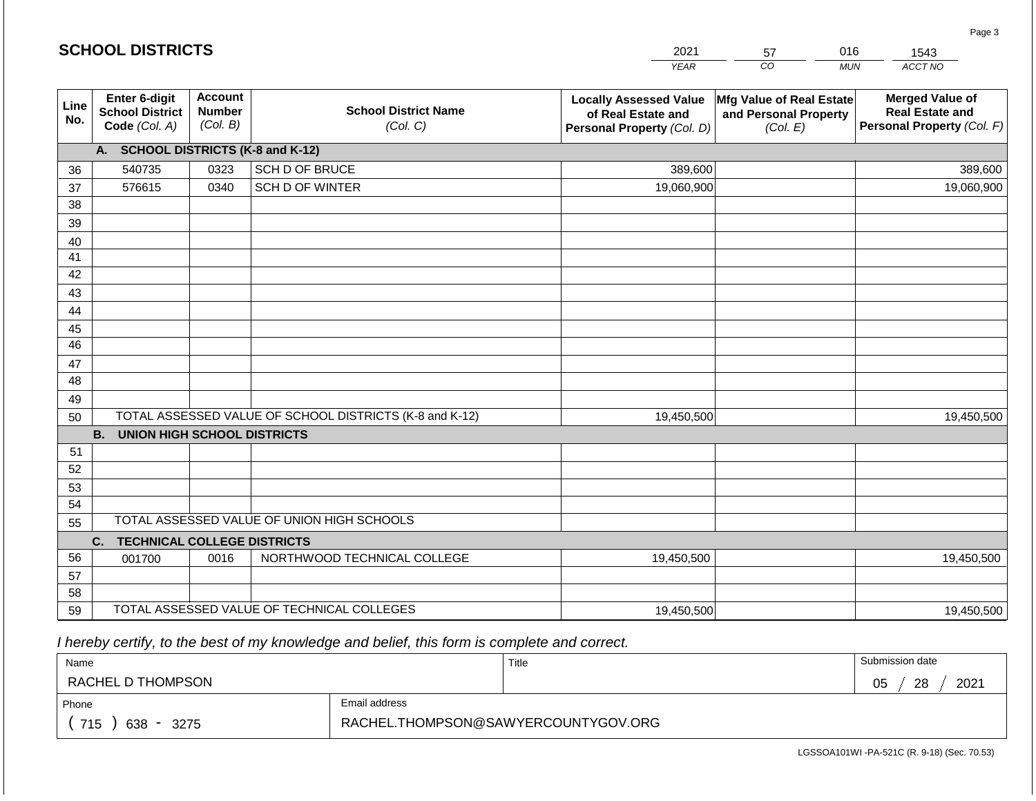| <b>SCHOOL DISTRICTS</b> |                                                                 |                                             |                                                         | 2021                                                                              | 57                                                            | 016        | 1543                                                                           |
|-------------------------|-----------------------------------------------------------------|---------------------------------------------|---------------------------------------------------------|-----------------------------------------------------------------------------------|---------------------------------------------------------------|------------|--------------------------------------------------------------------------------|
|                         |                                                                 |                                             |                                                         | <b>YEAR</b>                                                                       | $\overline{co}$                                               | <b>MUN</b> | ACCT NO                                                                        |
| Line<br>No.             | <b>Enter 6-digit</b><br><b>School District</b><br>Code (Col. A) | <b>Account</b><br><b>Number</b><br>(Col. B) | <b>School District Name</b><br>(Col. C)                 | <b>Locally Assessed Value</b><br>of Real Estate and<br>Personal Property (Col. D) | Mfg Value of Real Estate<br>and Personal Property<br>(Col. E) |            | <b>Merged Value of</b><br><b>Real Estate and</b><br>Personal Property (Col. F) |
|                         | A. SCHOOL DISTRICTS (K-8 and K-12)                              |                                             |                                                         |                                                                                   |                                                               |            |                                                                                |
| 36                      | 540735                                                          | 0323                                        | SCH D OF BRUCE                                          | 389,600                                                                           |                                                               |            | 389,600                                                                        |
| 37                      | 576615                                                          | 0340                                        | SCH D OF WINTER                                         | 19,060,900                                                                        |                                                               |            | 19,060,900                                                                     |
| 38                      |                                                                 |                                             |                                                         |                                                                                   |                                                               |            |                                                                                |
| 39                      |                                                                 |                                             |                                                         |                                                                                   |                                                               |            |                                                                                |
| 40                      |                                                                 |                                             |                                                         |                                                                                   |                                                               |            |                                                                                |
| 41                      |                                                                 |                                             |                                                         |                                                                                   |                                                               |            |                                                                                |
| 42                      |                                                                 |                                             |                                                         |                                                                                   |                                                               |            |                                                                                |
| 43                      |                                                                 |                                             |                                                         |                                                                                   |                                                               |            |                                                                                |
| 44                      |                                                                 |                                             |                                                         |                                                                                   |                                                               |            |                                                                                |
| 45<br>$\overline{46}$   |                                                                 |                                             |                                                         |                                                                                   |                                                               |            |                                                                                |
| 47                      |                                                                 |                                             |                                                         |                                                                                   |                                                               |            |                                                                                |
| 48                      |                                                                 |                                             |                                                         |                                                                                   |                                                               |            |                                                                                |
| 49                      |                                                                 |                                             |                                                         |                                                                                   |                                                               |            |                                                                                |
| 50                      |                                                                 |                                             | TOTAL ASSESSED VALUE OF SCHOOL DISTRICTS (K-8 and K-12) | 19,450,500                                                                        |                                                               |            | 19,450,500                                                                     |
|                         | <b>B.</b><br><b>UNION HIGH SCHOOL DISTRICTS</b>                 |                                             |                                                         |                                                                                   |                                                               |            |                                                                                |
| 51                      |                                                                 |                                             |                                                         |                                                                                   |                                                               |            |                                                                                |
| 52                      |                                                                 |                                             |                                                         |                                                                                   |                                                               |            |                                                                                |
| 53                      |                                                                 |                                             |                                                         |                                                                                   |                                                               |            |                                                                                |
| 54                      |                                                                 |                                             |                                                         |                                                                                   |                                                               |            |                                                                                |
| 55                      |                                                                 |                                             | TOTAL ASSESSED VALUE OF UNION HIGH SCHOOLS              |                                                                                   |                                                               |            |                                                                                |
|                         | <b>TECHNICAL COLLEGE DISTRICTS</b><br>C.                        |                                             |                                                         |                                                                                   |                                                               |            |                                                                                |
| 56                      | 001700                                                          | 0016                                        | NORTHWOOD TECHNICAL COLLEGE                             | 19,450,500                                                                        |                                                               |            | 19,450,500                                                                     |
| 57                      |                                                                 |                                             |                                                         |                                                                                   |                                                               |            |                                                                                |
| 58                      |                                                                 |                                             | TOTAL ASSESSED VALUE OF TECHNICAL COLLEGES              |                                                                                   |                                                               |            |                                                                                |
| 59                      |                                                                 |                                             |                                                         | 19,450,500                                                                        |                                                               |            | 19,450,500                                                                     |

2021

 *I hereby certify, to the best of my knowledge and belief, this form is complete and correct.*

**SCHOOL DISTRICTS**

| Name               |               | Title | Submission date  |
|--------------------|---------------|-------|------------------|
| RACHEL D THOMPSON  |               |       | 28<br>2021<br>05 |
| Phone              | Email address |       |                  |
| 715<br>638<br>3275 |               |       |                  |

Page 3

016

| LGSSOA101WI -PA-521C (R. 9-18) (Sec. 70.53) |  |  |
|---------------------------------------------|--|--|
|---------------------------------------------|--|--|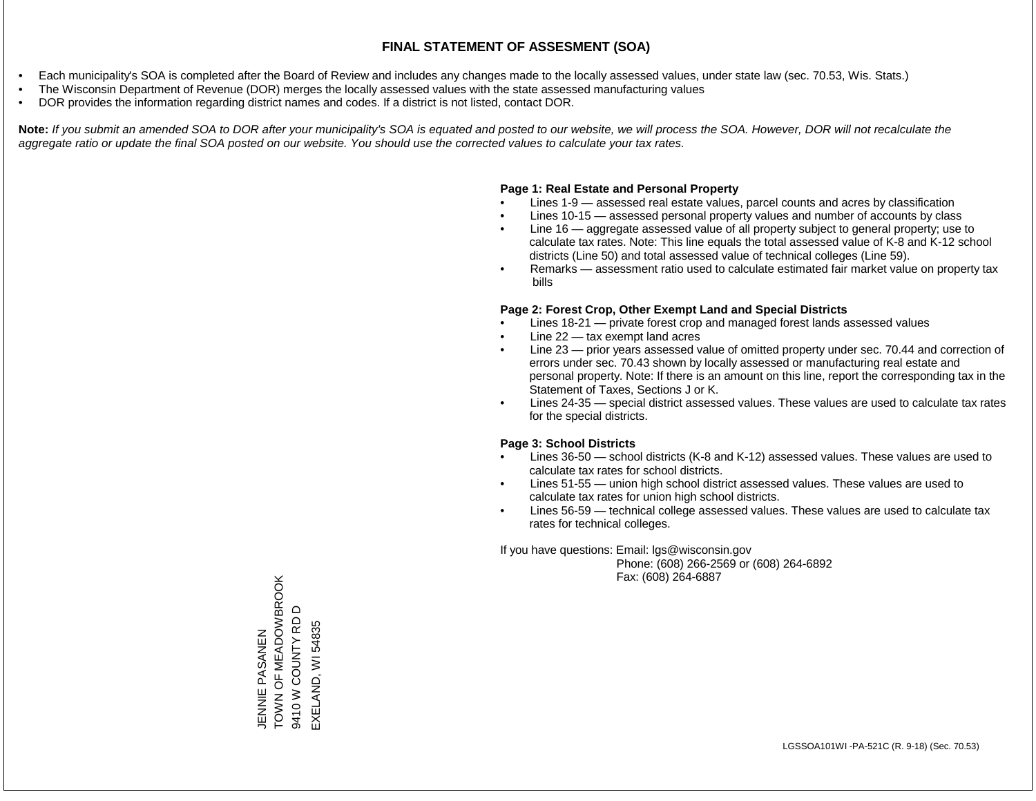- Each municipality's SOA is completed after the Board of Review and includes any changes made to the locally assessed values, under state law (sec. 70.53, Wis. Stats.)
- The Wisconsin Department of Revenue (DOR) merges the locally assessed values with the state assessed manufacturing values
- DOR provides the information regarding district names and codes. If a district is not listed, contact DOR.

Note: If you submit an amended SOA to DOR after your municipality's SOA is equated and posted to our website, we will process the SOA. However, DOR will not recalculate the *aggregate ratio or update the final SOA posted on our website. You should use the corrected values to calculate your tax rates.*

#### **Page 1: Real Estate and Personal Property**

- Lines 1-9 assessed real estate values, parcel counts and acres by classification
- Lines 10-15 assessed personal property values and number of accounts by class
- Line 16 aggregate assessed value of all property subject to general property; use to calculate tax rates. Note: This line equals the total assessed value of K-8 and K-12 school districts (Line 50) and total assessed value of technical colleges (Line 59).
- Remarks assessment ratio used to calculate estimated fair market value on property tax bills

#### **Page 2: Forest Crop, Other Exempt Land and Special Districts**

- Lines 18-21 private forest crop and managed forest lands assessed values
- Line  $22 -$  tax exempt land acres
- Line 23 prior years assessed value of omitted property under sec. 70.44 and correction of errors under sec. 70.43 shown by locally assessed or manufacturing real estate and personal property. Note: If there is an amount on this line, report the corresponding tax in the Statement of Taxes, Sections J or K.
- Lines 24-35 special district assessed values. These values are used to calculate tax rates for the special districts.

#### **Page 3: School Districts**

- Lines 36-50 school districts (K-8 and K-12) assessed values. These values are used to calculate tax rates for school districts.
- Lines 51-55 union high school district assessed values. These values are used to calculate tax rates for union high school districts.
- Lines 56-59 technical college assessed values. These values are used to calculate tax rates for technical colleges.

If you have questions: Email: lgs@wisconsin.gov

 Phone: (608) 266-2569 or (608) 264-6892 Fax: (608) 264-6887

TOWN OF MEADOWBROOK JENNIE PASANEN<br>TOWN OF MEADOWBROOK  $\Omega$ 9410 W COUNTY RD D 9410 W COUNTY RD EXELAND, WI 54835 EXELAND, WI 54835JENNIE PASANEN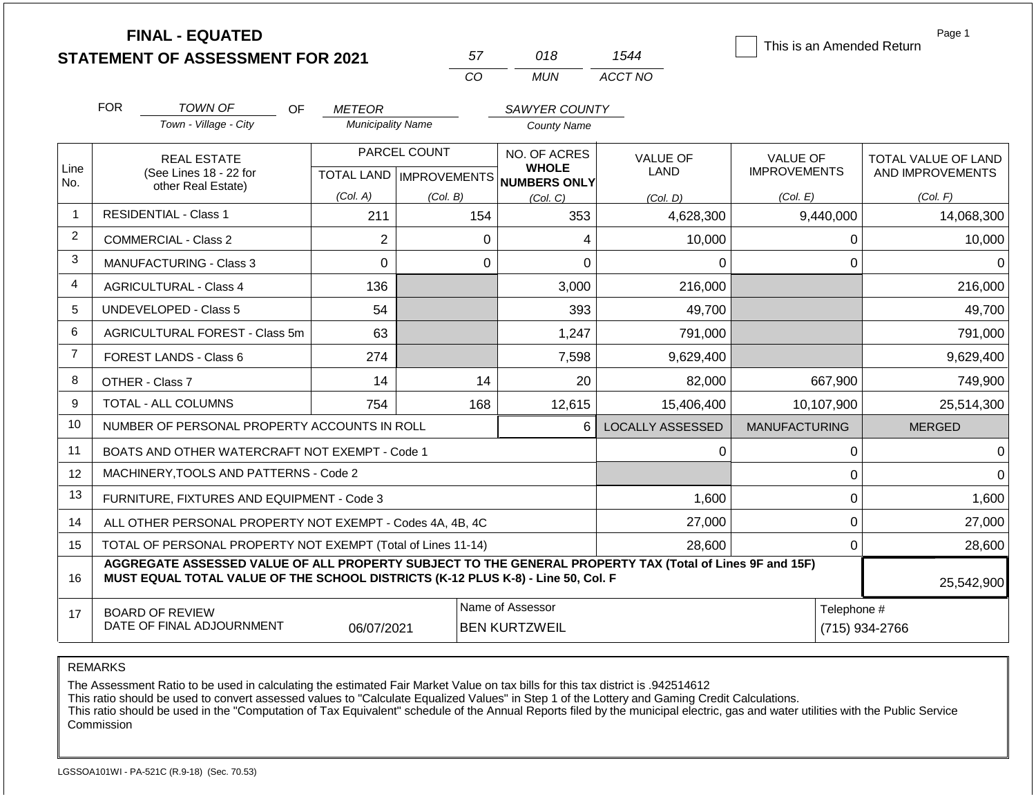|                | <b>FINAL - EQUATED</b>                                                                                                                                                                       |                          |                                           |                                                     |                         | This is an Amended Return              | Page 1                                  |
|----------------|----------------------------------------------------------------------------------------------------------------------------------------------------------------------------------------------|--------------------------|-------------------------------------------|-----------------------------------------------------|-------------------------|----------------------------------------|-----------------------------------------|
|                | <b>STATEMENT OF ASSESSMENT FOR 2021</b>                                                                                                                                                      |                          | 57                                        | 018                                                 | 1544                    |                                        |                                         |
|                |                                                                                                                                                                                              |                          | CO                                        | <b>MUN</b>                                          | ACCT NO                 |                                        |                                         |
|                | <b>FOR</b><br><b>TOWN OF</b>                                                                                                                                                                 | OF.<br><b>METEOR</b>     |                                           | <b>SAWYER COUNTY</b>                                |                         |                                        |                                         |
|                | Town - Village - City                                                                                                                                                                        | <b>Municipality Name</b> |                                           | <b>County Name</b>                                  |                         |                                        |                                         |
| Line           | <b>REAL ESTATE</b><br>(See Lines 18 - 22 for                                                                                                                                                 |                          | PARCEL COUNT<br>TOTAL LAND   IMPROVEMENTS | NO. OF ACRES<br><b>WHOLE</b><br><b>NUMBERS ONLY</b> | <b>VALUE OF</b><br>LAND | <b>VALUE OF</b><br><b>IMPROVEMENTS</b> | TOTAL VALUE OF LAND<br>AND IMPROVEMENTS |
| No.            | other Real Estate)                                                                                                                                                                           | (Col. A)                 | (Col. B)                                  | (Col, C)                                            | (Col, D)                | (Col. E)                               | (Col. F)                                |
| $\mathbf{1}$   | <b>RESIDENTIAL - Class 1</b>                                                                                                                                                                 | 211                      | 154                                       | 353                                                 | 4,628,300               | 9,440,000                              | 14,068,300                              |
| 2              | <b>COMMERCIAL - Class 2</b>                                                                                                                                                                  | $\overline{2}$           | 0                                         | 4                                                   | 10,000                  | $\mathbf 0$                            | 10,000                                  |
| 3              | <b>MANUFACTURING - Class 3</b>                                                                                                                                                               | $\Omega$                 |                                           | 0                                                   | $\Omega$                | $\mathbf 0$                            | $\Omega$                                |
| 4              | <b>AGRICULTURAL - Class 4</b>                                                                                                                                                                | 136                      |                                           | 3,000                                               | 216,000                 |                                        | 216,000                                 |
| 5              | <b>UNDEVELOPED - Class 5</b>                                                                                                                                                                 | 54                       |                                           | 393                                                 | 49,700                  |                                        | 49,700                                  |
| 6              | AGRICULTURAL FOREST - Class 5m                                                                                                                                                               | 63                       |                                           | 1,247                                               | 791,000                 |                                        | 791,000                                 |
| $\overline{7}$ | FOREST LANDS - Class 6                                                                                                                                                                       | 274                      |                                           | 7,598                                               | 9,629,400               |                                        | 9,629,400                               |
| 8              | OTHER - Class 7                                                                                                                                                                              | 14                       | 14                                        | 20                                                  | 82,000                  | 667,900                                | 749,900                                 |
| 9              | TOTAL - ALL COLUMNS                                                                                                                                                                          | 754                      | 168                                       | 12,615                                              | 15,406,400              | 10,107,900                             | 25,514,300                              |
| 10             | NUMBER OF PERSONAL PROPERTY ACCOUNTS IN ROLL                                                                                                                                                 |                          |                                           | 6                                                   | <b>LOCALLY ASSESSED</b> | <b>MANUFACTURING</b>                   | <b>MERGED</b>                           |
| 11             | BOATS AND OTHER WATERCRAFT NOT EXEMPT - Code 1                                                                                                                                               |                          |                                           |                                                     | 0                       | $\pmb{0}$                              | $\Omega$                                |
| 12             | MACHINERY, TOOLS AND PATTERNS - Code 2                                                                                                                                                       |                          |                                           |                                                     |                         | $\pmb{0}$                              | $\Omega$                                |
| 13             | FURNITURE, FIXTURES AND EQUIPMENT - Code 3                                                                                                                                                   |                          |                                           |                                                     | 1,600                   | $\mathbf 0$                            | 1,600                                   |
| 14             | ALL OTHER PERSONAL PROPERTY NOT EXEMPT - Codes 4A, 4B, 4C                                                                                                                                    |                          |                                           |                                                     | 27,000                  | $\mathbf 0$                            | 27,000                                  |
| 15             | TOTAL OF PERSONAL PROPERTY NOT EXEMPT (Total of Lines 11-14)                                                                                                                                 |                          |                                           |                                                     | 28,600                  | 0                                      | 28,600                                  |
| 16             | AGGREGATE ASSESSED VALUE OF ALL PROPERTY SUBJECT TO THE GENERAL PROPERTY TAX (Total of Lines 9F and 15F)<br>MUST EQUAL TOTAL VALUE OF THE SCHOOL DISTRICTS (K-12 PLUS K-8) - Line 50, Col. F |                          |                                           |                                                     |                         |                                        | 25,542,900                              |
| 17             | <b>BOARD OF REVIEW</b><br>DATE OF FINAL ADJOURNMENT                                                                                                                                          | 06/07/2021               |                                           | Name of Assessor<br><b>BEN KURTZWEIL</b>            |                         | Telephone #                            | (715) 934-2766                          |

The Assessment Ratio to be used in calculating the estimated Fair Market Value on tax bills for this tax district is .942514612

This ratio should be used to convert assessed values to "Calculate Equalized Values" in Step 1 of the Lottery and Gaming Credit Calculations.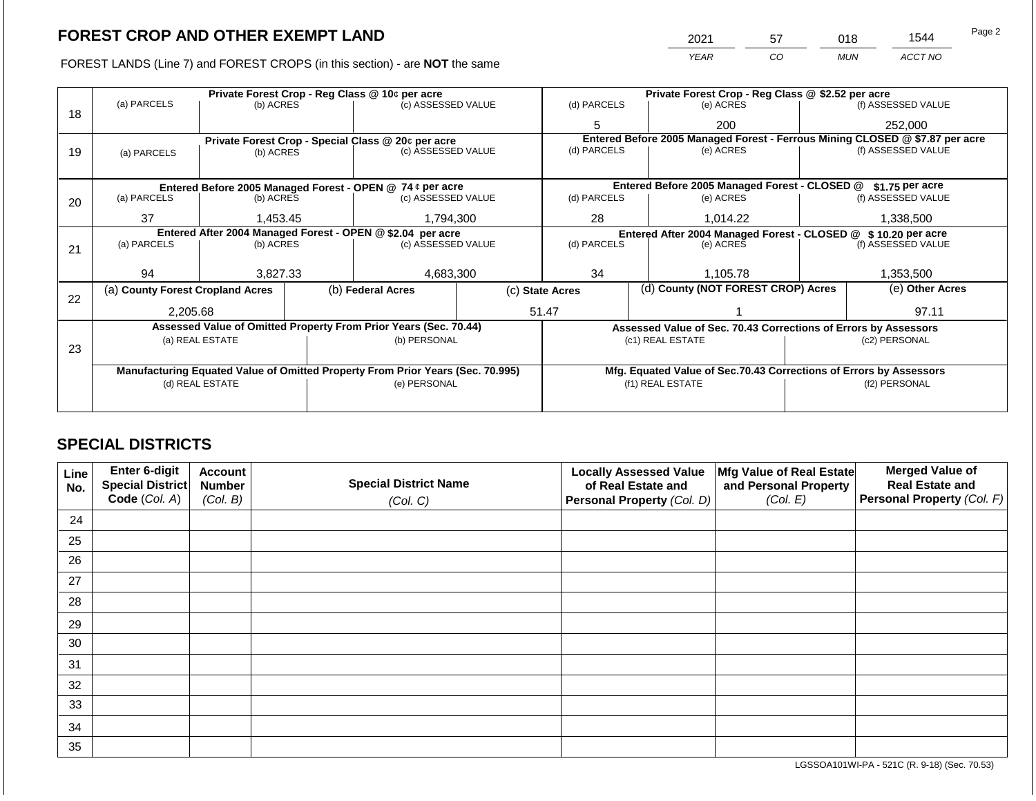FOREST LANDS (Line 7) and FOREST CROPS (in this section) - are **NOT** the same *YEAR CO MUN ACCT NO*

|    |                                                                                |                 |           | Private Forest Crop - Reg Class @ 10¢ per acre                   |    | Private Forest Crop - Reg Class @ \$2.52 per acre     |                                                                    |                 |                                                                              |  |
|----|--------------------------------------------------------------------------------|-----------------|-----------|------------------------------------------------------------------|----|-------------------------------------------------------|--------------------------------------------------------------------|-----------------|------------------------------------------------------------------------------|--|
| 18 | (a) PARCELS                                                                    | (b) ACRES       |           | (c) ASSESSED VALUE                                               |    | (d) PARCELS                                           | (e) ACRES                                                          |                 | (f) ASSESSED VALUE                                                           |  |
|    |                                                                                |                 |           |                                                                  |    | 5                                                     | 200                                                                |                 | 252,000                                                                      |  |
|    |                                                                                |                 |           | Private Forest Crop - Special Class @ 20¢ per acre               |    |                                                       |                                                                    |                 | Entered Before 2005 Managed Forest - Ferrous Mining CLOSED @ \$7.87 per acre |  |
| 19 | (a) PARCELS                                                                    | (b) ACRES       |           | (c) ASSESSED VALUE                                               |    | (d) PARCELS                                           | (e) ACRES                                                          |                 | (f) ASSESSED VALUE                                                           |  |
|    |                                                                                |                 |           |                                                                  |    |                                                       |                                                                    |                 |                                                                              |  |
|    |                                                                                |                 |           | Entered Before 2005 Managed Forest - OPEN @ 74 ¢ per acre        |    |                                                       | Entered Before 2005 Managed Forest - CLOSED @                      |                 | $$1.75$ per acre                                                             |  |
| 20 | (a) PARCELS                                                                    | (b) ACRES       |           | (c) ASSESSED VALUE                                               |    | (d) PARCELS                                           | (e) ACRES                                                          |                 | (f) ASSESSED VALUE                                                           |  |
|    | 37                                                                             | 1,453.45        | 1,794,300 |                                                                  | 28 | 1,014.22                                              |                                                                    | 1,338,500       |                                                                              |  |
|    | Entered After 2004 Managed Forest - OPEN @ \$2.04 per acre                     |                 |           |                                                                  |    |                                                       | Entered After 2004 Managed Forest - CLOSED @ \$10.20 per acre      |                 |                                                                              |  |
| 21 | (a) PARCELS                                                                    | (b) ACRES       |           | (c) ASSESSED VALUE                                               |    | (d) PARCELS<br>(e) ACRES                              |                                                                    |                 | (f) ASSESSED VALUE                                                           |  |
|    |                                                                                |                 |           |                                                                  |    |                                                       |                                                                    |                 |                                                                              |  |
|    | 94                                                                             | 3,827.33        |           | 4,683,300                                                        |    | 34                                                    | 1,105.78                                                           |                 | 1,353,500                                                                    |  |
| 22 | (a) County Forest Cropland Acres                                               |                 |           | (b) Federal Acres                                                |    | (d) County (NOT FOREST CROP) Acres<br>(c) State Acres |                                                                    | (e) Other Acres |                                                                              |  |
|    | 2,205.68                                                                       |                 |           |                                                                  |    | 51.47                                                 |                                                                    |                 | 97.11                                                                        |  |
|    |                                                                                |                 |           | Assessed Value of Omitted Property From Prior Years (Sec. 70.44) |    |                                                       | Assessed Value of Sec. 70.43 Corrections of Errors by Assessors    |                 |                                                                              |  |
| 23 |                                                                                | (a) REAL ESTATE |           | (b) PERSONAL                                                     |    |                                                       | (c1) REAL ESTATE                                                   |                 | (c2) PERSONAL                                                                |  |
|    |                                                                                |                 |           |                                                                  |    |                                                       |                                                                    |                 |                                                                              |  |
|    | Manufacturing Equated Value of Omitted Property From Prior Years (Sec. 70.995) |                 |           |                                                                  |    |                                                       | Mfg. Equated Value of Sec.70.43 Corrections of Errors by Assessors |                 |                                                                              |  |
|    | (d) REAL ESTATE                                                                |                 |           | (e) PERSONAL                                                     |    | (f1) REAL ESTATE                                      |                                                                    |                 | (f2) PERSONAL                                                                |  |
|    |                                                                                |                 |           |                                                                  |    |                                                       |                                                                    |                 |                                                                              |  |
|    |                                                                                |                 |           |                                                                  |    |                                                       |                                                                    |                 |                                                                              |  |

## **SPECIAL DISTRICTS**

| <b>Line</b><br>No. | Enter 6-digit<br><b>Special District</b> | <b>Account</b><br><b>Number</b> | <b>Special District Name</b> | <b>Locally Assessed Value</b><br>of Real Estate and | Mfg Value of Real Estate<br>and Personal Property | <b>Merged Value of</b><br><b>Real Estate and</b> |
|--------------------|------------------------------------------|---------------------------------|------------------------------|-----------------------------------------------------|---------------------------------------------------|--------------------------------------------------|
|                    | Code (Col. A)                            | (Col. B)                        | (Col. C)                     | Personal Property (Col. D)                          | (Col. E)                                          | Personal Property (Col. F)                       |
| 24                 |                                          |                                 |                              |                                                     |                                                   |                                                  |
| 25                 |                                          |                                 |                              |                                                     |                                                   |                                                  |
| 26                 |                                          |                                 |                              |                                                     |                                                   |                                                  |
| 27                 |                                          |                                 |                              |                                                     |                                                   |                                                  |
| 28                 |                                          |                                 |                              |                                                     |                                                   |                                                  |
| 29                 |                                          |                                 |                              |                                                     |                                                   |                                                  |
| 30                 |                                          |                                 |                              |                                                     |                                                   |                                                  |
| 31                 |                                          |                                 |                              |                                                     |                                                   |                                                  |
| 32                 |                                          |                                 |                              |                                                     |                                                   |                                                  |
| 33                 |                                          |                                 |                              |                                                     |                                                   |                                                  |
| 34                 |                                          |                                 |                              |                                                     |                                                   |                                                  |
| 35                 |                                          |                                 |                              |                                                     |                                                   |                                                  |

LGSSOA101WI-PA - 521C (R. 9-18) (Sec. 70.53)

2021 57 018 1544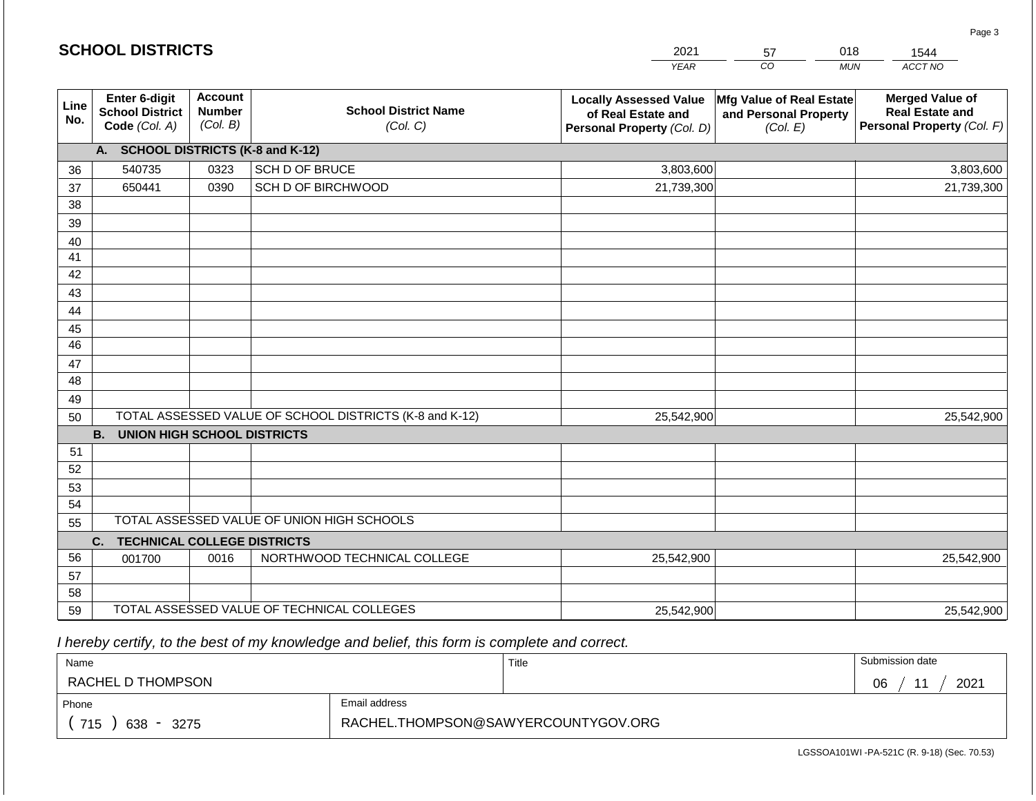| <b>SCHOOL DISTRICTS</b> |                                                          |                                             |                                                         | 2021                                                                              | 57                                                            | 018<br>1544                                                                    |
|-------------------------|----------------------------------------------------------|---------------------------------------------|---------------------------------------------------------|-----------------------------------------------------------------------------------|---------------------------------------------------------------|--------------------------------------------------------------------------------|
|                         |                                                          |                                             |                                                         | <b>YEAR</b>                                                                       | CO                                                            | ACCT NO<br><b>MUN</b>                                                          |
| Line<br>No.             | Enter 6-digit<br><b>School District</b><br>Code (Col. A) | <b>Account</b><br><b>Number</b><br>(Col. B) | <b>School District Name</b><br>(Col. C)                 | <b>Locally Assessed Value</b><br>of Real Estate and<br>Personal Property (Col. D) | Mfg Value of Real Estate<br>and Personal Property<br>(Col. E) | <b>Merged Value of</b><br><b>Real Estate and</b><br>Personal Property (Col. F) |
|                         | A. SCHOOL DISTRICTS (K-8 and K-12)                       |                                             |                                                         |                                                                                   |                                                               |                                                                                |
| 36                      | 540735                                                   | 0323                                        | SCH D OF BRUCE                                          | 3,803,600                                                                         |                                                               | 3,803,600                                                                      |
| 37                      | 650441                                                   | 0390                                        | SCH D OF BIRCHWOOD                                      | 21,739,300                                                                        |                                                               | 21,739,300                                                                     |
| 38                      |                                                          |                                             |                                                         |                                                                                   |                                                               |                                                                                |
| 39                      |                                                          |                                             |                                                         |                                                                                   |                                                               |                                                                                |
| 40                      |                                                          |                                             |                                                         |                                                                                   |                                                               |                                                                                |
| 41                      |                                                          |                                             |                                                         |                                                                                   |                                                               |                                                                                |
| 42                      |                                                          |                                             |                                                         |                                                                                   |                                                               |                                                                                |
| 43                      |                                                          |                                             |                                                         |                                                                                   |                                                               |                                                                                |
| 44                      |                                                          |                                             |                                                         |                                                                                   |                                                               |                                                                                |
| 45<br>$\overline{46}$   |                                                          |                                             |                                                         |                                                                                   |                                                               |                                                                                |
| 47                      |                                                          |                                             |                                                         |                                                                                   |                                                               |                                                                                |
| 48                      |                                                          |                                             |                                                         |                                                                                   |                                                               |                                                                                |
| 49                      |                                                          |                                             |                                                         |                                                                                   |                                                               |                                                                                |
| 50                      |                                                          |                                             | TOTAL ASSESSED VALUE OF SCHOOL DISTRICTS (K-8 and K-12) | 25,542,900                                                                        |                                                               | 25,542,900                                                                     |
|                         | <b>B. UNION HIGH SCHOOL DISTRICTS</b>                    |                                             |                                                         |                                                                                   |                                                               |                                                                                |
| 51                      |                                                          |                                             |                                                         |                                                                                   |                                                               |                                                                                |
| 52                      |                                                          |                                             |                                                         |                                                                                   |                                                               |                                                                                |
| 53                      |                                                          |                                             |                                                         |                                                                                   |                                                               |                                                                                |
| 54                      |                                                          |                                             |                                                         |                                                                                   |                                                               |                                                                                |
| 55                      |                                                          |                                             | TOTAL ASSESSED VALUE OF UNION HIGH SCHOOLS              |                                                                                   |                                                               |                                                                                |
|                         | C.<br><b>TECHNICAL COLLEGE DISTRICTS</b>                 |                                             |                                                         |                                                                                   |                                                               |                                                                                |
| 56                      | 001700                                                   | 0016                                        | NORTHWOOD TECHNICAL COLLEGE                             | 25,542,900                                                                        |                                                               | 25,542,900                                                                     |
| 57                      |                                                          |                                             |                                                         |                                                                                   |                                                               |                                                                                |
| 58                      |                                                          |                                             |                                                         |                                                                                   |                                                               |                                                                                |
| 59                      |                                                          |                                             | TOTAL ASSESSED VALUE OF TECHNICAL COLLEGES              | 25,542,900                                                                        |                                                               | 25,542,900                                                                     |

 *I hereby certify, to the best of my knowledge and belief, this form is complete and correct.*

**SCHOOL DISTRICTS**

| Name                                           |                                     | Title | Submission date              |
|------------------------------------------------|-------------------------------------|-------|------------------------------|
| RACHEL D THOMPSON                              |                                     |       | 2021<br>06<br>4 <sub>4</sub> |
| Phone                                          | Email address                       |       |                              |
| 715<br>638<br>3275<br>$\overline{\phantom{0}}$ | RACHEL.THOMPSON@SAWYERCOUNTYGOV.ORG |       |                              |

Page 3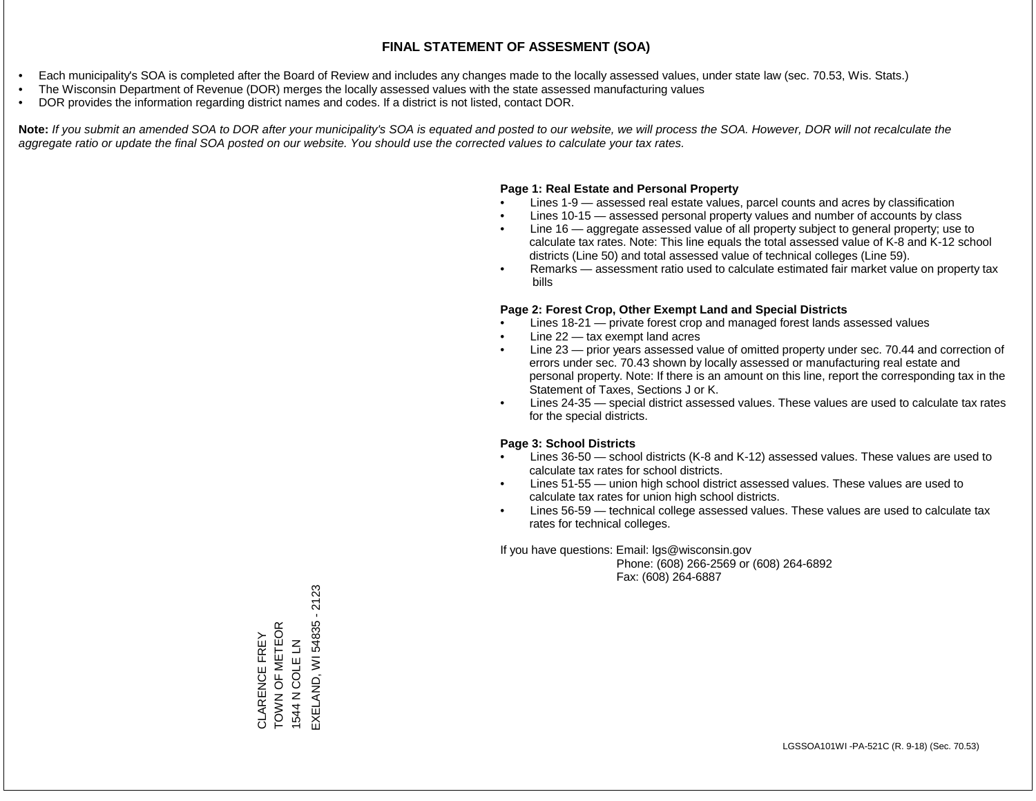- Each municipality's SOA is completed after the Board of Review and includes any changes made to the locally assessed values, under state law (sec. 70.53, Wis. Stats.)
- The Wisconsin Department of Revenue (DOR) merges the locally assessed values with the state assessed manufacturing values
- DOR provides the information regarding district names and codes. If a district is not listed, contact DOR.

Note: If you submit an amended SOA to DOR after your municipality's SOA is equated and posted to our website, we will process the SOA. However, DOR will not recalculate the *aggregate ratio or update the final SOA posted on our website. You should use the corrected values to calculate your tax rates.*

#### **Page 1: Real Estate and Personal Property**

- Lines 1-9 assessed real estate values, parcel counts and acres by classification
- Lines 10-15 assessed personal property values and number of accounts by class
- Line 16 aggregate assessed value of all property subject to general property; use to calculate tax rates. Note: This line equals the total assessed value of K-8 and K-12 school districts (Line 50) and total assessed value of technical colleges (Line 59).
- Remarks assessment ratio used to calculate estimated fair market value on property tax bills

#### **Page 2: Forest Crop, Other Exempt Land and Special Districts**

- Lines 18-21 private forest crop and managed forest lands assessed values
- Line  $22 -$  tax exempt land acres
- Line 23 prior years assessed value of omitted property under sec. 70.44 and correction of errors under sec. 70.43 shown by locally assessed or manufacturing real estate and personal property. Note: If there is an amount on this line, report the corresponding tax in the Statement of Taxes, Sections J or K.
- Lines 24-35 special district assessed values. These values are used to calculate tax rates for the special districts.

#### **Page 3: School Districts**

- Lines 36-50 school districts (K-8 and K-12) assessed values. These values are used to calculate tax rates for school districts.
- Lines 51-55 union high school district assessed values. These values are used to calculate tax rates for union high school districts.
- Lines 56-59 technical college assessed values. These values are used to calculate tax rates for technical colleges.

If you have questions: Email: lgs@wisconsin.gov

 Phone: (608) 266-2569 or (608) 264-6892 Fax: (608) 264-6887

EXELAND, WI 54835 - 2123 EXELAND, WI 54835 - 2123CLARENCE FREY<br>TOWN OF METEOR<br>1544 N COLE LN TOWN OF METEOR CLARENCE FREY 1544 N COLE LN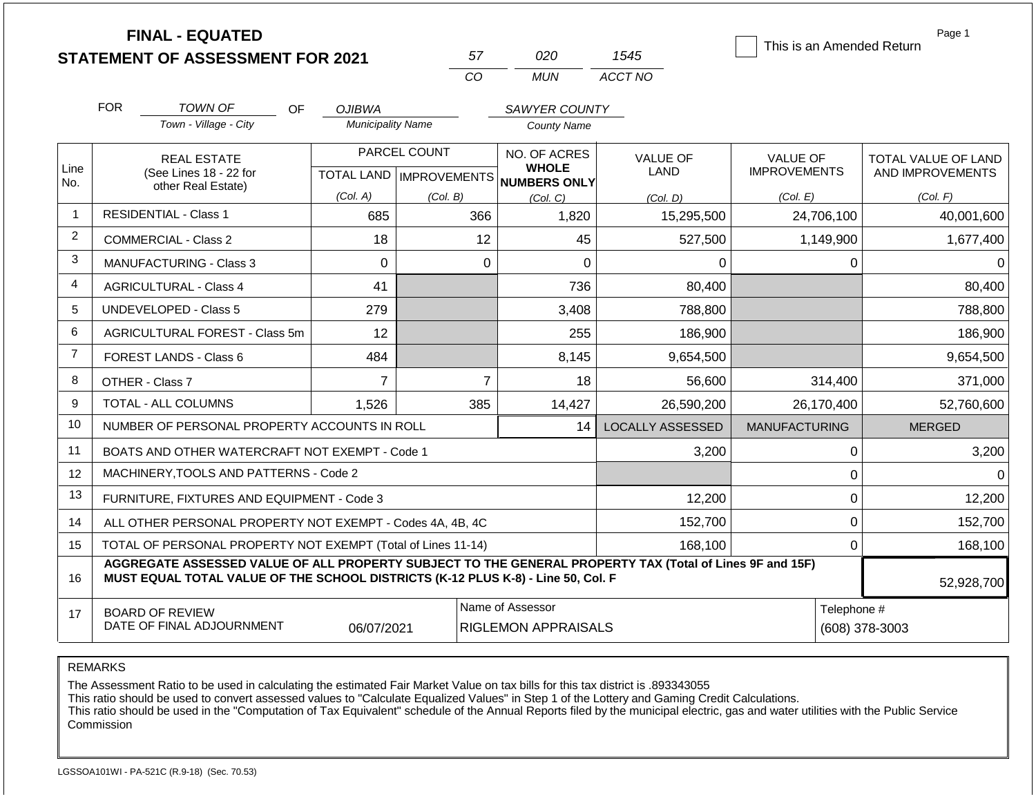|                |                               | <b>FINAL - EQUATED</b>                                                                                                                                                                       |                          |                           |                                                |          | 1545                          |                      |             | Page 1<br>This is an Amended Return |
|----------------|-------------------------------|----------------------------------------------------------------------------------------------------------------------------------------------------------------------------------------------|--------------------------|---------------------------|------------------------------------------------|----------|-------------------------------|----------------------|-------------|-------------------------------------|
|                |                               | <b>STATEMENT OF ASSESSMENT FOR 2021</b>                                                                                                                                                      |                          | 57<br>CO                  | 020<br><b>MUN</b>                              |          | ACCT NO                       |                      |             |                                     |
|                |                               |                                                                                                                                                                                              |                          |                           |                                                |          |                               |                      |             |                                     |
|                | <b>FOR</b>                    | <b>TOWN OF</b><br>OF.                                                                                                                                                                        | <b>OJIBWA</b>            |                           | SAWYER COUNTY                                  |          |                               |                      |             |                                     |
|                |                               | Town - Village - City                                                                                                                                                                        | <b>Municipality Name</b> |                           | <b>County Name</b>                             |          |                               |                      |             |                                     |
|                |                               | <b>REAL ESTATE</b>                                                                                                                                                                           |                          | PARCEL COUNT              | NO. OF ACRES                                   |          | VALUE OF                      | <b>VALUE OF</b>      |             | TOTAL VALUE OF LAND                 |
| Line<br>No.    |                               | (See Lines 18 - 22 for<br>other Real Estate)                                                                                                                                                 |                          | TOTAL LAND   IMPROVEMENTS | <b>WHOLE</b><br><b>NUMBERS ONLY</b>            |          | LAND                          | <b>IMPROVEMENTS</b>  |             | AND IMPROVEMENTS                    |
|                |                               |                                                                                                                                                                                              | (Col. A)                 | (Col. B)                  | (Col, C)                                       |          | (Col. D)                      | (Col. E)             |             | (Col. F)                            |
| $\overline{1}$ | <b>RESIDENTIAL - Class 1</b>  |                                                                                                                                                                                              | 685                      |                           | 366                                            | 1,820    | 15,295,500                    |                      | 24,706,100  | 40,001,600                          |
| 2              | <b>COMMERCIAL - Class 2</b>   |                                                                                                                                                                                              | 18                       |                           | 12                                             | 45       | 527,500                       |                      | 1,149,900   | 1,677,400                           |
| 3              |                               | <b>MANUFACTURING - Class 3</b>                                                                                                                                                               | $\Omega$                 |                           | $\Omega$                                       | $\Omega$ | $\Omega$                      |                      | $\Omega$    | $\Omega$                            |
| $\overline{4}$ | <b>AGRICULTURAL - Class 4</b> |                                                                                                                                                                                              | 41                       |                           |                                                | 736      | 80,400                        |                      |             | 80,400                              |
| 5              | <b>UNDEVELOPED - Class 5</b>  |                                                                                                                                                                                              | 279                      |                           |                                                | 3,408    | 788,800                       |                      |             | 788,800                             |
| 6              |                               | AGRICULTURAL FOREST - Class 5m                                                                                                                                                               | 12                       |                           |                                                | 255      | 186,900                       |                      |             | 186,900                             |
| $\overline{7}$ | FOREST LANDS - Class 6        |                                                                                                                                                                                              | 484                      |                           |                                                | 8,145    | 9,654,500                     |                      |             | 9,654,500                           |
| 8              | OTHER - Class 7               |                                                                                                                                                                                              | $\overline{7}$           |                           | $\overline{7}$                                 | 18       | 56,600                        |                      | 314,400     | 371,000                             |
| 9              | <b>TOTAL - ALL COLUMNS</b>    |                                                                                                                                                                                              | 1,526                    | 385                       |                                                | 14,427   | 26,590,200                    |                      | 26,170,400  | 52,760,600                          |
| 10             |                               | NUMBER OF PERSONAL PROPERTY ACCOUNTS IN ROLL                                                                                                                                                 |                          |                           |                                                | 14       | <b>LOCALLY ASSESSED</b>       | <b>MANUFACTURING</b> |             | <b>MERGED</b>                       |
| 11             |                               | BOATS AND OTHER WATERCRAFT NOT EXEMPT - Code 1                                                                                                                                               |                          |                           |                                                |          | 3,200                         |                      | $\mathbf 0$ | 3,200                               |
| 12             |                               | MACHINERY, TOOLS AND PATTERNS - Code 2                                                                                                                                                       |                          |                           |                                                |          |                               |                      | 0           | $\Omega$                            |
| 13             |                               | FURNITURE, FIXTURES AND EQUIPMENT - Code 3                                                                                                                                                   |                          |                           |                                                |          | 12,200                        |                      | $\mathbf 0$ | 12,200                              |
| 14             |                               | ALL OTHER PERSONAL PROPERTY NOT EXEMPT - Codes 4A, 4B, 4C                                                                                                                                    |                          |                           |                                                |          | 152,700                       |                      | $\mathbf 0$ | 152,700                             |
| 15             |                               | TOTAL OF PERSONAL PROPERTY NOT EXEMPT (Total of Lines 11-14)                                                                                                                                 |                          |                           |                                                |          | 168,100                       |                      | $\mathbf 0$ | 168,100                             |
| 16             |                               | AGGREGATE ASSESSED VALUE OF ALL PROPERTY SUBJECT TO THE GENERAL PROPERTY TAX (Total of Lines 9F and 15F)<br>MUST EQUAL TOTAL VALUE OF THE SCHOOL DISTRICTS (K-12 PLUS K-8) - Line 50, Col. F |                          |                           |                                                |          |                               |                      |             | 52,928,700                          |
| 17             | <b>BOARD OF REVIEW</b>        | DATE OF FINAL ADJOURNMENT                                                                                                                                                                    | 06/07/2021               |                           | Name of Assessor<br><b>RIGLEMON APPRAISALS</b> |          | Telephone #<br>(608) 378-3003 |                      |             |                                     |

The Assessment Ratio to be used in calculating the estimated Fair Market Value on tax bills for this tax district is .893343055

This ratio should be used to convert assessed values to "Calculate Equalized Values" in Step 1 of the Lottery and Gaming Credit Calculations.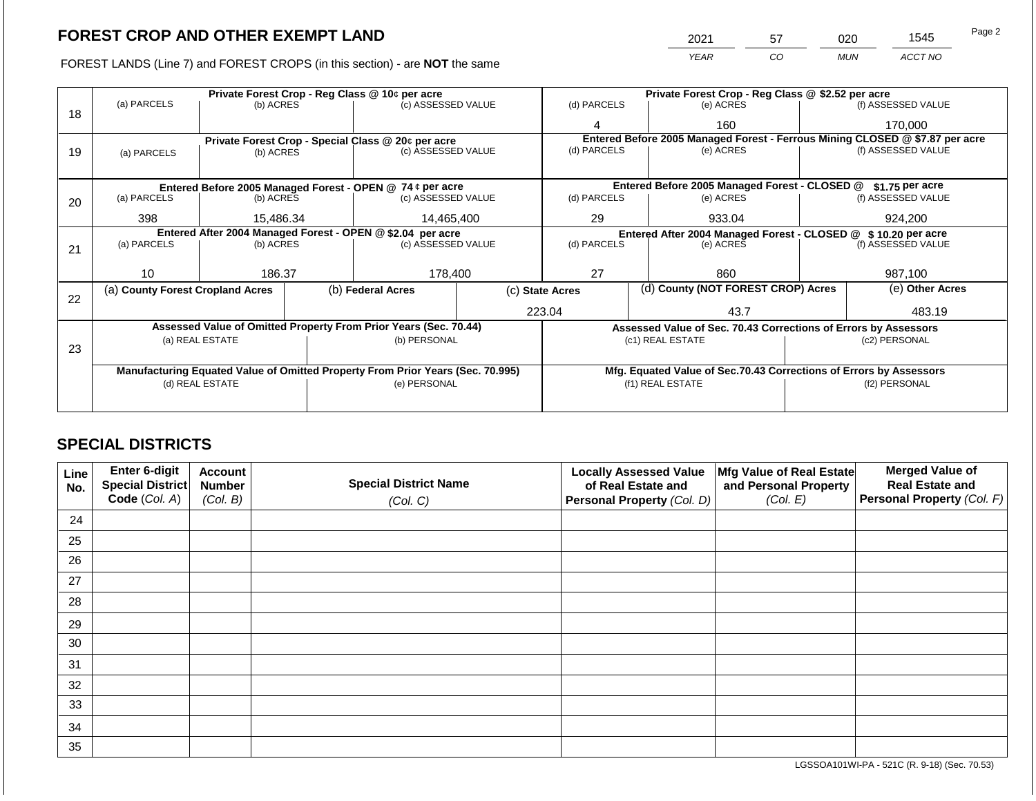FOREST LANDS (Line 7) and FOREST CROPS (in this section) - are **NOT** the same

| 2021 | 57 | 20  | 1545    | Page 2 |
|------|----|-----|---------|--------|
| YFAR | CO | MUN | ACCT NO |        |

|    |                                                            |                                 |  | Private Forest Crop - Reg Class @ 10¢ per acre                                 |           | Private Forest Crop - Reg Class @ \$2.52 per acre             |                                                                              |  |                    |  |
|----|------------------------------------------------------------|---------------------------------|--|--------------------------------------------------------------------------------|-----------|---------------------------------------------------------------|------------------------------------------------------------------------------|--|--------------------|--|
|    | (a) PARCELS                                                | (b) ACRES                       |  | (c) ASSESSED VALUE                                                             |           | (d) PARCELS                                                   | (e) ACRES                                                                    |  | (f) ASSESSED VALUE |  |
| 18 |                                                            |                                 |  |                                                                                |           | 4                                                             | 160                                                                          |  | 170,000            |  |
|    |                                                            |                                 |  | Private Forest Crop - Special Class @ 20¢ per acre                             |           |                                                               | Entered Before 2005 Managed Forest - Ferrous Mining CLOSED @ \$7.87 per acre |  |                    |  |
| 19 | (a) PARCELS                                                | (b) ACRES                       |  | (c) ASSESSED VALUE                                                             |           | (d) PARCELS                                                   | (e) ACRES                                                                    |  | (f) ASSESSED VALUE |  |
|    |                                                            |                                 |  |                                                                                |           |                                                               |                                                                              |  |                    |  |
|    |                                                            |                                 |  | Entered Before 2005 Managed Forest - OPEN @ 74 ¢ per acre                      |           |                                                               | Entered Before 2005 Managed Forest - CLOSED @                                |  | \$1.75 per acre    |  |
| 20 | (a) PARCELS                                                | (b) ACRES<br>(c) ASSESSED VALUE |  | (d) PARCELS                                                                    | (e) ACRES |                                                               | (f) ASSESSED VALUE                                                           |  |                    |  |
|    |                                                            |                                 |  |                                                                                |           |                                                               |                                                                              |  |                    |  |
|    | 398                                                        | 15,486.34                       |  | 14,465,400                                                                     |           | 29                                                            | 933.04                                                                       |  | 924,200            |  |
|    | Entered After 2004 Managed Forest - OPEN @ \$2.04 per acre |                                 |  |                                                                                |           | Entered After 2004 Managed Forest - CLOSED @ \$10.20 per acre |                                                                              |  |                    |  |
| 21 | (a) PARCELS                                                | (b) ACRES                       |  | (c) ASSESSED VALUE                                                             |           | (d) PARCELS                                                   | (e) ACRES                                                                    |  | (f) ASSESSED VALUE |  |
|    |                                                            |                                 |  |                                                                                |           |                                                               |                                                                              |  |                    |  |
|    | 10                                                         | 186.37                          |  | 178,400                                                                        |           | 27                                                            | 860                                                                          |  | 987,100            |  |
|    | (a) County Forest Cropland Acres                           |                                 |  | (b) Federal Acres                                                              |           | (c) State Acres                                               | (d) County (NOT FOREST CROP) Acres                                           |  | (e) Other Acres    |  |
| 22 |                                                            |                                 |  |                                                                                |           |                                                               |                                                                              |  |                    |  |
|    |                                                            |                                 |  |                                                                                |           | 223.04                                                        | 43.7                                                                         |  | 483.19             |  |
|    |                                                            |                                 |  | Assessed Value of Omitted Property From Prior Years (Sec. 70.44)               |           |                                                               | Assessed Value of Sec. 70.43 Corrections of Errors by Assessors              |  |                    |  |
|    |                                                            | (a) REAL ESTATE                 |  | (b) PERSONAL                                                                   |           |                                                               | (c1) REAL ESTATE                                                             |  | (c2) PERSONAL      |  |
| 23 |                                                            |                                 |  |                                                                                |           |                                                               |                                                                              |  |                    |  |
|    |                                                            |                                 |  |                                                                                |           |                                                               |                                                                              |  |                    |  |
|    |                                                            |                                 |  | Manufacturing Equated Value of Omitted Property From Prior Years (Sec. 70.995) |           |                                                               | Mfg. Equated Value of Sec.70.43 Corrections of Errors by Assessors           |  |                    |  |
|    |                                                            | (d) REAL ESTATE                 |  | (e) PERSONAL                                                                   |           |                                                               | (f1) REAL ESTATE                                                             |  | (f2) PERSONAL      |  |
|    |                                                            |                                 |  |                                                                                |           |                                                               |                                                                              |  |                    |  |
|    |                                                            |                                 |  |                                                                                |           |                                                               |                                                                              |  |                    |  |

## **SPECIAL DISTRICTS**

| <b>Line</b><br>No. | Enter 6-digit<br>Special District | <b>Account</b><br><b>Number</b> | <b>Special District Name</b> | <b>Locally Assessed Value</b><br>of Real Estate and | Mfg Value of Real Estate<br>and Personal Property | <b>Merged Value of</b><br><b>Real Estate and</b> |
|--------------------|-----------------------------------|---------------------------------|------------------------------|-----------------------------------------------------|---------------------------------------------------|--------------------------------------------------|
|                    | Code (Col. A)                     | (Col. B)                        | (Col. C)                     | <b>Personal Property (Col. D)</b>                   | (Col. E)                                          | Personal Property (Col. F)                       |
| 24                 |                                   |                                 |                              |                                                     |                                                   |                                                  |
| 25                 |                                   |                                 |                              |                                                     |                                                   |                                                  |
| 26                 |                                   |                                 |                              |                                                     |                                                   |                                                  |
| 27                 |                                   |                                 |                              |                                                     |                                                   |                                                  |
| 28                 |                                   |                                 |                              |                                                     |                                                   |                                                  |
| 29                 |                                   |                                 |                              |                                                     |                                                   |                                                  |
| 30                 |                                   |                                 |                              |                                                     |                                                   |                                                  |
| 31                 |                                   |                                 |                              |                                                     |                                                   |                                                  |
| 32                 |                                   |                                 |                              |                                                     |                                                   |                                                  |
| 33                 |                                   |                                 |                              |                                                     |                                                   |                                                  |
| 34                 |                                   |                                 |                              |                                                     |                                                   |                                                  |
| 35                 |                                   |                                 |                              |                                                     |                                                   |                                                  |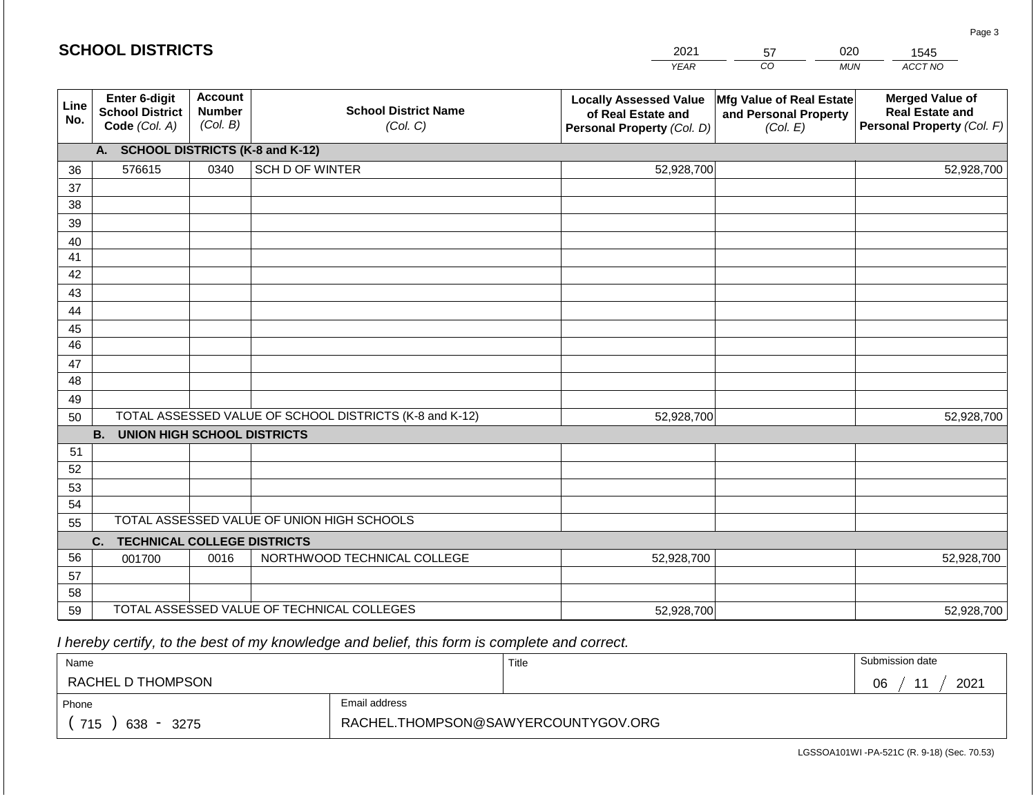|             | <b>SCHOOL DISTRICTS</b>                                  |                                             |                                                         | 2021                                                                              | 020<br>57<br>1545                                             |            |                                                                                |
|-------------|----------------------------------------------------------|---------------------------------------------|---------------------------------------------------------|-----------------------------------------------------------------------------------|---------------------------------------------------------------|------------|--------------------------------------------------------------------------------|
|             |                                                          |                                             |                                                         | <b>YEAR</b>                                                                       | CO                                                            | <b>MUN</b> | ACCT NO                                                                        |
| Line<br>No. | Enter 6-digit<br><b>School District</b><br>Code (Col. A) | <b>Account</b><br><b>Number</b><br>(Col. B) | <b>School District Name</b><br>(Col. C)                 | <b>Locally Assessed Value</b><br>of Real Estate and<br>Personal Property (Col. D) | Mfg Value of Real Estate<br>and Personal Property<br>(Col. E) |            | <b>Merged Value of</b><br><b>Real Estate and</b><br>Personal Property (Col. F) |
|             | A. SCHOOL DISTRICTS (K-8 and K-12)                       |                                             |                                                         |                                                                                   |                                                               |            |                                                                                |
| 36          | 576615                                                   | 0340                                        | <b>SCH D OF WINTER</b>                                  | 52,928,700                                                                        |                                                               |            | 52,928,700                                                                     |
| 37          |                                                          |                                             |                                                         |                                                                                   |                                                               |            |                                                                                |
| 38          |                                                          |                                             |                                                         |                                                                                   |                                                               |            |                                                                                |
| 39          |                                                          |                                             |                                                         |                                                                                   |                                                               |            |                                                                                |
| 40          |                                                          |                                             |                                                         |                                                                                   |                                                               |            |                                                                                |
| 41          |                                                          |                                             |                                                         |                                                                                   |                                                               |            |                                                                                |
| 42          |                                                          |                                             |                                                         |                                                                                   |                                                               |            |                                                                                |
| 43<br>44    |                                                          |                                             |                                                         |                                                                                   |                                                               |            |                                                                                |
| 45          |                                                          |                                             |                                                         |                                                                                   |                                                               |            |                                                                                |
| 46          |                                                          |                                             |                                                         |                                                                                   |                                                               |            |                                                                                |
| 47          |                                                          |                                             |                                                         |                                                                                   |                                                               |            |                                                                                |
| 48          |                                                          |                                             |                                                         |                                                                                   |                                                               |            |                                                                                |
| 49          |                                                          |                                             |                                                         |                                                                                   |                                                               |            |                                                                                |
| 50          |                                                          |                                             | TOTAL ASSESSED VALUE OF SCHOOL DISTRICTS (K-8 and K-12) | 52,928,700                                                                        |                                                               |            | 52,928,700                                                                     |
|             | <b>B. UNION HIGH SCHOOL DISTRICTS</b>                    |                                             |                                                         |                                                                                   |                                                               |            |                                                                                |
| 51          |                                                          |                                             |                                                         |                                                                                   |                                                               |            |                                                                                |
| 52          |                                                          |                                             |                                                         |                                                                                   |                                                               |            |                                                                                |
| 53          |                                                          |                                             |                                                         |                                                                                   |                                                               |            |                                                                                |
| 54          |                                                          |                                             | TOTAL ASSESSED VALUE OF UNION HIGH SCHOOLS              |                                                                                   |                                                               |            |                                                                                |
| 55          |                                                          |                                             |                                                         |                                                                                   |                                                               |            |                                                                                |
| 56          | <b>TECHNICAL COLLEGE DISTRICTS</b><br>C.<br>001700       | 0016                                        | NORTHWOOD TECHNICAL COLLEGE                             | 52,928,700                                                                        |                                                               |            | 52,928,700                                                                     |
| 57          |                                                          |                                             |                                                         |                                                                                   |                                                               |            |                                                                                |
| 58          |                                                          |                                             |                                                         |                                                                                   |                                                               |            |                                                                                |
| 59          |                                                          |                                             | TOTAL ASSESSED VALUE OF TECHNICAL COLLEGES              | 52,928,700                                                                        |                                                               |            | 52,928,700                                                                     |

 *I hereby certify, to the best of my knowledge and belief, this form is complete and correct.*

**SCHOOL DISTRICTS**

| Name                                           |                                     | Title | Submission date |
|------------------------------------------------|-------------------------------------|-------|-----------------|
| RACHEL D THOMPSON                              |                                     |       | 2021<br>06      |
| Email address<br>Phone                         |                                     |       |                 |
| 715<br>638<br>3275<br>$\overline{\phantom{a}}$ | RACHEL.THOMPSON@SAWYERCOUNTYGOV.ORG |       |                 |

LGSSOA101WI -PA-521C (R. 9-18) (Sec. 70.53)

Page 3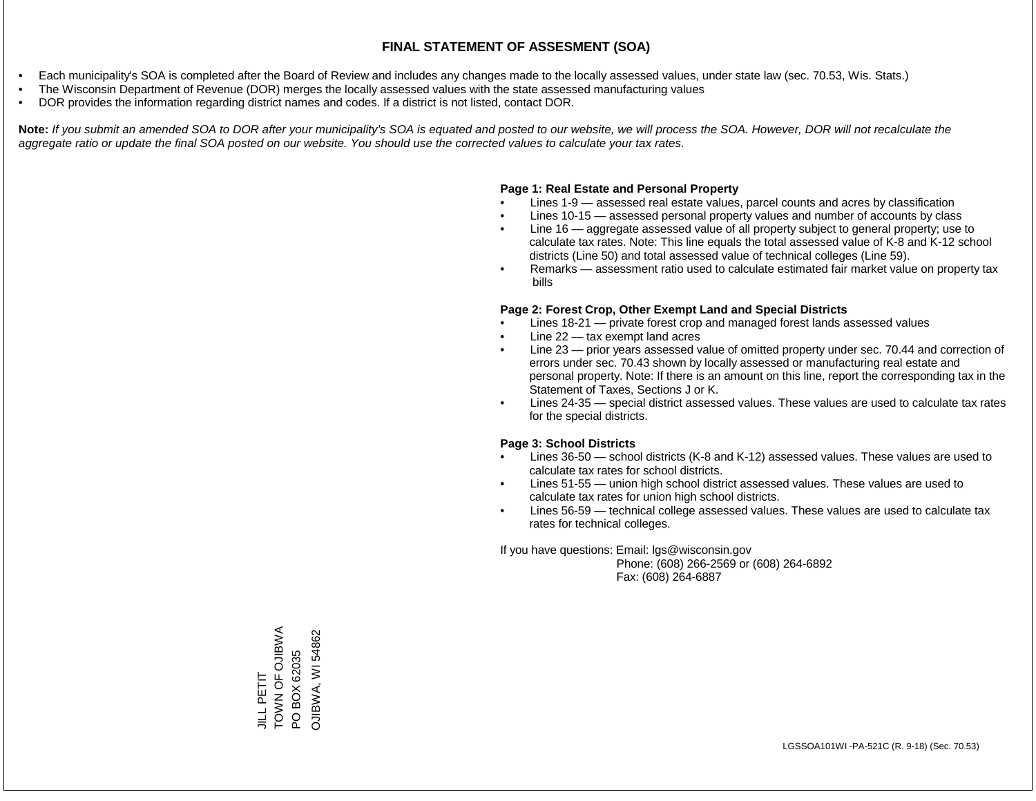- Each municipality's SOA is completed after the Board of Review and includes any changes made to the locally assessed values, under state law (sec. 70.53, Wis. Stats.)
- The Wisconsin Department of Revenue (DOR) merges the locally assessed values with the state assessed manufacturing values
- DOR provides the information regarding district names and codes. If a district is not listed, contact DOR.

Note: If you submit an amended SOA to DOR after your municipality's SOA is equated and posted to our website, we will process the SOA. However, DOR will not recalculate the *aggregate ratio or update the final SOA posted on our website. You should use the corrected values to calculate your tax rates.*

## **Page 1: Real Estate and Personal Property**

- Lines 1-9 assessed real estate values, parcel counts and acres by classification
- Lines 10-15 assessed personal property values and number of accounts by class
- Line 16 aggregate assessed value of all property subject to general property; use to calculate tax rates. Note: This line equals the total assessed value of K-8 and K-12 school districts (Line 50) and total assessed value of technical colleges (Line 59).
- Remarks assessment ratio used to calculate estimated fair market value on property tax bills

## **Page 2: Forest Crop, Other Exempt Land and Special Districts**

- Lines 18-21 private forest crop and managed forest lands assessed values
- Line  $22 -$  tax exempt land acres
- Line 23 prior years assessed value of omitted property under sec. 70.44 and correction of errors under sec. 70.43 shown by locally assessed or manufacturing real estate and personal property. Note: If there is an amount on this line, report the corresponding tax in the Statement of Taxes, Sections J or K.
- Lines 24-35 special district assessed values. These values are used to calculate tax rates for the special districts.

## **Page 3: School Districts**

- Lines 36-50 school districts (K-8 and K-12) assessed values. These values are used to calculate tax rates for school districts.
- Lines 51-55 union high school district assessed values. These values are used to calculate tax rates for union high school districts.
- Lines 56-59 technical college assessed values. These values are used to calculate tax rates for technical colleges.

If you have questions: Email: lgs@wisconsin.gov

 Phone: (608) 266-2569 or (608) 264-6892 Fax: (608) 264-6887

TOWN OF OJIBWA JILL PETIT<br>TOWN OF OJIBWA **OJIBWA, WI 54862** OJIBWA, WI 54862PO BOX 62035 PO BOX 62035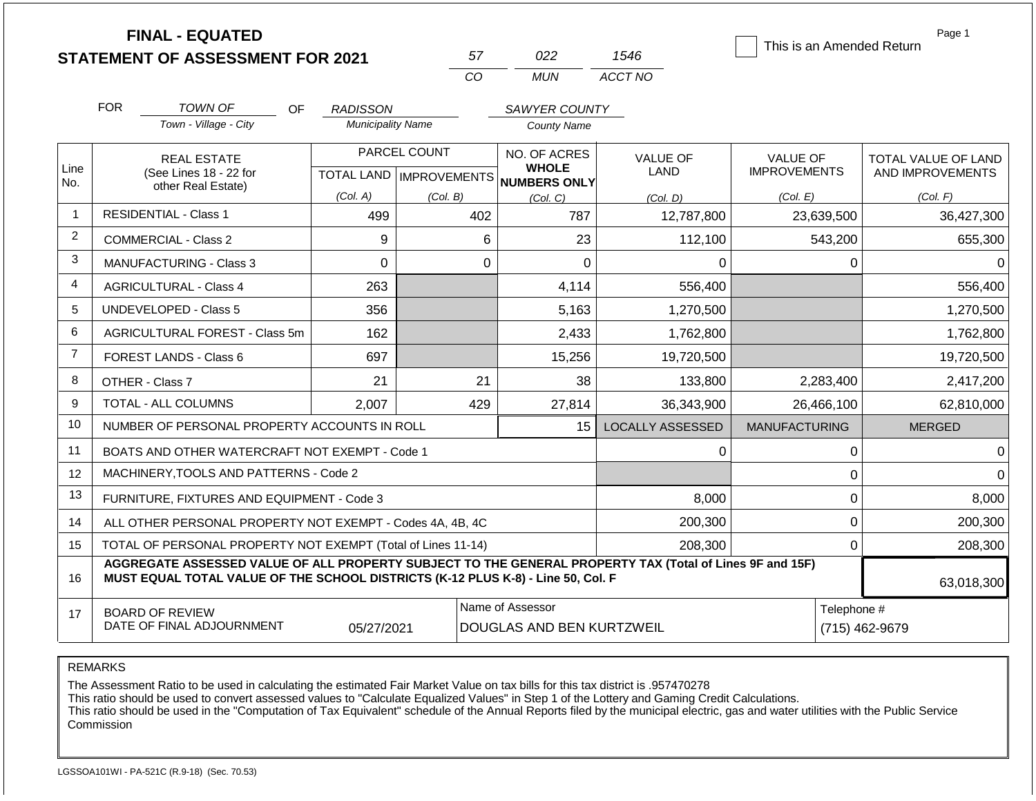|                | <b>FINAL - EQUATED</b>                                                                                                                                                                       |                          |                           |                                               |                               | This is an Amended Return | Page 1              |
|----------------|----------------------------------------------------------------------------------------------------------------------------------------------------------------------------------------------|--------------------------|---------------------------|-----------------------------------------------|-------------------------------|---------------------------|---------------------|
|                | <b>STATEMENT OF ASSESSMENT FOR 2021</b>                                                                                                                                                      |                          | 57                        | 022                                           | 1546                          |                           |                     |
|                |                                                                                                                                                                                              |                          | CO                        | <b>MUN</b>                                    | ACCT NO                       |                           |                     |
|                | <b>FOR</b><br><b>TOWN OF</b><br>OF.                                                                                                                                                          | <b>RADISSON</b>          |                           | SAWYER COUNTY                                 |                               |                           |                     |
|                | Town - Village - City                                                                                                                                                                        | <b>Municipality Name</b> |                           | <b>County Name</b>                            |                               |                           |                     |
|                | <b>REAL ESTATE</b>                                                                                                                                                                           |                          | PARCEL COUNT              | NO. OF ACRES                                  | <b>VALUE OF</b>               | VALUE OF                  | TOTAL VALUE OF LAND |
| Line<br>No.    | (See Lines 18 - 22 for<br>other Real Estate)                                                                                                                                                 |                          | TOTAL LAND   IMPROVEMENTS | <b>WHOLE</b><br>NUMBERS ONLY                  | LAND                          | <b>IMPROVEMENTS</b>       | AND IMPROVEMENTS    |
|                |                                                                                                                                                                                              | (Col. A)                 | (Col. B)                  | (Col, C)                                      | (Col. D)                      | (Col. E)                  | (Col. F)            |
| $\mathbf{1}$   | <b>RESIDENTIAL - Class 1</b>                                                                                                                                                                 | 499                      | 402                       | 787                                           | 12,787,800                    | 23,639,500                | 36,427,300          |
| $\overline{2}$ | <b>COMMERCIAL - Class 2</b>                                                                                                                                                                  | 9                        |                           | 6<br>23                                       | 112,100                       | 543,200                   | 655,300             |
| 3              | <b>MANUFACTURING - Class 3</b>                                                                                                                                                               | $\Omega$                 |                           | $\Omega$<br>$\Omega$                          | $\Omega$                      | $\Omega$                  | $\Omega$            |
| 4              | <b>AGRICULTURAL - Class 4</b>                                                                                                                                                                | 263                      |                           | 4,114                                         | 556,400                       |                           | 556,400             |
| 5              | <b>UNDEVELOPED - Class 5</b>                                                                                                                                                                 | 356                      |                           | 5,163                                         | 1,270,500                     |                           | 1,270,500           |
| 6              | <b>AGRICULTURAL FOREST - Class 5m</b>                                                                                                                                                        | 162                      |                           | 2,433                                         | 1,762,800                     |                           | 1,762,800           |
| $\overline{7}$ | <b>FOREST LANDS - Class 6</b>                                                                                                                                                                | 697                      |                           | 15,256                                        | 19,720,500                    |                           | 19,720,500          |
| 8              | OTHER - Class 7                                                                                                                                                                              | 21                       | 21                        | 38                                            | 133,800                       | 2,283,400                 | 2,417,200           |
| 9              | <b>TOTAL - ALL COLUMNS</b>                                                                                                                                                                   | 2,007                    | 429                       | 27,814                                        | 36,343,900                    | 26,466,100                | 62,810,000          |
| 10             | NUMBER OF PERSONAL PROPERTY ACCOUNTS IN ROLL                                                                                                                                                 |                          |                           | 15                                            | <b>LOCALLY ASSESSED</b>       | <b>MANUFACTURING</b>      | <b>MERGED</b>       |
| 11             | BOATS AND OTHER WATERCRAFT NOT EXEMPT - Code 1                                                                                                                                               |                          |                           |                                               | $\Omega$                      | $\mathbf 0$               | $\Omega$            |
| 12             | MACHINERY, TOOLS AND PATTERNS - Code 2                                                                                                                                                       |                          |                           |                                               |                               | 0                         | $\Omega$            |
| 13             | FURNITURE, FIXTURES AND EQUIPMENT - Code 3                                                                                                                                                   |                          |                           |                                               | 8,000                         | 0                         | 8,000               |
| 14             | ALL OTHER PERSONAL PROPERTY NOT EXEMPT - Codes 4A, 4B, 4C                                                                                                                                    |                          |                           |                                               | 200,300                       | $\mathbf 0$               | 200,300             |
| 15             | TOTAL OF PERSONAL PROPERTY NOT EXEMPT (Total of Lines 11-14)                                                                                                                                 |                          |                           |                                               | 208,300                       | 0                         | 208,300             |
| 16             | AGGREGATE ASSESSED VALUE OF ALL PROPERTY SUBJECT TO THE GENERAL PROPERTY TAX (Total of Lines 9F and 15F)<br>MUST EQUAL TOTAL VALUE OF THE SCHOOL DISTRICTS (K-12 PLUS K-8) - Line 50, Col. F |                          |                           |                                               |                               |                           | 63,018,300          |
| 17             | <b>BOARD OF REVIEW</b><br>DATE OF FINAL ADJOURNMENT                                                                                                                                          | 05/27/2021               |                           | Name of Assessor<br>DOUGLAS AND BEN KURTZWEIL | Telephone #<br>(715) 462-9679 |                           |                     |

The Assessment Ratio to be used in calculating the estimated Fair Market Value on tax bills for this tax district is .957470278

This ratio should be used to convert assessed values to "Calculate Equalized Values" in Step 1 of the Lottery and Gaming Credit Calculations.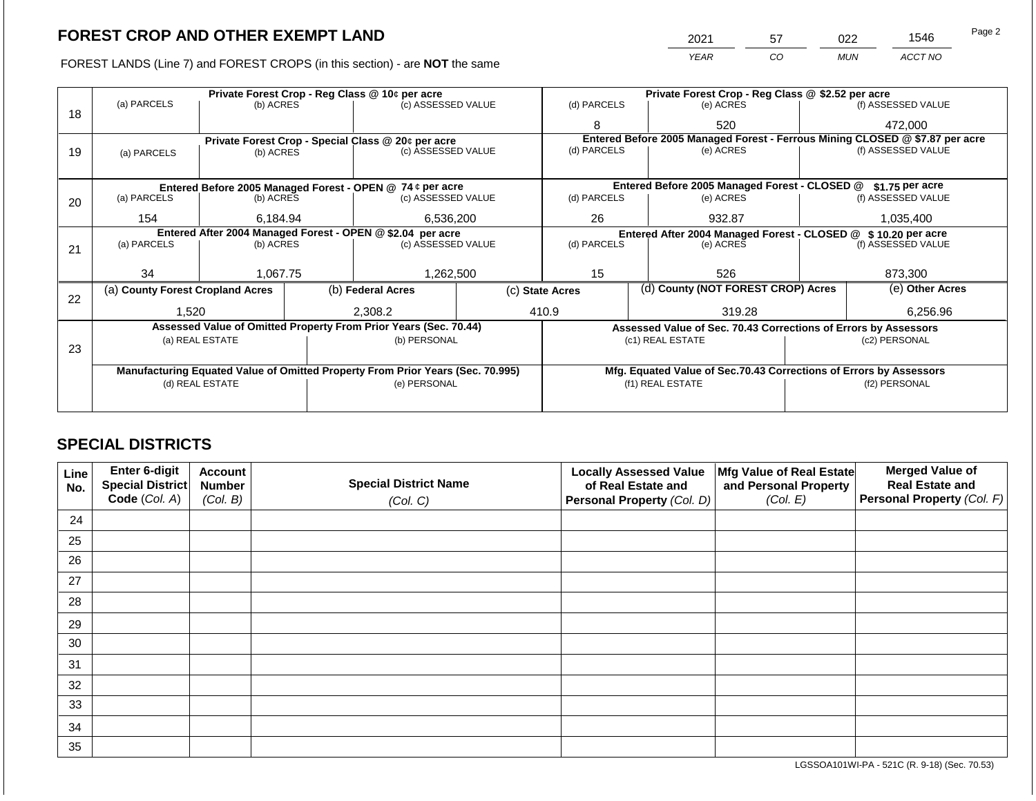FOREST LANDS (Line 7) and FOREST CROPS (in this section) - are **NOT** the same

| າດາາ | 57  | าวว        | 1546    | Page 2 |
|------|-----|------------|---------|--------|
| YFAR | 20. | <b>MUN</b> | ACCT NO |        |

|    |                                                            |                              |           | Private Forest Crop - Reg Class @ 10¢ per acre                                 |  |                                                                   | Private Forest Crop - Reg Class @ \$2.52 per acre                            |  |                    |  |
|----|------------------------------------------------------------|------------------------------|-----------|--------------------------------------------------------------------------------|--|-------------------------------------------------------------------|------------------------------------------------------------------------------|--|--------------------|--|
|    | (a) PARCELS                                                | (b) ACRES                    |           | (c) ASSESSED VALUE                                                             |  | (d) PARCELS                                                       | (e) ACRES                                                                    |  | (f) ASSESSED VALUE |  |
| 18 |                                                            |                              |           |                                                                                |  | 8                                                                 | 520                                                                          |  | 472,000            |  |
|    |                                                            |                              |           | Private Forest Crop - Special Class @ 20¢ per acre                             |  |                                                                   | Entered Before 2005 Managed Forest - Ferrous Mining CLOSED @ \$7.87 per acre |  |                    |  |
| 19 | (a) PARCELS                                                | (b) ACRES                    |           | (c) ASSESSED VALUE                                                             |  | (d) PARCELS                                                       | (e) ACRES                                                                    |  | (f) ASSESSED VALUE |  |
|    |                                                            |                              |           |                                                                                |  |                                                                   |                                                                              |  |                    |  |
|    |                                                            |                              |           | Entered Before 2005 Managed Forest - OPEN @ 74 ¢ per acre                      |  | Entered Before 2005 Managed Forest - CLOSED @<br>$$1.75$ per acre |                                                                              |  |                    |  |
| 20 | (a) PARCELS                                                |                              | (b) ACRES | (c) ASSESSED VALUE                                                             |  | (d) PARCELS                                                       | (e) ACRES                                                                    |  | (f) ASSESSED VALUE |  |
|    |                                                            |                              |           |                                                                                |  |                                                                   |                                                                              |  |                    |  |
|    |                                                            | 6,536,200<br>154<br>6,184.94 |           | 26<br>932.87                                                                   |  |                                                                   | 1,035,400                                                                    |  |                    |  |
|    | Entered After 2004 Managed Forest - OPEN @ \$2.04 per acre |                              |           |                                                                                |  | Entered After 2004 Managed Forest - CLOSED @ \$10.20 per acre     |                                                                              |  |                    |  |
| 21 | (a) PARCELS                                                | (b) ACRES                    |           | (c) ASSESSED VALUE                                                             |  | (d) PARCELS                                                       | (e) ACRES                                                                    |  | (f) ASSESSED VALUE |  |
|    |                                                            |                              |           |                                                                                |  |                                                                   |                                                                              |  |                    |  |
|    | 34                                                         | 1.067.75                     |           | 1,262,500                                                                      |  | 15                                                                | 526                                                                          |  | 873.300            |  |
|    | (a) County Forest Cropland Acres                           |                              |           | (b) Federal Acres                                                              |  | (d) County (NOT FOREST CROP) Acres<br>(c) State Acres             |                                                                              |  | (e) Other Acres    |  |
| 22 |                                                            |                              |           |                                                                                |  |                                                                   |                                                                              |  |                    |  |
|    | 1,520                                                      |                              |           | 2,308.2                                                                        |  | 410.9                                                             | 319.28                                                                       |  | 6,256.96           |  |
|    |                                                            |                              |           | Assessed Value of Omitted Property From Prior Years (Sec. 70.44)               |  |                                                                   | Assessed Value of Sec. 70.43 Corrections of Errors by Assessors              |  |                    |  |
|    |                                                            | (a) REAL ESTATE              |           | (b) PERSONAL                                                                   |  |                                                                   | (c1) REAL ESTATE                                                             |  | (c2) PERSONAL      |  |
| 23 |                                                            |                              |           |                                                                                |  |                                                                   |                                                                              |  |                    |  |
|    |                                                            |                              |           |                                                                                |  |                                                                   |                                                                              |  |                    |  |
|    |                                                            |                              |           | Manufacturing Equated Value of Omitted Property From Prior Years (Sec. 70.995) |  |                                                                   | Mfg. Equated Value of Sec.70.43 Corrections of Errors by Assessors           |  |                    |  |
|    |                                                            | (d) REAL ESTATE              |           | (e) PERSONAL                                                                   |  |                                                                   | (f1) REAL ESTATE                                                             |  | (f2) PERSONAL      |  |
|    |                                                            |                              |           |                                                                                |  |                                                                   |                                                                              |  |                    |  |
|    |                                                            |                              |           |                                                                                |  |                                                                   |                                                                              |  |                    |  |

## **SPECIAL DISTRICTS**

| Line<br>No. | Enter 6-digit<br>Special District<br>Code (Col. A) | <b>Account</b><br><b>Number</b><br>(Col. B) | <b>Special District Name</b><br>(Col. C) | <b>Locally Assessed Value</b><br>of Real Estate and<br>Personal Property (Col. D) | Mfg Value of Real Estate<br>and Personal Property<br>(Col. E) | <b>Merged Value of</b><br><b>Real Estate and</b><br>Personal Property (Col. F) |
|-------------|----------------------------------------------------|---------------------------------------------|------------------------------------------|-----------------------------------------------------------------------------------|---------------------------------------------------------------|--------------------------------------------------------------------------------|
| 24          |                                                    |                                             |                                          |                                                                                   |                                                               |                                                                                |
| 25          |                                                    |                                             |                                          |                                                                                   |                                                               |                                                                                |
| 26          |                                                    |                                             |                                          |                                                                                   |                                                               |                                                                                |
| 27          |                                                    |                                             |                                          |                                                                                   |                                                               |                                                                                |
| 28          |                                                    |                                             |                                          |                                                                                   |                                                               |                                                                                |
| 29          |                                                    |                                             |                                          |                                                                                   |                                                               |                                                                                |
| 30          |                                                    |                                             |                                          |                                                                                   |                                                               |                                                                                |
| 31          |                                                    |                                             |                                          |                                                                                   |                                                               |                                                                                |
| 32          |                                                    |                                             |                                          |                                                                                   |                                                               |                                                                                |
| 33          |                                                    |                                             |                                          |                                                                                   |                                                               |                                                                                |
| 34          |                                                    |                                             |                                          |                                                                                   |                                                               |                                                                                |
| 35          |                                                    |                                             |                                          |                                                                                   |                                                               |                                                                                |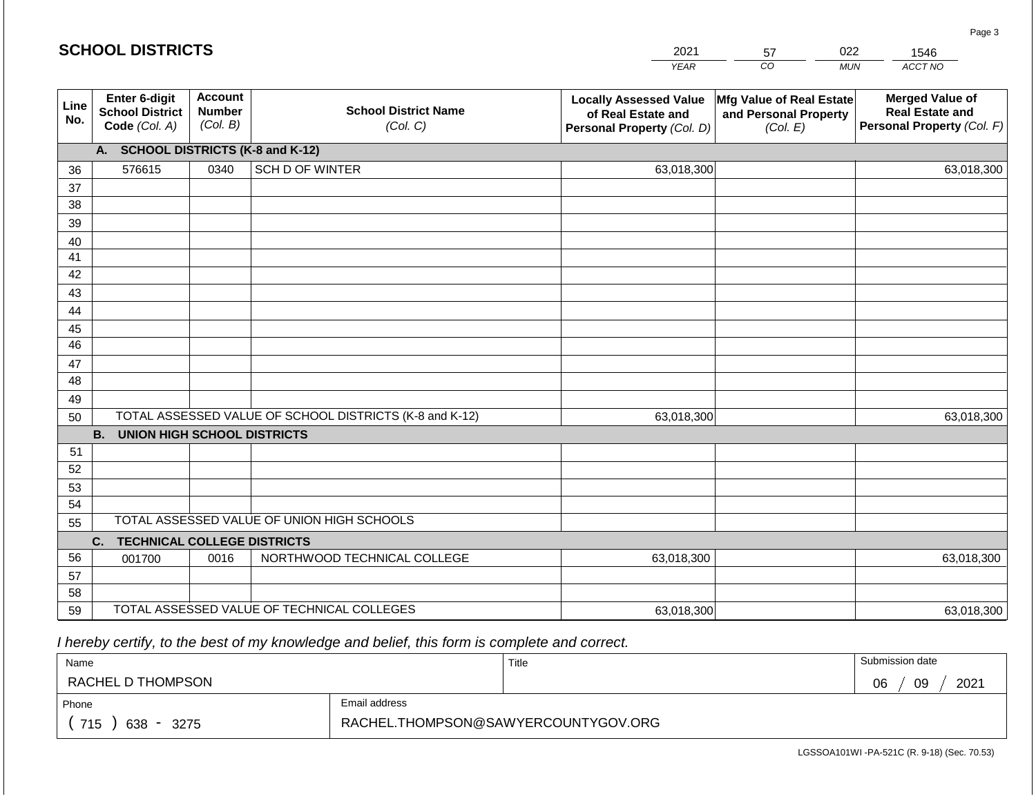|             | <b>SCHOOL DISTRICTS</b>                                  |                                             |                                                         | 2021                                                                              | 57                                                            | 022        | 1546                                                                           |
|-------------|----------------------------------------------------------|---------------------------------------------|---------------------------------------------------------|-----------------------------------------------------------------------------------|---------------------------------------------------------------|------------|--------------------------------------------------------------------------------|
|             |                                                          |                                             |                                                         | <b>YEAR</b>                                                                       | CO <sub>.</sub>                                               | <b>MUN</b> | ACCT NO                                                                        |
| Line<br>No. | Enter 6-digit<br><b>School District</b><br>Code (Col. A) | <b>Account</b><br><b>Number</b><br>(Col. B) | <b>School District Name</b><br>(Col. C)                 | <b>Locally Assessed Value</b><br>of Real Estate and<br>Personal Property (Col. D) | Mfg Value of Real Estate<br>and Personal Property<br>(Col. E) |            | <b>Merged Value of</b><br><b>Real Estate and</b><br>Personal Property (Col. F) |
|             | A. SCHOOL DISTRICTS (K-8 and K-12)                       |                                             |                                                         |                                                                                   |                                                               |            |                                                                                |
| 36          | 576615                                                   | 0340                                        | SCH D OF WINTER                                         | 63,018,300                                                                        |                                                               |            | 63,018,300                                                                     |
| 37          |                                                          |                                             |                                                         |                                                                                   |                                                               |            |                                                                                |
| 38          |                                                          |                                             |                                                         |                                                                                   |                                                               |            |                                                                                |
| 39          |                                                          |                                             |                                                         |                                                                                   |                                                               |            |                                                                                |
| 40          |                                                          |                                             |                                                         |                                                                                   |                                                               |            |                                                                                |
| 41          |                                                          |                                             |                                                         |                                                                                   |                                                               |            |                                                                                |
| 42<br>43    |                                                          |                                             |                                                         |                                                                                   |                                                               |            |                                                                                |
| 44          |                                                          |                                             |                                                         |                                                                                   |                                                               |            |                                                                                |
| 45          |                                                          |                                             |                                                         |                                                                                   |                                                               |            |                                                                                |
| 46          |                                                          |                                             |                                                         |                                                                                   |                                                               |            |                                                                                |
| 47          |                                                          |                                             |                                                         |                                                                                   |                                                               |            |                                                                                |
| 48          |                                                          |                                             |                                                         |                                                                                   |                                                               |            |                                                                                |
| 49          |                                                          |                                             |                                                         |                                                                                   |                                                               |            |                                                                                |
| 50          |                                                          |                                             | TOTAL ASSESSED VALUE OF SCHOOL DISTRICTS (K-8 and K-12) | 63,018,300                                                                        |                                                               |            | 63,018,300                                                                     |
|             | <b>B. UNION HIGH SCHOOL DISTRICTS</b>                    |                                             |                                                         |                                                                                   |                                                               |            |                                                                                |
| 51          |                                                          |                                             |                                                         |                                                                                   |                                                               |            |                                                                                |
| 52          |                                                          |                                             |                                                         |                                                                                   |                                                               |            |                                                                                |
| 53          |                                                          |                                             |                                                         |                                                                                   |                                                               |            |                                                                                |
| 54          |                                                          |                                             | TOTAL ASSESSED VALUE OF UNION HIGH SCHOOLS              |                                                                                   |                                                               |            |                                                                                |
| 55          |                                                          |                                             |                                                         |                                                                                   |                                                               |            |                                                                                |
| 56          | <b>TECHNICAL COLLEGE DISTRICTS</b><br>C.                 |                                             |                                                         |                                                                                   |                                                               |            |                                                                                |
| 57          | 001700                                                   | 0016                                        | NORTHWOOD TECHNICAL COLLEGE                             | 63,018,300                                                                        |                                                               |            | 63,018,300                                                                     |
| 58          |                                                          |                                             |                                                         |                                                                                   |                                                               |            |                                                                                |
| 59          |                                                          |                                             | TOTAL ASSESSED VALUE OF TECHNICAL COLLEGES              | 63,018,300                                                                        |                                                               |            | 63,018,300                                                                     |

 *I hereby certify, to the best of my knowledge and belief, this form is complete and correct.*

| Name                                           |                                     | Title | Submission date  |
|------------------------------------------------|-------------------------------------|-------|------------------|
| RACHEL D THOMPSON                              |                                     |       | 2021<br>09<br>06 |
| Email address<br>Phone                         |                                     |       |                  |
| 715<br>638<br>3275<br>$\overline{\phantom{0}}$ | RACHEL.THOMPSON@SAWYERCOUNTYGOV.ORG |       |                  |

LGSSOA101WI -PA-521C (R. 9-18) (Sec. 70.53)

Page 3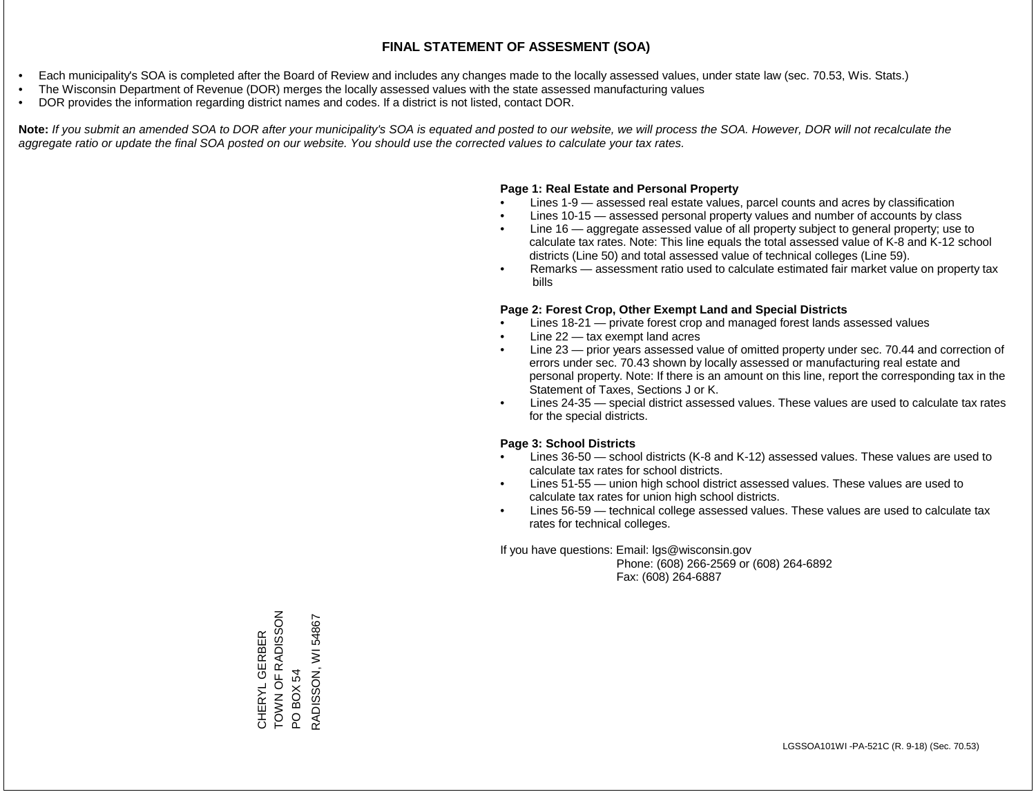- Each municipality's SOA is completed after the Board of Review and includes any changes made to the locally assessed values, under state law (sec. 70.53, Wis. Stats.)
- The Wisconsin Department of Revenue (DOR) merges the locally assessed values with the state assessed manufacturing values
- DOR provides the information regarding district names and codes. If a district is not listed, contact DOR.

Note: If you submit an amended SOA to DOR after your municipality's SOA is equated and posted to our website, we will process the SOA. However, DOR will not recalculate the *aggregate ratio or update the final SOA posted on our website. You should use the corrected values to calculate your tax rates.*

#### **Page 1: Real Estate and Personal Property**

- Lines 1-9 assessed real estate values, parcel counts and acres by classification
- Lines 10-15 assessed personal property values and number of accounts by class
- Line 16 aggregate assessed value of all property subject to general property; use to calculate tax rates. Note: This line equals the total assessed value of K-8 and K-12 school districts (Line 50) and total assessed value of technical colleges (Line 59).
- Remarks assessment ratio used to calculate estimated fair market value on property tax bills

#### **Page 2: Forest Crop, Other Exempt Land and Special Districts**

- Lines 18-21 private forest crop and managed forest lands assessed values
- Line  $22 -$  tax exempt land acres
- Line 23 prior years assessed value of omitted property under sec. 70.44 and correction of errors under sec. 70.43 shown by locally assessed or manufacturing real estate and personal property. Note: If there is an amount on this line, report the corresponding tax in the Statement of Taxes, Sections J or K.
- Lines 24-35 special district assessed values. These values are used to calculate tax rates for the special districts.

#### **Page 3: School Districts**

- Lines 36-50 school districts (K-8 and K-12) assessed values. These values are used to calculate tax rates for school districts.
- Lines 51-55 union high school district assessed values. These values are used to calculate tax rates for union high school districts.
- Lines 56-59 technical college assessed values. These values are used to calculate tax rates for technical colleges.

If you have questions: Email: lgs@wisconsin.gov

 Phone: (608) 266-2569 or (608) 264-6892 Fax: (608) 264-6887

CHERYL GERBER TOWN OF RADISSON CHERYL GERBER<br>TOWN OF RADISSON<br>PO BOX 54<br>RADISSON, WI 54867 RADISSON, WI 54867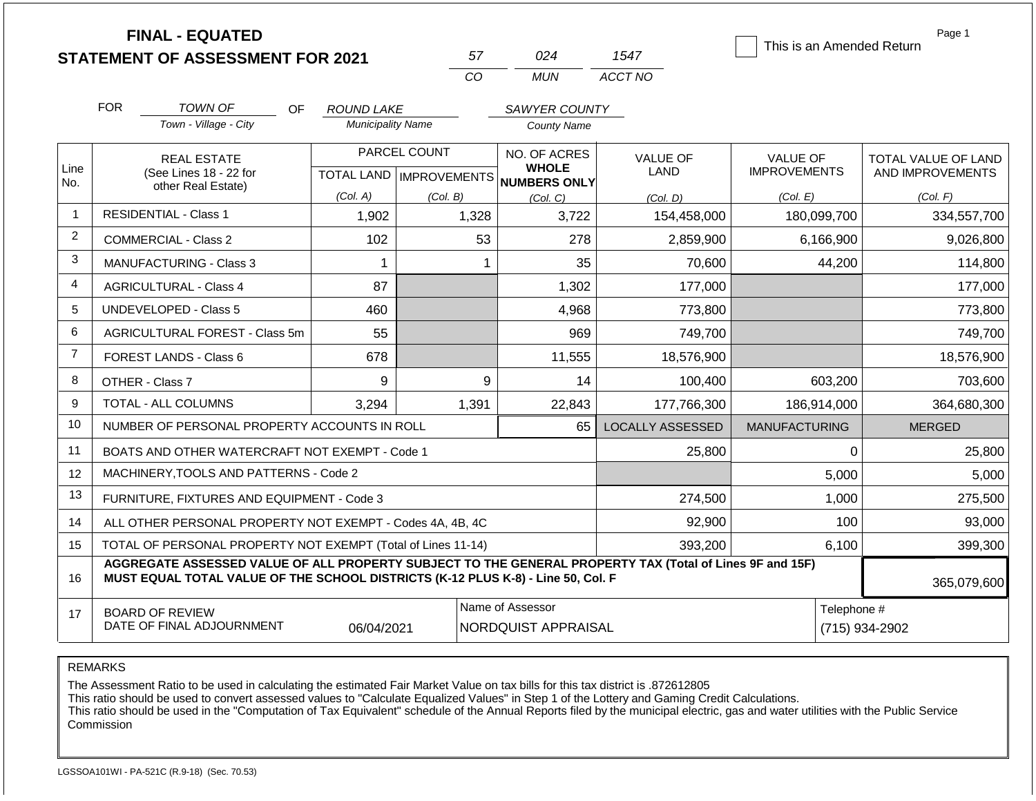|                |                                                                                                                                                                                              | <b>FINAL - EQUATED</b><br><b>STATEMENT OF ASSESSMENT FOR 2021</b> |                                               | 57                                        | 024                                                 |                    | 1547                    | This is an Amended Return              | Page 1                                  |  |
|----------------|----------------------------------------------------------------------------------------------------------------------------------------------------------------------------------------------|-------------------------------------------------------------------|-----------------------------------------------|-------------------------------------------|-----------------------------------------------------|--------------------|-------------------------|----------------------------------------|-----------------------------------------|--|
|                |                                                                                                                                                                                              |                                                                   |                                               | CO                                        | <b>MUN</b>                                          |                    | ACCT NO                 |                                        |                                         |  |
|                | <b>FOR</b>                                                                                                                                                                                   | <b>TOWN OF</b><br>OF.                                             |                                               |                                           |                                                     |                    |                         |                                        |                                         |  |
|                |                                                                                                                                                                                              | Town - Village - City                                             | <b>ROUND LAKE</b><br><b>Municipality Name</b> |                                           | SAWYER COUNTY                                       | <b>County Name</b> |                         |                                        |                                         |  |
| Line<br>No.    |                                                                                                                                                                                              | <b>REAL ESTATE</b><br>(See Lines 18 - 22 for                      |                                               | PARCEL COUNT<br>TOTAL LAND   IMPROVEMENTS | NO. OF ACRES<br><b>WHOLE</b><br><b>NUMBERS ONLY</b> |                    | <b>VALUE OF</b><br>LAND | <b>VALUE OF</b><br><b>IMPROVEMENTS</b> | TOTAL VALUE OF LAND<br>AND IMPROVEMENTS |  |
|                |                                                                                                                                                                                              | other Real Estate)                                                | (Col. A)                                      | (Col. B)                                  | (Col, C)                                            |                    | (Col. D)                | (Col. E)                               | (Col. F)                                |  |
| $\mathbf{1}$   |                                                                                                                                                                                              | <b>RESIDENTIAL - Class 1</b>                                      | 1,902                                         | 1,328                                     |                                                     | 3,722              | 154,458,000             | 180,099,700                            | 334,557,700                             |  |
| $\overline{2}$ |                                                                                                                                                                                              | <b>COMMERCIAL - Class 2</b>                                       | 102                                           |                                           | 53                                                  | 278                | 2,859,900               | 6,166,900                              | 9,026,800                               |  |
| 3              |                                                                                                                                                                                              | <b>MANUFACTURING - Class 3</b>                                    | 1                                             |                                           | 1                                                   | 35                 | 70,600                  | 44,200                                 | 114,800                                 |  |
| 4              |                                                                                                                                                                                              | <b>AGRICULTURAL - Class 4</b>                                     | 87                                            |                                           |                                                     | 1,302              | 177,000                 |                                        | 177,000                                 |  |
| 5              |                                                                                                                                                                                              | UNDEVELOPED - Class 5                                             | 460                                           |                                           |                                                     | 4,968              | 773,800                 |                                        | 773,800                                 |  |
| 6              |                                                                                                                                                                                              | AGRICULTURAL FOREST - Class 5m                                    | 55                                            |                                           |                                                     | 969                | 749,700                 |                                        | 749,700                                 |  |
| $\overline{7}$ |                                                                                                                                                                                              | <b>FOREST LANDS - Class 6</b>                                     | 678                                           |                                           |                                                     | 11,555             | 18,576,900              |                                        | 18,576,900                              |  |
| 8              |                                                                                                                                                                                              | OTHER - Class 7                                                   | 9                                             |                                           | 9                                                   | 14                 | 100,400                 | 603,200                                | 703,600                                 |  |
| 9              |                                                                                                                                                                                              | <b>TOTAL - ALL COLUMNS</b>                                        | 3.294                                         | 1,391                                     |                                                     | 22,843             | 177,766,300             | 186,914,000                            | 364,680,300                             |  |
| 10             |                                                                                                                                                                                              | NUMBER OF PERSONAL PROPERTY ACCOUNTS IN ROLL                      |                                               |                                           |                                                     | 65                 | <b>LOCALLY ASSESSED</b> | <b>MANUFACTURING</b>                   | <b>MERGED</b>                           |  |
| 11             |                                                                                                                                                                                              | BOATS AND OTHER WATERCRAFT NOT EXEMPT - Code 1                    |                                               |                                           |                                                     |                    | 25,800                  |                                        | $\Omega$<br>25,800                      |  |
| 12             |                                                                                                                                                                                              | MACHINERY, TOOLS AND PATTERNS - Code 2                            |                                               |                                           |                                                     |                    |                         | 5,000                                  | 5,000                                   |  |
| 13             |                                                                                                                                                                                              | FURNITURE, FIXTURES AND EQUIPMENT - Code 3                        |                                               |                                           |                                                     |                    | 274,500                 | 1,000                                  | 275,500                                 |  |
| 14             |                                                                                                                                                                                              | ALL OTHER PERSONAL PROPERTY NOT EXEMPT - Codes 4A, 4B, 4C         |                                               |                                           |                                                     |                    | 92,900                  | 100                                    | 93,000                                  |  |
| 15             | TOTAL OF PERSONAL PROPERTY NOT EXEMPT (Total of Lines 11-14)                                                                                                                                 |                                                                   |                                               |                                           |                                                     |                    | 393,200                 | 6,100                                  | 399,300                                 |  |
| 16             | AGGREGATE ASSESSED VALUE OF ALL PROPERTY SUBJECT TO THE GENERAL PROPERTY TAX (Total of Lines 9F and 15F)<br>MUST EQUAL TOTAL VALUE OF THE SCHOOL DISTRICTS (K-12 PLUS K-8) - Line 50, Col. F |                                                                   |                                               |                                           |                                                     |                    |                         |                                        | 365,079,600                             |  |
| 17             | <b>BOARD OF REVIEW</b><br>DATE OF FINAL ADJOURNMENT<br>06/04/2021                                                                                                                            |                                                                   |                                               |                                           | Name of Assessor<br><b>NORDQUIST APPRAISAL</b>      |                    |                         |                                        | Telephone #<br>(715) 934-2902           |  |

The Assessment Ratio to be used in calculating the estimated Fair Market Value on tax bills for this tax district is .872612805

This ratio should be used to convert assessed values to "Calculate Equalized Values" in Step 1 of the Lottery and Gaming Credit Calculations.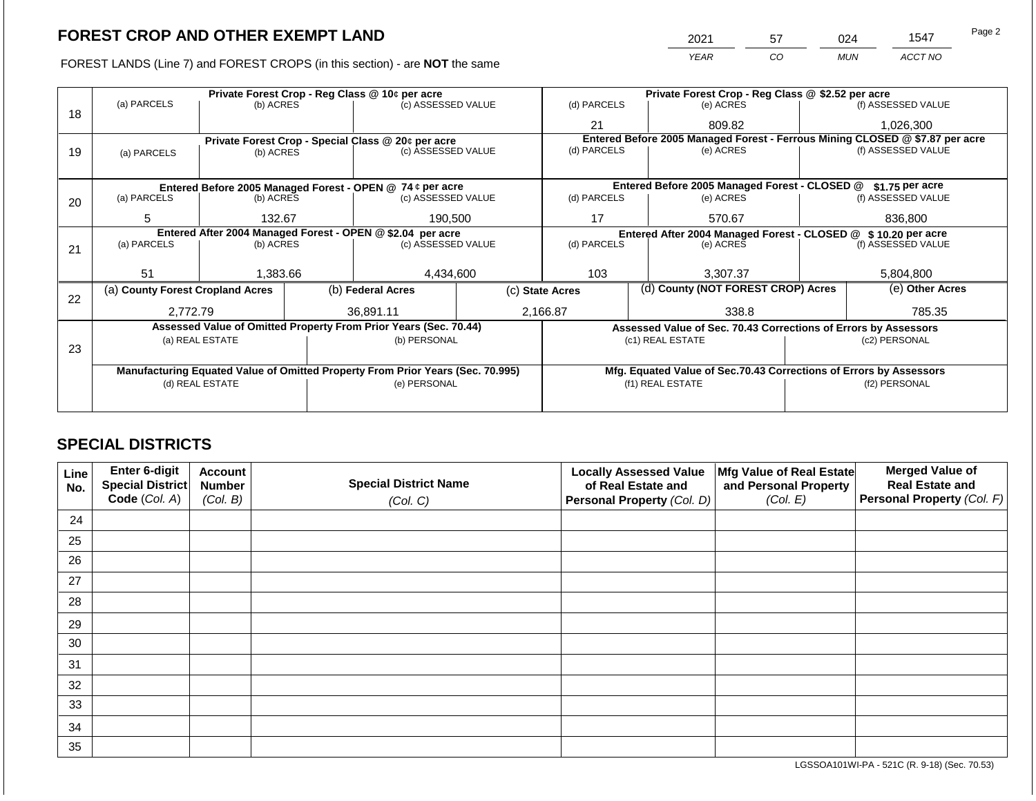FOREST LANDS (Line 7) and FOREST CROPS (in this section) - are **NOT** the same

| 2021 | 57 | ገ24        | 1547    | Page 2 |
|------|----|------------|---------|--------|
| YEAR | CO | <b>MUN</b> | ACCT NO |        |

|    | Private Forest Crop - Reg Class @ 10¢ per acre                                 |                                                            |              |                                                                  |  | Private Forest Crop - Reg Class @ \$2.52 per acre                            |                                                                    |               |                    |  |
|----|--------------------------------------------------------------------------------|------------------------------------------------------------|--------------|------------------------------------------------------------------|--|------------------------------------------------------------------------------|--------------------------------------------------------------------|---------------|--------------------|--|
| 18 | (a) PARCELS                                                                    | (b) ACRES                                                  |              | (c) ASSESSED VALUE                                               |  | (d) PARCELS                                                                  | (e) ACRES                                                          |               | (f) ASSESSED VALUE |  |
|    |                                                                                |                                                            |              |                                                                  |  | 21                                                                           | 809.82                                                             |               | 1,026,300          |  |
|    |                                                                                |                                                            |              | Private Forest Crop - Special Class @ 20¢ per acre               |  | Entered Before 2005 Managed Forest - Ferrous Mining CLOSED @ \$7.87 per acre |                                                                    |               |                    |  |
| 19 | (a) PARCELS                                                                    | (b) ACRES                                                  |              | (c) ASSESSED VALUE                                               |  | (d) PARCELS                                                                  | (e) ACRES                                                          |               | (f) ASSESSED VALUE |  |
|    |                                                                                |                                                            |              |                                                                  |  |                                                                              |                                                                    |               |                    |  |
|    |                                                                                |                                                            |              | Entered Before 2005 Managed Forest - OPEN @ 74 ¢ per acre        |  |                                                                              | Entered Before 2005 Managed Forest - CLOSED @                      |               | \$1.75 per acre    |  |
| 20 | (a) PARCELS                                                                    | (b) ACRES                                                  |              | (c) ASSESSED VALUE                                               |  | (d) PARCELS                                                                  | (e) ACRES                                                          |               | (f) ASSESSED VALUE |  |
|    |                                                                                |                                                            |              |                                                                  |  |                                                                              |                                                                    |               |                    |  |
|    | 5                                                                              | 132.67                                                     |              | 190,500                                                          |  | 17<br>570.67                                                                 |                                                                    |               | 836,800            |  |
|    |                                                                                | Entered After 2004 Managed Forest - OPEN @ \$2.04 per acre |              |                                                                  |  |                                                                              | Entered After 2004 Managed Forest - CLOSED @ \$10.20 per acre      |               |                    |  |
| 21 | (a) PARCELS                                                                    | (b) ACRES                                                  |              | (c) ASSESSED VALUE                                               |  | (d) PARCELS                                                                  | (e) ACRES                                                          |               | (f) ASSESSED VALUE |  |
|    |                                                                                |                                                            |              |                                                                  |  |                                                                              |                                                                    |               |                    |  |
|    | 51                                                                             | 1,383.66                                                   |              | 4,434,600                                                        |  | 103                                                                          | 3.307.37                                                           |               | 5,804,800          |  |
|    | (a) County Forest Cropland Acres                                               |                                                            |              | (b) Federal Acres                                                |  | (d) County (NOT FOREST CROP) Acres<br>(c) State Acres                        |                                                                    |               | (e) Other Acres    |  |
| 22 |                                                                                |                                                            |              |                                                                  |  |                                                                              |                                                                    |               |                    |  |
|    | 2,772.79                                                                       |                                                            |              | 36.891.11                                                        |  | 2,166.87                                                                     | 338.8                                                              |               | 785.35             |  |
|    |                                                                                |                                                            |              | Assessed Value of Omitted Property From Prior Years (Sec. 70.44) |  |                                                                              | Assessed Value of Sec. 70.43 Corrections of Errors by Assessors    |               |                    |  |
| 23 |                                                                                | (a) REAL ESTATE                                            |              | (b) PERSONAL                                                     |  |                                                                              | (c1) REAL ESTATE                                                   |               | (c2) PERSONAL      |  |
|    |                                                                                |                                                            |              |                                                                  |  |                                                                              |                                                                    |               |                    |  |
|    | Manufacturing Equated Value of Omitted Property From Prior Years (Sec. 70.995) |                                                            |              |                                                                  |  |                                                                              | Mfg. Equated Value of Sec.70.43 Corrections of Errors by Assessors |               |                    |  |
|    | (d) REAL ESTATE                                                                |                                                            | (e) PERSONAL |                                                                  |  | (f1) REAL ESTATE                                                             |                                                                    | (f2) PERSONAL |                    |  |
|    |                                                                                |                                                            |              |                                                                  |  |                                                                              |                                                                    |               |                    |  |
|    |                                                                                |                                                            |              |                                                                  |  |                                                                              |                                                                    |               |                    |  |

## **SPECIAL DISTRICTS**

| Line<br>No. | Enter 6-digit<br>Special District<br>Code (Col. A) | <b>Account</b><br><b>Number</b><br>(Col. B) | <b>Special District Name</b><br>(Col. C) | <b>Locally Assessed Value</b><br>of Real Estate and<br>Personal Property (Col. D) | Mfg Value of Real Estate<br>and Personal Property<br>(Col. E) | <b>Merged Value of</b><br><b>Real Estate and</b><br>Personal Property (Col. F) |
|-------------|----------------------------------------------------|---------------------------------------------|------------------------------------------|-----------------------------------------------------------------------------------|---------------------------------------------------------------|--------------------------------------------------------------------------------|
| 24          |                                                    |                                             |                                          |                                                                                   |                                                               |                                                                                |
| 25          |                                                    |                                             |                                          |                                                                                   |                                                               |                                                                                |
| 26          |                                                    |                                             |                                          |                                                                                   |                                                               |                                                                                |
| 27          |                                                    |                                             |                                          |                                                                                   |                                                               |                                                                                |
| 28          |                                                    |                                             |                                          |                                                                                   |                                                               |                                                                                |
| 29          |                                                    |                                             |                                          |                                                                                   |                                                               |                                                                                |
| 30          |                                                    |                                             |                                          |                                                                                   |                                                               |                                                                                |
| 31          |                                                    |                                             |                                          |                                                                                   |                                                               |                                                                                |
| 32          |                                                    |                                             |                                          |                                                                                   |                                                               |                                                                                |
| 33          |                                                    |                                             |                                          |                                                                                   |                                                               |                                                                                |
| 34          |                                                    |                                             |                                          |                                                                                   |                                                               |                                                                                |
| 35          |                                                    |                                             |                                          |                                                                                   |                                                               |                                                                                |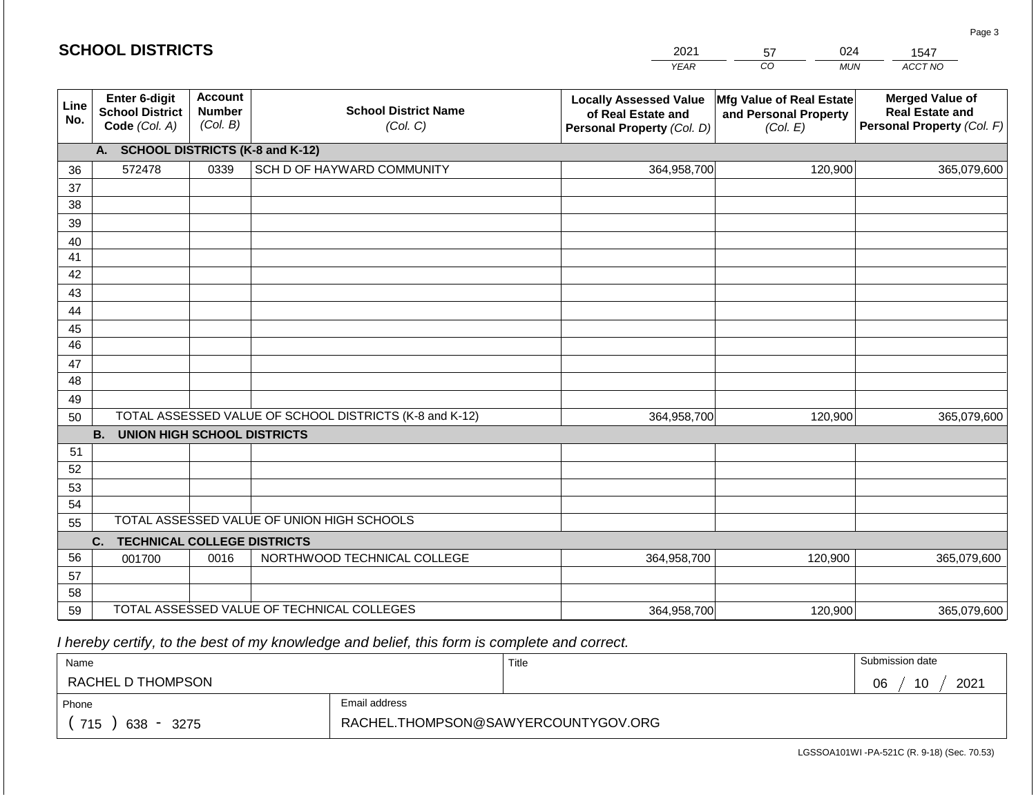| <b>SCHOOL DISTRICTS</b> |                                                          |                                             |                                                         | 2021                                                                              | 024<br>57                                                     | 1547                                                                           |
|-------------------------|----------------------------------------------------------|---------------------------------------------|---------------------------------------------------------|-----------------------------------------------------------------------------------|---------------------------------------------------------------|--------------------------------------------------------------------------------|
|                         |                                                          |                                             |                                                         | <b>YEAR</b>                                                                       | CO<br><b>MUN</b>                                              | ACCT NO                                                                        |
| Line<br>No.             | Enter 6-digit<br><b>School District</b><br>Code (Col. A) | <b>Account</b><br><b>Number</b><br>(Col. B) | <b>School District Name</b><br>(Col. C)                 | <b>Locally Assessed Value</b><br>of Real Estate and<br>Personal Property (Col. D) | Mfg Value of Real Estate<br>and Personal Property<br>(Col. E) | <b>Merged Value of</b><br><b>Real Estate and</b><br>Personal Property (Col. F) |
|                         | А.                                                       |                                             | <b>SCHOOL DISTRICTS (K-8 and K-12)</b>                  |                                                                                   |                                                               |                                                                                |
| 36                      | 572478                                                   | 0339                                        | SCH D OF HAYWARD COMMUNITY                              | 364,958,700                                                                       | 120,900                                                       | 365,079,600                                                                    |
| 37                      |                                                          |                                             |                                                         |                                                                                   |                                                               |                                                                                |
| 38                      |                                                          |                                             |                                                         |                                                                                   |                                                               |                                                                                |
| 39                      |                                                          |                                             |                                                         |                                                                                   |                                                               |                                                                                |
| 40                      |                                                          |                                             |                                                         |                                                                                   |                                                               |                                                                                |
| 41                      |                                                          |                                             |                                                         |                                                                                   |                                                               |                                                                                |
| 42                      |                                                          |                                             |                                                         |                                                                                   |                                                               |                                                                                |
| 43                      |                                                          |                                             |                                                         |                                                                                   |                                                               |                                                                                |
| 44                      |                                                          |                                             |                                                         |                                                                                   |                                                               |                                                                                |
| 45                      |                                                          |                                             |                                                         |                                                                                   |                                                               |                                                                                |
| 46                      |                                                          |                                             |                                                         |                                                                                   |                                                               |                                                                                |
| 47<br>48                |                                                          |                                             |                                                         |                                                                                   |                                                               |                                                                                |
|                         |                                                          |                                             |                                                         |                                                                                   |                                                               |                                                                                |
| 49<br>50                |                                                          |                                             | TOTAL ASSESSED VALUE OF SCHOOL DISTRICTS (K-8 and K-12) | 364,958,700                                                                       | 120,900                                                       | 365,079,600                                                                    |
|                         | <b>B.</b><br><b>UNION HIGH SCHOOL DISTRICTS</b>          |                                             |                                                         |                                                                                   |                                                               |                                                                                |
| 51                      |                                                          |                                             |                                                         |                                                                                   |                                                               |                                                                                |
| 52                      |                                                          |                                             |                                                         |                                                                                   |                                                               |                                                                                |
| 53                      |                                                          |                                             |                                                         |                                                                                   |                                                               |                                                                                |
| 54                      |                                                          |                                             |                                                         |                                                                                   |                                                               |                                                                                |
| 55                      |                                                          |                                             | TOTAL ASSESSED VALUE OF UNION HIGH SCHOOLS              |                                                                                   |                                                               |                                                                                |
|                         | <b>TECHNICAL COLLEGE DISTRICTS</b><br>C.                 |                                             |                                                         |                                                                                   |                                                               |                                                                                |
| 56                      | 001700                                                   | 0016                                        | NORTHWOOD TECHNICAL COLLEGE                             | 364,958,700                                                                       | 120,900                                                       | 365,079,600                                                                    |
| 57                      |                                                          |                                             |                                                         |                                                                                   |                                                               |                                                                                |
| 58                      |                                                          |                                             |                                                         |                                                                                   |                                                               |                                                                                |
| 59                      |                                                          |                                             | TOTAL ASSESSED VALUE OF TECHNICAL COLLEGES              | 364,958,700                                                                       | 120,900                                                       | 365,079,600                                                                    |

 *I hereby certify, to the best of my knowledge and belief, this form is complete and correct.*

| Name                                                                |               | Title | Submission date  |
|---------------------------------------------------------------------|---------------|-------|------------------|
| RACHEL D THOMPSON                                                   |               |       | 2021<br>10<br>06 |
| Phone                                                               | Email address |       |                  |
| RACHEL.THOMPSON@SAWYERCOUNTYGOV.ORG<br>715<br>638<br>3275<br>$\sim$ |               |       |                  |

LGSSOA101WI -PA-521C (R. 9-18) (Sec. 70.53)

Page 3

| <b>SCHOOL DISTRICTS</b> |  |
|-------------------------|--|
|-------------------------|--|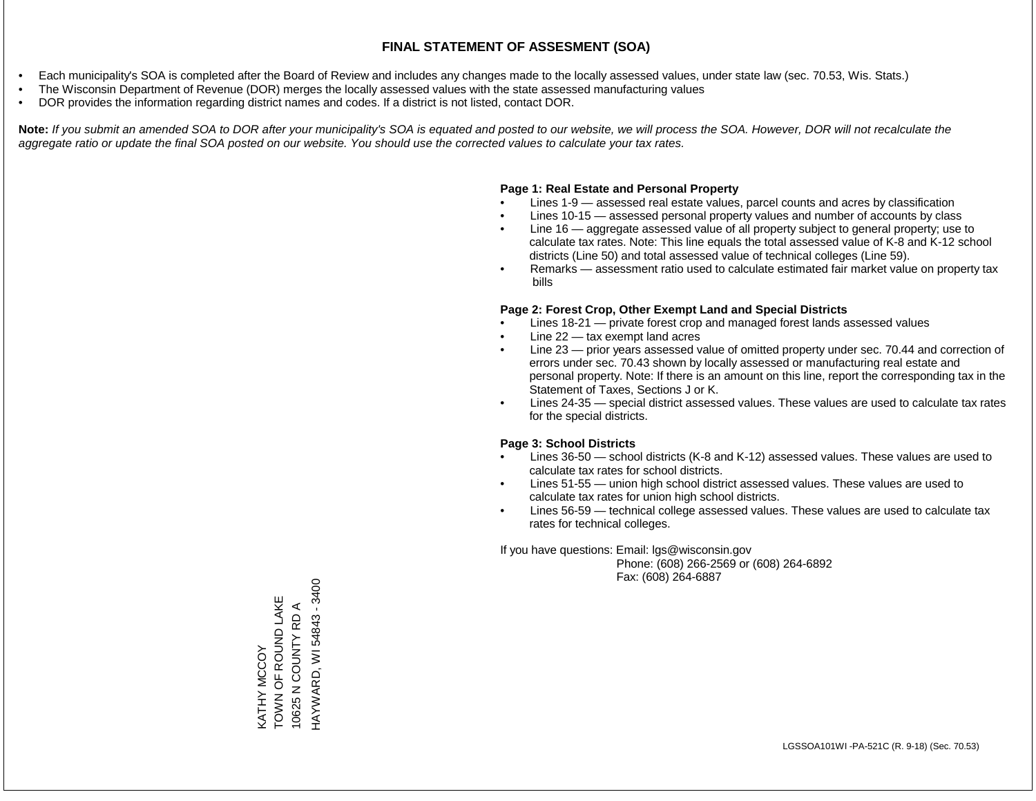- Each municipality's SOA is completed after the Board of Review and includes any changes made to the locally assessed values, under state law (sec. 70.53, Wis. Stats.)
- The Wisconsin Department of Revenue (DOR) merges the locally assessed values with the state assessed manufacturing values
- DOR provides the information regarding district names and codes. If a district is not listed, contact DOR.

Note: If you submit an amended SOA to DOR after your municipality's SOA is equated and posted to our website, we will process the SOA. However, DOR will not recalculate the *aggregate ratio or update the final SOA posted on our website. You should use the corrected values to calculate your tax rates.*

#### **Page 1: Real Estate and Personal Property**

- Lines 1-9 assessed real estate values, parcel counts and acres by classification
- Lines 10-15 assessed personal property values and number of accounts by class
- Line 16 aggregate assessed value of all property subject to general property; use to calculate tax rates. Note: This line equals the total assessed value of K-8 and K-12 school districts (Line 50) and total assessed value of technical colleges (Line 59).
- Remarks assessment ratio used to calculate estimated fair market value on property tax bills

#### **Page 2: Forest Crop, Other Exempt Land and Special Districts**

- Lines 18-21 private forest crop and managed forest lands assessed values
- Line  $22 -$  tax exempt land acres
- Line 23 prior years assessed value of omitted property under sec. 70.44 and correction of errors under sec. 70.43 shown by locally assessed or manufacturing real estate and personal property. Note: If there is an amount on this line, report the corresponding tax in the Statement of Taxes, Sections J or K.
- Lines 24-35 special district assessed values. These values are used to calculate tax rates for the special districts.

#### **Page 3: School Districts**

- Lines 36-50 school districts (K-8 and K-12) assessed values. These values are used to calculate tax rates for school districts.
- Lines 51-55 union high school district assessed values. These values are used to calculate tax rates for union high school districts.
- Lines 56-59 technical college assessed values. These values are used to calculate tax rates for technical colleges.

If you have questions: Email: lgs@wisconsin.gov

 Phone: (608) 266-2569 or (608) 264-6892 Fax: (608) 264-6887

HAYWARD, WI 54843 - 3400 HAYWARD, WI 54843 - 3400TOWN OF ROUND LAKE KATHY MCCOY<br>TOWN OF ROUND LAKE 10625 N COUNTY RD A 10625 N COUNTY RD A KATHY MCCOY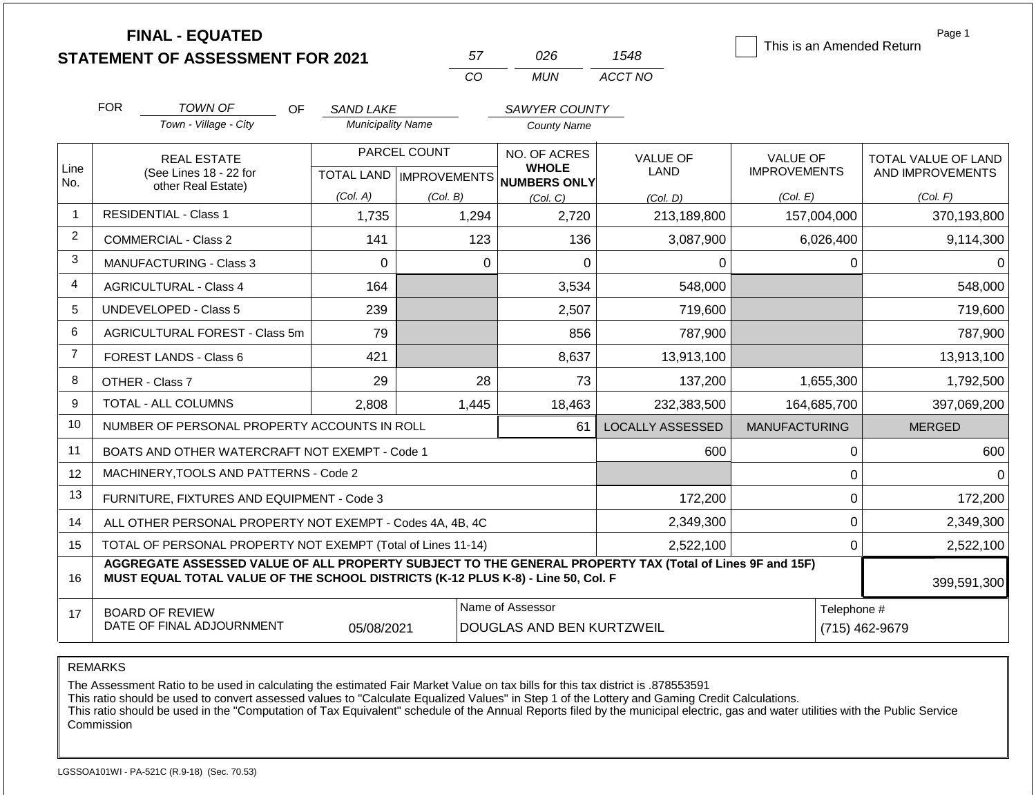|                | <b>FINAL - EQUATED</b>                                                                                                                                                                       |     |                          |                           |                  |                                     |                         | This is an Amended Return |             | Page 1                     |
|----------------|----------------------------------------------------------------------------------------------------------------------------------------------------------------------------------------------|-----|--------------------------|---------------------------|------------------|-------------------------------------|-------------------------|---------------------------|-------------|----------------------------|
|                | <b>STATEMENT OF ASSESSMENT FOR 2021</b>                                                                                                                                                      |     |                          |                           | 57               | 026                                 | 1548                    |                           |             |                            |
|                |                                                                                                                                                                                              |     |                          |                           | CO               | <b>MUN</b>                          | ACCT NO                 |                           |             |                            |
|                | <b>FOR</b><br><b>TOWN OF</b>                                                                                                                                                                 | OF. | <b>SAND LAKE</b>         |                           |                  | SAWYER COUNTY                       |                         |                           |             |                            |
|                | Town - Village - City                                                                                                                                                                        |     | <b>Municipality Name</b> |                           |                  | <b>County Name</b>                  |                         |                           |             |                            |
|                | <b>REAL ESTATE</b>                                                                                                                                                                           |     |                          | PARCEL COUNT              |                  | NO. OF ACRES                        | <b>VALUE OF</b>         | <b>VALUE OF</b>           |             | <b>TOTAL VALUE OF LAND</b> |
| Line<br>No.    | (See Lines 18 - 22 for                                                                                                                                                                       |     |                          | TOTAL LAND   IMPROVEMENTS |                  | <b>WHOLE</b><br><b>NUMBERS ONLY</b> | <b>LAND</b>             | <b>IMPROVEMENTS</b>       |             | AND IMPROVEMENTS           |
|                | other Real Estate)                                                                                                                                                                           |     | (Col. A)                 | (Col. B)                  |                  | (Col. C)                            | (Col. D)                | (Col. E)                  |             | (Col. F)                   |
| 1              | <b>RESIDENTIAL - Class 1</b>                                                                                                                                                                 |     | 1,735                    |                           | 1,294            | 2,720                               | 213,189,800             | 157,004,000               |             | 370,193,800                |
| $\overline{2}$ | <b>COMMERCIAL - Class 2</b>                                                                                                                                                                  |     | 141                      |                           | 123              | 136                                 | 3,087,900               | 6,026,400                 |             | 9,114,300                  |
| 3              | MANUFACTURING - Class 3                                                                                                                                                                      |     | $\Omega$                 |                           | $\mathbf 0$      | 0                                   | 0                       |                           | $\Omega$    | $\Omega$                   |
| 4              | <b>AGRICULTURAL - Class 4</b>                                                                                                                                                                |     | 164                      |                           |                  | 3,534                               | 548,000                 |                           |             | 548,000                    |
| 5              | <b>UNDEVELOPED - Class 5</b>                                                                                                                                                                 |     | 239                      |                           |                  | 2,507                               | 719,600                 |                           |             | 719,600                    |
| 6              | AGRICULTURAL FOREST - Class 5m                                                                                                                                                               |     | 79                       |                           |                  | 856                                 | 787,900                 |                           |             | 787,900                    |
| $\overline{7}$ | <b>FOREST LANDS - Class 6</b>                                                                                                                                                                |     | 421                      |                           |                  | 8,637                               | 13,913,100              |                           |             | 13,913,100                 |
| 8              | OTHER - Class 7                                                                                                                                                                              |     | 29                       |                           | 28               | 73                                  | 137,200                 | 1,655,300                 |             | 1,792,500                  |
| 9              | <b>TOTAL - ALL COLUMNS</b>                                                                                                                                                                   |     | 2.808                    |                           | 1,445            | 18,463                              | 232,383,500             | 164,685,700               |             | 397,069,200                |
| 10             | NUMBER OF PERSONAL PROPERTY ACCOUNTS IN ROLL                                                                                                                                                 |     |                          |                           |                  | 61                                  | <b>LOCALLY ASSESSED</b> | <b>MANUFACTURING</b>      |             | <b>MERGED</b>              |
| 11             | BOATS AND OTHER WATERCRAFT NOT EXEMPT - Code 1                                                                                                                                               |     |                          |                           |                  |                                     | 600                     |                           | 0           | 600                        |
| 12             | MACHINERY, TOOLS AND PATTERNS - Code 2                                                                                                                                                       |     |                          |                           |                  |                                     |                         |                           | $\mathbf 0$ | $\Omega$                   |
| 13             | FURNITURE, FIXTURES AND EQUIPMENT - Code 3                                                                                                                                                   |     |                          |                           |                  |                                     | 172,200                 |                           | $\pmb{0}$   | 172,200                    |
| 14             | ALL OTHER PERSONAL PROPERTY NOT EXEMPT - Codes 4A, 4B, 4C                                                                                                                                    |     |                          |                           |                  |                                     | 2,349,300               |                           | $\mathbf 0$ | 2,349,300                  |
| 15             | TOTAL OF PERSONAL PROPERTY NOT EXEMPT (Total of Lines 11-14)                                                                                                                                 |     |                          |                           |                  |                                     | 2,522,100               | 0                         |             | 2,522,100                  |
| 16             | AGGREGATE ASSESSED VALUE OF ALL PROPERTY SUBJECT TO THE GENERAL PROPERTY TAX (Total of Lines 9F and 15F)<br>MUST EQUAL TOTAL VALUE OF THE SCHOOL DISTRICTS (K-12 PLUS K-8) - Line 50, Col. F |     |                          |                           |                  |                                     |                         |                           |             | 399,591,300                |
| 17             | <b>BOARD OF REVIEW</b>                                                                                                                                                                       |     |                          |                           | Name of Assessor |                                     |                         |                           | Telephone # |                            |
|                | DATE OF FINAL ADJOURNMENT                                                                                                                                                                    |     | 05/08/2021               |                           |                  | DOUGLAS AND BEN KURTZWEIL           |                         |                           |             | (715) 462-9679             |

The Assessment Ratio to be used in calculating the estimated Fair Market Value on tax bills for this tax district is .878553591

This ratio should be used to convert assessed values to "Calculate Equalized Values" in Step 1 of the Lottery and Gaming Credit Calculations.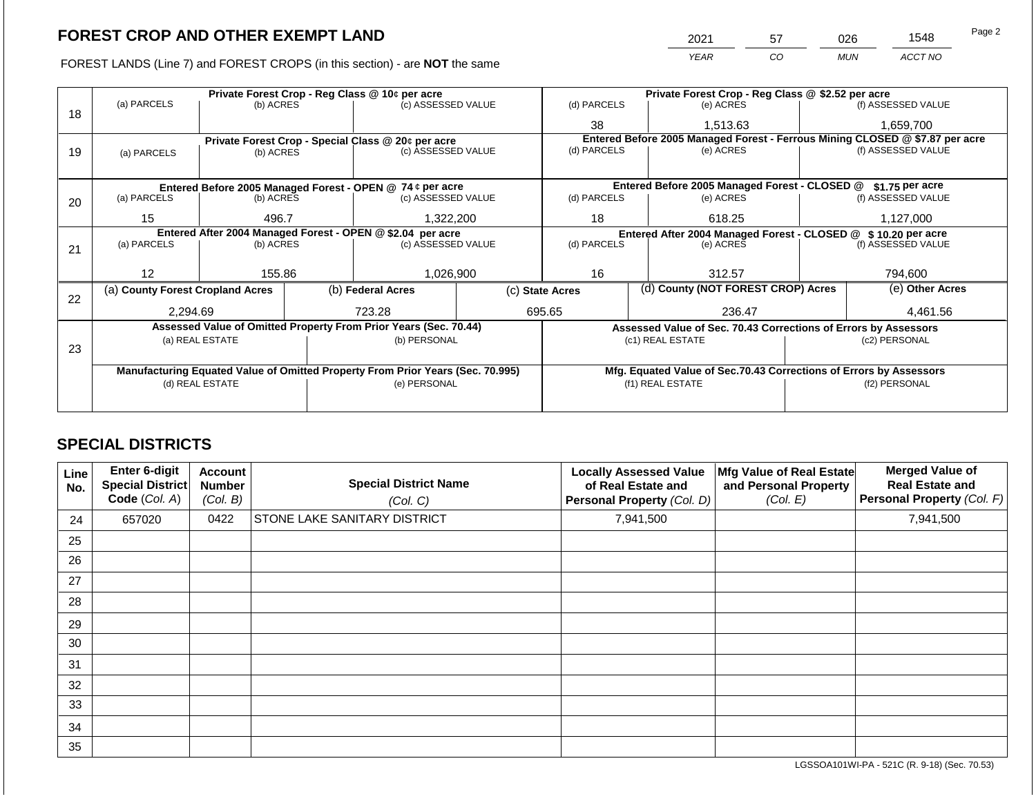FOREST LANDS (Line 7) and FOREST CROPS (in this section) - are **NOT** the same

| 2021 | 57 | 026        | 1548    | Page 2 |
|------|----|------------|---------|--------|
| YEAR | CO | <b>MUN</b> | ACCT NO |        |

|    |                                                                                |                 |  | Private Forest Crop - Reg Class @ 10¢ per acre                   |                 | Private Forest Crop - Reg Class @ \$2.52 per acre                            |                                                                    |        |                    |  |
|----|--------------------------------------------------------------------------------|-----------------|--|------------------------------------------------------------------|-----------------|------------------------------------------------------------------------------|--------------------------------------------------------------------|--------|--------------------|--|
| 18 | (a) PARCELS                                                                    | (b) ACRES       |  | (c) ASSESSED VALUE                                               |                 | (d) PARCELS                                                                  | (e) ACRES                                                          |        | (f) ASSESSED VALUE |  |
|    |                                                                                |                 |  |                                                                  |                 | 38                                                                           | 1,513.63                                                           |        | 1,659,700          |  |
|    |                                                                                |                 |  | Private Forest Crop - Special Class @ 20¢ per acre               |                 | Entered Before 2005 Managed Forest - Ferrous Mining CLOSED @ \$7.87 per acre |                                                                    |        |                    |  |
| 19 | (a) PARCELS                                                                    | (b) ACRES       |  | (c) ASSESSED VALUE                                               |                 | (d) PARCELS                                                                  | (e) ACRES                                                          |        | (f) ASSESSED VALUE |  |
|    |                                                                                |                 |  |                                                                  |                 |                                                                              |                                                                    |        |                    |  |
|    |                                                                                |                 |  | Entered Before 2005 Managed Forest - OPEN @ 74 ¢ per acre        |                 |                                                                              | Entered Before 2005 Managed Forest - CLOSED @                      |        | \$1.75 per acre    |  |
| 20 | (a) PARCELS                                                                    | (b) ACRES       |  | (c) ASSESSED VALUE                                               |                 | (d) PARCELS                                                                  | (e) ACRES                                                          |        | (f) ASSESSED VALUE |  |
|    |                                                                                |                 |  |                                                                  |                 |                                                                              |                                                                    |        | 1,127,000          |  |
|    | 15                                                                             | 496.7           |  | 1,322,200                                                        |                 | 18                                                                           |                                                                    | 618.25 |                    |  |
|    | Entered After 2004 Managed Forest - OPEN @ \$2.04 per acre                     |                 |  |                                                                  |                 | Entered After 2004 Managed Forest - CLOSED @ \$10.20 per acre                |                                                                    |        |                    |  |
| 21 | (a) PARCELS                                                                    | (b) ACRES       |  | (c) ASSESSED VALUE                                               |                 | (d) PARCELS<br>(e) ACRES                                                     |                                                                    |        | (f) ASSESSED VALUE |  |
|    |                                                                                |                 |  |                                                                  |                 |                                                                              |                                                                    |        |                    |  |
|    | 12                                                                             | 155.86          |  | 1,026,900                                                        |                 | 16<br>312.57                                                                 |                                                                    |        | 794,600            |  |
|    | (a) County Forest Cropland Acres                                               |                 |  | (b) Federal Acres                                                | (c) State Acres |                                                                              | (d) County (NOT FOREST CROP) Acres                                 |        | (e) Other Acres    |  |
| 22 |                                                                                |                 |  |                                                                  |                 |                                                                              |                                                                    |        |                    |  |
|    | 2,294.69                                                                       |                 |  | 723.28                                                           |                 | 695.65                                                                       | 236.47                                                             |        | 4,461.56           |  |
|    |                                                                                |                 |  | Assessed Value of Omitted Property From Prior Years (Sec. 70.44) |                 |                                                                              | Assessed Value of Sec. 70.43 Corrections of Errors by Assessors    |        |                    |  |
|    |                                                                                | (a) REAL ESTATE |  | (b) PERSONAL                                                     |                 |                                                                              | (c1) REAL ESTATE                                                   |        | (c2) PERSONAL      |  |
| 23 |                                                                                |                 |  |                                                                  |                 |                                                                              |                                                                    |        |                    |  |
|    | Manufacturing Equated Value of Omitted Property From Prior Years (Sec. 70.995) |                 |  |                                                                  |                 |                                                                              | Mfg. Equated Value of Sec.70.43 Corrections of Errors by Assessors |        |                    |  |
|    | (d) REAL ESTATE                                                                |                 |  | (e) PERSONAL                                                     |                 | (f1) REAL ESTATE                                                             |                                                                    |        | (f2) PERSONAL      |  |
|    |                                                                                |                 |  |                                                                  |                 |                                                                              |                                                                    |        |                    |  |
|    |                                                                                |                 |  |                                                                  |                 |                                                                              |                                                                    |        |                    |  |

## **SPECIAL DISTRICTS**

| Line<br>No. | <b>Enter 6-digit</b><br>Special District<br>Code (Col. A) | <b>Account</b><br><b>Number</b><br>(Col. B) | <b>Special District Name</b><br>(Col. C) | <b>Locally Assessed Value</b><br>of Real Estate and<br>Personal Property (Col. D) | Mfg Value of Real Estate<br>and Personal Property<br>(Col. E) | <b>Merged Value of</b><br><b>Real Estate and</b><br>Personal Property (Col. F) |
|-------------|-----------------------------------------------------------|---------------------------------------------|------------------------------------------|-----------------------------------------------------------------------------------|---------------------------------------------------------------|--------------------------------------------------------------------------------|
| 24          | 657020                                                    | 0422                                        | <b>STONE LAKE SANITARY DISTRICT</b>      | 7,941,500                                                                         |                                                               | 7,941,500                                                                      |
| 25          |                                                           |                                             |                                          |                                                                                   |                                                               |                                                                                |
| 26          |                                                           |                                             |                                          |                                                                                   |                                                               |                                                                                |
| 27          |                                                           |                                             |                                          |                                                                                   |                                                               |                                                                                |
| 28          |                                                           |                                             |                                          |                                                                                   |                                                               |                                                                                |
| 29          |                                                           |                                             |                                          |                                                                                   |                                                               |                                                                                |
| 30          |                                                           |                                             |                                          |                                                                                   |                                                               |                                                                                |
| 31          |                                                           |                                             |                                          |                                                                                   |                                                               |                                                                                |
| 32          |                                                           |                                             |                                          |                                                                                   |                                                               |                                                                                |
| 33          |                                                           |                                             |                                          |                                                                                   |                                                               |                                                                                |
| 34          |                                                           |                                             |                                          |                                                                                   |                                                               |                                                                                |
| 35          |                                                           |                                             |                                          |                                                                                   |                                                               |                                                                                |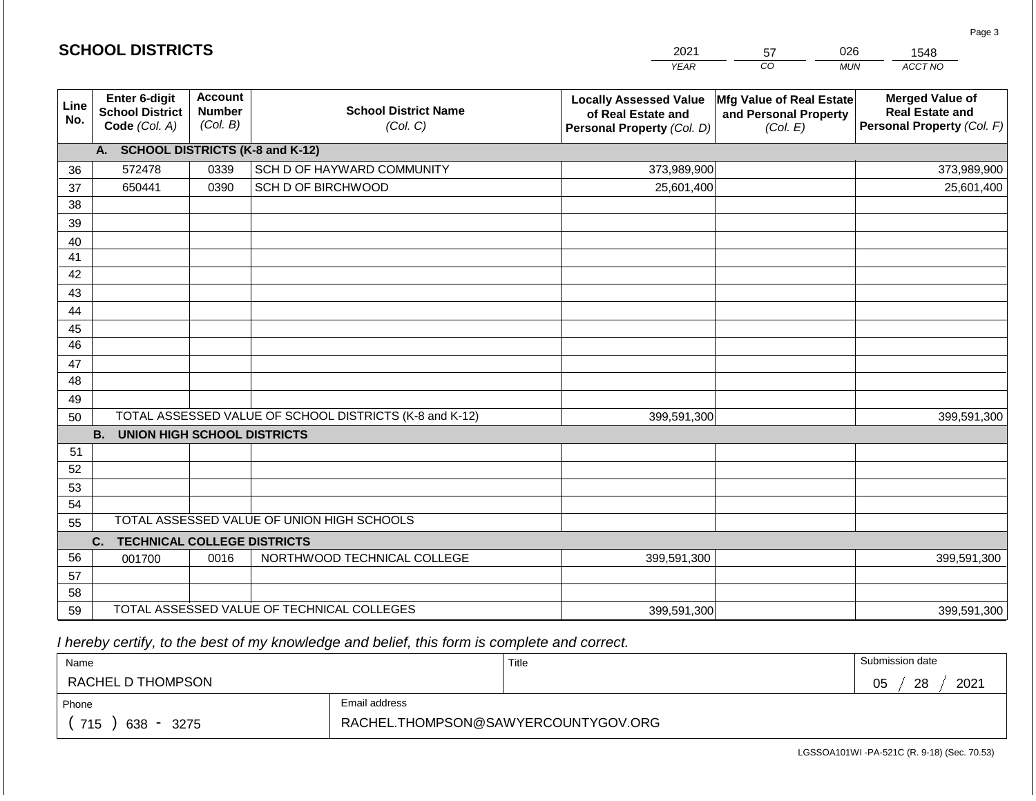|             | <b>SCHOOL DISTRICTS</b>                                         |                                             |                                                         | 2021                                                                              | 57                                                            | 026<br>1548                                                                    |
|-------------|-----------------------------------------------------------------|---------------------------------------------|---------------------------------------------------------|-----------------------------------------------------------------------------------|---------------------------------------------------------------|--------------------------------------------------------------------------------|
|             |                                                                 |                                             |                                                         | <b>YEAR</b>                                                                       | $\overline{co}$                                               | ACCT NO<br><b>MUN</b>                                                          |
| Line<br>No. | <b>Enter 6-digit</b><br><b>School District</b><br>Code (Col. A) | <b>Account</b><br><b>Number</b><br>(Col. B) | <b>School District Name</b><br>(Col. C)                 | <b>Locally Assessed Value</b><br>of Real Estate and<br>Personal Property (Col. D) | Mfg Value of Real Estate<br>and Personal Property<br>(Col. E) | <b>Merged Value of</b><br><b>Real Estate and</b><br>Personal Property (Col. F) |
|             | A. SCHOOL DISTRICTS (K-8 and K-12)                              |                                             |                                                         |                                                                                   |                                                               |                                                                                |
| 36          | 572478                                                          | 0339                                        | SCH D OF HAYWARD COMMUNITY                              | 373,989,900                                                                       |                                                               | 373,989,900                                                                    |
| 37          | 650441                                                          | 0390                                        | SCH D OF BIRCHWOOD                                      | 25,601,400                                                                        |                                                               | 25,601,400                                                                     |
| 38          |                                                                 |                                             |                                                         |                                                                                   |                                                               |                                                                                |
| 39          |                                                                 |                                             |                                                         |                                                                                   |                                                               |                                                                                |
| 40          |                                                                 |                                             |                                                         |                                                                                   |                                                               |                                                                                |
| 41          |                                                                 |                                             |                                                         |                                                                                   |                                                               |                                                                                |
| 42          |                                                                 |                                             |                                                         |                                                                                   |                                                               |                                                                                |
| 43          |                                                                 |                                             |                                                         |                                                                                   |                                                               |                                                                                |
| 44          |                                                                 |                                             |                                                         |                                                                                   |                                                               |                                                                                |
| 45          |                                                                 |                                             |                                                         |                                                                                   |                                                               |                                                                                |
| 46          |                                                                 |                                             |                                                         |                                                                                   |                                                               |                                                                                |
| 47<br>48    |                                                                 |                                             |                                                         |                                                                                   |                                                               |                                                                                |
| 49          |                                                                 |                                             |                                                         |                                                                                   |                                                               |                                                                                |
| 50          |                                                                 |                                             | TOTAL ASSESSED VALUE OF SCHOOL DISTRICTS (K-8 and K-12) | 399,591,300                                                                       |                                                               | 399,591,300                                                                    |
|             | <b>B.</b><br><b>UNION HIGH SCHOOL DISTRICTS</b>                 |                                             |                                                         |                                                                                   |                                                               |                                                                                |
| 51          |                                                                 |                                             |                                                         |                                                                                   |                                                               |                                                                                |
| 52          |                                                                 |                                             |                                                         |                                                                                   |                                                               |                                                                                |
| 53          |                                                                 |                                             |                                                         |                                                                                   |                                                               |                                                                                |
| 54          |                                                                 |                                             |                                                         |                                                                                   |                                                               |                                                                                |
| 55          |                                                                 |                                             | TOTAL ASSESSED VALUE OF UNION HIGH SCHOOLS              |                                                                                   |                                                               |                                                                                |
|             | <b>TECHNICAL COLLEGE DISTRICTS</b><br>C.                        |                                             |                                                         |                                                                                   |                                                               |                                                                                |
| 56          | 001700                                                          | 0016                                        | NORTHWOOD TECHNICAL COLLEGE                             | 399,591,300                                                                       |                                                               | 399,591,300                                                                    |
| 57          |                                                                 |                                             |                                                         |                                                                                   |                                                               |                                                                                |
| 58          |                                                                 |                                             |                                                         |                                                                                   |                                                               |                                                                                |
| 59          |                                                                 |                                             | TOTAL ASSESSED VALUE OF TECHNICAL COLLEGES              | 399,591,300                                                                       |                                                               | 399,591,300                                                                    |

2021

 *I hereby certify, to the best of my knowledge and belief, this form is complete and correct.*

**SCHOOL DISTRICTS**

| Name                                           |                                     | Title | Submission date  |  |  |
|------------------------------------------------|-------------------------------------|-------|------------------|--|--|
| RACHEL D THOMPSON                              |                                     |       | 2021<br>28<br>05 |  |  |
| Phone                                          | Email address                       |       |                  |  |  |
| 715<br>638<br>3275<br>$\overline{\phantom{0}}$ | RACHEL.THOMPSON@SAWYERCOUNTYGOV.ORG |       |                  |  |  |

Page 3

026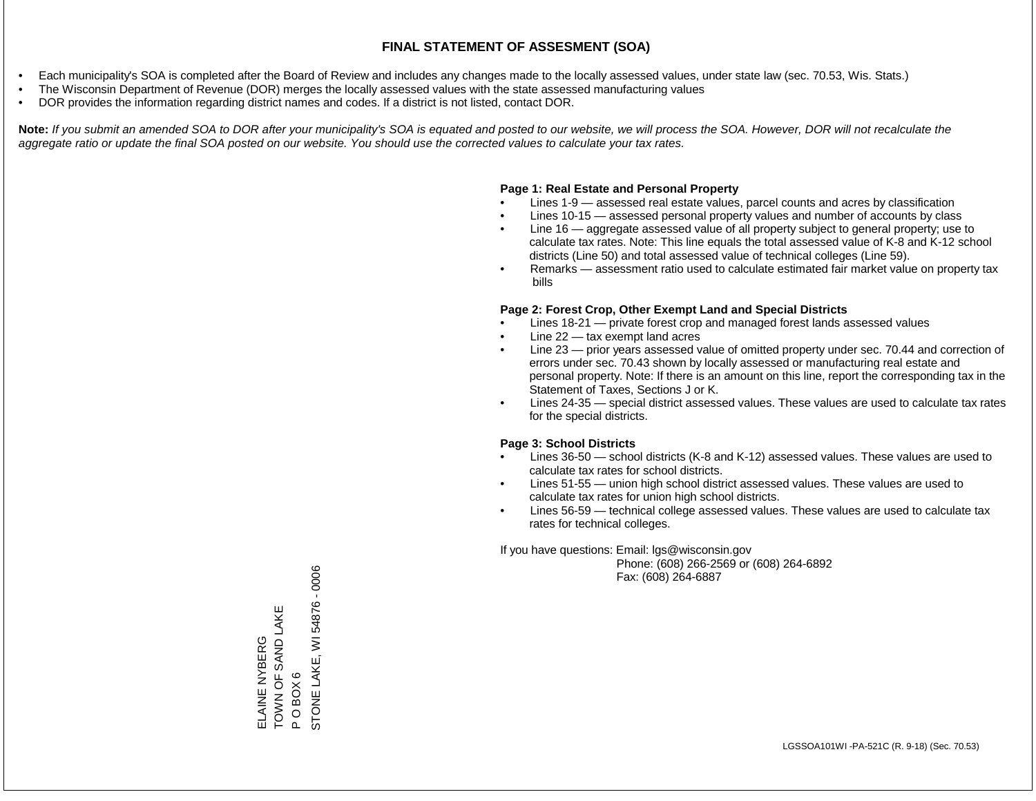- Each municipality's SOA is completed after the Board of Review and includes any changes made to the locally assessed values, under state law (sec. 70.53, Wis. Stats.)
- The Wisconsin Department of Revenue (DOR) merges the locally assessed values with the state assessed manufacturing values
- DOR provides the information regarding district names and codes. If a district is not listed, contact DOR.

Note: If you submit an amended SOA to DOR after your municipality's SOA is equated and posted to our website, we will process the SOA. However, DOR will not recalculate the *aggregate ratio or update the final SOA posted on our website. You should use the corrected values to calculate your tax rates.*

#### **Page 1: Real Estate and Personal Property**

- Lines 1-9 assessed real estate values, parcel counts and acres by classification
- Lines 10-15 assessed personal property values and number of accounts by class
- Line 16 aggregate assessed value of all property subject to general property; use to calculate tax rates. Note: This line equals the total assessed value of K-8 and K-12 school districts (Line 50) and total assessed value of technical colleges (Line 59).
- Remarks assessment ratio used to calculate estimated fair market value on property tax bills

#### **Page 2: Forest Crop, Other Exempt Land and Special Districts**

- Lines 18-21 private forest crop and managed forest lands assessed values
- Line  $22 -$  tax exempt land acres
- Line 23 prior years assessed value of omitted property under sec. 70.44 and correction of errors under sec. 70.43 shown by locally assessed or manufacturing real estate and personal property. Note: If there is an amount on this line, report the corresponding tax in the Statement of Taxes, Sections J or K.
- Lines 24-35 special district assessed values. These values are used to calculate tax rates for the special districts.

#### **Page 3: School Districts**

- Lines 36-50 school districts (K-8 and K-12) assessed values. These values are used to calculate tax rates for school districts.
- Lines 51-55 union high school district assessed values. These values are used to calculate tax rates for union high school districts.
- Lines 56-59 technical college assessed values. These values are used to calculate tax rates for technical colleges.

If you have questions: Email: lgs@wisconsin.gov

 Phone: (608) 266-2569 or (608) 264-6892 Fax: (608) 264-6887

P O BOX 6<br>STONE LAKE, WI 54876 - 0006 STONE LAKE, WI 54876 - 0006TOWN OF SAND LAKE ELAINE NYBERG<br>TOWN OF SAND LAKE ELAINE NYBERG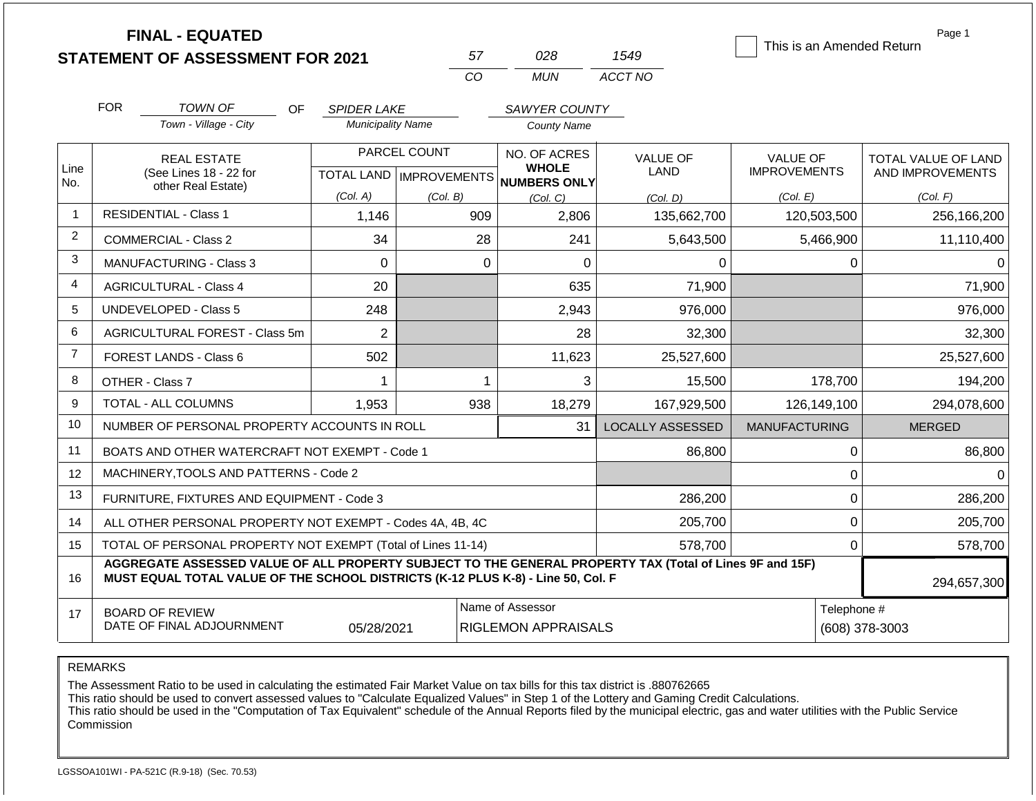|                |                                                           | <b>FINAL - EQUATED</b>                                                                                                                                                                       |                          |                                  |                                     |                  | This is an Amended Return | Page 1              |
|----------------|-----------------------------------------------------------|----------------------------------------------------------------------------------------------------------------------------------------------------------------------------------------------|--------------------------|----------------------------------|-------------------------------------|------------------|---------------------------|---------------------|
|                |                                                           | <b>STATEMENT OF ASSESSMENT FOR 2021</b>                                                                                                                                                      |                          | 57                               | 028                                 | 1549             |                           |                     |
|                |                                                           |                                                                                                                                                                                              |                          | CO                               | <b>MUN</b>                          | ACCT NO          |                           |                     |
|                | <b>FOR</b>                                                | TOWN OF<br>OF.                                                                                                                                                                               | <b>SPIDER LAKE</b>       |                                  | SAWYER COUNTY                       |                  |                           |                     |
|                |                                                           | Town - Village - City                                                                                                                                                                        | <b>Municipality Name</b> |                                  | <b>County Name</b>                  |                  |                           |                     |
|                |                                                           | <b>REAL ESTATE</b>                                                                                                                                                                           |                          | PARCEL COUNT                     | NO. OF ACRES                        | <b>VALUE OF</b>  | <b>VALUE OF</b>           | TOTAL VALUE OF LAND |
| Line<br>No.    |                                                           | (See Lines 18 - 22 for<br>other Real Estate)                                                                                                                                                 |                          | <b>TOTAL LAND   IMPROVEMENTS</b> | <b>WHOLE</b><br><b>NUMBERS ONLY</b> | LAND             | <b>IMPROVEMENTS</b>       | AND IMPROVEMENTS    |
|                |                                                           |                                                                                                                                                                                              | (Col. A)                 | (Col. B)                         | (Col, C)                            | (Col, D)         | (Col. E)                  | (Col. F)            |
|                |                                                           | <b>RESIDENTIAL - Class 1</b>                                                                                                                                                                 | 1,146                    | 909                              | 2,806                               | 135,662,700      | 120,503,500               | 256,166,200         |
| 2              |                                                           | COMMERCIAL - Class 2                                                                                                                                                                         | 34                       | 28                               | 241                                 | 5,643,500        | 5,466,900                 | 11,110,400          |
| 3              |                                                           | MANUFACTURING - Class 3                                                                                                                                                                      | $\Omega$                 |                                  | $\mathbf 0$<br>0                    | $\Omega$         | $\Omega$                  |                     |
| 4              |                                                           | <b>AGRICULTURAL - Class 4</b>                                                                                                                                                                | 20                       |                                  | 635                                 | 71,900           |                           | 71,900              |
| 5              |                                                           | <b>UNDEVELOPED - Class 5</b>                                                                                                                                                                 | 248                      |                                  | 2,943                               | 976,000          |                           | 976,000             |
| 6              |                                                           | AGRICULTURAL FOREST - Class 5m                                                                                                                                                               | $\overline{2}$           |                                  | 28                                  | 32,300           |                           | 32,300              |
| $\overline{7}$ |                                                           | FOREST LANDS - Class 6                                                                                                                                                                       | 502                      |                                  | 11,623                              | 25,527,600       |                           | 25,527,600          |
| 8              |                                                           | OTHER - Class 7                                                                                                                                                                              | 1                        |                                  | 3<br>$\mathbf 1$                    | 15,500           | 178,700                   | 194,200             |
| 9              |                                                           | TOTAL - ALL COLUMNS                                                                                                                                                                          | 1,953                    | 938                              | 18,279                              | 167,929,500      | 126,149,100               | 294,078,600         |
| 10             |                                                           | NUMBER OF PERSONAL PROPERTY ACCOUNTS IN ROLL                                                                                                                                                 |                          |                                  | 31                                  | LOCALLY ASSESSED | <b>MANUFACTURING</b>      | <b>MERGED</b>       |
| 11             |                                                           | BOATS AND OTHER WATERCRAFT NOT EXEMPT - Code 1                                                                                                                                               |                          |                                  |                                     | 86,800           | $\boldsymbol{0}$          | 86,800              |
| 12             |                                                           | MACHINERY, TOOLS AND PATTERNS - Code 2                                                                                                                                                       |                          |                                  |                                     |                  | $\mathbf 0$               | $\Omega$            |
| 13             |                                                           | FURNITURE, FIXTURES AND EQUIPMENT - Code 3                                                                                                                                                   |                          |                                  |                                     | 286,200          | $\mathbf 0$               | 286,200             |
| 14             |                                                           | ALL OTHER PERSONAL PROPERTY NOT EXEMPT - Codes 4A, 4B, 4C                                                                                                                                    |                          |                                  |                                     | 205,700          | $\mathbf 0$               | 205,700             |
| 15             |                                                           | TOTAL OF PERSONAL PROPERTY NOT EXEMPT (Total of Lines 11-14)                                                                                                                                 |                          |                                  |                                     | 578,700          | $\mathbf 0$               | 578,700             |
| 16             |                                                           | AGGREGATE ASSESSED VALUE OF ALL PROPERTY SUBJECT TO THE GENERAL PROPERTY TAX (Total of Lines 9F and 15F)<br>MUST EQUAL TOTAL VALUE OF THE SCHOOL DISTRICTS (K-12 PLUS K-8) - Line 50, Col. F |                          |                                  |                                     |                  |                           | 294,657,300         |
| 17             | Name of Assessor<br>Telephone #<br><b>BOARD OF REVIEW</b> |                                                                                                                                                                                              |                          |                                  |                                     |                  |                           |                     |
|                |                                                           | DATE OF FINAL ADJOURNMENT                                                                                                                                                                    | 05/28/2021               |                                  | RIGLEMON APPRAISALS                 |                  |                           | (608) 378-3003      |

The Assessment Ratio to be used in calculating the estimated Fair Market Value on tax bills for this tax district is .880762665

This ratio should be used to convert assessed values to "Calculate Equalized Values" in Step 1 of the Lottery and Gaming Credit Calculations.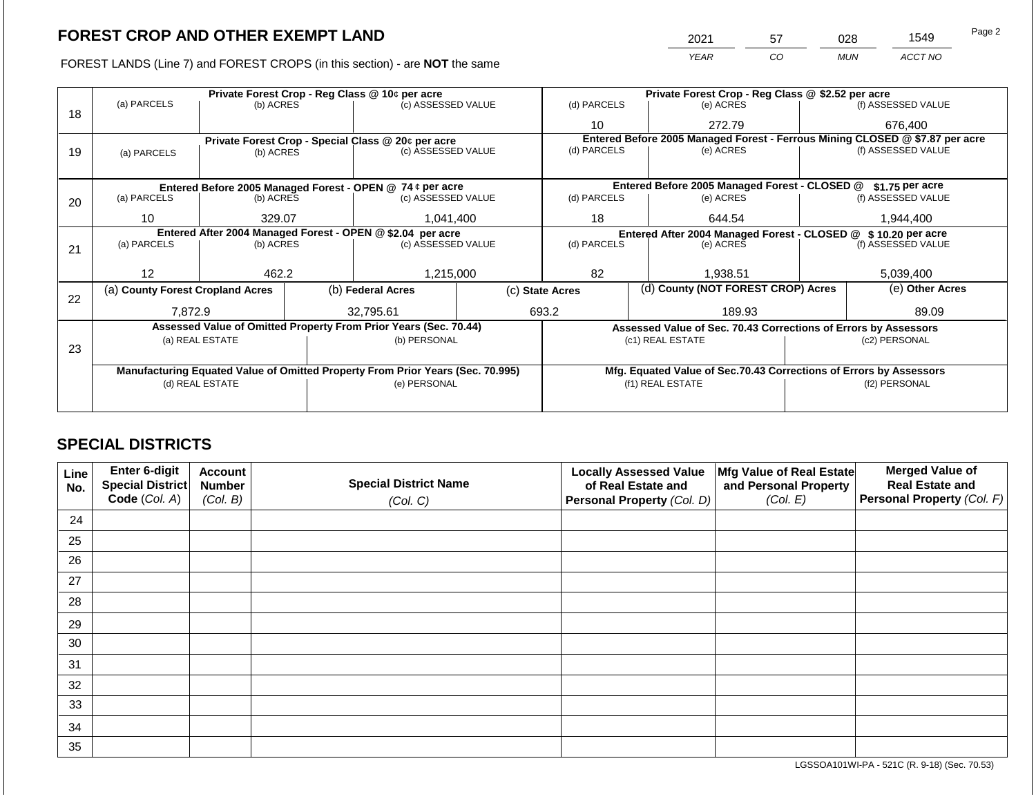FOREST LANDS (Line 7) and FOREST CROPS (in this section) - are **NOT** the same

| 2021 | 57 | ງ28        | 1549    | Page 2 |
|------|----|------------|---------|--------|
| YFAR | ာဝ | <b>MUN</b> | ACCT NO |        |

|    |                                                            | Private Forest Crop - Reg Class @ 10¢ per acre |                                 |                                                                                |                    | Private Forest Crop - Reg Class @ \$2.52 per acre     |                                                                              |                    |                    |
|----|------------------------------------------------------------|------------------------------------------------|---------------------------------|--------------------------------------------------------------------------------|--------------------|-------------------------------------------------------|------------------------------------------------------------------------------|--------------------|--------------------|
|    | (a) PARCELS                                                | (b) ACRES                                      |                                 | (c) ASSESSED VALUE                                                             |                    | (d) PARCELS                                           | (e) ACRES                                                                    |                    | (f) ASSESSED VALUE |
| 18 |                                                            |                                                |                                 |                                                                                |                    | 10                                                    | 272.79                                                                       |                    | 676,400            |
|    |                                                            |                                                |                                 | Private Forest Crop - Special Class @ 20¢ per acre                             |                    |                                                       | Entered Before 2005 Managed Forest - Ferrous Mining CLOSED @ \$7.87 per acre |                    |                    |
| 19 | (a) PARCELS                                                | (b) ACRES                                      |                                 | (c) ASSESSED VALUE                                                             |                    | (d) PARCELS                                           | (e) ACRES                                                                    |                    | (f) ASSESSED VALUE |
|    |                                                            |                                                |                                 |                                                                                |                    |                                                       |                                                                              |                    |                    |
|    |                                                            |                                                |                                 | Entered Before 2005 Managed Forest - OPEN @ 74 ¢ per acre                      |                    |                                                       | Entered Before 2005 Managed Forest - CLOSED @                                |                    | $$1.75$ per acre   |
| 20 | (a) PARCELS                                                |                                                | (b) ACRES<br>(c) ASSESSED VALUE |                                                                                | (d) PARCELS        | (e) ACRES                                             |                                                                              | (f) ASSESSED VALUE |                    |
|    |                                                            |                                                |                                 |                                                                                |                    |                                                       |                                                                              |                    |                    |
|    | 10                                                         | 329.07                                         |                                 | 1,041,400                                                                      |                    | 18                                                    | 644.54                                                                       |                    | 1,944,400          |
|    | Entered After 2004 Managed Forest - OPEN @ \$2.04 per acre |                                                |                                 |                                                                                |                    |                                                       | Entered After 2004 Managed Forest - CLOSED @ \$10.20 per acre                |                    |                    |
| 21 | (a) PARCELS                                                | (b) ACRES                                      |                                 |                                                                                | (c) ASSESSED VALUE |                                                       | (e) ACRES                                                                    |                    | (f) ASSESSED VALUE |
|    |                                                            |                                                |                                 |                                                                                |                    |                                                       |                                                                              |                    |                    |
|    | 12                                                         | 462.2                                          |                                 | 1,215,000                                                                      |                    | 82<br>1,938.51                                        |                                                                              | 5,039,400          |                    |
|    | (a) County Forest Cropland Acres                           |                                                |                                 | (b) Federal Acres                                                              |                    | (d) County (NOT FOREST CROP) Acres<br>(c) State Acres |                                                                              |                    | (e) Other Acres    |
| 22 |                                                            |                                                |                                 |                                                                                |                    |                                                       |                                                                              |                    |                    |
|    | 7,872.9                                                    |                                                |                                 | 32,795.61                                                                      |                    | 693.2                                                 | 189.93                                                                       |                    | 89.09              |
|    |                                                            |                                                |                                 | Assessed Value of Omitted Property From Prior Years (Sec. 70.44)               |                    |                                                       | Assessed Value of Sec. 70.43 Corrections of Errors by Assessors              |                    |                    |
|    |                                                            | (a) REAL ESTATE                                |                                 | (b) PERSONAL                                                                   |                    |                                                       | (c1) REAL ESTATE                                                             |                    | (c2) PERSONAL      |
| 23 |                                                            |                                                |                                 |                                                                                |                    |                                                       |                                                                              |                    |                    |
|    |                                                            |                                                |                                 | Manufacturing Equated Value of Omitted Property From Prior Years (Sec. 70.995) |                    |                                                       | Mfg. Equated Value of Sec.70.43 Corrections of Errors by Assessors           |                    |                    |
|    | (e) PERSONAL<br>(d) REAL ESTATE                            |                                                |                                 |                                                                                |                    |                                                       | (f1) REAL ESTATE                                                             |                    | (f2) PERSONAL      |
|    |                                                            |                                                |                                 |                                                                                |                    |                                                       |                                                                              |                    |                    |
|    |                                                            |                                                |                                 |                                                                                |                    |                                                       |                                                                              |                    |                    |

## **SPECIAL DISTRICTS**

| Line<br>No. | Enter 6-digit<br>Special District<br>Code (Col. A) | <b>Account</b><br><b>Number</b><br>(Col. B) | <b>Special District Name</b><br>(Col. C) | <b>Locally Assessed Value</b><br>of Real Estate and<br>Personal Property (Col. D) | Mfg Value of Real Estate<br>and Personal Property<br>(Col. E) | <b>Merged Value of</b><br><b>Real Estate and</b><br>Personal Property (Col. F) |
|-------------|----------------------------------------------------|---------------------------------------------|------------------------------------------|-----------------------------------------------------------------------------------|---------------------------------------------------------------|--------------------------------------------------------------------------------|
| 24          |                                                    |                                             |                                          |                                                                                   |                                                               |                                                                                |
| 25          |                                                    |                                             |                                          |                                                                                   |                                                               |                                                                                |
| 26          |                                                    |                                             |                                          |                                                                                   |                                                               |                                                                                |
| 27          |                                                    |                                             |                                          |                                                                                   |                                                               |                                                                                |
| 28          |                                                    |                                             |                                          |                                                                                   |                                                               |                                                                                |
| 29          |                                                    |                                             |                                          |                                                                                   |                                                               |                                                                                |
| 30          |                                                    |                                             |                                          |                                                                                   |                                                               |                                                                                |
| 31          |                                                    |                                             |                                          |                                                                                   |                                                               |                                                                                |
| 32          |                                                    |                                             |                                          |                                                                                   |                                                               |                                                                                |
| 33          |                                                    |                                             |                                          |                                                                                   |                                                               |                                                                                |
| 34          |                                                    |                                             |                                          |                                                                                   |                                                               |                                                                                |
| 35          |                                                    |                                             |                                          |                                                                                   |                                                               |                                                                                |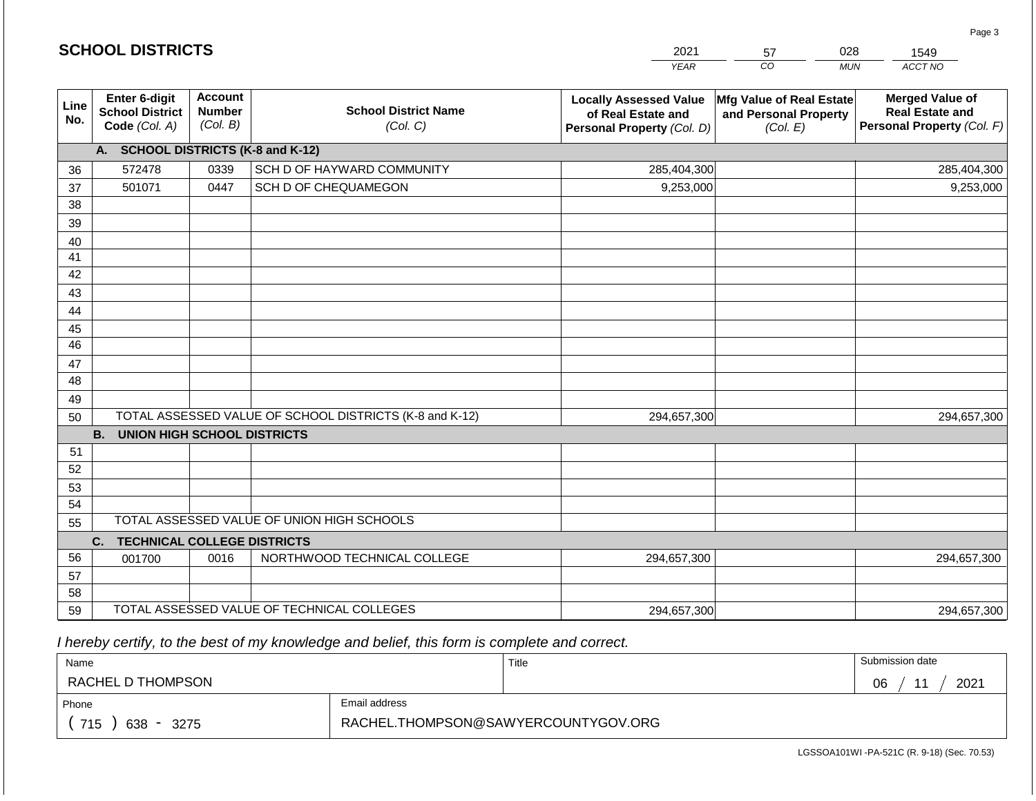|                       | <b>SCHOOL DISTRICTS</b>                                                                                                                            |      |                                                         | 2021                                                                              | 57                                                            | 028<br>1549                                                                    |
|-----------------------|----------------------------------------------------------------------------------------------------------------------------------------------------|------|---------------------------------------------------------|-----------------------------------------------------------------------------------|---------------------------------------------------------------|--------------------------------------------------------------------------------|
|                       |                                                                                                                                                    |      |                                                         | <b>YEAR</b>                                                                       | CO                                                            | ACCT NO<br><b>MUN</b>                                                          |
| Line<br>No.           | Enter 6-digit<br><b>Account</b><br><b>School District Name</b><br><b>Number</b><br><b>School District</b><br>(Col. B)<br>Code (Col. A)<br>(Col. C) |      |                                                         | <b>Locally Assessed Value</b><br>of Real Estate and<br>Personal Property (Col. D) | Mfg Value of Real Estate<br>and Personal Property<br>(Col. E) | <b>Merged Value of</b><br><b>Real Estate and</b><br>Personal Property (Col. F) |
|                       | A. SCHOOL DISTRICTS (K-8 and K-12)                                                                                                                 |      |                                                         |                                                                                   |                                                               |                                                                                |
| 36                    | 572478                                                                                                                                             | 0339 | SCH D OF HAYWARD COMMUNITY                              | 285,404,300                                                                       |                                                               | 285,404,300                                                                    |
| 37                    | 501071                                                                                                                                             | 0447 | SCH D OF CHEQUAMEGON                                    | 9,253,000                                                                         |                                                               | 9,253,000                                                                      |
| 38                    |                                                                                                                                                    |      |                                                         |                                                                                   |                                                               |                                                                                |
| 39                    |                                                                                                                                                    |      |                                                         |                                                                                   |                                                               |                                                                                |
| 40                    |                                                                                                                                                    |      |                                                         |                                                                                   |                                                               |                                                                                |
| 41                    |                                                                                                                                                    |      |                                                         |                                                                                   |                                                               |                                                                                |
| 42                    |                                                                                                                                                    |      |                                                         |                                                                                   |                                                               |                                                                                |
| 43                    |                                                                                                                                                    |      |                                                         |                                                                                   |                                                               |                                                                                |
| 44                    |                                                                                                                                                    |      |                                                         |                                                                                   |                                                               |                                                                                |
| 45<br>$\overline{46}$ |                                                                                                                                                    |      |                                                         |                                                                                   |                                                               |                                                                                |
|                       |                                                                                                                                                    |      |                                                         |                                                                                   |                                                               |                                                                                |
| 47<br>48              |                                                                                                                                                    |      |                                                         |                                                                                   |                                                               |                                                                                |
| 49                    |                                                                                                                                                    |      |                                                         |                                                                                   |                                                               |                                                                                |
| 50                    |                                                                                                                                                    |      | TOTAL ASSESSED VALUE OF SCHOOL DISTRICTS (K-8 and K-12) | 294,657,300                                                                       |                                                               | 294,657,300                                                                    |
|                       | <b>B.</b><br><b>UNION HIGH SCHOOL DISTRICTS</b>                                                                                                    |      |                                                         |                                                                                   |                                                               |                                                                                |
| 51                    |                                                                                                                                                    |      |                                                         |                                                                                   |                                                               |                                                                                |
| 52                    |                                                                                                                                                    |      |                                                         |                                                                                   |                                                               |                                                                                |
| 53                    |                                                                                                                                                    |      |                                                         |                                                                                   |                                                               |                                                                                |
| 54                    |                                                                                                                                                    |      |                                                         |                                                                                   |                                                               |                                                                                |
| 55                    |                                                                                                                                                    |      | TOTAL ASSESSED VALUE OF UNION HIGH SCHOOLS              |                                                                                   |                                                               |                                                                                |
|                       | C.<br><b>TECHNICAL COLLEGE DISTRICTS</b>                                                                                                           |      |                                                         |                                                                                   |                                                               |                                                                                |
| 56                    | 001700                                                                                                                                             | 0016 | NORTHWOOD TECHNICAL COLLEGE                             | 294,657,300                                                                       |                                                               | 294,657,300                                                                    |
| 57                    |                                                                                                                                                    |      |                                                         |                                                                                   |                                                               |                                                                                |
| 58                    |                                                                                                                                                    |      |                                                         |                                                                                   |                                                               |                                                                                |
| 59                    |                                                                                                                                                    |      | TOTAL ASSESSED VALUE OF TECHNICAL COLLEGES              | 294,657,300                                                                       |                                                               | 294,657,300                                                                    |

 *I hereby certify, to the best of my knowledge and belief, this form is complete and correct.*

**SCHOOL DISTRICTS**

| Name                                           |                                     | Title | Submission date              |
|------------------------------------------------|-------------------------------------|-------|------------------------------|
| RACHEL D THOMPSON                              |                                     |       | 2021<br>06<br>4 <sub>4</sub> |
| Phone                                          | Email address                       |       |                              |
| 715<br>638<br>3275<br>$\overline{\phantom{0}}$ | RACHEL.THOMPSON@SAWYERCOUNTYGOV.ORG |       |                              |

Page 3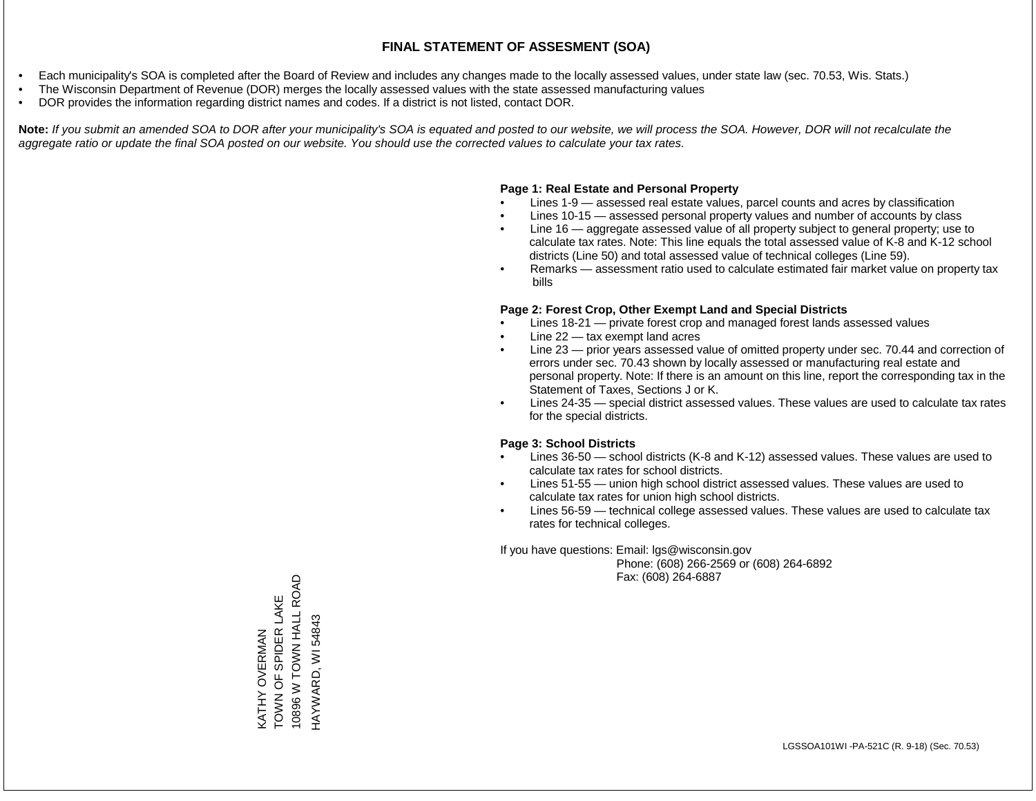- Each municipality's SOA is completed after the Board of Review and includes any changes made to the locally assessed values, under state law (sec. 70.53, Wis. Stats.)
- The Wisconsin Department of Revenue (DOR) merges the locally assessed values with the state assessed manufacturing values
- DOR provides the information regarding district names and codes. If a district is not listed, contact DOR.

Note: If you submit an amended SOA to DOR after your municipality's SOA is equated and posted to our website, we will process the SOA. However, DOR will not recalculate the *aggregate ratio or update the final SOA posted on our website. You should use the corrected values to calculate your tax rates.*

#### **Page 1: Real Estate and Personal Property**

- Lines 1-9 assessed real estate values, parcel counts and acres by classification
- Lines 10-15 assessed personal property values and number of accounts by class
- Line 16 aggregate assessed value of all property subject to general property; use to calculate tax rates. Note: This line equals the total assessed value of K-8 and K-12 school districts (Line 50) and total assessed value of technical colleges (Line 59).
- Remarks assessment ratio used to calculate estimated fair market value on property tax bills

#### **Page 2: Forest Crop, Other Exempt Land and Special Districts**

- Lines 18-21 private forest crop and managed forest lands assessed values
- Line  $22 -$  tax exempt land acres
- Line 23 prior years assessed value of omitted property under sec. 70.44 and correction of errors under sec. 70.43 shown by locally assessed or manufacturing real estate and personal property. Note: If there is an amount on this line, report the corresponding tax in the Statement of Taxes, Sections J or K.
- Lines 24-35 special district assessed values. These values are used to calculate tax rates for the special districts.

#### **Page 3: School Districts**

- Lines 36-50 school districts (K-8 and K-12) assessed values. These values are used to calculate tax rates for school districts.
- Lines 51-55 union high school district assessed values. These values are used to calculate tax rates for union high school districts.
- Lines 56-59 technical college assessed values. These values are used to calculate tax rates for technical colleges.

If you have questions: Email: lgs@wisconsin.gov

 Phone: (608) 266-2569 or (608) 264-6892 Fax: (608) 264-6887

10896 W TOWN HALL ROAD 10896 W TOWN HALL ROAD TOWN OF SPIDER LAKE KATHY OVERMAN<br>TOWN OF SPIDER LAKE HAYWARD, WI 54843 HAYWARD, WI 54843KATHY OVERMAN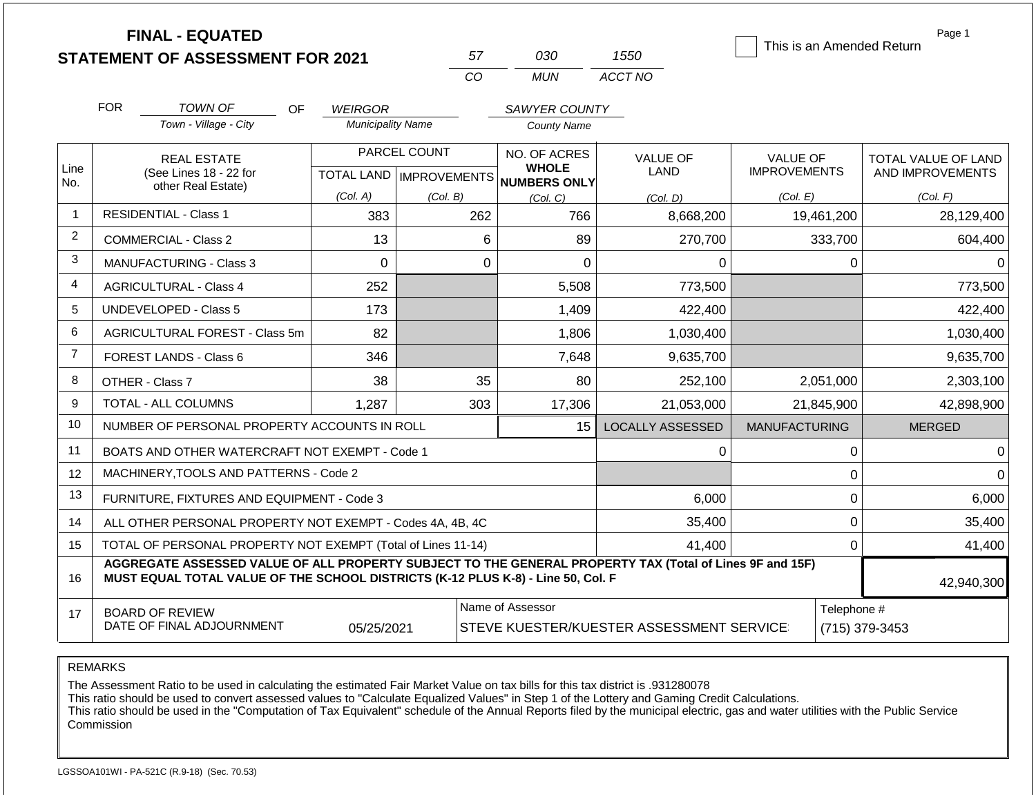|                | <b>FINAL - EQUATED</b><br><b>STATEMENT OF ASSESSMENT FOR 2021</b>                                                                                                                            |    |                                            |              | 57          | 030                                 | 1550                    |                      |             | Page 1<br>This is an Amended Return |
|----------------|----------------------------------------------------------------------------------------------------------------------------------------------------------------------------------------------|----|--------------------------------------------|--------------|-------------|-------------------------------------|-------------------------|----------------------|-------------|-------------------------------------|
|                |                                                                                                                                                                                              |    |                                            |              | CO          | <b>MUN</b>                          | ACCT NO                 |                      |             |                                     |
|                |                                                                                                                                                                                              |    |                                            |              |             |                                     |                         |                      |             |                                     |
|                | <b>FOR</b><br><b>TOWN OF</b><br>Town - Village - City                                                                                                                                        | OF | <b>WEIRGOR</b><br><b>Municipality Name</b> |              |             | SAWYER COUNTY<br><b>County Name</b> |                         |                      |             |                                     |
|                |                                                                                                                                                                                              |    |                                            |              |             |                                     |                         |                      |             |                                     |
|                | <b>REAL ESTATE</b>                                                                                                                                                                           |    |                                            | PARCEL COUNT |             | NO. OF ACRES<br><b>WHOLE</b>        | <b>VALUE OF</b>         | <b>VALUE OF</b>      |             | TOTAL VALUE OF LAND                 |
| Line<br>No.    | (See Lines 18 - 22 for<br>other Real Estate)                                                                                                                                                 |    | TOTAL LAND   IMPROVEMENTS                  |              |             | NUMBERS ONLY                        | LAND                    | <b>IMPROVEMENTS</b>  |             | AND IMPROVEMENTS                    |
|                |                                                                                                                                                                                              |    | (Col. A)                                   | (Col. B)     |             | (Col. C)                            | (Col. D)                | (Col. E)             |             | (Col. F)                            |
| $\mathbf{1}$   | <b>RESIDENTIAL - Class 1</b>                                                                                                                                                                 |    | 383                                        |              | 262         | 766                                 | 8,668,200               |                      | 19,461,200  | 28,129,400                          |
| $\overline{2}$ | <b>COMMERCIAL - Class 2</b>                                                                                                                                                                  |    | 13                                         |              | 6           | 89                                  | 270,700                 |                      | 333,700     | 604,400                             |
| 3              | MANUFACTURING - Class 3                                                                                                                                                                      |    | $\Omega$                                   |              | $\mathbf 0$ | $\mathbf 0$                         | 0                       |                      | 0           | 0                                   |
| 4              | <b>AGRICULTURAL - Class 4</b>                                                                                                                                                                |    | 252                                        |              |             | 5,508                               | 773,500                 |                      |             | 773,500                             |
| 5              | UNDEVELOPED - Class 5                                                                                                                                                                        |    | 173                                        |              |             | 1,409                               | 422,400                 |                      |             | 422,400                             |
| 6              | <b>AGRICULTURAL FOREST - Class 5m</b>                                                                                                                                                        |    | 82                                         |              |             | 1,806                               | 1,030,400               |                      |             | 1,030,400                           |
| $\overline{7}$ | <b>FOREST LANDS - Class 6</b>                                                                                                                                                                |    | 346                                        |              |             | 7,648                               | 9,635,700               |                      |             | 9,635,700                           |
| 8              | OTHER - Class 7                                                                                                                                                                              |    | 38                                         |              | 35          | 80                                  | 252,100                 |                      | 2,051,000   | 2,303,100                           |
| 9              | <b>TOTAL - ALL COLUMNS</b>                                                                                                                                                                   |    | 1,287                                      |              | 303         | 17,306                              | 21,053,000              |                      | 21,845,900  | 42,898,900                          |
| 10             | NUMBER OF PERSONAL PROPERTY ACCOUNTS IN ROLL                                                                                                                                                 |    |                                            |              |             | 15                                  | <b>LOCALLY ASSESSED</b> | <b>MANUFACTURING</b> |             | <b>MERGED</b>                       |
| 11             | BOATS AND OTHER WATERCRAFT NOT EXEMPT - Code 1                                                                                                                                               |    |                                            |              |             |                                     | $\Omega$                |                      | 0           | 0                                   |
| 12             | MACHINERY, TOOLS AND PATTERNS - Code 2                                                                                                                                                       |    |                                            |              |             |                                     |                         |                      | 0           | $\mathbf 0$                         |
| 13             | FURNITURE, FIXTURES AND EQUIPMENT - Code 3                                                                                                                                                   |    |                                            |              |             |                                     | 6,000                   |                      | 0           | 6,000                               |
| 14             | ALL OTHER PERSONAL PROPERTY NOT EXEMPT - Codes 4A, 4B, 4C                                                                                                                                    |    |                                            |              |             |                                     | 35,400                  |                      | 0           | 35,400                              |
| 15             | TOTAL OF PERSONAL PROPERTY NOT EXEMPT (Total of Lines 11-14)                                                                                                                                 |    |                                            | 41,400       |             | 0                                   | 41,400                  |                      |             |                                     |
| 16             | AGGREGATE ASSESSED VALUE OF ALL PROPERTY SUBJECT TO THE GENERAL PROPERTY TAX (Total of Lines 9F and 15F)<br>MUST EQUAL TOTAL VALUE OF THE SCHOOL DISTRICTS (K-12 PLUS K-8) - Line 50, Col. F |    |                                            |              |             |                                     |                         |                      |             | 42,940,300                          |
| 17             | Name of Assessor<br><b>BOARD OF REVIEW</b><br>DATE OF FINAL ADJOURNMENT<br>05/25/2021<br>STEVE KUESTER/KUESTER ASSESSMENT SERVICE                                                            |    |                                            |              |             |                                     |                         |                      | Telephone # | (715) 379-3453                      |

The Assessment Ratio to be used in calculating the estimated Fair Market Value on tax bills for this tax district is .931280078

This ratio should be used to convert assessed values to "Calculate Equalized Values" in Step 1 of the Lottery and Gaming Credit Calculations.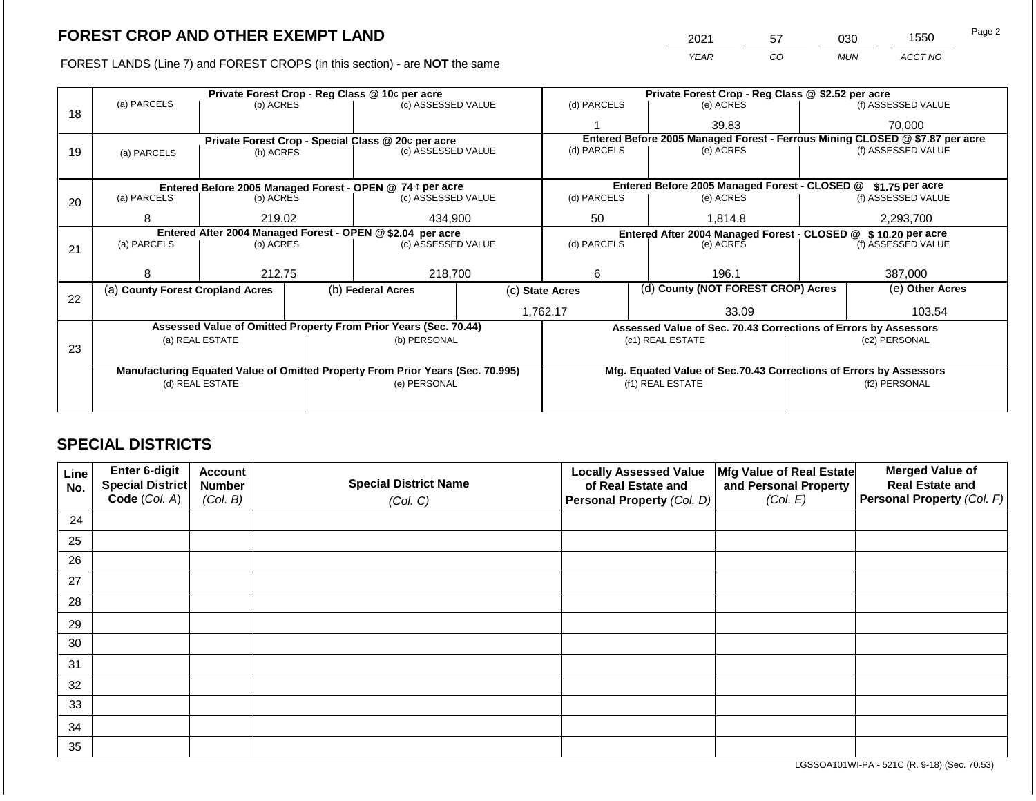2021 57 030 1550

FOREST LANDS (Line 7) and FOREST CROPS (in this section) - are **NOT** the same *YEAR CO MUN ACCT NO*

|    |                                                            |                 | Private Forest Crop - Reg Class @ 10¢ per acre                                  |                                                                                | Private Forest Crop - Reg Class @ \$2.52 per acre |                          |                 |                                                                    |                    |                                                                              |
|----|------------------------------------------------------------|-----------------|---------------------------------------------------------------------------------|--------------------------------------------------------------------------------|---------------------------------------------------|--------------------------|-----------------|--------------------------------------------------------------------|--------------------|------------------------------------------------------------------------------|
|    | (a) PARCELS                                                | (b) ACRES       |                                                                                 | (c) ASSESSED VALUE                                                             |                                                   | (d) PARCELS              |                 | (e) ACRES                                                          |                    | (f) ASSESSED VALUE                                                           |
| 18 |                                                            |                 |                                                                                 |                                                                                |                                                   |                          |                 | 39.83                                                              |                    | 70,000                                                                       |
|    |                                                            |                 |                                                                                 | Private Forest Crop - Special Class @ 20¢ per acre                             |                                                   |                          |                 |                                                                    |                    | Entered Before 2005 Managed Forest - Ferrous Mining CLOSED @ \$7.87 per acre |
| 19 | (a) PARCELS                                                | (b) ACRES       |                                                                                 | (c) ASSESSED VALUE                                                             |                                                   | (d) PARCELS              |                 | (e) ACRES                                                          |                    | (f) ASSESSED VALUE                                                           |
|    |                                                            |                 |                                                                                 |                                                                                |                                                   |                          |                 |                                                                    |                    |                                                                              |
|    |                                                            |                 |                                                                                 |                                                                                | Entered Before 2005 Managed Forest - CLOSED @     |                          | \$1.75 per acre |                                                                    |                    |                                                                              |
| 20 | (a) PARCELS                                                | (b) ACRES       | Entered Before 2005 Managed Forest - OPEN @ 74 ¢ per acre<br>(c) ASSESSED VALUE |                                                                                | (d) PARCELS                                       |                          | (e) ACRES       |                                                                    | (f) ASSESSED VALUE |                                                                              |
|    | 8                                                          | 219.02          |                                                                                 | 434,900                                                                        | 50                                                |                          | 1,814.8         | 2,293,700                                                          |                    |                                                                              |
|    | Entered After 2004 Managed Forest - OPEN @ \$2.04 per acre |                 |                                                                                 |                                                                                |                                                   |                          |                 | Entered After 2004 Managed Forest - CLOSED @                       |                    | \$10,20 per acre                                                             |
| 21 | (a) PARCELS                                                | (b) ACRES       |                                                                                 | (c) ASSESSED VALUE                                                             |                                                   | (d) PARCELS<br>(e) ACRES |                 | (f) ASSESSED VALUE                                                 |                    |                                                                              |
|    |                                                            |                 |                                                                                 |                                                                                |                                                   |                          |                 |                                                                    |                    |                                                                              |
|    | 8                                                          | 212.75          |                                                                                 |                                                                                | 218,700                                           |                          |                 | 196.1                                                              |                    | 387,000                                                                      |
| 22 | (a) County Forest Cropland Acres                           |                 |                                                                                 | (b) Federal Acres                                                              | (c) State Acres                                   |                          |                 | (d) County (NOT FOREST CROP) Acres                                 |                    | (e) Other Acres                                                              |
|    |                                                            |                 |                                                                                 |                                                                                |                                                   | 1,762.17                 |                 | 33.09                                                              |                    | 103.54                                                                       |
|    |                                                            |                 |                                                                                 | Assessed Value of Omitted Property From Prior Years (Sec. 70.44)               |                                                   |                          |                 | Assessed Value of Sec. 70.43 Corrections of Errors by Assessors    |                    |                                                                              |
|    |                                                            | (a) REAL ESTATE |                                                                                 | (b) PERSONAL                                                                   |                                                   |                          |                 | (c1) REAL ESTATE                                                   |                    | (c2) PERSONAL                                                                |
| 23 |                                                            |                 |                                                                                 |                                                                                |                                                   |                          |                 |                                                                    |                    |                                                                              |
|    |                                                            |                 |                                                                                 | Manufacturing Equated Value of Omitted Property From Prior Years (Sec. 70.995) |                                                   |                          |                 | Mfg. Equated Value of Sec.70.43 Corrections of Errors by Assessors |                    |                                                                              |
|    | (d) REAL ESTATE                                            |                 |                                                                                 | (e) PERSONAL                                                                   |                                                   |                          |                 | (f1) REAL ESTATE                                                   | (f2) PERSONAL      |                                                                              |
|    |                                                            |                 |                                                                                 |                                                                                |                                                   |                          |                 |                                                                    |                    |                                                                              |
|    |                                                            |                 |                                                                                 |                                                                                |                                                   |                          |                 |                                                                    |                    |                                                                              |

## **SPECIAL DISTRICTS**

| Line<br>No. | Enter 6-digit<br>Special District<br>Code (Col. A) | <b>Account</b><br><b>Number</b><br>(Col. B) | <b>Special District Name</b><br>(Col. C) | <b>Locally Assessed Value</b><br>of Real Estate and<br>Personal Property (Col. D) | Mfg Value of Real Estate<br>and Personal Property<br>(Col. E) | <b>Merged Value of</b><br><b>Real Estate and</b><br>Personal Property (Col. F) |
|-------------|----------------------------------------------------|---------------------------------------------|------------------------------------------|-----------------------------------------------------------------------------------|---------------------------------------------------------------|--------------------------------------------------------------------------------|
| 24          |                                                    |                                             |                                          |                                                                                   |                                                               |                                                                                |
| 25          |                                                    |                                             |                                          |                                                                                   |                                                               |                                                                                |
| 26          |                                                    |                                             |                                          |                                                                                   |                                                               |                                                                                |
| 27          |                                                    |                                             |                                          |                                                                                   |                                                               |                                                                                |
| 28          |                                                    |                                             |                                          |                                                                                   |                                                               |                                                                                |
| 29          |                                                    |                                             |                                          |                                                                                   |                                                               |                                                                                |
| 30          |                                                    |                                             |                                          |                                                                                   |                                                               |                                                                                |
| 31          |                                                    |                                             |                                          |                                                                                   |                                                               |                                                                                |
| 32          |                                                    |                                             |                                          |                                                                                   |                                                               |                                                                                |
| 33          |                                                    |                                             |                                          |                                                                                   |                                                               |                                                                                |
| 34          |                                                    |                                             |                                          |                                                                                   |                                                               |                                                                                |
| 35          |                                                    |                                             |                                          |                                                                                   |                                                               |                                                                                |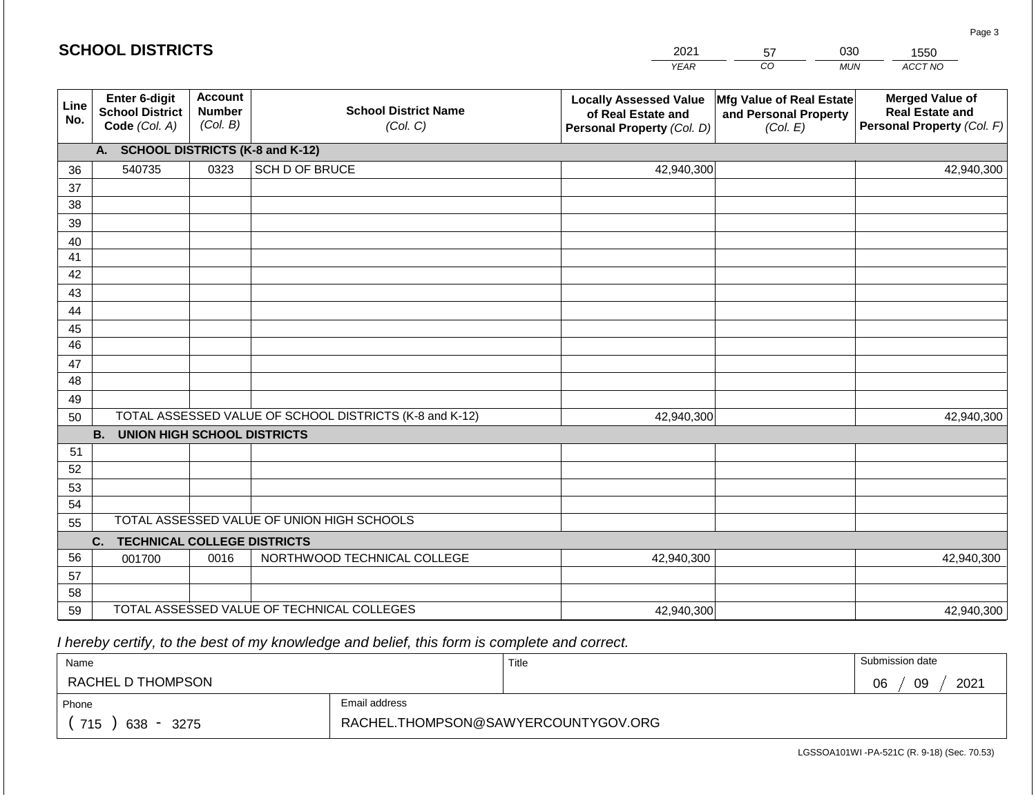|             | <b>SCHOOL DISTRICTS</b>                                  |                                             |                                                         | 2021                                                                              | 57                                                            | 030<br>1550                                                                    |
|-------------|----------------------------------------------------------|---------------------------------------------|---------------------------------------------------------|-----------------------------------------------------------------------------------|---------------------------------------------------------------|--------------------------------------------------------------------------------|
|             |                                                          |                                             |                                                         | <b>YEAR</b>                                                                       | CO                                                            | ACCT NO<br><b>MUN</b>                                                          |
| Line<br>No. | Enter 6-digit<br><b>School District</b><br>Code (Col. A) | <b>Account</b><br><b>Number</b><br>(Col. B) | <b>School District Name</b><br>(Col. C)                 | <b>Locally Assessed Value</b><br>of Real Estate and<br>Personal Property (Col. D) | Mfg Value of Real Estate<br>and Personal Property<br>(Col. E) | <b>Merged Value of</b><br><b>Real Estate and</b><br>Personal Property (Col. F) |
|             | А.                                                       |                                             | <b>SCHOOL DISTRICTS (K-8 and K-12)</b>                  |                                                                                   |                                                               |                                                                                |
| 36          | 540735                                                   | 0323                                        | SCH D OF BRUCE                                          | 42,940,300                                                                        |                                                               | 42,940,300                                                                     |
| 37          |                                                          |                                             |                                                         |                                                                                   |                                                               |                                                                                |
| 38          |                                                          |                                             |                                                         |                                                                                   |                                                               |                                                                                |
| 39          |                                                          |                                             |                                                         |                                                                                   |                                                               |                                                                                |
| 40          |                                                          |                                             |                                                         |                                                                                   |                                                               |                                                                                |
| 41          |                                                          |                                             |                                                         |                                                                                   |                                                               |                                                                                |
| 42          |                                                          |                                             |                                                         |                                                                                   |                                                               |                                                                                |
| 43          |                                                          |                                             |                                                         |                                                                                   |                                                               |                                                                                |
| 44<br>45    |                                                          |                                             |                                                         |                                                                                   |                                                               |                                                                                |
| 46          |                                                          |                                             |                                                         |                                                                                   |                                                               |                                                                                |
| 47          |                                                          |                                             |                                                         |                                                                                   |                                                               |                                                                                |
| 48          |                                                          |                                             |                                                         |                                                                                   |                                                               |                                                                                |
| 49          |                                                          |                                             |                                                         |                                                                                   |                                                               |                                                                                |
| 50          |                                                          |                                             | TOTAL ASSESSED VALUE OF SCHOOL DISTRICTS (K-8 and K-12) | 42,940,300                                                                        |                                                               | 42,940,300                                                                     |
|             | <b>B.</b><br><b>UNION HIGH SCHOOL DISTRICTS</b>          |                                             |                                                         |                                                                                   |                                                               |                                                                                |
| 51          |                                                          |                                             |                                                         |                                                                                   |                                                               |                                                                                |
| 52          |                                                          |                                             |                                                         |                                                                                   |                                                               |                                                                                |
| 53          |                                                          |                                             |                                                         |                                                                                   |                                                               |                                                                                |
| 54          |                                                          |                                             |                                                         |                                                                                   |                                                               |                                                                                |
| 55          |                                                          |                                             | TOTAL ASSESSED VALUE OF UNION HIGH SCHOOLS              |                                                                                   |                                                               |                                                                                |
|             | <b>TECHNICAL COLLEGE DISTRICTS</b><br>C.                 |                                             |                                                         |                                                                                   |                                                               |                                                                                |
| 56          | 001700                                                   | 0016                                        | NORTHWOOD TECHNICAL COLLEGE                             | 42,940,300                                                                        |                                                               | 42,940,300                                                                     |
| 57          |                                                          |                                             |                                                         |                                                                                   |                                                               |                                                                                |
| 58          |                                                          |                                             | TOTAL ASSESSED VALUE OF TECHNICAL COLLEGES              |                                                                                   |                                                               |                                                                                |
| 59          |                                                          |                                             |                                                         | 42,940,300                                                                        |                                                               | 42,940,300                                                                     |

 *I hereby certify, to the best of my knowledge and belief, this form is complete and correct.*

| Name               |                                     | Title | Submission date  |  |  |
|--------------------|-------------------------------------|-------|------------------|--|--|
| RACHEL D THOMPSON  |                                     |       | 09<br>2021<br>06 |  |  |
| Phone              | Email address                       |       |                  |  |  |
| 715<br>638<br>3275 | RACHEL.THOMPSON@SAWYERCOUNTYGOV.ORG |       |                  |  |  |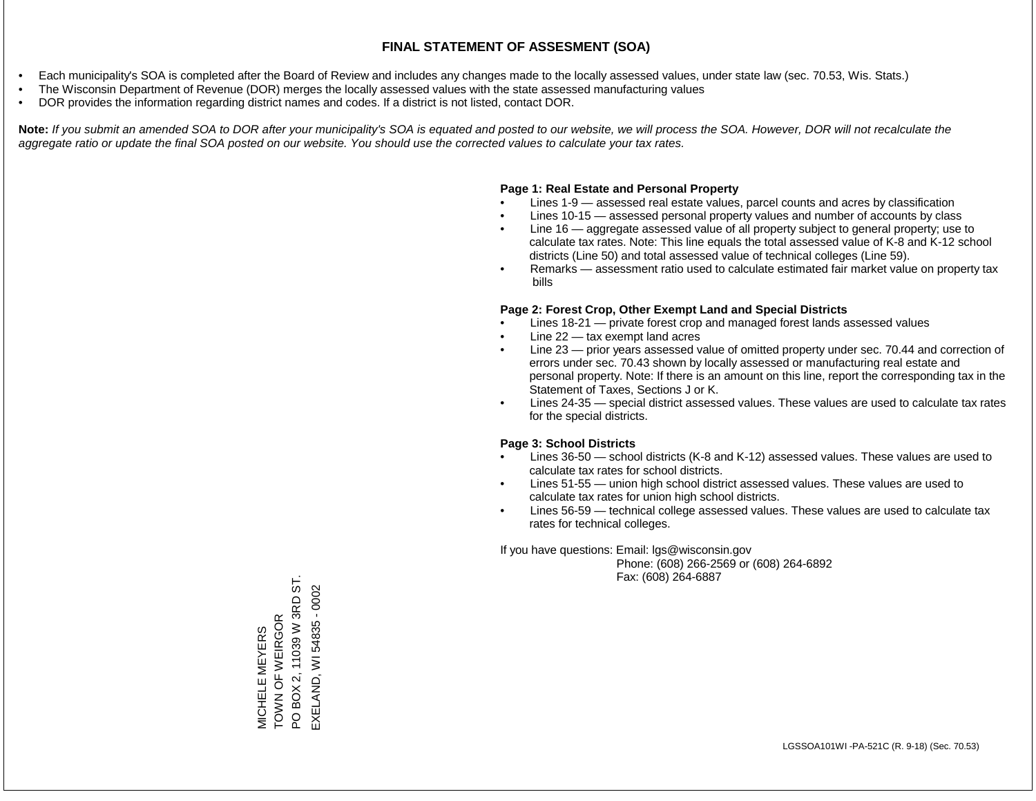- Each municipality's SOA is completed after the Board of Review and includes any changes made to the locally assessed values, under state law (sec. 70.53, Wis. Stats.)
- The Wisconsin Department of Revenue (DOR) merges the locally assessed values with the state assessed manufacturing values
- DOR provides the information regarding district names and codes. If a district is not listed, contact DOR.

Note: If you submit an amended SOA to DOR after your municipality's SOA is equated and posted to our website, we will process the SOA. However, DOR will not recalculate the *aggregate ratio or update the final SOA posted on our website. You should use the corrected values to calculate your tax rates.*

## **Page 1: Real Estate and Personal Property**

- Lines 1-9 assessed real estate values, parcel counts and acres by classification
- Lines 10-15 assessed personal property values and number of accounts by class
- Line 16 aggregate assessed value of all property subject to general property; use to calculate tax rates. Note: This line equals the total assessed value of K-8 and K-12 school districts (Line 50) and total assessed value of technical colleges (Line 59).
- Remarks assessment ratio used to calculate estimated fair market value on property tax bills

## **Page 2: Forest Crop, Other Exempt Land and Special Districts**

- Lines 18-21 private forest crop and managed forest lands assessed values
- Line  $22 -$  tax exempt land acres
- Line 23 prior years assessed value of omitted property under sec. 70.44 and correction of errors under sec. 70.43 shown by locally assessed or manufacturing real estate and personal property. Note: If there is an amount on this line, report the corresponding tax in the Statement of Taxes, Sections J or K.
- Lines 24-35 special district assessed values. These values are used to calculate tax rates for the special districts.

## **Page 3: School Districts**

- Lines 36-50 school districts (K-8 and K-12) assessed values. These values are used to calculate tax rates for school districts.
- Lines 51-55 union high school district assessed values. These values are used to calculate tax rates for union high school districts.
- Lines 56-59 technical college assessed values. These values are used to calculate tax rates for technical colleges.

If you have questions: Email: lgs@wisconsin.gov

 Phone: (608) 266-2569 or (608) 264-6892 Fax: (608) 264-6887

TOWN OF WEIRGOR<br>PO BOX 2, 11039 W 3RD ST. PO BOX 2, 11039 W 3RD ST. EXELAND, WI 54835 - 0002 EXELAND, WI 54835 - 0002TOWN OF WEIRGOR **VICHELE MEYERS** MICHELE MEYERS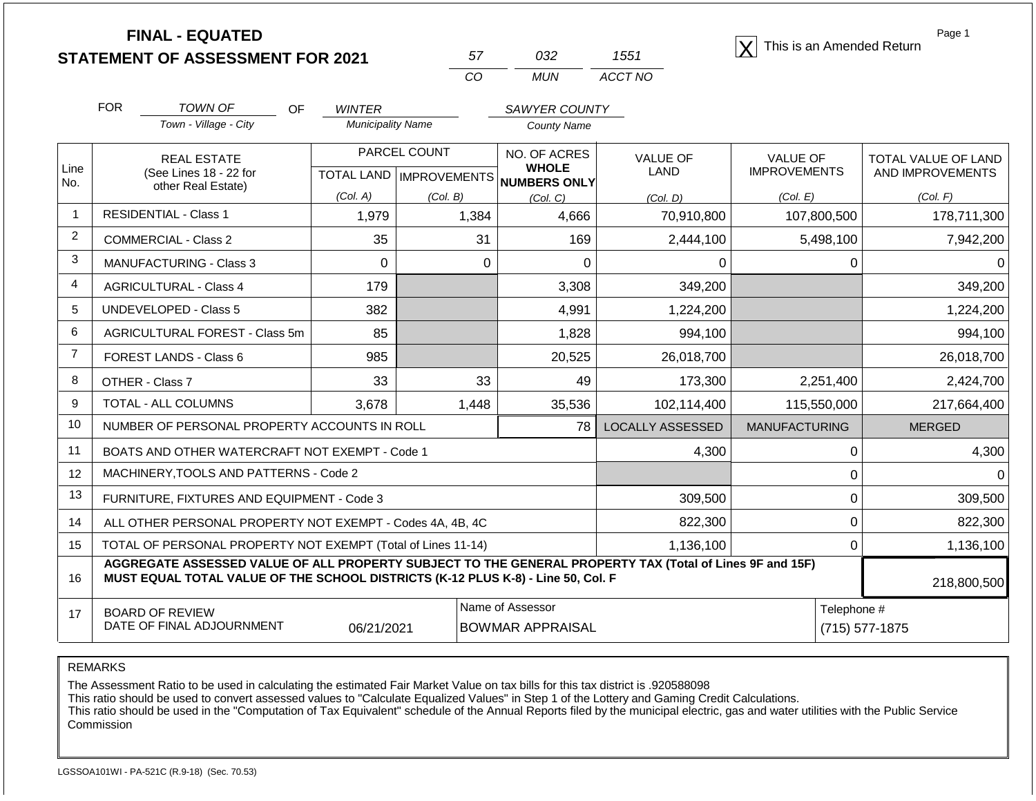**STATEMENT OF ASSESSMENT FOR 2021**

| 57 | 7132  | 1551    |
|----|-------|---------|
| m  | MI IN | ACCT NO |

**FINAL - EQUATED**<br>  $\overline{X}$  This is an Amended Return

Page 1

|                | <b>FOR</b>                                                                                                                                                                                   | <b>TOWN OF</b><br>OF                                         | <b>WINTER</b>            |              | <b>SAWYER COUNTY</b>                                |                         |                      |                        |
|----------------|----------------------------------------------------------------------------------------------------------------------------------------------------------------------------------------------|--------------------------------------------------------------|--------------------------|--------------|-----------------------------------------------------|-------------------------|----------------------|------------------------|
|                |                                                                                                                                                                                              | Town - Village - City                                        | <b>Municipality Name</b> |              | <b>County Name</b>                                  |                         |                      |                        |
|                |                                                                                                                                                                                              | <b>REAL ESTATE</b>                                           |                          | PARCEL COUNT | NO. OF ACRES                                        | <b>VALUE OF</b>         | <b>VALUE OF</b>      | TOTAL VALUE OF LAND    |
| Line<br>No.    |                                                                                                                                                                                              | (See Lines 18 - 22 for<br>other Real Estate)                 |                          |              | <b>WHOLE</b><br>TOTAL LAND MPROVEMENTS NUMBERS ONLY | <b>LAND</b>             | <b>IMPROVEMENTS</b>  | AND IMPROVEMENTS       |
|                |                                                                                                                                                                                              |                                                              | (Col. A)                 | (Col. B)     | (Col. C)                                            | (Col. D)                | (Col. E)             | (Col. F)               |
| $\mathbf{1}$   |                                                                                                                                                                                              | <b>RESIDENTIAL - Class 1</b>                                 | 1,979                    | 1,384        | 4,666                                               | 70,910,800              | 107,800,500          | 178,711,300            |
| $\overline{2}$ |                                                                                                                                                                                              | <b>COMMERCIAL - Class 2</b>                                  | 35                       | 31           | 169                                                 | 2,444,100               | 5,498,100            | 7,942,200              |
| 3              |                                                                                                                                                                                              | <b>MANUFACTURING - Class 3</b>                               | $\Omega$                 | $\Omega$     | 0                                                   | 0                       |                      | $\Omega$               |
| 4              |                                                                                                                                                                                              | <b>AGRICULTURAL - Class 4</b>                                | 179                      |              | 3,308                                               | 349,200                 |                      | 349,200                |
| 5              |                                                                                                                                                                                              | <b>UNDEVELOPED - Class 5</b>                                 | 382                      |              | 4,991                                               | 1,224,200               |                      | 1,224,200              |
| 6              |                                                                                                                                                                                              | AGRICULTURAL FOREST - Class 5m                               | 85                       |              | 1,828                                               | 994,100                 |                      | 994,100                |
| $\overline{7}$ |                                                                                                                                                                                              | FOREST LANDS - Class 6                                       | 985                      |              | 20,525                                              | 26,018,700              |                      | 26,018,700             |
| 8              |                                                                                                                                                                                              | OTHER - Class 7                                              | 33                       | 33           | 49                                                  | 173,300                 | 2,251,400            | 2,424,700              |
| 9              |                                                                                                                                                                                              | TOTAL - ALL COLUMNS                                          | 3,678                    | 1,448        | 35,536                                              | 102,114,400             | 115,550,000          | 217,664,400            |
| 10             |                                                                                                                                                                                              | NUMBER OF PERSONAL PROPERTY ACCOUNTS IN ROLL                 |                          |              | 78                                                  | <b>LOCALLY ASSESSED</b> | <b>MANUFACTURING</b> | <b>MERGED</b>          |
| 11             |                                                                                                                                                                                              | BOATS AND OTHER WATERCRAFT NOT EXEMPT - Code 1               |                          |              |                                                     | 4,300                   |                      | 4,300<br>0             |
| 12             |                                                                                                                                                                                              | MACHINERY, TOOLS AND PATTERNS - Code 2                       |                          |              |                                                     |                         |                      | 0                      |
| 13             |                                                                                                                                                                                              | FURNITURE, FIXTURES AND EQUIPMENT - Code 3                   |                          |              |                                                     | 309,500                 |                      | 0<br>309,500           |
| 14             |                                                                                                                                                                                              | ALL OTHER PERSONAL PROPERTY NOT EXEMPT - Codes 4A, 4B, 4C    |                          |              |                                                     | 822,300                 |                      | $\mathbf 0$<br>822,300 |
| 15             |                                                                                                                                                                                              | TOTAL OF PERSONAL PROPERTY NOT EXEMPT (Total of Lines 11-14) |                          |              |                                                     | 1,136,100               |                      | 0<br>1,136,100         |
| 16             | AGGREGATE ASSESSED VALUE OF ALL PROPERTY SUBJECT TO THE GENERAL PROPERTY TAX (Total of Lines 9F and 15F)<br>MUST EQUAL TOTAL VALUE OF THE SCHOOL DISTRICTS (K-12 PLUS K-8) - Line 50, Col. F |                                                              |                          |              |                                                     |                         |                      |                        |
| 17             |                                                                                                                                                                                              | <b>BOARD OF REVIEW</b>                                       |                          |              | Name of Assessor                                    |                         | Telephone #          |                        |
|                | DATE OF FINAL ADJOURNMENT<br>06/21/2021<br><b>BOWMAR APPRAISAL</b>                                                                                                                           |                                                              |                          |              |                                                     |                         | $(715)$ 577-1875     |                        |

REMARKS

The Assessment Ratio to be used in calculating the estimated Fair Market Value on tax bills for this tax district is .920588098

This ratio should be used to convert assessed values to "Calculate Equalized Values" in Step 1 of the Lottery and Gaming Credit Calculations.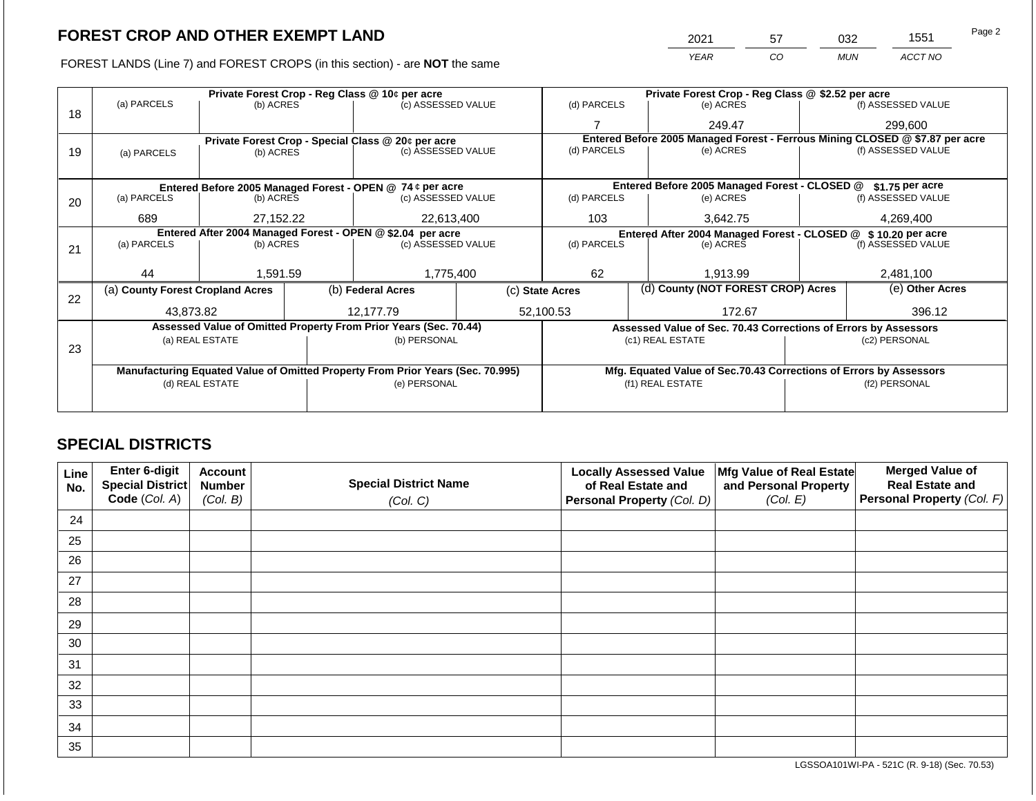FOREST LANDS (Line 7) and FOREST CROPS (in this section) - are **NOT** the same

| Page 2 | 1551    | 032        | 57 | 2021 |
|--------|---------|------------|----|------|
|        | ACCT NO | <b>MUN</b> | CO | YEAR |
|        |         |            |    |      |

|    |                                                                                |                                |  | Private Forest Crop - Reg Class @ 10¢ per acre                   |                                                                    | Private Forest Crop - Reg Class @ \$2.52 per acre     |                                                               |                                                                              |                 |                    |  |
|----|--------------------------------------------------------------------------------|--------------------------------|--|------------------------------------------------------------------|--------------------------------------------------------------------|-------------------------------------------------------|---------------------------------------------------------------|------------------------------------------------------------------------------|-----------------|--------------------|--|
|    | (a) PARCELS                                                                    | (b) ACRES                      |  | (c) ASSESSED VALUE                                               |                                                                    | (d) PARCELS                                           |                                                               | (e) ACRES                                                                    |                 | (f) ASSESSED VALUE |  |
| 18 |                                                                                |                                |  |                                                                  |                                                                    |                                                       |                                                               | 249.47                                                                       |                 | 299,600            |  |
|    |                                                                                |                                |  | Private Forest Crop - Special Class @ 20¢ per acre               |                                                                    |                                                       |                                                               | Entered Before 2005 Managed Forest - Ferrous Mining CLOSED @ \$7.87 per acre |                 |                    |  |
| 19 | (a) PARCELS                                                                    | (b) ACRES                      |  | (c) ASSESSED VALUE                                               |                                                                    | (d) PARCELS                                           |                                                               | (e) ACRES                                                                    |                 | (f) ASSESSED VALUE |  |
|    |                                                                                |                                |  |                                                                  |                                                                    |                                                       |                                                               |                                                                              |                 |                    |  |
|    | Entered Before 2005 Managed Forest - OPEN @ 74 ¢ per acre                      |                                |  |                                                                  | Entered Before 2005 Managed Forest - CLOSED @                      |                                                       | \$1.75 per acre                                               |                                                                              |                 |                    |  |
| 20 | (a) PARCELS                                                                    | (b) ACRES                      |  | (c) ASSESSED VALUE                                               |                                                                    | (d) PARCELS                                           |                                                               | (e) ACRES                                                                    |                 | (f) ASSESSED VALUE |  |
|    |                                                                                |                                |  |                                                                  |                                                                    |                                                       |                                                               |                                                                              |                 |                    |  |
|    |                                                                                | 22,613,400<br>689<br>27.152.22 |  |                                                                  | 103                                                                |                                                       | 3.642.75                                                      |                                                                              | 4,269,400       |                    |  |
|    | Entered After 2004 Managed Forest - OPEN @ \$2.04 per acre                     |                                |  |                                                                  |                                                                    |                                                       | Entered After 2004 Managed Forest - CLOSED @ \$10.20 per acre |                                                                              |                 |                    |  |
| 21 | (a) PARCELS                                                                    | (b) ACRES                      |  | (c) ASSESSED VALUE                                               |                                                                    | (d) PARCELS                                           |                                                               | (e) ACRES                                                                    |                 | (f) ASSESSED VALUE |  |
|    |                                                                                |                                |  |                                                                  |                                                                    |                                                       |                                                               |                                                                              |                 |                    |  |
|    | 44                                                                             | 1,591.59                       |  | 1,775,400                                                        |                                                                    | 62<br>1,913.99                                        |                                                               | 2,481,100                                                                    |                 |                    |  |
| 22 | (a) County Forest Cropland Acres                                               |                                |  | (b) Federal Acres                                                |                                                                    | (d) County (NOT FOREST CROP) Acres<br>(c) State Acres |                                                               |                                                                              | (e) Other Acres |                    |  |
|    | 43,873.82                                                                      |                                |  | 12,177.79                                                        |                                                                    | 52,100.53                                             |                                                               | 172.67                                                                       |                 | 396.12             |  |
|    |                                                                                |                                |  | Assessed Value of Omitted Property From Prior Years (Sec. 70.44) |                                                                    |                                                       |                                                               | Assessed Value of Sec. 70.43 Corrections of Errors by Assessors              |                 |                    |  |
|    |                                                                                | (a) REAL ESTATE                |  | (b) PERSONAL                                                     |                                                                    |                                                       |                                                               | (c1) REAL ESTATE                                                             |                 | (c2) PERSONAL      |  |
| 23 |                                                                                |                                |  |                                                                  |                                                                    |                                                       |                                                               |                                                                              |                 |                    |  |
|    | Manufacturing Equated Value of Omitted Property From Prior Years (Sec. 70.995) |                                |  |                                                                  | Mfg. Equated Value of Sec.70.43 Corrections of Errors by Assessors |                                                       |                                                               |                                                                              |                 |                    |  |
|    |                                                                                | (d) REAL ESTATE                |  | (e) PERSONAL                                                     |                                                                    |                                                       |                                                               | (f1) REAL ESTATE                                                             |                 | (f2) PERSONAL      |  |
|    |                                                                                |                                |  |                                                                  |                                                                    |                                                       |                                                               |                                                                              |                 |                    |  |
|    |                                                                                |                                |  |                                                                  |                                                                    |                                                       |                                                               |                                                                              |                 |                    |  |

## **SPECIAL DISTRICTS**

| Line<br>No. | Enter 6-digit<br>Special District | <b>Account</b><br><b>Number</b> | <b>Special District Name</b> | <b>Locally Assessed Value</b><br>of Real Estate and | Mfg Value of Real Estate<br>and Personal Property | <b>Merged Value of</b><br><b>Real Estate and</b> |
|-------------|-----------------------------------|---------------------------------|------------------------------|-----------------------------------------------------|---------------------------------------------------|--------------------------------------------------|
|             | Code (Col. A)                     | (Col. B)                        | (Col. C)                     | <b>Personal Property (Col. D)</b>                   | (Col. E)                                          | Personal Property (Col. F)                       |
| 24          |                                   |                                 |                              |                                                     |                                                   |                                                  |
| 25          |                                   |                                 |                              |                                                     |                                                   |                                                  |
| 26          |                                   |                                 |                              |                                                     |                                                   |                                                  |
| 27          |                                   |                                 |                              |                                                     |                                                   |                                                  |
| 28          |                                   |                                 |                              |                                                     |                                                   |                                                  |
| 29          |                                   |                                 |                              |                                                     |                                                   |                                                  |
| 30          |                                   |                                 |                              |                                                     |                                                   |                                                  |
| 31          |                                   |                                 |                              |                                                     |                                                   |                                                  |
| 32          |                                   |                                 |                              |                                                     |                                                   |                                                  |
| 33          |                                   |                                 |                              |                                                     |                                                   |                                                  |
| 34          |                                   |                                 |                              |                                                     |                                                   |                                                  |
| 35          |                                   |                                 |                              |                                                     |                                                   |                                                  |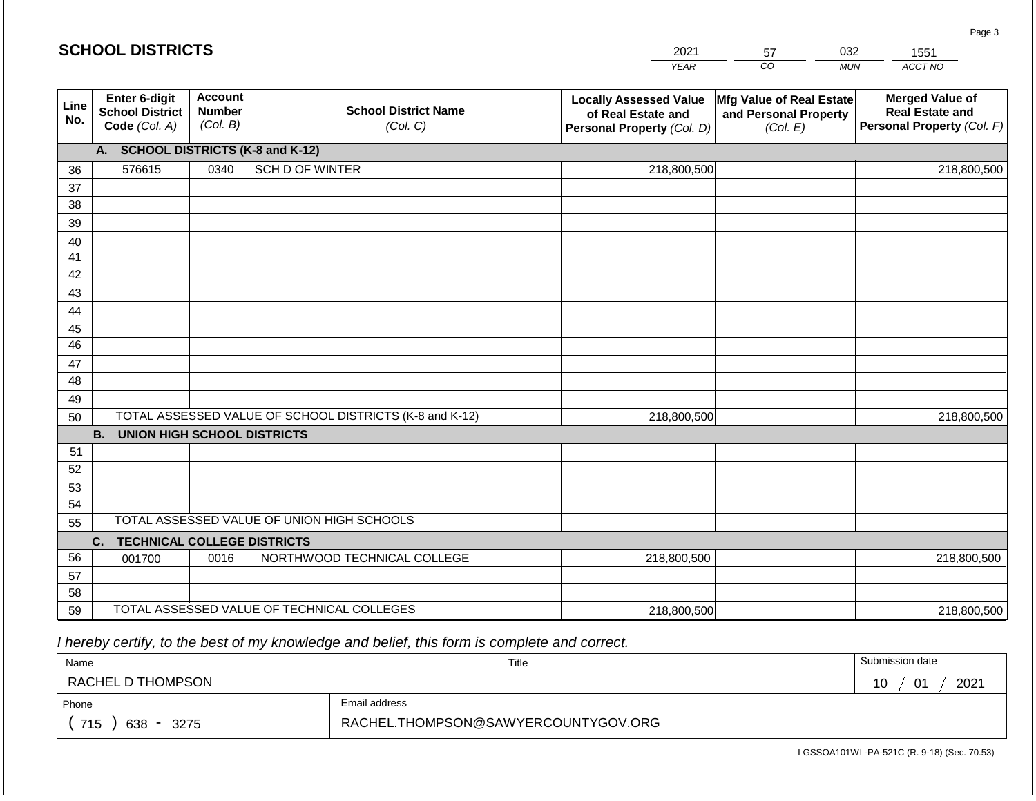|             | <b>SCHOOL DISTRICTS</b>                                  |                                             |                                                         | 2021                                                                              | 57                                                            | 032<br>1551                                                                    |  |  |  |  |  |
|-------------|----------------------------------------------------------|---------------------------------------------|---------------------------------------------------------|-----------------------------------------------------------------------------------|---------------------------------------------------------------|--------------------------------------------------------------------------------|--|--|--|--|--|
|             |                                                          |                                             |                                                         | <b>YEAR</b>                                                                       | CO                                                            | ACCT NO<br><b>MUN</b>                                                          |  |  |  |  |  |
| Line<br>No. | Enter 6-digit<br><b>School District</b><br>Code (Col. A) | <b>Account</b><br><b>Number</b><br>(Col. B) | <b>School District Name</b><br>(Col. C)                 | <b>Locally Assessed Value</b><br>of Real Estate and<br>Personal Property (Col. D) | Mfg Value of Real Estate<br>and Personal Property<br>(Col. E) | <b>Merged Value of</b><br><b>Real Estate and</b><br>Personal Property (Col. F) |  |  |  |  |  |
|             | <b>SCHOOL DISTRICTS (K-8 and K-12)</b><br>A.             |                                             |                                                         |                                                                                   |                                                               |                                                                                |  |  |  |  |  |
| 36          | 576615                                                   | 0340                                        | SCH D OF WINTER                                         | 218,800,500                                                                       |                                                               | 218,800,500                                                                    |  |  |  |  |  |
| 37          |                                                          |                                             |                                                         |                                                                                   |                                                               |                                                                                |  |  |  |  |  |
| 38          |                                                          |                                             |                                                         |                                                                                   |                                                               |                                                                                |  |  |  |  |  |
| 39          |                                                          |                                             |                                                         |                                                                                   |                                                               |                                                                                |  |  |  |  |  |
| 40          |                                                          |                                             |                                                         |                                                                                   |                                                               |                                                                                |  |  |  |  |  |
| 41          |                                                          |                                             |                                                         |                                                                                   |                                                               |                                                                                |  |  |  |  |  |
| 42          |                                                          |                                             |                                                         |                                                                                   |                                                               |                                                                                |  |  |  |  |  |
| 43<br>44    |                                                          |                                             |                                                         |                                                                                   |                                                               |                                                                                |  |  |  |  |  |
| 45          |                                                          |                                             |                                                         |                                                                                   |                                                               |                                                                                |  |  |  |  |  |
| 46          |                                                          |                                             |                                                         |                                                                                   |                                                               |                                                                                |  |  |  |  |  |
| 47          |                                                          |                                             |                                                         |                                                                                   |                                                               |                                                                                |  |  |  |  |  |
| 48          |                                                          |                                             |                                                         |                                                                                   |                                                               |                                                                                |  |  |  |  |  |
| 49          |                                                          |                                             |                                                         |                                                                                   |                                                               |                                                                                |  |  |  |  |  |
| 50          |                                                          |                                             | TOTAL ASSESSED VALUE OF SCHOOL DISTRICTS (K-8 and K-12) | 218,800,500                                                                       |                                                               | 218,800,500                                                                    |  |  |  |  |  |
|             | <b>B.</b><br><b>UNION HIGH SCHOOL DISTRICTS</b>          |                                             |                                                         |                                                                                   |                                                               |                                                                                |  |  |  |  |  |
| 51          |                                                          |                                             |                                                         |                                                                                   |                                                               |                                                                                |  |  |  |  |  |
| 52          |                                                          |                                             |                                                         |                                                                                   |                                                               |                                                                                |  |  |  |  |  |
| 53          |                                                          |                                             |                                                         |                                                                                   |                                                               |                                                                                |  |  |  |  |  |
| 54          |                                                          |                                             |                                                         |                                                                                   |                                                               |                                                                                |  |  |  |  |  |
| 55          |                                                          |                                             | TOTAL ASSESSED VALUE OF UNION HIGH SCHOOLS              |                                                                                   |                                                               |                                                                                |  |  |  |  |  |
|             | <b>TECHNICAL COLLEGE DISTRICTS</b><br>C.                 |                                             |                                                         |                                                                                   |                                                               |                                                                                |  |  |  |  |  |
| 56          | 001700                                                   | 0016                                        | NORTHWOOD TECHNICAL COLLEGE                             | 218,800,500                                                                       |                                                               | 218,800,500                                                                    |  |  |  |  |  |
| 57<br>58    |                                                          |                                             |                                                         |                                                                                   |                                                               |                                                                                |  |  |  |  |  |
| 59          |                                                          |                                             | TOTAL ASSESSED VALUE OF TECHNICAL COLLEGES              |                                                                                   |                                                               |                                                                                |  |  |  |  |  |
|             |                                                          |                                             |                                                         | 218,800,500                                                                       |                                                               | 218,800,500                                                                    |  |  |  |  |  |

 *I hereby certify, to the best of my knowledge and belief, this form is complete and correct.*

| Name                                           |                                     | Title | Submission date         |
|------------------------------------------------|-------------------------------------|-------|-------------------------|
| RACHEL D THOMPSON                              |                                     |       | 2021<br><b>01</b><br>10 |
| Phone                                          | Email address                       |       |                         |
| 715<br>638<br>3275<br>$\overline{\phantom{a}}$ | RACHEL.THOMPSON@SAWYERCOUNTYGOV.ORG |       |                         |

Page 3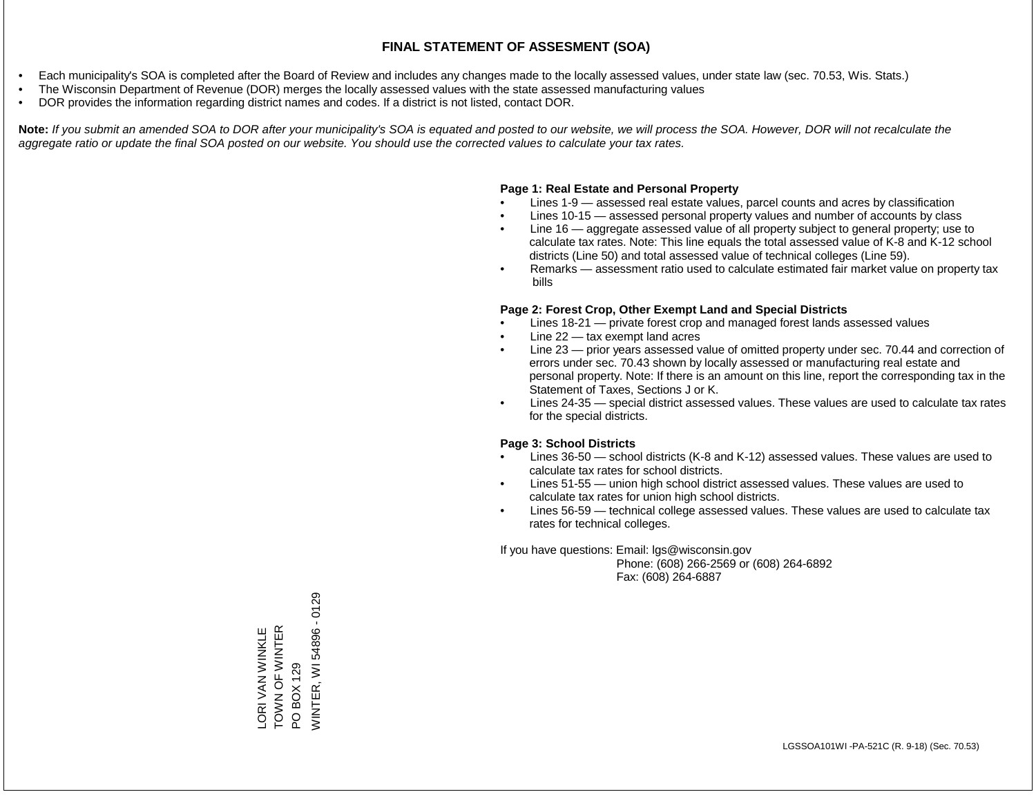- Each municipality's SOA is completed after the Board of Review and includes any changes made to the locally assessed values, under state law (sec. 70.53, Wis. Stats.)
- The Wisconsin Department of Revenue (DOR) merges the locally assessed values with the state assessed manufacturing values
- DOR provides the information regarding district names and codes. If a district is not listed, contact DOR.

Note: If you submit an amended SOA to DOR after your municipality's SOA is equated and posted to our website, we will process the SOA. However, DOR will not recalculate the *aggregate ratio or update the final SOA posted on our website. You should use the corrected values to calculate your tax rates.*

## **Page 1: Real Estate and Personal Property**

- Lines 1-9 assessed real estate values, parcel counts and acres by classification
- Lines 10-15 assessed personal property values and number of accounts by class
- Line 16 aggregate assessed value of all property subject to general property; use to calculate tax rates. Note: This line equals the total assessed value of K-8 and K-12 school districts (Line 50) and total assessed value of technical colleges (Line 59).
- Remarks assessment ratio used to calculate estimated fair market value on property tax bills

## **Page 2: Forest Crop, Other Exempt Land and Special Districts**

- Lines 18-21 private forest crop and managed forest lands assessed values
- Line  $22 -$  tax exempt land acres
- Line 23 prior years assessed value of omitted property under sec. 70.44 and correction of errors under sec. 70.43 shown by locally assessed or manufacturing real estate and personal property. Note: If there is an amount on this line, report the corresponding tax in the Statement of Taxes, Sections J or K.
- Lines 24-35 special district assessed values. These values are used to calculate tax rates for the special districts.

## **Page 3: School Districts**

- Lines 36-50 school districts (K-8 and K-12) assessed values. These values are used to calculate tax rates for school districts.
- Lines 51-55 union high school district assessed values. These values are used to calculate tax rates for union high school districts.
- Lines 56-59 technical college assessed values. These values are used to calculate tax rates for technical colleges.

If you have questions: Email: lgs@wisconsin.gov

 Phone: (608) 266-2569 or (608) 264-6892 Fax: (608) 264-6887

**NINTER, WI 54896 - 0129** WINTER, WI 54896 - 0129TOWN OF WINTER LORI VAN WINKLE<br>TOWN OF WINTER LORI VAN WINKLE PO BOX 129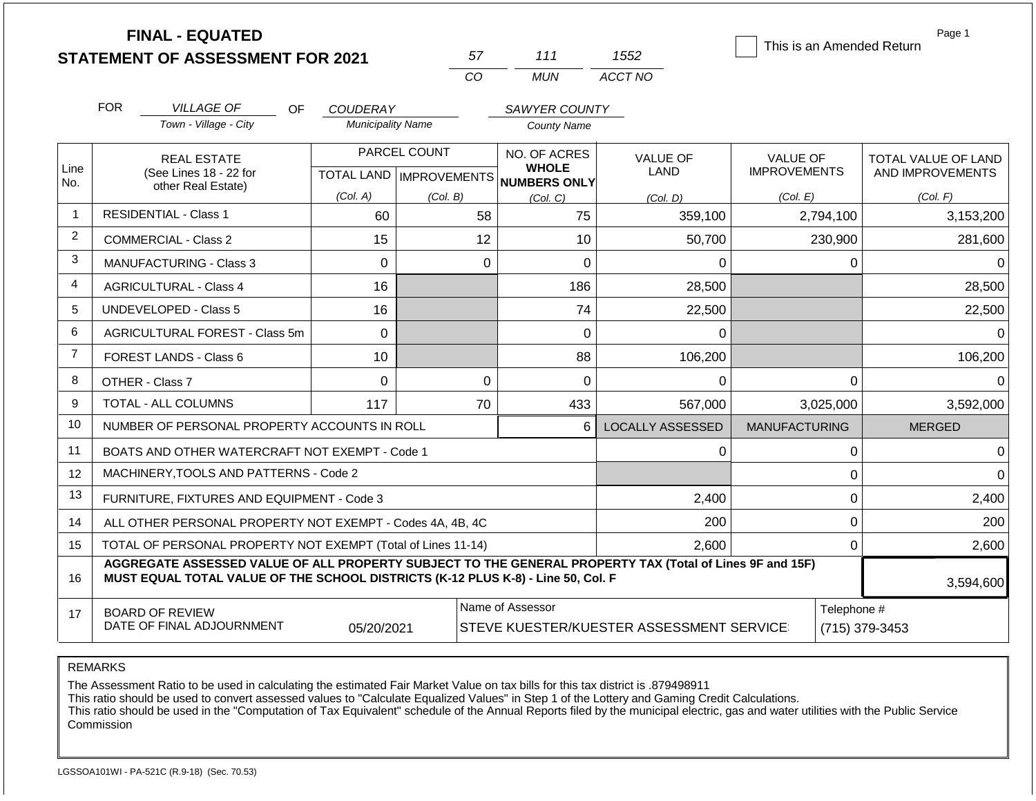|                | <b>FINAL - EQUATED</b>                                                                                                                                                                       |                               |                           |                              |                                | This is an Amended Return              | Page 1                                  |
|----------------|----------------------------------------------------------------------------------------------------------------------------------------------------------------------------------------------|-------------------------------|---------------------------|------------------------------|--------------------------------|----------------------------------------|-----------------------------------------|
|                | <b>STATEMENT OF ASSESSMENT FOR 2021</b>                                                                                                                                                      |                               | 57                        | 111                          | 1552                           |                                        |                                         |
|                |                                                                                                                                                                                              |                               | CO                        | <b>MUN</b>                   | ACCT NO                        |                                        |                                         |
|                | <b>FOR</b><br><b>VILLAGE OF</b><br><b>OF</b>                                                                                                                                                 | <b>COUDERAY</b>               |                           | SAWYER COUNTY                |                                |                                        |                                         |
|                | Town - Village - City                                                                                                                                                                        | <b>Municipality Name</b>      |                           | <b>County Name</b>           |                                |                                        |                                         |
| Line           | <b>REAL ESTATE</b><br>(See Lines 18 - 22 for                                                                                                                                                 |                               | PARCEL COUNT              | NO. OF ACRES<br><b>WHOLE</b> | <b>VALUE OF</b><br><b>LAND</b> | <b>VALUE OF</b><br><b>IMPROVEMENTS</b> | TOTAL VALUE OF LAND<br>AND IMPROVEMENTS |
| No.            | other Real Estate)                                                                                                                                                                           | (Col. A)                      | TOTAL LAND   IMPROVEMENTS | NUMBERS ONLY                 |                                |                                        |                                         |
| $\overline{1}$ | <b>RESIDENTIAL - Class 1</b>                                                                                                                                                                 | 60                            | (Col. B)                  | (Col. C)<br>58<br>75         | (Col, D)<br>359,100            | (Col. E)<br>2,794,100                  | (Col. F)<br>3,153,200                   |
| 2              | <b>COMMERCIAL - Class 2</b>                                                                                                                                                                  | 15                            |                           | 12<br>10                     | 50,700                         | 230,900                                | 281,600                                 |
| 3              | MANUFACTURING - Class 3                                                                                                                                                                      | $\Omega$                      |                           | $\overline{0}$<br>$\Omega$   | 0                              | 0                                      | 0                                       |
| 4              | <b>AGRICULTURAL - Class 4</b><br>16                                                                                                                                                          |                               |                           | 186                          | 28,500                         |                                        | 28,500                                  |
| 5              | <b>UNDEVELOPED - Class 5</b>                                                                                                                                                                 | 16                            |                           | 74                           | 22,500                         |                                        | 22,500                                  |
| 6              | AGRICULTURAL FOREST - Class 5m                                                                                                                                                               | $\mathbf 0$                   |                           | 0                            | 0                              |                                        | 0                                       |
| $\overline{7}$ | <b>FOREST LANDS - Class 6</b>                                                                                                                                                                | 10                            |                           | 88                           | 106,200                        |                                        | 106,200                                 |
| 8              | OTHER - Class 7                                                                                                                                                                              | $\Omega$                      |                           | $\mathbf 0$<br>$\Omega$      | $\Omega$                       | $\Omega$                               | $\Omega$                                |
| 9              | <b>TOTAL - ALL COLUMNS</b>                                                                                                                                                                   | 117                           |                           | 433<br>70                    | 567,000                        | 3,025,000                              | 3,592,000                               |
| 10             | NUMBER OF PERSONAL PROPERTY ACCOUNTS IN ROLL                                                                                                                                                 |                               |                           | 6                            | <b>LOCALLY ASSESSED</b>        | <b>MANUFACTURING</b>                   | <b>MERGED</b>                           |
| 11             | BOATS AND OTHER WATERCRAFT NOT EXEMPT - Code 1                                                                                                                                               |                               |                           |                              | 0                              | 0                                      | 0                                       |
| 12             | MACHINERY, TOOLS AND PATTERNS - Code 2                                                                                                                                                       |                               |                           |                              |                                | $\mathbf 0$                            | $\Omega$                                |
| 13             | FURNITURE, FIXTURES AND EQUIPMENT - Code 3                                                                                                                                                   |                               |                           |                              | 2,400                          | $\mathbf{0}$                           | 2,400                                   |
| 14             | ALL OTHER PERSONAL PROPERTY NOT EXEMPT - Codes 4A, 4B, 4C                                                                                                                                    |                               |                           |                              | 200                            | $\mathbf 0$                            | 200                                     |
| 15             | TOTAL OF PERSONAL PROPERTY NOT EXEMPT (Total of Lines 11-14)                                                                                                                                 |                               |                           |                              | 2,600                          | $\mathbf{0}$                           | 2,600                                   |
| 16             | AGGREGATE ASSESSED VALUE OF ALL PROPERTY SUBJECT TO THE GENERAL PROPERTY TAX (Total of Lines 9F and 15F)<br>MUST EQUAL TOTAL VALUE OF THE SCHOOL DISTRICTS (K-12 PLUS K-8) - Line 50, Col. F |                               |                           |                              |                                |                                        | 3,594,600                               |
| 17             | <b>BOARD OF REVIEW</b><br>DATE OF FINAL ADJOURNMENT                                                                                                                                          | Telephone #<br>(715) 379-3453 |                           |                              |                                |                                        |                                         |

The Assessment Ratio to be used in calculating the estimated Fair Market Value on tax bills for this tax district is .879498911

This ratio should be used to convert assessed values to "Calculate Equalized Values" in Step 1 of the Lottery and Gaming Credit Calculations.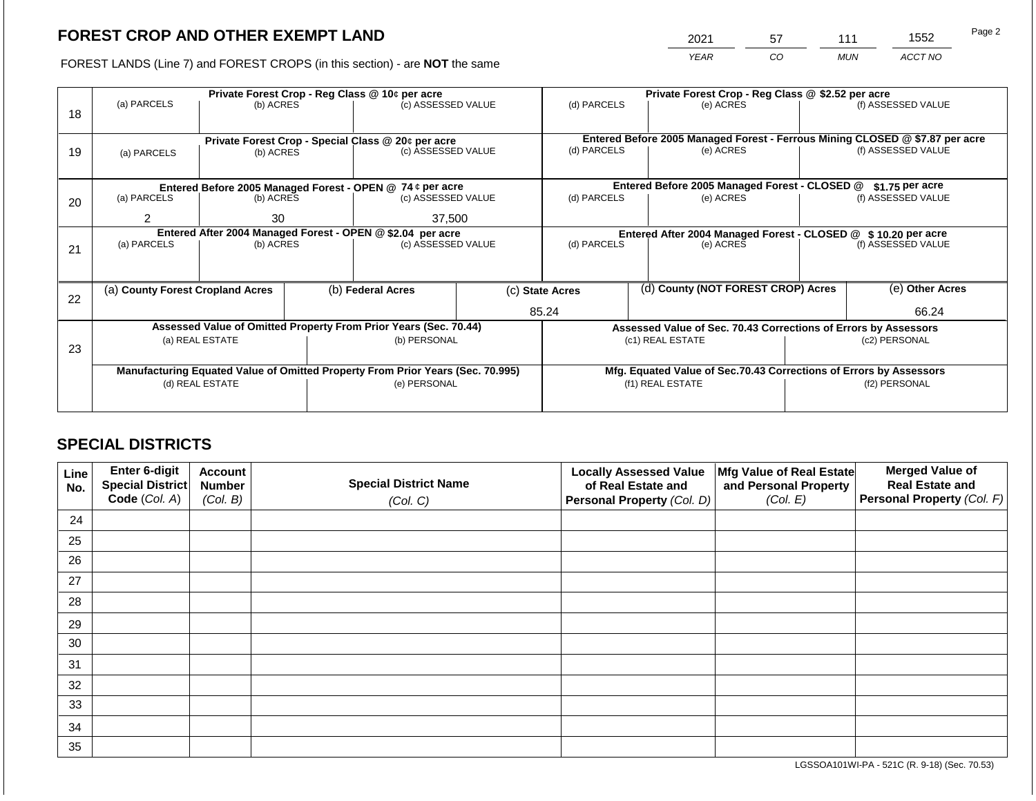2021 57 111 1552

FOREST LANDS (Line 7) and FOREST CROPS (in this section) - are **NOT** the same *YEAR CO MUN ACCT NO*

|    |                                  |                 |  | Private Forest Crop - Reg Class @ 10¢ per acre                                 |  | Private Forest Crop - Reg Class @ \$2.52 per acre |                                                                              |                                                                    |  |                    |
|----|----------------------------------|-----------------|--|--------------------------------------------------------------------------------|--|---------------------------------------------------|------------------------------------------------------------------------------|--------------------------------------------------------------------|--|--------------------|
| 18 | (a) PARCELS                      | (b) ACRES       |  | (c) ASSESSED VALUE                                                             |  | (d) PARCELS                                       |                                                                              | (e) ACRES                                                          |  | (f) ASSESSED VALUE |
|    |                                  |                 |  |                                                                                |  |                                                   |                                                                              |                                                                    |  |                    |
|    |                                  |                 |  | Private Forest Crop - Special Class @ 20¢ per acre                             |  |                                                   | Entered Before 2005 Managed Forest - Ferrous Mining CLOSED @ \$7.87 per acre |                                                                    |  |                    |
| 19 | (a) PARCELS                      | (b) ACRES       |  | (c) ASSESSED VALUE                                                             |  |                                                   | (d) PARCELS<br>(e) ACRES                                                     |                                                                    |  | (f) ASSESSED VALUE |
|    |                                  |                 |  |                                                                                |  |                                                   |                                                                              |                                                                    |  |                    |
|    |                                  |                 |  | Entered Before 2005 Managed Forest - OPEN @ 74 ¢ per acre                      |  |                                                   |                                                                              | Entered Before 2005 Managed Forest - CLOSED @                      |  | $$1.75$ per acre   |
| 20 | (a) PARCELS                      | (b) ACRES       |  | (c) ASSESSED VALUE                                                             |  | (d) PARCELS                                       |                                                                              | (e) ACRES                                                          |  | (f) ASSESSED VALUE |
|    | 37,500<br>2<br>30                |                 |  |                                                                                |  |                                                   |                                                                              |                                                                    |  |                    |
|    |                                  |                 |  | Entered After 2004 Managed Forest - OPEN @ \$2.04 per acre                     |  |                                                   |                                                                              | Entered After 2004 Managed Forest - CLOSED @ \$10.20 per acre      |  |                    |
| 21 | (a) PARCELS                      | (b) ACRES       |  | (c) ASSESSED VALUE                                                             |  | (d) PARCELS                                       |                                                                              | (e) ACRES                                                          |  | (f) ASSESSED VALUE |
|    |                                  |                 |  |                                                                                |  |                                                   |                                                                              |                                                                    |  |                    |
|    |                                  |                 |  |                                                                                |  |                                                   |                                                                              |                                                                    |  |                    |
| 22 | (a) County Forest Cropland Acres |                 |  | (b) Federal Acres                                                              |  | (c) State Acres                                   |                                                                              | (d) County (NOT FOREST CROP) Acres                                 |  | (e) Other Acres    |
|    |                                  |                 |  |                                                                                |  | 85.24                                             |                                                                              |                                                                    |  | 66.24              |
|    |                                  |                 |  | Assessed Value of Omitted Property From Prior Years (Sec. 70.44)               |  |                                                   |                                                                              | Assessed Value of Sec. 70.43 Corrections of Errors by Assessors    |  |                    |
|    |                                  | (a) REAL ESTATE |  | (b) PERSONAL                                                                   |  |                                                   |                                                                              | (c1) REAL ESTATE                                                   |  | (c2) PERSONAL      |
| 23 |                                  |                 |  |                                                                                |  |                                                   |                                                                              |                                                                    |  |                    |
|    |                                  |                 |  |                                                                                |  |                                                   |                                                                              |                                                                    |  |                    |
|    |                                  |                 |  | Manufacturing Equated Value of Omitted Property From Prior Years (Sec. 70.995) |  |                                                   |                                                                              | Mfg. Equated Value of Sec.70.43 Corrections of Errors by Assessors |  |                    |
|    |                                  | (d) REAL ESTATE |  | (e) PERSONAL                                                                   |  |                                                   |                                                                              | (f1) REAL ESTATE                                                   |  | (f2) PERSONAL      |
|    |                                  |                 |  |                                                                                |  |                                                   |                                                                              |                                                                    |  |                    |

## **SPECIAL DISTRICTS**

| Line<br>No. | Enter 6-digit<br>Special District<br>Code (Col. A) | <b>Account</b><br><b>Number</b><br>(Col. B) | <b>Special District Name</b><br>(Col. C) | <b>Locally Assessed Value</b><br>of Real Estate and<br><b>Personal Property (Col. D)</b> | Mfg Value of Real Estate<br>and Personal Property<br>(Col. E) | <b>Merged Value of</b><br><b>Real Estate and</b><br>Personal Property (Col. F) |
|-------------|----------------------------------------------------|---------------------------------------------|------------------------------------------|------------------------------------------------------------------------------------------|---------------------------------------------------------------|--------------------------------------------------------------------------------|
| 24          |                                                    |                                             |                                          |                                                                                          |                                                               |                                                                                |
| 25          |                                                    |                                             |                                          |                                                                                          |                                                               |                                                                                |
| 26          |                                                    |                                             |                                          |                                                                                          |                                                               |                                                                                |
| 27          |                                                    |                                             |                                          |                                                                                          |                                                               |                                                                                |
| 28          |                                                    |                                             |                                          |                                                                                          |                                                               |                                                                                |
| 29          |                                                    |                                             |                                          |                                                                                          |                                                               |                                                                                |
| 30          |                                                    |                                             |                                          |                                                                                          |                                                               |                                                                                |
| 31          |                                                    |                                             |                                          |                                                                                          |                                                               |                                                                                |
| 32          |                                                    |                                             |                                          |                                                                                          |                                                               |                                                                                |
| 33          |                                                    |                                             |                                          |                                                                                          |                                                               |                                                                                |
| 34          |                                                    |                                             |                                          |                                                                                          |                                                               |                                                                                |
| 35          |                                                    |                                             |                                          |                                                                                          |                                                               |                                                                                |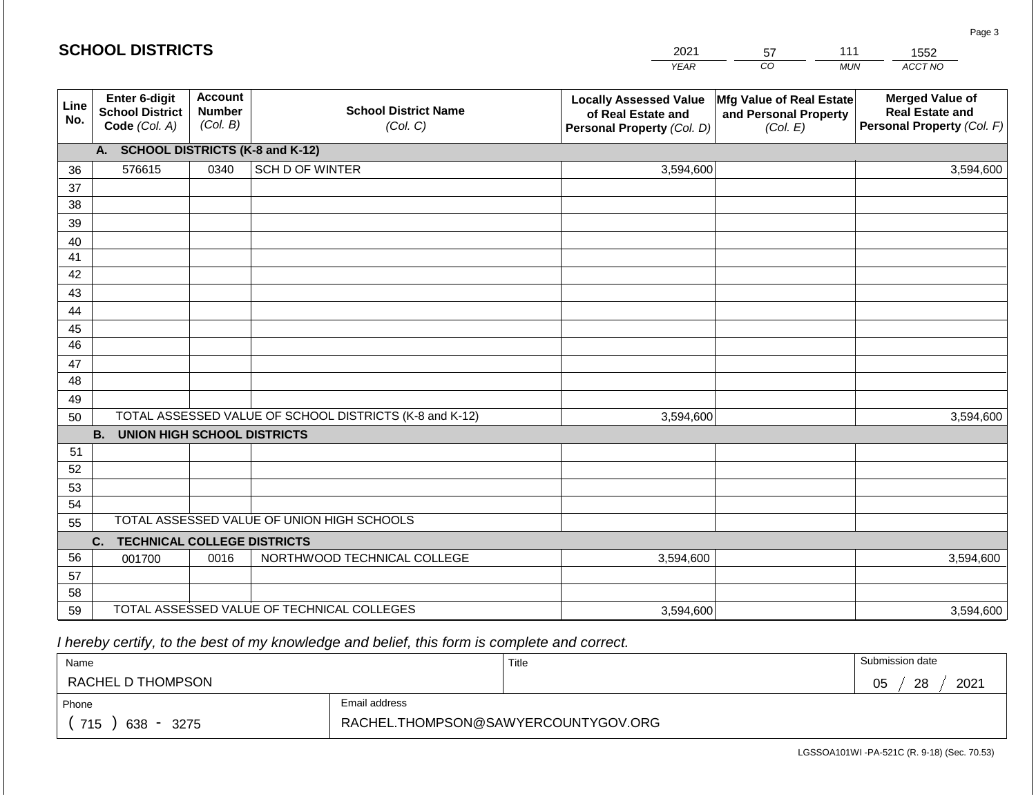|             | <b>SCHOOL DISTRICTS</b>                                  |                                             |                                                         | 2021                                                                              | 57                                                            | 111        | 1552                                                                           |
|-------------|----------------------------------------------------------|---------------------------------------------|---------------------------------------------------------|-----------------------------------------------------------------------------------|---------------------------------------------------------------|------------|--------------------------------------------------------------------------------|
|             |                                                          |                                             |                                                         | <b>YEAR</b>                                                                       | CO <sub>.</sub>                                               | <b>MUN</b> | ACCT NO                                                                        |
| Line<br>No. | Enter 6-digit<br><b>School District</b><br>Code (Col. A) | <b>Account</b><br><b>Number</b><br>(Col. B) | <b>School District Name</b><br>(Col. C)                 | <b>Locally Assessed Value</b><br>of Real Estate and<br>Personal Property (Col. D) | Mfg Value of Real Estate<br>and Personal Property<br>(Col. E) |            | <b>Merged Value of</b><br><b>Real Estate and</b><br>Personal Property (Col. F) |
|             | A. SCHOOL DISTRICTS (K-8 and K-12)                       |                                             |                                                         |                                                                                   |                                                               |            |                                                                                |
| 36          | 576615                                                   | 0340                                        | SCH D OF WINTER                                         | 3,594,600                                                                         |                                                               |            | 3,594,600                                                                      |
| 37          |                                                          |                                             |                                                         |                                                                                   |                                                               |            |                                                                                |
| 38          |                                                          |                                             |                                                         |                                                                                   |                                                               |            |                                                                                |
| 39          |                                                          |                                             |                                                         |                                                                                   |                                                               |            |                                                                                |
| 40          |                                                          |                                             |                                                         |                                                                                   |                                                               |            |                                                                                |
| 41<br>42    |                                                          |                                             |                                                         |                                                                                   |                                                               |            |                                                                                |
| 43          |                                                          |                                             |                                                         |                                                                                   |                                                               |            |                                                                                |
| 44          |                                                          |                                             |                                                         |                                                                                   |                                                               |            |                                                                                |
| 45          |                                                          |                                             |                                                         |                                                                                   |                                                               |            |                                                                                |
| 46          |                                                          |                                             |                                                         |                                                                                   |                                                               |            |                                                                                |
| 47          |                                                          |                                             |                                                         |                                                                                   |                                                               |            |                                                                                |
| 48          |                                                          |                                             |                                                         |                                                                                   |                                                               |            |                                                                                |
| 49          |                                                          |                                             |                                                         |                                                                                   |                                                               |            |                                                                                |
| 50          |                                                          |                                             | TOTAL ASSESSED VALUE OF SCHOOL DISTRICTS (K-8 and K-12) | 3,594,600                                                                         |                                                               |            | 3,594,600                                                                      |
|             | <b>B. UNION HIGH SCHOOL DISTRICTS</b>                    |                                             |                                                         |                                                                                   |                                                               |            |                                                                                |
| 51          |                                                          |                                             |                                                         |                                                                                   |                                                               |            |                                                                                |
| 52          |                                                          |                                             |                                                         |                                                                                   |                                                               |            |                                                                                |
| 53          |                                                          |                                             |                                                         |                                                                                   |                                                               |            |                                                                                |
| 54<br>55    |                                                          |                                             | TOTAL ASSESSED VALUE OF UNION HIGH SCHOOLS              |                                                                                   |                                                               |            |                                                                                |
|             | <b>TECHNICAL COLLEGE DISTRICTS</b><br>C.                 |                                             |                                                         |                                                                                   |                                                               |            |                                                                                |
| 56          | 001700                                                   | 0016                                        | NORTHWOOD TECHNICAL COLLEGE                             | 3,594,600                                                                         |                                                               |            | 3,594,600                                                                      |
| 57          |                                                          |                                             |                                                         |                                                                                   |                                                               |            |                                                                                |
| 58          |                                                          |                                             |                                                         |                                                                                   |                                                               |            |                                                                                |
| 59          |                                                          |                                             | TOTAL ASSESSED VALUE OF TECHNICAL COLLEGES              | 3,594,600                                                                         |                                                               |            | 3,594,600                                                                      |

 *I hereby certify, to the best of my knowledge and belief, this form is complete and correct.*

| Name                                           |                                     | Title | Submission date  |
|------------------------------------------------|-------------------------------------|-------|------------------|
| RACHEL D THOMPSON                              |                                     |       | 2021<br>28<br>05 |
| Phone                                          | Email address                       |       |                  |
| 715<br>638<br>3275<br>$\overline{\phantom{0}}$ | RACHEL.THOMPSON@SAWYERCOUNTYGOV.ORG |       |                  |

Page 3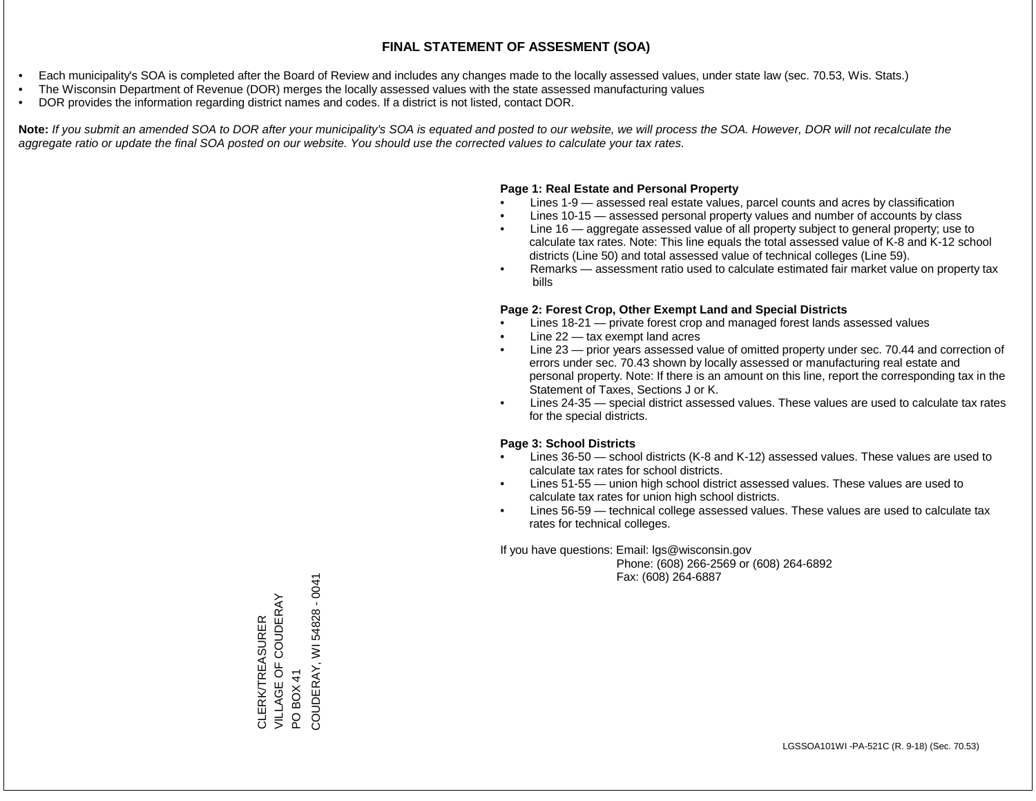- Each municipality's SOA is completed after the Board of Review and includes any changes made to the locally assessed values, under state law (sec. 70.53, Wis. Stats.)
- The Wisconsin Department of Revenue (DOR) merges the locally assessed values with the state assessed manufacturing values
- DOR provides the information regarding district names and codes. If a district is not listed, contact DOR.

Note: If you submit an amended SOA to DOR after your municipality's SOA is equated and posted to our website, we will process the SOA. However, DOR will not recalculate the *aggregate ratio or update the final SOA posted on our website. You should use the corrected values to calculate your tax rates.*

## **Page 1: Real Estate and Personal Property**

- Lines 1-9 assessed real estate values, parcel counts and acres by classification
- Lines 10-15 assessed personal property values and number of accounts by class
- Line 16 aggregate assessed value of all property subject to general property; use to calculate tax rates. Note: This line equals the total assessed value of K-8 and K-12 school districts (Line 50) and total assessed value of technical colleges (Line 59).
- Remarks assessment ratio used to calculate estimated fair market value on property tax bills

## **Page 2: Forest Crop, Other Exempt Land and Special Districts**

- Lines 18-21 private forest crop and managed forest lands assessed values
- Line  $22 -$  tax exempt land acres
- Line 23 prior years assessed value of omitted property under sec. 70.44 and correction of errors under sec. 70.43 shown by locally assessed or manufacturing real estate and personal property. Note: If there is an amount on this line, report the corresponding tax in the Statement of Taxes, Sections J or K.
- Lines 24-35 special district assessed values. These values are used to calculate tax rates for the special districts.

## **Page 3: School Districts**

- Lines 36-50 school districts (K-8 and K-12) assessed values. These values are used to calculate tax rates for school districts.
- Lines 51-55 union high school district assessed values. These values are used to calculate tax rates for union high school districts.
- Lines 56-59 technical college assessed values. These values are used to calculate tax rates for technical colleges.

If you have questions: Email: lgs@wisconsin.gov

 Phone: (608) 266-2569 or (608) 264-6892 Fax: (608) 264-6887

COUDERAY, WI 54828 - 0041 COUDERAY, WI 54828 - 0041VILLAGE OF COUDERAY CLERK/TREASURER<br>VILLAGE OF COUDERAY CLERK/TREASURER PO BOX 41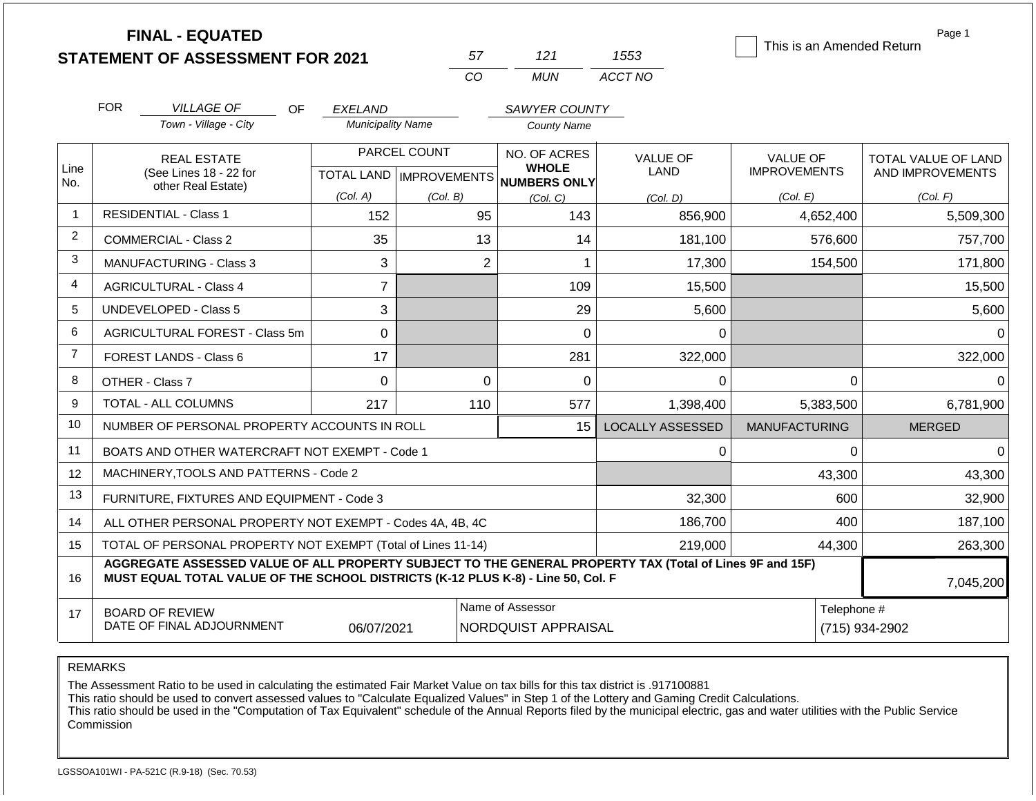|                | <b>FINAL - EQUATED</b>                                                                                                                                                                                    |                               |                           |                              |                         | This is an Amended Return | Page 1                     |  |  |  |
|----------------|-----------------------------------------------------------------------------------------------------------------------------------------------------------------------------------------------------------|-------------------------------|---------------------------|------------------------------|-------------------------|---------------------------|----------------------------|--|--|--|
|                | <b>STATEMENT OF ASSESSMENT FOR 2021</b>                                                                                                                                                                   |                               | 57                        | 121                          | 1553                    |                           |                            |  |  |  |
|                | <b>CO</b><br>ACCT NO<br><b>MUN</b>                                                                                                                                                                        |                               |                           |                              |                         |                           |                            |  |  |  |
|                | <b>FOR</b><br><b>VILLAGE OF</b><br>OF.                                                                                                                                                                    | <b>EXELAND</b>                |                           | SAWYER COUNTY                |                         |                           |                            |  |  |  |
|                | Town - Village - City                                                                                                                                                                                     | <b>Municipality Name</b>      |                           | <b>County Name</b>           |                         |                           |                            |  |  |  |
| Line           | <b>REAL ESTATE</b>                                                                                                                                                                                        | PARCEL COUNT                  |                           | NO. OF ACRES<br><b>WHOLE</b> | VALUE OF                | <b>VALUE OF</b>           | <b>TOTAL VALUE OF LAND</b> |  |  |  |
| No.            | (See Lines 18 - 22 for<br>other Real Estate)                                                                                                                                                              |                               | TOTAL LAND   IMPROVEMENTS | NUMBERS ONLY                 | <b>LAND</b>             | <b>IMPROVEMENTS</b>       | AND IMPROVEMENTS           |  |  |  |
|                |                                                                                                                                                                                                           | (Col. A)                      | (Col. B)                  | (Col, C)                     | (Col. D)                | (Col. E)                  | (Col. F)                   |  |  |  |
| $\mathbf{1}$   | <b>RESIDENTIAL - Class 1</b>                                                                                                                                                                              | 152                           |                           | 95<br>143                    | 856,900                 | 4,652,400                 | 5,509,300                  |  |  |  |
| $\overline{2}$ | COMMERCIAL - Class 2                                                                                                                                                                                      | 35                            |                           | 13<br>14                     | 181,100                 | 576,600                   | 757,700                    |  |  |  |
| 3              | <b>MANUFACTURING - Class 3</b>                                                                                                                                                                            | 3                             |                           | 2<br>$\mathbf 1$             | 17,300                  | 154,500                   | 171,800                    |  |  |  |
| $\overline{4}$ | <b>AGRICULTURAL - Class 4</b>                                                                                                                                                                             | $\overline{7}$                |                           | 109                          | 15,500                  |                           | 15,500                     |  |  |  |
| 5              | <b>UNDEVELOPED - Class 5</b>                                                                                                                                                                              | 3                             |                           | 29                           | 5,600                   |                           | 5,600                      |  |  |  |
| 6              | AGRICULTURAL FOREST - Class 5m                                                                                                                                                                            | 0                             |                           | 0                            | 0                       |                           | $\Omega$                   |  |  |  |
| $\overline{7}$ | FOREST LANDS - Class 6                                                                                                                                                                                    | 17                            |                           | 281                          | 322,000                 |                           | 322,000                    |  |  |  |
| 8              | OTHER - Class 7                                                                                                                                                                                           | $\mathbf 0$                   |                           | $\Omega$<br>0                | $\Omega$                | $\Omega$                  | $\Omega$                   |  |  |  |
| 9              | <b>TOTAL - ALL COLUMNS</b>                                                                                                                                                                                | 217                           | 110                       | 577                          | 1,398,400               | 5,383,500                 | 6,781,900                  |  |  |  |
| 10             | NUMBER OF PERSONAL PROPERTY ACCOUNTS IN ROLL                                                                                                                                                              |                               |                           | 15                           | <b>LOCALLY ASSESSED</b> | <b>MANUFACTURING</b>      | <b>MERGED</b>              |  |  |  |
| 11             | BOATS AND OTHER WATERCRAFT NOT EXEMPT - Code 1                                                                                                                                                            |                               |                           |                              | 0                       | $\mathbf 0$               | $\Omega$                   |  |  |  |
| 12             | MACHINERY, TOOLS AND PATTERNS - Code 2                                                                                                                                                                    |                               |                           |                              | 43,300                  | 43,300                    |                            |  |  |  |
| 13             | FURNITURE, FIXTURES AND EQUIPMENT - Code 3                                                                                                                                                                |                               |                           | 32,300                       | 600                     |                           |                            |  |  |  |
| 14             | ALL OTHER PERSONAL PROPERTY NOT EXEMPT - Codes 4A, 4B, 4C                                                                                                                                                 |                               |                           | 186,700                      | 400                     | 187,100                   |                            |  |  |  |
| 15             | TOTAL OF PERSONAL PROPERTY NOT EXEMPT (Total of Lines 11-14)                                                                                                                                              |                               |                           | 219,000                      | 44,300<br>263,300       |                           |                            |  |  |  |
| 16             | AGGREGATE ASSESSED VALUE OF ALL PROPERTY SUBJECT TO THE GENERAL PROPERTY TAX (Total of Lines 9F and 15F)<br>MUST EQUAL TOTAL VALUE OF THE SCHOOL DISTRICTS (K-12 PLUS K-8) - Line 50, Col. F<br>7,045,200 |                               |                           |                              |                         |                           |                            |  |  |  |
| 17             | <b>BOARD OF REVIEW</b><br>DATE OF FINAL ADJOURNMENT                                                                                                                                                       | Telephone #<br>(715) 934-2902 |                           |                              |                         |                           |                            |  |  |  |

The Assessment Ratio to be used in calculating the estimated Fair Market Value on tax bills for this tax district is .917100881

This ratio should be used to convert assessed values to "Calculate Equalized Values" in Step 1 of the Lottery and Gaming Credit Calculations.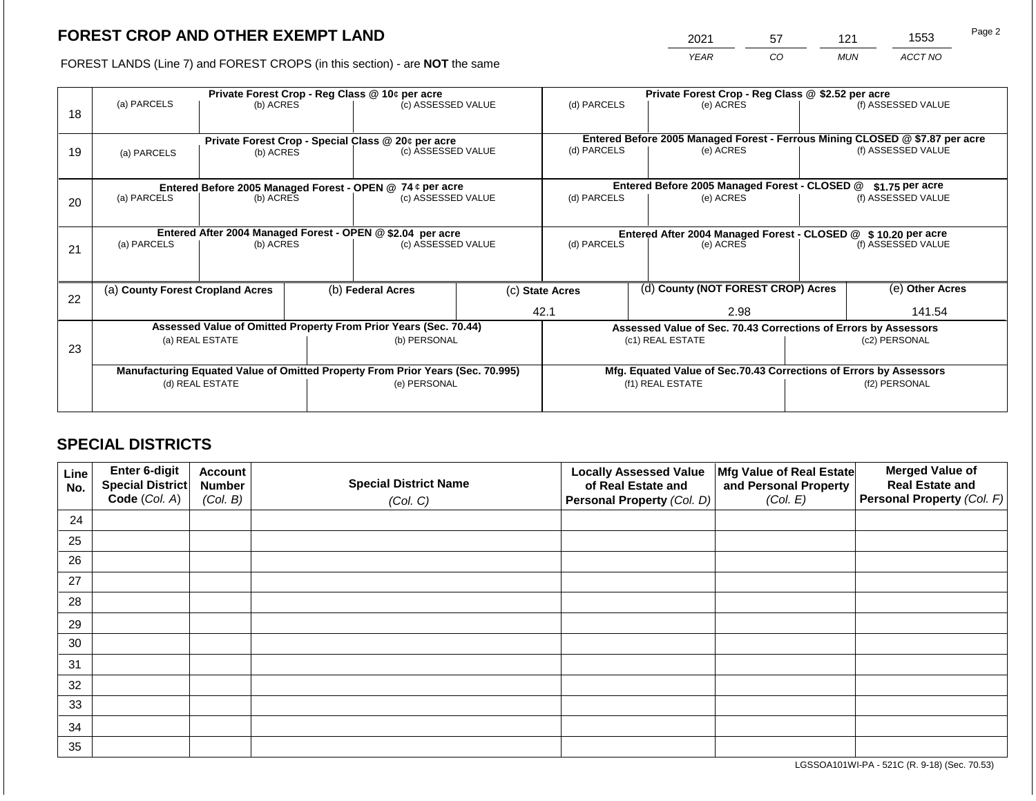2021 57 121 1553

FOREST LANDS (Line 7) and FOREST CROPS (in this section) - are **NOT** the same *YEAR CO MUN ACCT NO*

|    | Private Forest Crop - Reg Class @ 10¢ per acre                                 |                                                                 |                                                                    |                                                           |                                   | Private Forest Crop - Reg Class @ \$2.52 per acre                 |           |                                                                              |                    |                    |  |
|----|--------------------------------------------------------------------------------|-----------------------------------------------------------------|--------------------------------------------------------------------|-----------------------------------------------------------|-----------------------------------|-------------------------------------------------------------------|-----------|------------------------------------------------------------------------------|--------------------|--------------------|--|
| 18 | (a) PARCELS                                                                    | (b) ACRES                                                       |                                                                    | (c) ASSESSED VALUE                                        |                                   | (d) PARCELS                                                       |           | (e) ACRES                                                                    |                    | (f) ASSESSED VALUE |  |
|    |                                                                                |                                                                 |                                                                    |                                                           |                                   |                                                                   |           | Entered Before 2005 Managed Forest - Ferrous Mining CLOSED @ \$7.87 per acre |                    |                    |  |
| 19 | (a) PARCELS                                                                    | Private Forest Crop - Special Class @ 20¢ per acre<br>(b) ACRES |                                                                    |                                                           | (d) PARCELS<br>(c) ASSESSED VALUE |                                                                   | (e) ACRES |                                                                              | (f) ASSESSED VALUE |                    |  |
|    |                                                                                |                                                                 |                                                                    |                                                           |                                   |                                                                   |           |                                                                              |                    |                    |  |
|    |                                                                                |                                                                 |                                                                    | Entered Before 2005 Managed Forest - OPEN @ 74 ¢ per acre |                                   | Entered Before 2005 Managed Forest - CLOSED @<br>$$1.75$ per acre |           |                                                                              |                    |                    |  |
| 20 | (a) PARCELS                                                                    | (b) ACRES                                                       |                                                                    | (c) ASSESSED VALUE                                        |                                   | (d) PARCELS                                                       |           | (e) ACRES                                                                    |                    | (f) ASSESSED VALUE |  |
|    |                                                                                |                                                                 |                                                                    |                                                           |                                   |                                                                   |           |                                                                              |                    |                    |  |
|    | Entered After 2004 Managed Forest - OPEN @ \$2.04 per acre                     |                                                                 |                                                                    |                                                           |                                   | Entered After 2004 Managed Forest - CLOSED @ \$10.20 per acre     |           |                                                                              |                    |                    |  |
| 21 | (a) PARCELS                                                                    | (c) ASSESSED VALUE<br>(b) ACRES                                 |                                                                    | (d) PARCELS                                               |                                   |                                                                   | (e) ACRES |                                                                              | (f) ASSESSED VALUE |                    |  |
|    |                                                                                |                                                                 |                                                                    |                                                           |                                   |                                                                   |           |                                                                              |                    |                    |  |
| 22 | (a) County Forest Cropland Acres                                               |                                                                 |                                                                    | (b) Federal Acres                                         |                                   | (c) State Acres                                                   |           | (d) County (NOT FOREST CROP) Acres                                           | (e) Other Acres    |                    |  |
|    |                                                                                |                                                                 |                                                                    |                                                           |                                   | 42.1                                                              |           | 2.98                                                                         |                    | 141.54             |  |
|    | Assessed Value of Omitted Property From Prior Years (Sec. 70.44)               |                                                                 | Assessed Value of Sec. 70.43 Corrections of Errors by Assessors    |                                                           |                                   |                                                                   |           |                                                                              |                    |                    |  |
| 23 | (a) REAL ESTATE                                                                |                                                                 |                                                                    | (b) PERSONAL                                              |                                   | (c1) REAL ESTATE                                                  |           | (c2) PERSONAL                                                                |                    |                    |  |
|    |                                                                                |                                                                 |                                                                    |                                                           |                                   |                                                                   |           |                                                                              |                    |                    |  |
|    | Manufacturing Equated Value of Omitted Property From Prior Years (Sec. 70.995) |                                                                 | Mfg. Equated Value of Sec.70.43 Corrections of Errors by Assessors |                                                           |                                   |                                                                   |           |                                                                              |                    |                    |  |
|    | (d) REAL ESTATE                                                                |                                                                 |                                                                    | (e) PERSONAL                                              |                                   | (f1) REAL ESTATE                                                  |           | (f2) PERSONAL                                                                |                    |                    |  |
|    |                                                                                |                                                                 |                                                                    |                                                           |                                   |                                                                   |           |                                                                              |                    |                    |  |

## **SPECIAL DISTRICTS**

| Line<br>No. | Enter 6-digit<br>Special District<br>Code (Col. A) | <b>Account</b><br><b>Number</b><br>(Col. B) | <b>Special District Name</b><br>(Col. C) | <b>Locally Assessed Value</b><br>of Real Estate and<br><b>Personal Property (Col. D)</b> | Mfg Value of Real Estate<br>and Personal Property<br>(Col. E) | <b>Merged Value of</b><br><b>Real Estate and</b><br>Personal Property (Col. F) |
|-------------|----------------------------------------------------|---------------------------------------------|------------------------------------------|------------------------------------------------------------------------------------------|---------------------------------------------------------------|--------------------------------------------------------------------------------|
| 24          |                                                    |                                             |                                          |                                                                                          |                                                               |                                                                                |
| 25          |                                                    |                                             |                                          |                                                                                          |                                                               |                                                                                |
| 26          |                                                    |                                             |                                          |                                                                                          |                                                               |                                                                                |
| 27          |                                                    |                                             |                                          |                                                                                          |                                                               |                                                                                |
| 28          |                                                    |                                             |                                          |                                                                                          |                                                               |                                                                                |
| 29          |                                                    |                                             |                                          |                                                                                          |                                                               |                                                                                |
| 30          |                                                    |                                             |                                          |                                                                                          |                                                               |                                                                                |
| 31          |                                                    |                                             |                                          |                                                                                          |                                                               |                                                                                |
| 32          |                                                    |                                             |                                          |                                                                                          |                                                               |                                                                                |
| 33          |                                                    |                                             |                                          |                                                                                          |                                                               |                                                                                |
| 34          |                                                    |                                             |                                          |                                                                                          |                                                               |                                                                                |
| 35          |                                                    |                                             |                                          |                                                                                          |                                                               |                                                                                |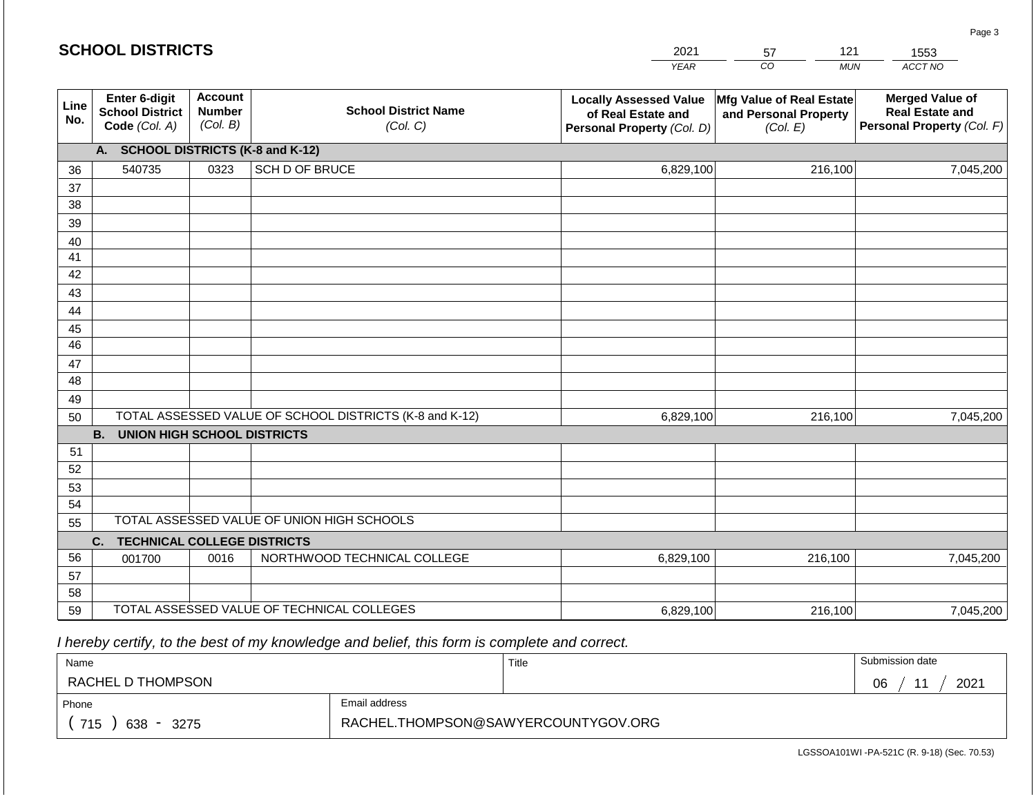#### *YEAR*  2021  $\overline{co}$ 57 *MUN ACCT NO*  1553 **Line No. Enter 6-digit School District Code** *(Col. A)* **Account Number** *(Col. B)* **School District Name** *(Col. C)* **Locally Assessed Value of Real Estate and Personal Property** *(Col. D)* **Mfg Value of Real Estate and Personal Property** *(Col. E)* **Merged Value of Real Estate and Personal Property** *(Col. F)* **A. SCHOOL DISTRICTS (K-8 and K-12)** 36 37 38 39 40 41 42 43 44 45 46 47 48 49 50 TOTAL ASSESSED VALUE OF SCHOOL DISTRICTS (K-8 and K-12) **B. UNION HIGH SCHOOL DISTRICTS** 51 52 53 54 55 **C. TECHNICAL COLLEGE DISTRICTS** 56 57 58 59 TOTAL ASSESSED VALUE OF TECHNICAL COLLEGES TOTAL ASSESSED VALUE OF UNION HIGH SCHOOLS 540735 0323 SCH D OF BRUCE 6,829,100 6,829,100 001700 | 0016 | NORTHWOOD TECHNICAL COLLEGE 6,829,100 216,100 7,045,200 216,100 7,045,200 216,100 7,045,200 6,829,100 216,100 7,045,200

 *I hereby certify, to the best of my knowledge and belief, this form is complete and correct.*

| Name                                                      |               | Title | Submission date  |
|-----------------------------------------------------------|---------------|-------|------------------|
| RACHEL D THOMPSON                                         |               |       | 2021<br>06<br>44 |
| Phone                                                     | Email address |       |                  |
| RACHEL.THOMPSON@SAWYERCOUNTYGOV.ORG<br>715<br>638<br>3275 |               |       |                  |

LGSSOA101WI -PA-521C (R. 9-18) (Sec. 70.53)

Page 3

| <b>SCHOOL DISTRICTS</b> |  |  |  |  |  |  |  |  |
|-------------------------|--|--|--|--|--|--|--|--|
|-------------------------|--|--|--|--|--|--|--|--|

121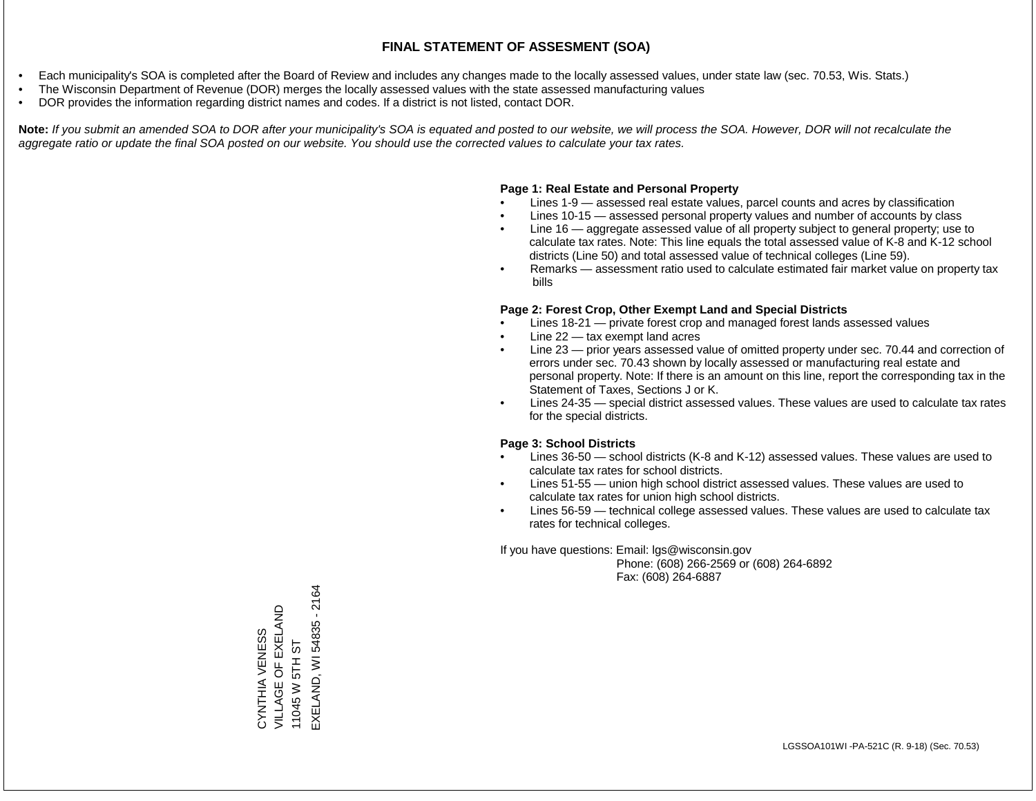- Each municipality's SOA is completed after the Board of Review and includes any changes made to the locally assessed values, under state law (sec. 70.53, Wis. Stats.)
- The Wisconsin Department of Revenue (DOR) merges the locally assessed values with the state assessed manufacturing values
- DOR provides the information regarding district names and codes. If a district is not listed, contact DOR.

Note: If you submit an amended SOA to DOR after your municipality's SOA is equated and posted to our website, we will process the SOA. However, DOR will not recalculate the *aggregate ratio or update the final SOA posted on our website. You should use the corrected values to calculate your tax rates.*

#### **Page 1: Real Estate and Personal Property**

- Lines 1-9 assessed real estate values, parcel counts and acres by classification
- Lines 10-15 assessed personal property values and number of accounts by class
- Line 16 aggregate assessed value of all property subject to general property; use to calculate tax rates. Note: This line equals the total assessed value of K-8 and K-12 school districts (Line 50) and total assessed value of technical colleges (Line 59).
- Remarks assessment ratio used to calculate estimated fair market value on property tax bills

#### **Page 2: Forest Crop, Other Exempt Land and Special Districts**

- Lines 18-21 private forest crop and managed forest lands assessed values
- Line  $22 -$  tax exempt land acres
- Line 23 prior years assessed value of omitted property under sec. 70.44 and correction of errors under sec. 70.43 shown by locally assessed or manufacturing real estate and personal property. Note: If there is an amount on this line, report the corresponding tax in the Statement of Taxes, Sections J or K.
- Lines 24-35 special district assessed values. These values are used to calculate tax rates for the special districts.

#### **Page 3: School Districts**

- Lines 36-50 school districts (K-8 and K-12) assessed values. These values are used to calculate tax rates for school districts.
- Lines 51-55 union high school district assessed values. These values are used to calculate tax rates for union high school districts.
- Lines 56-59 technical college assessed values. These values are used to calculate tax rates for technical colleges.

If you have questions: Email: lgs@wisconsin.gov

 Phone: (608) 266-2569 or (608) 264-6892 Fax: (608) 264-6887

EXELAND, WI 54835 - 2164 EXELAND, WI 54835 - 2164VILLAGE OF EXELAND CYNTHIA VENESS<br>VILLAGE OF EXELAND CYNTHIA VENESS 5TH ST 11045 W 5TH ST 11045W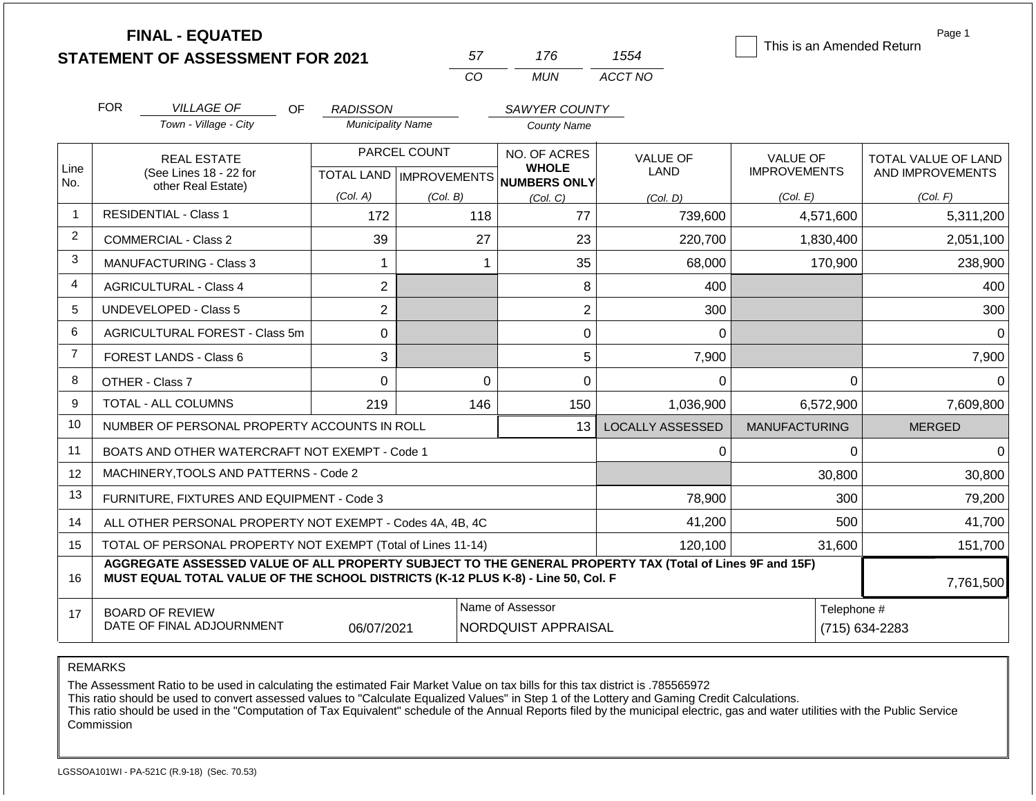|                | <b>FINAL - EQUATED</b>                                                                                                                                                                       |                                                                                               |              |                                                                     |                                | This is an Amended Return              | Page 1                                  |  |  |
|----------------|----------------------------------------------------------------------------------------------------------------------------------------------------------------------------------------------|-----------------------------------------------------------------------------------------------|--------------|---------------------------------------------------------------------|--------------------------------|----------------------------------------|-----------------------------------------|--|--|
|                | <b>STATEMENT OF ASSESSMENT FOR 2021</b>                                                                                                                                                      |                                                                                               | 57           | 176                                                                 | 1554                           |                                        |                                         |  |  |
|                |                                                                                                                                                                                              |                                                                                               | CO           | <b>MUN</b>                                                          | ACCT NO                        |                                        |                                         |  |  |
|                | <b>FOR</b><br><b>VILLAGE OF</b><br>OF.                                                                                                                                                       | <b>RADISSON</b>                                                                               |              | SAWYER COUNTY                                                       |                                |                                        |                                         |  |  |
|                | Town - Village - City                                                                                                                                                                        | <b>Municipality Name</b>                                                                      |              | <b>County Name</b>                                                  |                                |                                        |                                         |  |  |
| Line           | <b>REAL ESTATE</b><br>(See Lines 18 - 22 for                                                                                                                                                 |                                                                                               | PARCEL COUNT | NO. OF ACRES<br><b>WHOLE</b><br>TOTAL LAND MPROVEMENTS NUMBERS ONLY | <b>VALUE OF</b><br><b>LAND</b> | <b>VALUE OF</b><br><b>IMPROVEMENTS</b> | TOTAL VALUE OF LAND<br>AND IMPROVEMENTS |  |  |
| No.            | other Real Estate)                                                                                                                                                                           | (Col. A)                                                                                      | (Col. B)     | (Col, C)                                                            | (Col, D)                       | (Col. E)                               | (Col. F)                                |  |  |
| 1              | <b>RESIDENTIAL - Class 1</b>                                                                                                                                                                 | 172                                                                                           | 118          | 77                                                                  | 739,600                        | 4,571,600                              | 5,311,200                               |  |  |
| $\overline{2}$ | <b>COMMERCIAL - Class 2</b>                                                                                                                                                                  | 39                                                                                            | 27           | 23                                                                  | 220,700                        | 1,830,400                              | 2,051,100                               |  |  |
| 3              | <b>MANUFACTURING - Class 3</b>                                                                                                                                                               | $\mathbf{1}$                                                                                  |              | 35<br>$\mathbf 1$                                                   | 68,000                         | 170,900                                | 238,900                                 |  |  |
| 4              | <b>AGRICULTURAL - Class 4</b>                                                                                                                                                                | $\overline{2}$                                                                                |              | 8                                                                   | 400                            |                                        | 400                                     |  |  |
| 5              | <b>UNDEVELOPED - Class 5</b>                                                                                                                                                                 | $\overline{2}$                                                                                |              | $\overline{2}$                                                      | 300                            |                                        | 300                                     |  |  |
| 6              | AGRICULTURAL FOREST - Class 5m                                                                                                                                                               | 0                                                                                             |              | 0                                                                   | $\Omega$                       |                                        | $\Omega$                                |  |  |
| $\overline{7}$ | FOREST LANDS - Class 6                                                                                                                                                                       | 3                                                                                             |              | 5                                                                   | 7,900                          |                                        | 7,900                                   |  |  |
| 8              | OTHER - Class 7                                                                                                                                                                              | $\mathbf 0$                                                                                   |              | 0<br>$\mathbf 0$                                                    | $\Omega$                       | 0                                      | $\Omega$                                |  |  |
| 9              | <b>TOTAL - ALL COLUMNS</b>                                                                                                                                                                   | 219                                                                                           | 146          | 150                                                                 | 1,036,900                      | 6,572,900                              | 7,609,800                               |  |  |
| 10             | NUMBER OF PERSONAL PROPERTY ACCOUNTS IN ROLL                                                                                                                                                 |                                                                                               |              | 13                                                                  | <b>LOCALLY ASSESSED</b>        | <b>MANUFACTURING</b>                   | <b>MERGED</b>                           |  |  |
| 11             | BOATS AND OTHER WATERCRAFT NOT EXEMPT - Code 1                                                                                                                                               |                                                                                               |              |                                                                     | 0                              | 0                                      | $\Omega$                                |  |  |
| 12             | MACHINERY, TOOLS AND PATTERNS - Code 2                                                                                                                                                       |                                                                                               |              |                                                                     |                                | 30,800                                 | 30,800                                  |  |  |
| 13             | FURNITURE, FIXTURES AND EQUIPMENT - Code 3                                                                                                                                                   |                                                                                               |              |                                                                     | 78,900                         | 300                                    | 79,200                                  |  |  |
| 14             | ALL OTHER PERSONAL PROPERTY NOT EXEMPT - Codes 4A, 4B, 4C                                                                                                                                    |                                                                                               |              |                                                                     | 41,200                         | 500                                    | 41,700                                  |  |  |
| 15             | TOTAL OF PERSONAL PROPERTY NOT EXEMPT (Total of Lines 11-14)                                                                                                                                 |                                                                                               |              | 120,100                                                             | 31,600                         | 151,700                                |                                         |  |  |
| 16             | AGGREGATE ASSESSED VALUE OF ALL PROPERTY SUBJECT TO THE GENERAL PROPERTY TAX (Total of Lines 9F and 15F)<br>MUST EQUAL TOTAL VALUE OF THE SCHOOL DISTRICTS (K-12 PLUS K-8) - Line 50, Col. F |                                                                                               |              |                                                                     |                                |                                        | 7,761,500                               |  |  |
| 17             | <b>BOARD OF REVIEW</b><br>DATE OF FINAL ADJOURNMENT                                                                                                                                          | Name of Assessor<br>Telephone #<br>06/07/2021<br><b>NORDQUIST APPRAISAL</b><br>(715) 634-2283 |              |                                                                     |                                |                                        |                                         |  |  |

REMARKS

The Assessment Ratio to be used in calculating the estimated Fair Market Value on tax bills for this tax district is .785565972

This ratio should be used to convert assessed values to "Calculate Equalized Values" in Step 1 of the Lottery and Gaming Credit Calculations.

 This ratio should be used in the "Computation of Tax Equivalent" schedule of the Annual Reports filed by the municipal electric, gas and water utilities with the Public Service Commission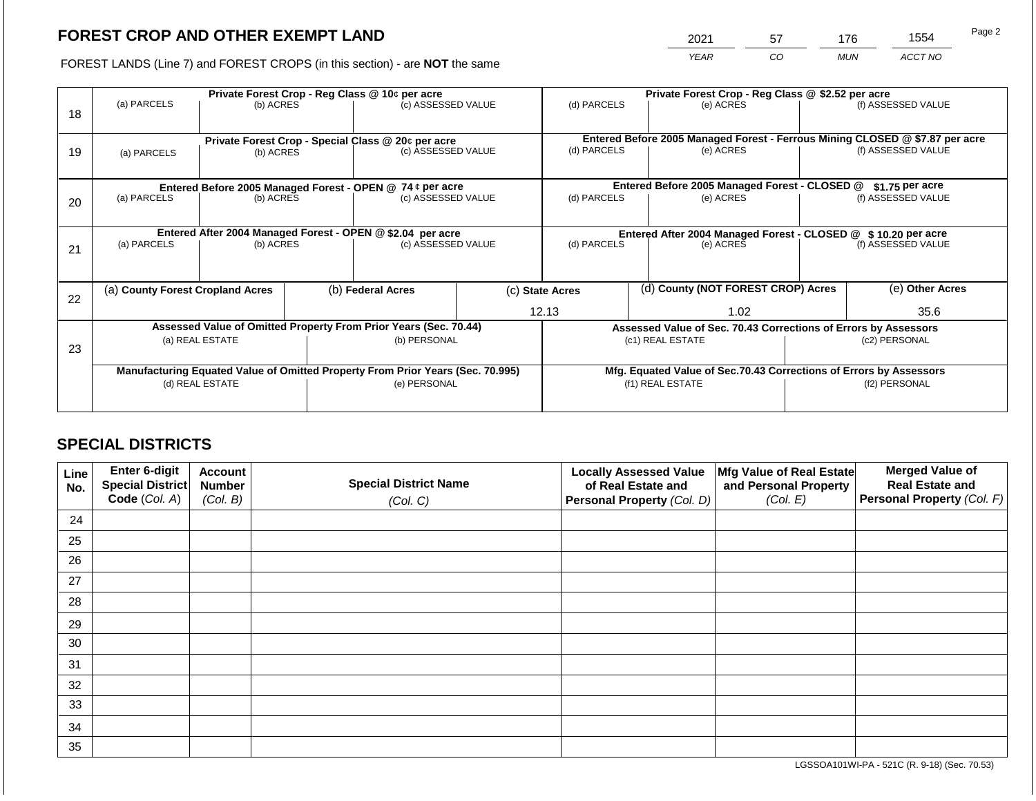# **FOREST CROP AND OTHER EXEMPT LAND**

2021 57 176 1554

FOREST LANDS (Line 7) and FOREST CROPS (in this section) - are **NOT** the same *YEAR CO MUN ACCT NO*

|    |                                  |                 |  | Private Forest Crop - Reg Class @ 10¢ per acre                                 |  | Private Forest Crop - Reg Class @ \$2.52 per acre |  |                                                                              |  |                    |
|----|----------------------------------|-----------------|--|--------------------------------------------------------------------------------|--|---------------------------------------------------|--|------------------------------------------------------------------------------|--|--------------------|
| 18 | (a) PARCELS                      | (b) ACRES       |  | (c) ASSESSED VALUE                                                             |  | (d) PARCELS                                       |  | (e) ACRES                                                                    |  | (f) ASSESSED VALUE |
|    |                                  |                 |  | Private Forest Crop - Special Class @ 20¢ per acre                             |  |                                                   |  | Entered Before 2005 Managed Forest - Ferrous Mining CLOSED @ \$7.87 per acre |  |                    |
| 19 | (a) PARCELS                      | (b) ACRES       |  | (c) ASSESSED VALUE                                                             |  | (d) PARCELS                                       |  | (e) ACRES                                                                    |  | (f) ASSESSED VALUE |
|    |                                  |                 |  |                                                                                |  |                                                   |  |                                                                              |  |                    |
|    |                                  |                 |  | Entered Before 2005 Managed Forest - OPEN @ 74 ¢ per acre                      |  |                                                   |  | Entered Before 2005 Managed Forest - CLOSED @                                |  | $$1.75$ per acre   |
| 20 | (a) PARCELS                      | (b) ACRES       |  | (c) ASSESSED VALUE                                                             |  | (d) PARCELS                                       |  | (e) ACRES                                                                    |  | (f) ASSESSED VALUE |
|    |                                  |                 |  |                                                                                |  |                                                   |  |                                                                              |  |                    |
|    |                                  |                 |  | Entered After 2004 Managed Forest - OPEN @ \$2.04 per acre                     |  |                                                   |  | Entered After 2004 Managed Forest - CLOSED @ \$10.20 per acre                |  |                    |
| 21 | (a) PARCELS                      | (b) ACRES       |  | (c) ASSESSED VALUE                                                             |  | (d) PARCELS<br>(e) ACRES                          |  |                                                                              |  | (f) ASSESSED VALUE |
|    |                                  |                 |  |                                                                                |  |                                                   |  |                                                                              |  |                    |
|    | (a) County Forest Cropland Acres |                 |  | (b) Federal Acres                                                              |  | (c) State Acres                                   |  | (d) County (NOT FOREST CROP) Acres                                           |  | (e) Other Acres    |
| 22 |                                  |                 |  |                                                                                |  |                                                   |  |                                                                              |  |                    |
|    |                                  |                 |  |                                                                                |  | 12.13                                             |  | 1.02                                                                         |  | 35.6               |
|    |                                  |                 |  | Assessed Value of Omitted Property From Prior Years (Sec. 70.44)               |  |                                                   |  | Assessed Value of Sec. 70.43 Corrections of Errors by Assessors              |  |                    |
| 23 |                                  | (a) REAL ESTATE |  | (b) PERSONAL                                                                   |  |                                                   |  | (c1) REAL ESTATE                                                             |  | (c2) PERSONAL      |
|    |                                  |                 |  |                                                                                |  |                                                   |  |                                                                              |  |                    |
|    |                                  |                 |  | Manufacturing Equated Value of Omitted Property From Prior Years (Sec. 70.995) |  |                                                   |  | Mfg. Equated Value of Sec.70.43 Corrections of Errors by Assessors           |  |                    |
|    |                                  | (d) REAL ESTATE |  | (e) PERSONAL                                                                   |  |                                                   |  | (f1) REAL ESTATE                                                             |  | (f2) PERSONAL      |
|    |                                  |                 |  |                                                                                |  |                                                   |  |                                                                              |  |                    |
|    |                                  |                 |  |                                                                                |  |                                                   |  |                                                                              |  |                    |

# **SPECIAL DISTRICTS**

| Line<br>No. | Enter 6-digit<br>Special District | <b>Account</b><br><b>Number</b> | <b>Special District Name</b> | <b>Locally Assessed Value</b><br>of Real Estate and | Mfg Value of Real Estate<br>and Personal Property | <b>Merged Value of</b><br><b>Real Estate and</b> |
|-------------|-----------------------------------|---------------------------------|------------------------------|-----------------------------------------------------|---------------------------------------------------|--------------------------------------------------|
|             | Code (Col. A)                     | (Col. B)                        | (Col. C)                     | Personal Property (Col. D)                          | (Col. E)                                          | Personal Property (Col. F)                       |
| 24          |                                   |                                 |                              |                                                     |                                                   |                                                  |
| 25          |                                   |                                 |                              |                                                     |                                                   |                                                  |
| 26          |                                   |                                 |                              |                                                     |                                                   |                                                  |
| 27          |                                   |                                 |                              |                                                     |                                                   |                                                  |
| 28          |                                   |                                 |                              |                                                     |                                                   |                                                  |
| 29          |                                   |                                 |                              |                                                     |                                                   |                                                  |
| 30          |                                   |                                 |                              |                                                     |                                                   |                                                  |
| 31          |                                   |                                 |                              |                                                     |                                                   |                                                  |
| 32          |                                   |                                 |                              |                                                     |                                                   |                                                  |
| 33          |                                   |                                 |                              |                                                     |                                                   |                                                  |
| 34          |                                   |                                 |                              |                                                     |                                                   |                                                  |
| 35          |                                   |                                 |                              |                                                     |                                                   |                                                  |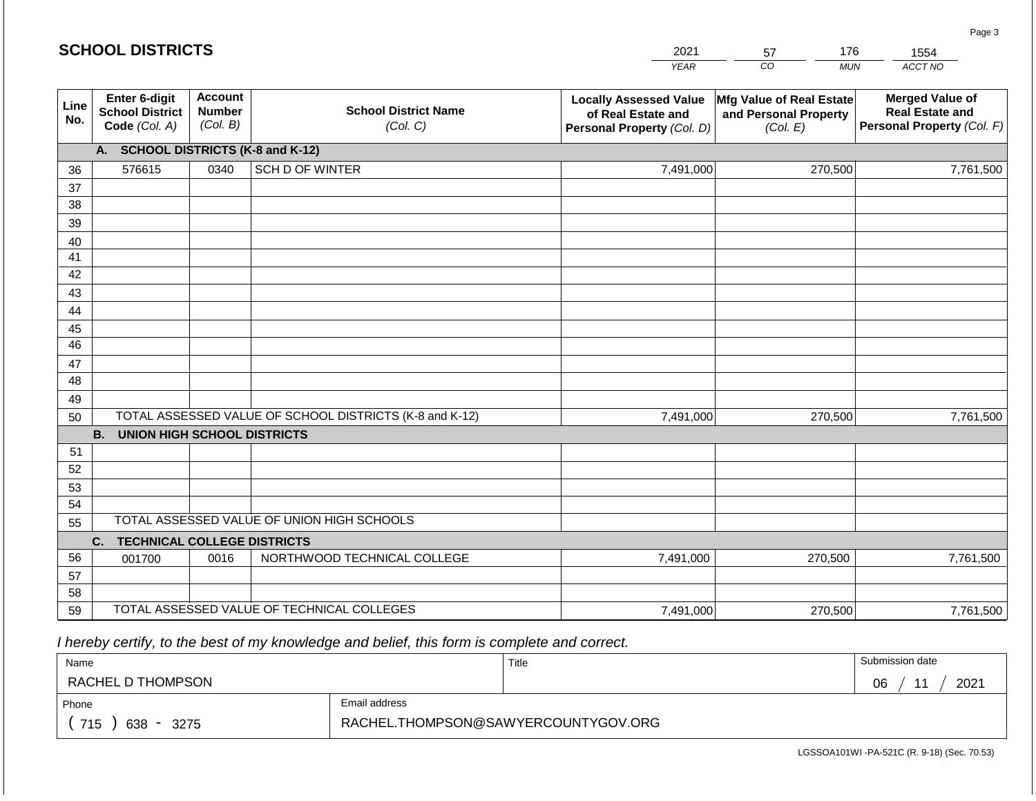|             | <b>SCHOOL DISTRICTS</b>                                  |                                             |                                                         | 2021                                                                              | 176<br>57                                                     | 1554                                                                           |
|-------------|----------------------------------------------------------|---------------------------------------------|---------------------------------------------------------|-----------------------------------------------------------------------------------|---------------------------------------------------------------|--------------------------------------------------------------------------------|
|             |                                                          |                                             |                                                         | <b>YEAR</b>                                                                       | CO<br><b>MUN</b>                                              | ACCT NO                                                                        |
| Line<br>No. | Enter 6-digit<br><b>School District</b><br>Code (Col. A) | <b>Account</b><br><b>Number</b><br>(Col. B) | <b>School District Name</b><br>(Col. C)                 | <b>Locally Assessed Value</b><br>of Real Estate and<br>Personal Property (Col. D) | Mfg Value of Real Estate<br>and Personal Property<br>(Col. E) | <b>Merged Value of</b><br><b>Real Estate and</b><br>Personal Property (Col. F) |
|             | <b>SCHOOL DISTRICTS (K-8 and K-12)</b><br>А.             |                                             |                                                         |                                                                                   |                                                               |                                                                                |
| 36          | 576615                                                   | 0340                                        | <b>SCH D OF WINTER</b>                                  | 7,491,000                                                                         | 270,500                                                       | 7,761,500                                                                      |
| 37          |                                                          |                                             |                                                         |                                                                                   |                                                               |                                                                                |
| 38          |                                                          |                                             |                                                         |                                                                                   |                                                               |                                                                                |
| 39          |                                                          |                                             |                                                         |                                                                                   |                                                               |                                                                                |
| 40          |                                                          |                                             |                                                         |                                                                                   |                                                               |                                                                                |
| 41<br>42    |                                                          |                                             |                                                         |                                                                                   |                                                               |                                                                                |
| 43          |                                                          |                                             |                                                         |                                                                                   |                                                               |                                                                                |
| 44          |                                                          |                                             |                                                         |                                                                                   |                                                               |                                                                                |
| 45          |                                                          |                                             |                                                         |                                                                                   |                                                               |                                                                                |
| 46          |                                                          |                                             |                                                         |                                                                                   |                                                               |                                                                                |
| 47          |                                                          |                                             |                                                         |                                                                                   |                                                               |                                                                                |
| 48          |                                                          |                                             |                                                         |                                                                                   |                                                               |                                                                                |
| 49          |                                                          |                                             |                                                         |                                                                                   |                                                               |                                                                                |
| 50          |                                                          |                                             | TOTAL ASSESSED VALUE OF SCHOOL DISTRICTS (K-8 and K-12) | 7,491,000                                                                         | 270,500                                                       | 7,761,500                                                                      |
|             | <b>B.</b><br><b>UNION HIGH SCHOOL DISTRICTS</b>          |                                             |                                                         |                                                                                   |                                                               |                                                                                |
| 51          |                                                          |                                             |                                                         |                                                                                   |                                                               |                                                                                |
| 52          |                                                          |                                             |                                                         |                                                                                   |                                                               |                                                                                |
| 53          |                                                          |                                             |                                                         |                                                                                   |                                                               |                                                                                |
| 54<br>55    |                                                          |                                             | TOTAL ASSESSED VALUE OF UNION HIGH SCHOOLS              |                                                                                   |                                                               |                                                                                |
|             |                                                          |                                             |                                                         |                                                                                   |                                                               |                                                                                |
| 56          | <b>TECHNICAL COLLEGE DISTRICTS</b><br>C.<br>001700       | 0016                                        | NORTHWOOD TECHNICAL COLLEGE                             | 7,491,000                                                                         | 270,500                                                       | 7,761,500                                                                      |
| 57          |                                                          |                                             |                                                         |                                                                                   |                                                               |                                                                                |
| 58          |                                                          |                                             |                                                         |                                                                                   |                                                               |                                                                                |
| 59          |                                                          |                                             | TOTAL ASSESSED VALUE OF TECHNICAL COLLEGES              | 7,491,000                                                                         | 270,500                                                       | 7,761,500                                                                      |

 *I hereby certify, to the best of my knowledge and belief, this form is complete and correct.*

| Name                                           |                                     | Title | Submission date              |
|------------------------------------------------|-------------------------------------|-------|------------------------------|
| RACHEL D THOMPSON                              |                                     |       | 2021<br>06<br>4 <sub>4</sub> |
| Phone                                          | Email address                       |       |                              |
| 715<br>638<br>3275<br>$\overline{\phantom{0}}$ | RACHEL.THOMPSON@SAWYERCOUNTYGOV.ORG |       |                              |

LGSSOA101WI -PA-521C (R. 9-18) (Sec. 70.53)

Page 3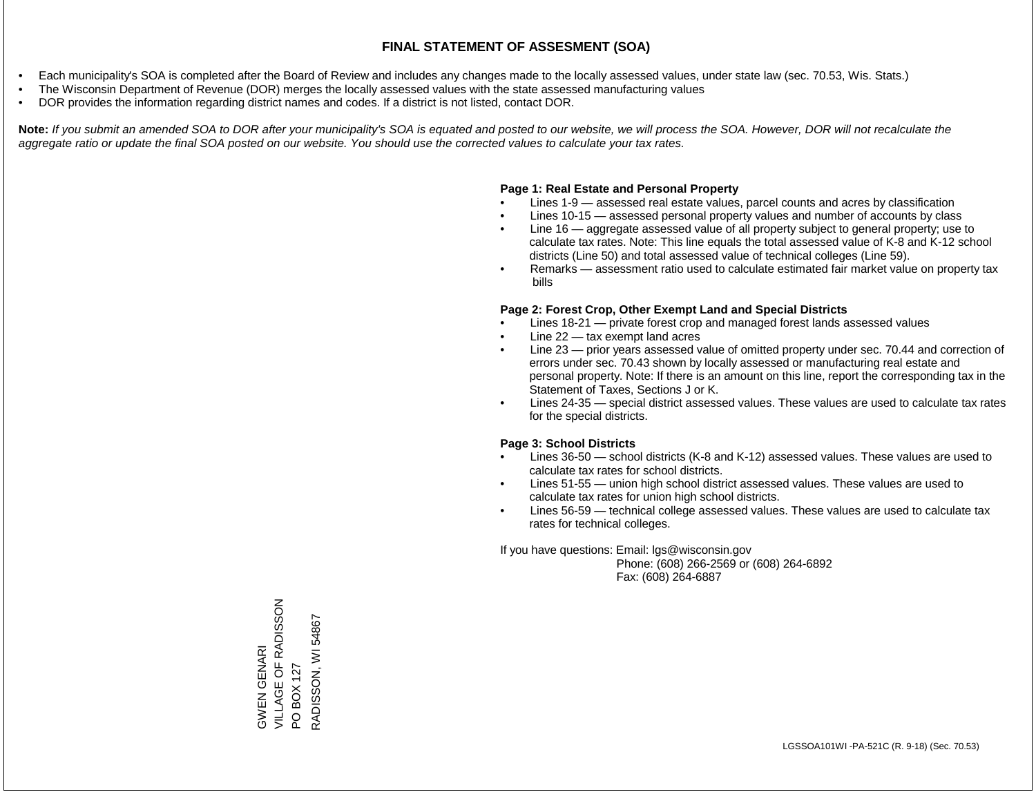### **FINAL STATEMENT OF ASSESMENT (SOA)**

- Each municipality's SOA is completed after the Board of Review and includes any changes made to the locally assessed values, under state law (sec. 70.53, Wis. Stats.)
- The Wisconsin Department of Revenue (DOR) merges the locally assessed values with the state assessed manufacturing values
- DOR provides the information regarding district names and codes. If a district is not listed, contact DOR.

Note: If you submit an amended SOA to DOR after your municipality's SOA is equated and posted to our website, we will process the SOA. However, DOR will not recalculate the *aggregate ratio or update the final SOA posted on our website. You should use the corrected values to calculate your tax rates.*

## **Page 1: Real Estate and Personal Property**

- Lines 1-9 assessed real estate values, parcel counts and acres by classification
- Lines 10-15 assessed personal property values and number of accounts by class
- Line 16 aggregate assessed value of all property subject to general property; use to calculate tax rates. Note: This line equals the total assessed value of K-8 and K-12 school districts (Line 50) and total assessed value of technical colleges (Line 59).
- Remarks assessment ratio used to calculate estimated fair market value on property tax bills

### **Page 2: Forest Crop, Other Exempt Land and Special Districts**

- Lines 18-21 private forest crop and managed forest lands assessed values
- Line  $22 -$  tax exempt land acres
- Line 23 prior years assessed value of omitted property under sec. 70.44 and correction of errors under sec. 70.43 shown by locally assessed or manufacturing real estate and personal property. Note: If there is an amount on this line, report the corresponding tax in the Statement of Taxes, Sections J or K.
- Lines 24-35 special district assessed values. These values are used to calculate tax rates for the special districts.

### **Page 3: School Districts**

- Lines 36-50 school districts (K-8 and K-12) assessed values. These values are used to calculate tax rates for school districts.
- Lines 51-55 union high school district assessed values. These values are used to calculate tax rates for union high school districts.
- Lines 56-59 technical college assessed values. These values are used to calculate tax rates for technical colleges.

If you have questions: Email: lgs@wisconsin.gov

 Phone: (608) 266-2569 or (608) 264-6892 Fax: (608) 264-6887

VILLAGE OF RADISSON GWEN GENARI<br>VILLAGE OF RADISSON PO BOX 127<br>RADISSON, WI 54867 RADISSON, WI 54867GWEN GENARI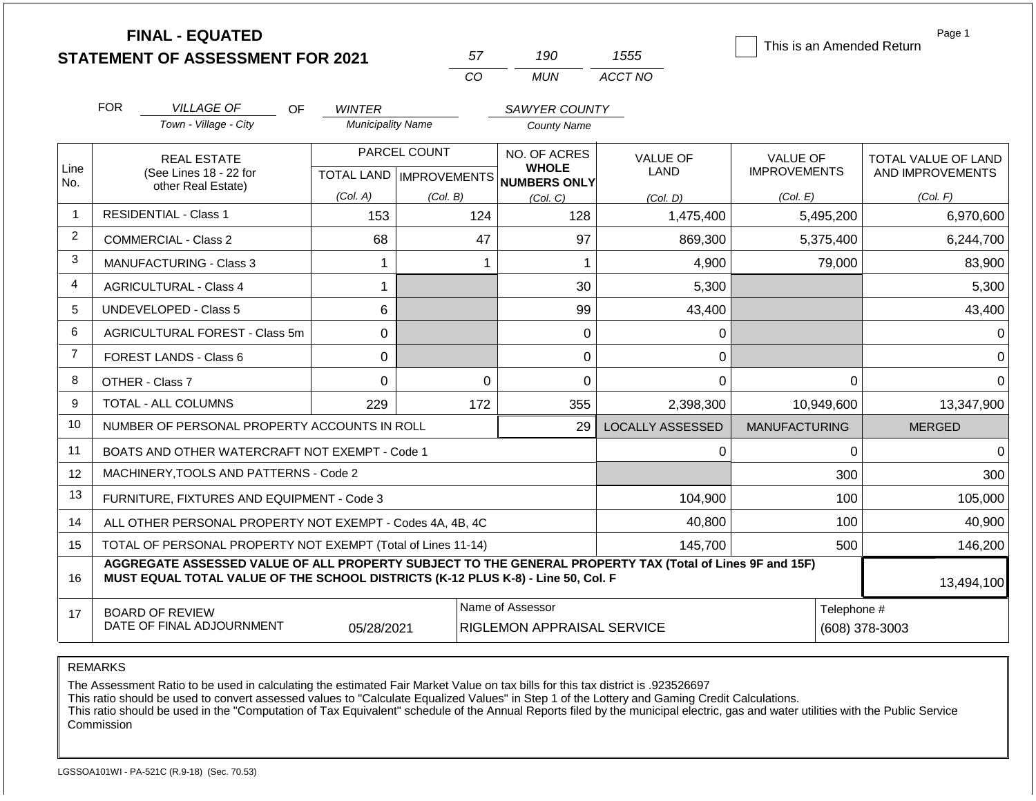|                | <b>FINAL - EQUATED</b>                                                                                                                                                                       |                                           | 57                        | 190                                                   | 1555                    | This is an Amended Return | Page 1              |
|----------------|----------------------------------------------------------------------------------------------------------------------------------------------------------------------------------------------|-------------------------------------------|---------------------------|-------------------------------------------------------|-------------------------|---------------------------|---------------------|
|                | <b>STATEMENT OF ASSESSMENT FOR 2021</b>                                                                                                                                                      |                                           | CO                        | <b>MUN</b>                                            | ACCT NO                 |                           |                     |
|                |                                                                                                                                                                                              |                                           |                           |                                                       |                         |                           |                     |
|                | <b>FOR</b><br><b>VILLAGE OF</b><br>OF.<br>Town - Village - City                                                                                                                              | <b>WINTER</b><br><b>Municipality Name</b> |                           | SAWYER COUNTY<br><b>County Name</b>                   |                         |                           |                     |
|                |                                                                                                                                                                                              |                                           |                           |                                                       |                         |                           |                     |
| Line           | <b>REAL ESTATE</b>                                                                                                                                                                           |                                           | PARCEL COUNT              | NO. OF ACRES<br><b>WHOLE</b>                          | <b>VALUE OF</b>         | <b>VALUE OF</b>           | TOTAL VALUE OF LAND |
| No.            | (See Lines 18 - 22 for<br>other Real Estate)                                                                                                                                                 |                                           | TOTAL LAND   IMPROVEMENTS | <b>NUMBERS ONLY</b>                                   | <b>LAND</b>             | <b>IMPROVEMENTS</b>       | AND IMPROVEMENTS    |
|                |                                                                                                                                                                                              | (Col. A)                                  | (Col. B)                  | (Col, C)                                              | (Col. D)                | (Col. E)                  | (Col. F)            |
| 1              | <b>RESIDENTIAL - Class 1</b>                                                                                                                                                                 | 153                                       | 124                       | 128                                                   | 1,475,400               | 5,495,200                 | 6,970,600           |
| $\overline{2}$ | <b>COMMERCIAL - Class 2</b>                                                                                                                                                                  | 68                                        | 47                        | 97                                                    | 869,300                 | 5,375,400                 | 6,244,700           |
| 3              | <b>MANUFACTURING - Class 3</b>                                                                                                                                                               | 1                                         |                           | $\mathbf 1$<br>-1                                     | 4,900                   | 79,000                    | 83,900              |
| 4              | <b>AGRICULTURAL - Class 4</b>                                                                                                                                                                | 1                                         |                           | 30                                                    | 5,300                   |                           | 5,300               |
| 5              | <b>UNDEVELOPED - Class 5</b>                                                                                                                                                                 | 6                                         |                           | 99                                                    | 43,400                  |                           | 43,400              |
| 6              | AGRICULTURAL FOREST - Class 5m                                                                                                                                                               | 0                                         |                           | $\mathbf 0$                                           | 0                       |                           | 0                   |
| $\overline{7}$ | FOREST LANDS - Class 6                                                                                                                                                                       | 0                                         |                           | 0                                                     | $\mathbf 0$             |                           | 0                   |
| 8              | OTHER - Class 7                                                                                                                                                                              | $\overline{0}$                            |                           | 0<br>$\Omega$                                         | $\mathbf 0$             | $\mathbf 0$               | $\Omega$            |
| 9              | <b>TOTAL - ALL COLUMNS</b>                                                                                                                                                                   | 229                                       | 172                       | 355                                                   | 2,398,300               | 10,949,600                | 13,347,900          |
| 10             | NUMBER OF PERSONAL PROPERTY ACCOUNTS IN ROLL                                                                                                                                                 |                                           |                           | 29                                                    | <b>LOCALLY ASSESSED</b> | <b>MANUFACTURING</b>      | <b>MERGED</b>       |
| 11             | BOATS AND OTHER WATERCRAFT NOT EXEMPT - Code 1                                                                                                                                               |                                           |                           |                                                       | $\Omega$                | $\Omega$                  | $\Omega$            |
| 12             | MACHINERY, TOOLS AND PATTERNS - Code 2                                                                                                                                                       |                                           |                           |                                                       |                         | 300                       | 300                 |
| 13             | FURNITURE, FIXTURES AND EQUIPMENT - Code 3                                                                                                                                                   |                                           |                           |                                                       | 104,900                 | 100                       | 105,000             |
| 14             | ALL OTHER PERSONAL PROPERTY NOT EXEMPT - Codes 4A, 4B, 4C                                                                                                                                    |                                           |                           |                                                       | 40,800                  | 100                       | 40,900              |
| 15             | TOTAL OF PERSONAL PROPERTY NOT EXEMPT (Total of Lines 11-14)                                                                                                                                 |                                           | 145,700                   | 500                                                   | 146,200                 |                           |                     |
| 16             | AGGREGATE ASSESSED VALUE OF ALL PROPERTY SUBJECT TO THE GENERAL PROPERTY TAX (Total of Lines 9F and 15F)<br>MUST EQUAL TOTAL VALUE OF THE SCHOOL DISTRICTS (K-12 PLUS K-8) - Line 50, Col. F |                                           |                           |                                                       |                         |                           | 13,494,100          |
| 17             | <b>BOARD OF REVIEW</b><br>DATE OF FINAL ADJOURNMENT                                                                                                                                          | 05/28/2021                                |                           | Name of Assessor<br><b>RIGLEMON APPRAISAL SERVICE</b> |                         | Telephone #               | (608) 378-3003      |

REMARKS

The Assessment Ratio to be used in calculating the estimated Fair Market Value on tax bills for this tax district is .923526697

This ratio should be used to convert assessed values to "Calculate Equalized Values" in Step 1 of the Lottery and Gaming Credit Calculations.

 This ratio should be used in the "Computation of Tax Equivalent" schedule of the Annual Reports filed by the municipal electric, gas and water utilities with the Public Service Commission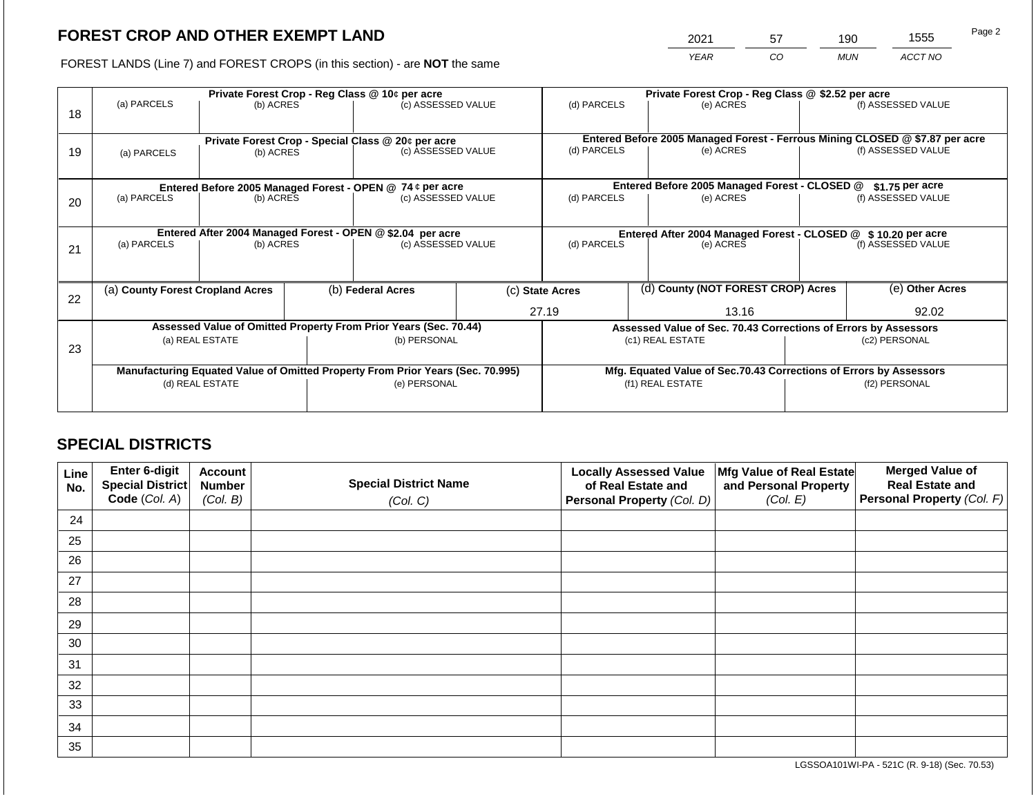# **FOREST CROP AND OTHER EXEMPT LAND**

2021 57 190 1555

FOREST LANDS (Line 7) and FOREST CROPS (in this section) - are **NOT** the same *YEAR CO MUN ACCT NO*

|    |                                                                                                                                                                                          |           |  | Private Forest Crop - Reg Class @ 10¢ per acre             |  | Private Forest Crop - Reg Class @ \$2.52 per acre              |  |                                                                              |       |                    |  |
|----|------------------------------------------------------------------------------------------------------------------------------------------------------------------------------------------|-----------|--|------------------------------------------------------------|--|----------------------------------------------------------------|--|------------------------------------------------------------------------------|-------|--------------------|--|
| 18 | (a) PARCELS                                                                                                                                                                              | (b) ACRES |  | (c) ASSESSED VALUE                                         |  | (d) PARCELS                                                    |  | (e) ACRES                                                                    |       | (f) ASSESSED VALUE |  |
|    |                                                                                                                                                                                          |           |  | Private Forest Crop - Special Class @ 20¢ per acre         |  |                                                                |  | Entered Before 2005 Managed Forest - Ferrous Mining CLOSED @ \$7.87 per acre |       |                    |  |
| 19 | (a) PARCELS                                                                                                                                                                              | (b) ACRES |  | (c) ASSESSED VALUE                                         |  | (d) PARCELS                                                    |  | (e) ACRES                                                                    |       | (f) ASSESSED VALUE |  |
|    |                                                                                                                                                                                          |           |  |                                                            |  |                                                                |  |                                                                              |       |                    |  |
|    |                                                                                                                                                                                          |           |  | Entered Before 2005 Managed Forest - OPEN @ 74 ¢ per acre  |  |                                                                |  | Entered Before 2005 Managed Forest - CLOSED @                                |       | $$1.75$ per acre   |  |
| 20 | (a) PARCELS                                                                                                                                                                              | (b) ACRES |  | (c) ASSESSED VALUE                                         |  | (d) PARCELS                                                    |  | (e) ACRES                                                                    |       | (f) ASSESSED VALUE |  |
|    |                                                                                                                                                                                          |           |  |                                                            |  |                                                                |  |                                                                              |       |                    |  |
|    |                                                                                                                                                                                          |           |  | Entered After 2004 Managed Forest - OPEN @ \$2.04 per acre |  | Entered After 2004 Managed Forest - CLOSED @ \$ 10.20 per acre |  |                                                                              |       |                    |  |
| 21 | (a) PARCELS                                                                                                                                                                              | (b) ACRES |  | (c) ASSESSED VALUE                                         |  | (d) PARCELS<br>(e) ACRES                                       |  | (f) ASSESSED VALUE                                                           |       |                    |  |
|    |                                                                                                                                                                                          |           |  |                                                            |  |                                                                |  |                                                                              |       |                    |  |
| 22 | (a) County Forest Cropland Acres                                                                                                                                                         |           |  | (b) Federal Acres                                          |  | (c) State Acres                                                |  | (d) County (NOT FOREST CROP) Acres                                           |       | (e) Other Acres    |  |
|    |                                                                                                                                                                                          |           |  |                                                            |  | 27.19<br>13.16                                                 |  |                                                                              | 92.02 |                    |  |
|    |                                                                                                                                                                                          |           |  |                                                            |  |                                                                |  | Assessed Value of Sec. 70.43 Corrections of Errors by Assessors              |       |                    |  |
|    |                                                                                                                                                                                          |           |  | (b) PERSONAL                                               |  |                                                                |  | (c1) REAL ESTATE                                                             |       | (c2) PERSONAL      |  |
|    |                                                                                                                                                                                          |           |  |                                                            |  |                                                                |  |                                                                              |       |                    |  |
|    |                                                                                                                                                                                          |           |  |                                                            |  |                                                                |  | Mfg. Equated Value of Sec.70.43 Corrections of Errors by Assessors           |       |                    |  |
|    |                                                                                                                                                                                          |           |  | (e) PERSONAL                                               |  |                                                                |  | (f1) REAL ESTATE                                                             |       | (f2) PERSONAL      |  |
|    |                                                                                                                                                                                          |           |  |                                                            |  |                                                                |  |                                                                              |       |                    |  |
| 23 | Assessed Value of Omitted Property From Prior Years (Sec. 70.44)<br>(a) REAL ESTATE<br>Manufacturing Equated Value of Omitted Property From Prior Years (Sec. 70.995)<br>(d) REAL ESTATE |           |  |                                                            |  |                                                                |  |                                                                              |       |                    |  |

# **SPECIAL DISTRICTS**

| Line<br>No. | Enter 6-digit<br>Special District<br>Code (Col. A) | <b>Account</b><br><b>Number</b><br>(Col. B) | <b>Special District Name</b><br>(Col. C) | <b>Locally Assessed Value</b><br>of Real Estate and<br><b>Personal Property (Col. D)</b> | Mfg Value of Real Estate<br>and Personal Property<br>(Col. E) | <b>Merged Value of</b><br><b>Real Estate and</b><br>Personal Property (Col. F) |
|-------------|----------------------------------------------------|---------------------------------------------|------------------------------------------|------------------------------------------------------------------------------------------|---------------------------------------------------------------|--------------------------------------------------------------------------------|
| 24          |                                                    |                                             |                                          |                                                                                          |                                                               |                                                                                |
| 25          |                                                    |                                             |                                          |                                                                                          |                                                               |                                                                                |
| 26          |                                                    |                                             |                                          |                                                                                          |                                                               |                                                                                |
| 27          |                                                    |                                             |                                          |                                                                                          |                                                               |                                                                                |
| 28          |                                                    |                                             |                                          |                                                                                          |                                                               |                                                                                |
| 29          |                                                    |                                             |                                          |                                                                                          |                                                               |                                                                                |
| 30          |                                                    |                                             |                                          |                                                                                          |                                                               |                                                                                |
| 31          |                                                    |                                             |                                          |                                                                                          |                                                               |                                                                                |
| 32          |                                                    |                                             |                                          |                                                                                          |                                                               |                                                                                |
| 33          |                                                    |                                             |                                          |                                                                                          |                                                               |                                                                                |
| 34          |                                                    |                                             |                                          |                                                                                          |                                                               |                                                                                |
| 35          |                                                    |                                             |                                          |                                                                                          |                                                               |                                                                                |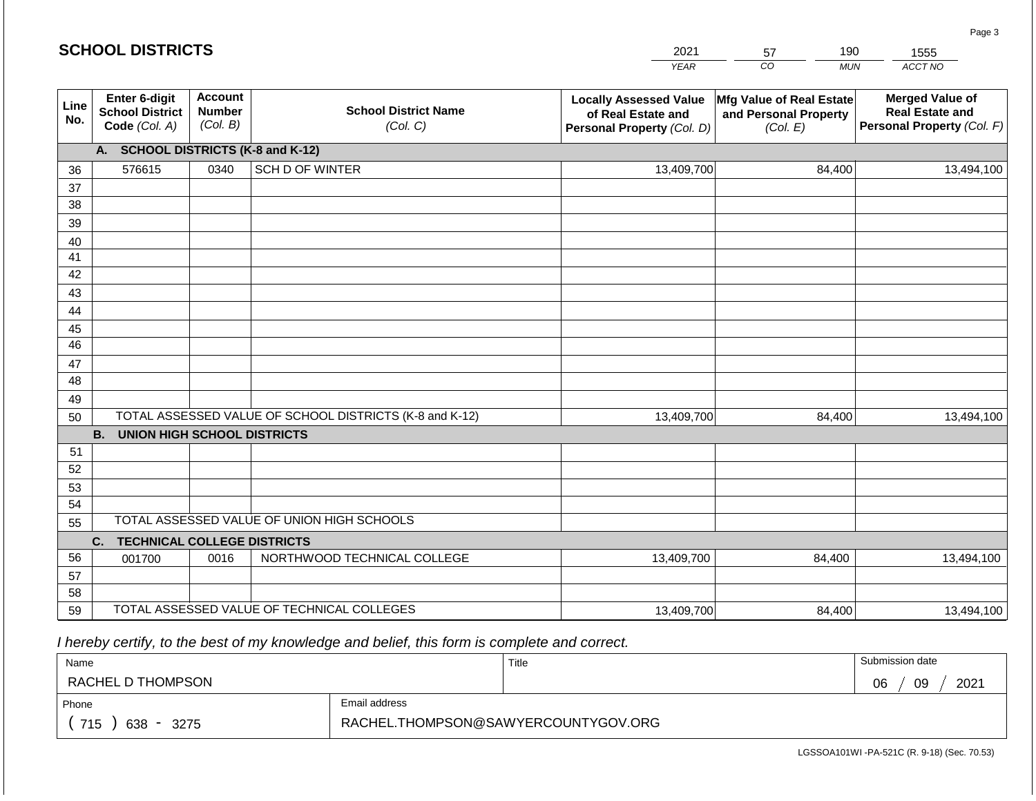|             | <b>SCHOOL DISTRICTS</b>                                  |                                             |                                                         | 2021                                                                              | 190<br>57                                                     | 1555                                                                           |  |
|-------------|----------------------------------------------------------|---------------------------------------------|---------------------------------------------------------|-----------------------------------------------------------------------------------|---------------------------------------------------------------|--------------------------------------------------------------------------------|--|
|             |                                                          |                                             |                                                         | <b>YEAR</b>                                                                       | CO<br><b>MUN</b>                                              | ACCT NO                                                                        |  |
| Line<br>No. | Enter 6-digit<br><b>School District</b><br>Code (Col. A) | <b>Account</b><br><b>Number</b><br>(Col. B) | <b>School District Name</b><br>(Col. C)                 | <b>Locally Assessed Value</b><br>of Real Estate and<br>Personal Property (Col. D) | Mfg Value of Real Estate<br>and Personal Property<br>(Col. E) | <b>Merged Value of</b><br><b>Real Estate and</b><br>Personal Property (Col. F) |  |
|             | A. SCHOOL DISTRICTS (K-8 and K-12)                       |                                             |                                                         |                                                                                   |                                                               |                                                                                |  |
| 36          | 576615                                                   | 0340                                        | SCH D OF WINTER                                         | 13,409,700                                                                        | 84,400                                                        | 13,494,100                                                                     |  |
| 37          |                                                          |                                             |                                                         |                                                                                   |                                                               |                                                                                |  |
| 38          |                                                          |                                             |                                                         |                                                                                   |                                                               |                                                                                |  |
| 39          |                                                          |                                             |                                                         |                                                                                   |                                                               |                                                                                |  |
| 40          |                                                          |                                             |                                                         |                                                                                   |                                                               |                                                                                |  |
| 41          |                                                          |                                             |                                                         |                                                                                   |                                                               |                                                                                |  |
| 42<br>43    |                                                          |                                             |                                                         |                                                                                   |                                                               |                                                                                |  |
| 44          |                                                          |                                             |                                                         |                                                                                   |                                                               |                                                                                |  |
| 45          |                                                          |                                             |                                                         |                                                                                   |                                                               |                                                                                |  |
| 46          |                                                          |                                             |                                                         |                                                                                   |                                                               |                                                                                |  |
| 47          |                                                          |                                             |                                                         |                                                                                   |                                                               |                                                                                |  |
| 48          |                                                          |                                             |                                                         |                                                                                   |                                                               |                                                                                |  |
| 49          |                                                          |                                             |                                                         |                                                                                   |                                                               |                                                                                |  |
| 50          |                                                          |                                             | TOTAL ASSESSED VALUE OF SCHOOL DISTRICTS (K-8 and K-12) | 13,409,700                                                                        | 84,400                                                        | 13,494,100                                                                     |  |
|             | <b>B.</b><br><b>UNION HIGH SCHOOL DISTRICTS</b>          |                                             |                                                         |                                                                                   |                                                               |                                                                                |  |
| 51          |                                                          |                                             |                                                         |                                                                                   |                                                               |                                                                                |  |
| 52          |                                                          |                                             |                                                         |                                                                                   |                                                               |                                                                                |  |
| 53          |                                                          |                                             |                                                         |                                                                                   |                                                               |                                                                                |  |
| 54          |                                                          |                                             | TOTAL ASSESSED VALUE OF UNION HIGH SCHOOLS              |                                                                                   |                                                               |                                                                                |  |
| 55          |                                                          |                                             |                                                         |                                                                                   |                                                               |                                                                                |  |
|             | <b>TECHNICAL COLLEGE DISTRICTS</b><br>C.                 |                                             |                                                         |                                                                                   |                                                               |                                                                                |  |
| 56          | 001700                                                   | 0016                                        | NORTHWOOD TECHNICAL COLLEGE                             | 13,409,700                                                                        | 84,400                                                        | 13,494,100                                                                     |  |
| 57<br>58    |                                                          |                                             |                                                         |                                                                                   |                                                               |                                                                                |  |
| 59          |                                                          |                                             | TOTAL ASSESSED VALUE OF TECHNICAL COLLEGES              | 13,409,700                                                                        | 84,400                                                        | 13,494,100                                                                     |  |

 *I hereby certify, to the best of my knowledge and belief, this form is complete and correct.*

**SCHOOL DISTRICTS**

| Name               |                                     | Title | Submission date  |
|--------------------|-------------------------------------|-------|------------------|
| RACHEL D THOMPSON  |                                     |       | 09<br>2021<br>06 |
| Phone              | Email address                       |       |                  |
| 715<br>638<br>3275 | RACHEL.THOMPSON@SAWYERCOUNTYGOV.ORG |       |                  |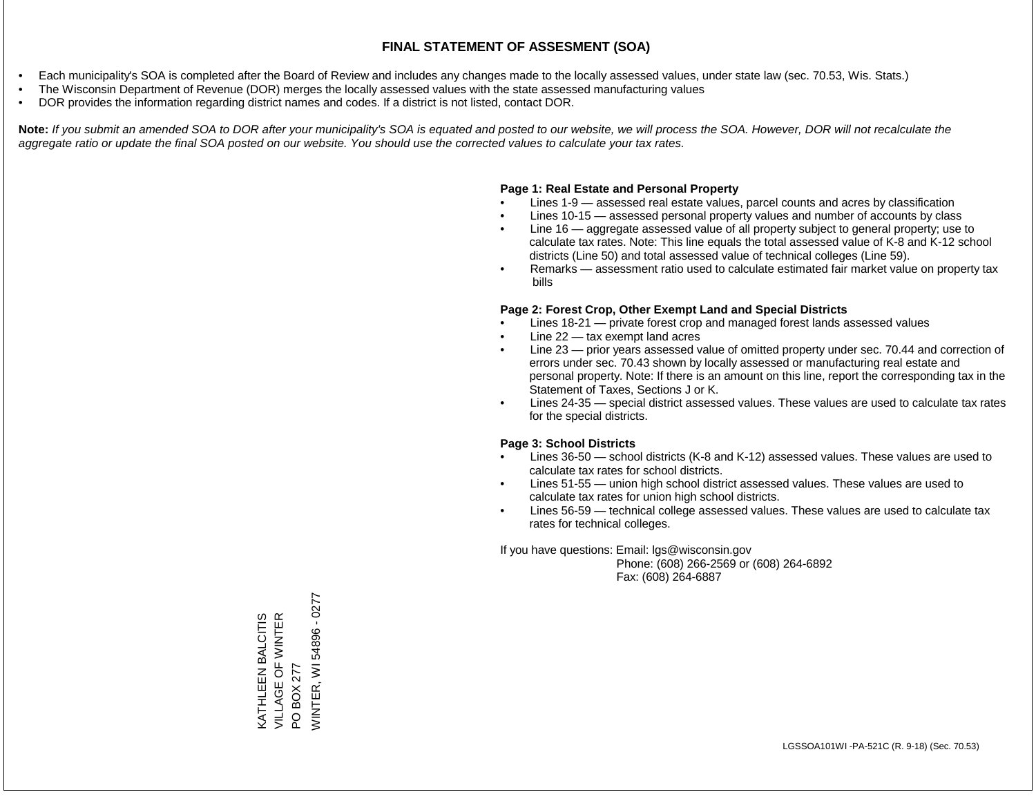### **FINAL STATEMENT OF ASSESMENT (SOA)**

- Each municipality's SOA is completed after the Board of Review and includes any changes made to the locally assessed values, under state law (sec. 70.53, Wis. Stats.)
- The Wisconsin Department of Revenue (DOR) merges the locally assessed values with the state assessed manufacturing values
- DOR provides the information regarding district names and codes. If a district is not listed, contact DOR.

Note: If you submit an amended SOA to DOR after your municipality's SOA is equated and posted to our website, we will process the SOA. However, DOR will not recalculate the *aggregate ratio or update the final SOA posted on our website. You should use the corrected values to calculate your tax rates.*

### **Page 1: Real Estate and Personal Property**

- Lines 1-9 assessed real estate values, parcel counts and acres by classification
- Lines 10-15 assessed personal property values and number of accounts by class
- Line 16 aggregate assessed value of all property subject to general property; use to calculate tax rates. Note: This line equals the total assessed value of K-8 and K-12 school districts (Line 50) and total assessed value of technical colleges (Line 59).
- Remarks assessment ratio used to calculate estimated fair market value on property tax bills

#### **Page 2: Forest Crop, Other Exempt Land and Special Districts**

- Lines 18-21 private forest crop and managed forest lands assessed values
- Line  $22 -$  tax exempt land acres
- Line 23 prior years assessed value of omitted property under sec. 70.44 and correction of errors under sec. 70.43 shown by locally assessed or manufacturing real estate and personal property. Note: If there is an amount on this line, report the corresponding tax in the Statement of Taxes, Sections J or K.
- Lines 24-35 special district assessed values. These values are used to calculate tax rates for the special districts.

#### **Page 3: School Districts**

- Lines 36-50 school districts (K-8 and K-12) assessed values. These values are used to calculate tax rates for school districts.
- Lines 51-55 union high school district assessed values. These values are used to calculate tax rates for union high school districts.
- Lines 56-59 technical college assessed values. These values are used to calculate tax rates for technical colleges.

If you have questions: Email: lgs@wisconsin.gov

 Phone: (608) 266-2569 or (608) 264-6892 Fax: (608) 264-6887

**NINTER, WI 54896 - 0277** WINTER, WI 54896 - 0277VILLAGE OF WINTER **KATHLEEN BALCITIS<br>VILLAGE OF WINTER** KATHLEEN BALCITIS PO BOX 277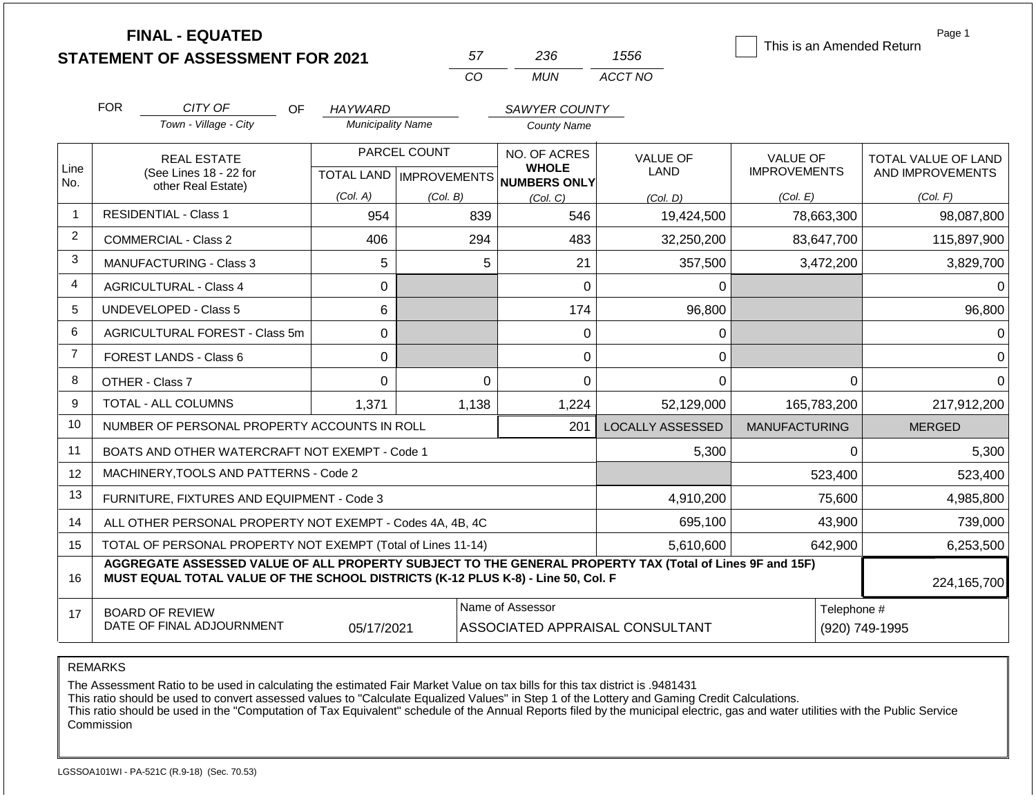|                | <b>FINAL - EQUATED</b><br><b>STATEMENT OF ASSESSMENT FOR 2021</b>                                                                                                                            |                          | 57                                        | 236                                          | 1556                            | This is an Amended Return       | Page 1                                  |
|----------------|----------------------------------------------------------------------------------------------------------------------------------------------------------------------------------------------|--------------------------|-------------------------------------------|----------------------------------------------|---------------------------------|---------------------------------|-----------------------------------------|
|                |                                                                                                                                                                                              |                          | <b>CO</b>                                 | <b>MUN</b>                                   | ACCT NO                         |                                 |                                         |
|                | <b>FOR</b><br>CITY OF<br>OF.                                                                                                                                                                 | HAYWARD                  |                                           | <b>SAWYER COUNTY</b>                         |                                 |                                 |                                         |
|                | Town - Village - City                                                                                                                                                                        | <b>Municipality Name</b> |                                           | <b>County Name</b>                           |                                 |                                 |                                         |
| Line<br>No.    | <b>REAL ESTATE</b><br>(See Lines 18 - 22 for                                                                                                                                                 |                          | PARCEL COUNT<br>TOTAL LAND   IMPROVEMENTS | NO. OF ACRES<br><b>WHOLE</b><br>NUMBERS ONLY | <b>VALUE OF</b><br>LAND         | VALUE OF<br><b>IMPROVEMENTS</b> | TOTAL VALUE OF LAND<br>AND IMPROVEMENTS |
|                | other Real Estate)                                                                                                                                                                           | (Col. A)                 | (Col. B)                                  | (Col, C)                                     | (Col, D)                        | (Col. E)                        | (Col. F)                                |
| 1              | <b>RESIDENTIAL - Class 1</b>                                                                                                                                                                 | 954                      | 839                                       | 546                                          | 19,424,500                      | 78,663,300                      | 98,087,800                              |
| 2              | <b>COMMERCIAL - Class 2</b>                                                                                                                                                                  | 406                      | 294                                       | 483                                          | 32,250,200                      | 83,647,700                      | 115,897,900                             |
| 3              | <b>MANUFACTURING - Class 3</b>                                                                                                                                                               | 5                        |                                           | 5<br>21                                      | 357,500                         | 3,472,200                       | 3,829,700                               |
| 4              | <b>AGRICULTURAL - Class 4</b>                                                                                                                                                                | 0                        |                                           | $\mathbf 0$                                  | $\Omega$                        |                                 | $\Omega$                                |
| 5              | <b>UNDEVELOPED - Class 5</b>                                                                                                                                                                 | 6                        |                                           | 174                                          | 96,800                          |                                 | 96,800                                  |
| 6              | AGRICULTURAL FOREST - Class 5m                                                                                                                                                               | 0                        |                                           | $\mathsf 0$                                  | 0                               |                                 | $\Omega$                                |
| $\overline{7}$ | FOREST LANDS - Class 6                                                                                                                                                                       | $\Omega$                 |                                           | $\Omega$                                     | 0                               |                                 | $\Omega$                                |
| 8              | OTHER - Class 7                                                                                                                                                                              | 0                        |                                           | $\mathbf 0$<br>$\Omega$                      | $\mathbf 0$                     | 0                               | $\mathbf 0$                             |
| 9              | <b>TOTAL - ALL COLUMNS</b>                                                                                                                                                                   | 1,371                    | 1,138                                     | 1,224                                        | 52,129,000                      | 165,783,200                     | 217,912,200                             |
| 10             | NUMBER OF PERSONAL PROPERTY ACCOUNTS IN ROLL                                                                                                                                                 |                          |                                           | 201                                          | <b>LOCALLY ASSESSED</b>         | <b>MANUFACTURING</b>            | <b>MERGED</b>                           |
| 11             | BOATS AND OTHER WATERCRAFT NOT EXEMPT - Code 1                                                                                                                                               |                          |                                           |                                              | 5,300                           | 0                               | 5,300                                   |
| 12             | MACHINERY, TOOLS AND PATTERNS - Code 2                                                                                                                                                       |                          |                                           |                                              |                                 | 523,400                         | 523,400                                 |
| 13             | FURNITURE, FIXTURES AND EQUIPMENT - Code 3                                                                                                                                                   |                          |                                           |                                              | 4,910,200                       | 75,600                          | 4,985,800                               |
| 14             | ALL OTHER PERSONAL PROPERTY NOT EXEMPT - Codes 4A, 4B, 4C                                                                                                                                    |                          |                                           |                                              | 695,100                         | 43,900                          | 739,000                                 |
| 15             | TOTAL OF PERSONAL PROPERTY NOT EXEMPT (Total of Lines 11-14)                                                                                                                                 |                          |                                           |                                              | 5,610,600                       | 642,900                         | 6,253,500                               |
| 16             | AGGREGATE ASSESSED VALUE OF ALL PROPERTY SUBJECT TO THE GENERAL PROPERTY TAX (Total of Lines 9F and 15F)<br>MUST EQUAL TOTAL VALUE OF THE SCHOOL DISTRICTS (K-12 PLUS K-8) - Line 50, Col. F |                          |                                           |                                              |                                 |                                 | 224,165,700                             |
| 17             | <b>BOARD OF REVIEW</b><br>DATE OF FINAL ADJOURNMENT                                                                                                                                          | 05/17/2021               |                                           | Name of Assessor                             | ASSOCIATED APPRAISAL CONSULTANT | Telephone #                     | (920) 749-1995                          |

REMARKS

The Assessment Ratio to be used in calculating the estimated Fair Market Value on tax bills for this tax district is .9481431

This ratio should be used to convert assessed values to "Calculate Equalized Values" in Step 1 of the Lottery and Gaming Credit Calculations.

 This ratio should be used in the "Computation of Tax Equivalent" schedule of the Annual Reports filed by the municipal electric, gas and water utilities with the Public Service Commission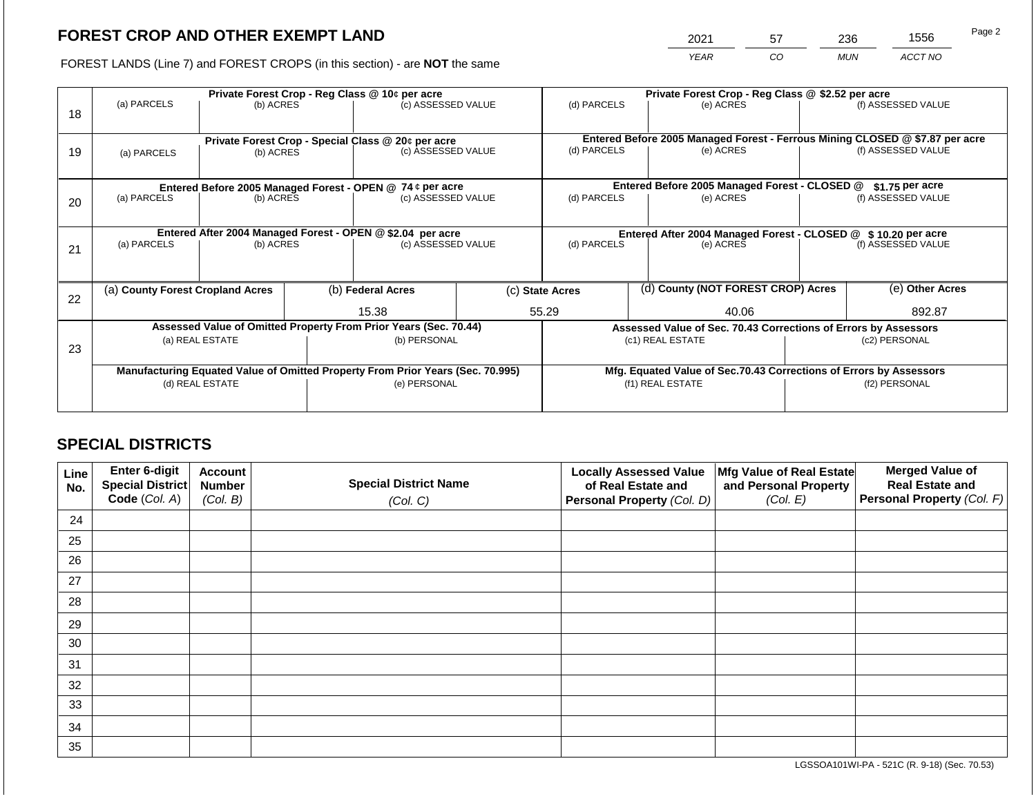# **FOREST CROP AND OTHER EXEMPT LAND**

2021 57 236 1556

FOREST LANDS (Line 7) and FOREST CROPS (in this section) - are **NOT** the same *YEAR CO MUN ACCT NO*

|    | Private Forest Crop - Reg Class @ 10¢ per acre                                 |                 |                                                                 |                    |  |                                                                              | Private Forest Crop - Reg Class @ \$2.52 per acre                  |                    |                    |                    |  |
|----|--------------------------------------------------------------------------------|-----------------|-----------------------------------------------------------------|--------------------|--|------------------------------------------------------------------------------|--------------------------------------------------------------------|--------------------|--------------------|--------------------|--|
| 18 | (a) PARCELS                                                                    | (b) ACRES       |                                                                 | (c) ASSESSED VALUE |  | (d) PARCELS                                                                  |                                                                    | (e) ACRES          |                    | (f) ASSESSED VALUE |  |
|    |                                                                                |                 |                                                                 |                    |  |                                                                              |                                                                    |                    |                    |                    |  |
|    | Private Forest Crop - Special Class @ 20¢ per acre                             |                 |                                                                 |                    |  | Entered Before 2005 Managed Forest - Ferrous Mining CLOSED @ \$7.87 per acre |                                                                    |                    |                    |                    |  |
| 19 | (a) PARCELS                                                                    | (b) ACRES       | (c) ASSESSED VALUE                                              |                    |  | (d) PARCELS                                                                  |                                                                    | (e) ACRES          |                    | (f) ASSESSED VALUE |  |
|    |                                                                                |                 |                                                                 |                    |  |                                                                              |                                                                    |                    |                    |                    |  |
|    | Entered Before 2005 Managed Forest - OPEN @ 74 ¢ per acre                      |                 |                                                                 |                    |  | Entered Before 2005 Managed Forest - CLOSED @<br>$$1.75$ per acre            |                                                                    |                    |                    |                    |  |
| 20 | (a) PARCELS<br>(b) ACRES                                                       |                 | (c) ASSESSED VALUE                                              |                    |  | (d) PARCELS                                                                  |                                                                    | (e) ACRES          | (f) ASSESSED VALUE |                    |  |
|    |                                                                                |                 |                                                                 |                    |  |                                                                              |                                                                    |                    |                    |                    |  |
|    | Entered After 2004 Managed Forest - OPEN @ \$2.04 per acre                     |                 |                                                                 |                    |  | Entered After 2004 Managed Forest - CLOSED @ \$10.20 per acre                |                                                                    |                    |                    |                    |  |
| 21 | (a) PARCELS<br>(b) ACRES                                                       |                 |                                                                 | (c) ASSESSED VALUE |  | (d) PARCELS<br>(e) ACRES                                                     |                                                                    | (f) ASSESSED VALUE |                    |                    |  |
|    |                                                                                |                 |                                                                 |                    |  |                                                                              |                                                                    |                    |                    |                    |  |
|    | (a) County Forest Cropland Acres                                               |                 |                                                                 |                    |  | (d) County (NOT FOREST CROP) Acres                                           |                                                                    | (e) Other Acres    |                    |                    |  |
| 22 |                                                                                |                 |                                                                 | (b) Federal Acres  |  | (c) State Acres                                                              |                                                                    |                    |                    |                    |  |
|    |                                                                                |                 |                                                                 | 15.38              |  | 55.29<br>40.06                                                               |                                                                    |                    | 892.87             |                    |  |
|    | Assessed Value of Omitted Property From Prior Years (Sec. 70.44)               |                 | Assessed Value of Sec. 70.43 Corrections of Errors by Assessors |                    |  |                                                                              |                                                                    |                    |                    |                    |  |
| 23 | (a) REAL ESTATE                                                                |                 |                                                                 | (b) PERSONAL       |  | (c1) REAL ESTATE                                                             |                                                                    | (c2) PERSONAL      |                    |                    |  |
|    |                                                                                |                 |                                                                 |                    |  |                                                                              |                                                                    |                    |                    |                    |  |
|    | Manufacturing Equated Value of Omitted Property From Prior Years (Sec. 70.995) |                 |                                                                 |                    |  |                                                                              | Mfg. Equated Value of Sec.70.43 Corrections of Errors by Assessors |                    |                    |                    |  |
|    |                                                                                | (d) REAL ESTATE |                                                                 | (e) PERSONAL       |  |                                                                              | (f1) REAL ESTATE                                                   |                    |                    | (f2) PERSONAL      |  |
|    |                                                                                |                 |                                                                 |                    |  |                                                                              |                                                                    |                    |                    |                    |  |

# **SPECIAL DISTRICTS**

| Line<br>No. | <b>Enter 6-digit</b><br>Special District | <b>Account</b><br><b>Number</b> | <b>Special District Name</b> | <b>Locally Assessed Value</b><br>of Real Estate and | Mfg Value of Real Estate<br>and Personal Property | <b>Merged Value of</b><br><b>Real Estate and</b> |
|-------------|------------------------------------------|---------------------------------|------------------------------|-----------------------------------------------------|---------------------------------------------------|--------------------------------------------------|
|             | Code (Col. A)                            | (Col. B)                        | (Col. C)                     | Personal Property (Col. D)                          | (Col. E)                                          | Personal Property (Col. F)                       |
| 24          |                                          |                                 |                              |                                                     |                                                   |                                                  |
| 25          |                                          |                                 |                              |                                                     |                                                   |                                                  |
| 26          |                                          |                                 |                              |                                                     |                                                   |                                                  |
| 27          |                                          |                                 |                              |                                                     |                                                   |                                                  |
| 28          |                                          |                                 |                              |                                                     |                                                   |                                                  |
| 29          |                                          |                                 |                              |                                                     |                                                   |                                                  |
| 30          |                                          |                                 |                              |                                                     |                                                   |                                                  |
| 31          |                                          |                                 |                              |                                                     |                                                   |                                                  |
| 32          |                                          |                                 |                              |                                                     |                                                   |                                                  |
| 33          |                                          |                                 |                              |                                                     |                                                   |                                                  |
| 34          |                                          |                                 |                              |                                                     |                                                   |                                                  |
| 35          |                                          |                                 |                              |                                                     |                                                   |                                                  |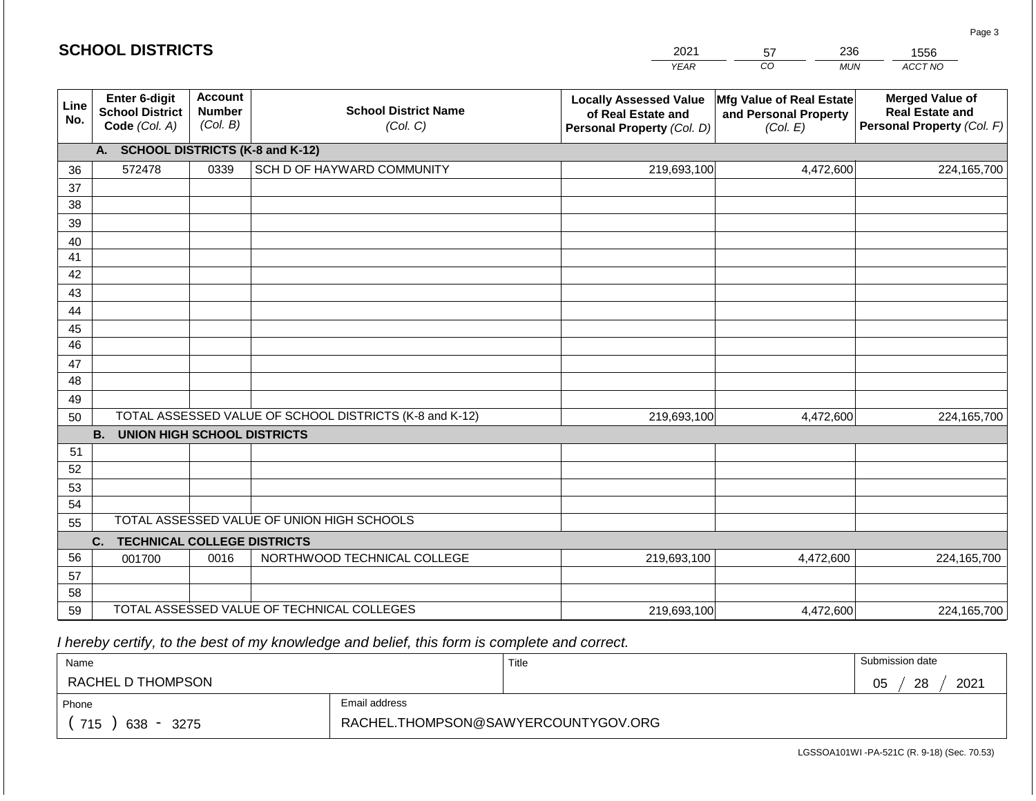#### *YEAR*  2021  $\overline{co}$ 57 *MUN*  236 *ACCT NO*  1556 **Line No. Enter 6-digit School District Code** *(Col. A)* **Account Number** *(Col. B)* **School District Name** *(Col. C)* **Locally Assessed Value of Real Estate and Personal Property** *(Col. D)* **Mfg Value of Real Estate and Personal Property** *(Col. E)* **Merged Value of Real Estate and Personal Property** *(Col. F)* **A. SCHOOL DISTRICTS (K-8 and K-12)** 36 37 38 39 40 41 42 43 44 45 46 47 48 49 50 TOTAL ASSESSED VALUE OF SCHOOL DISTRICTS (K-8 and K-12) **B. UNION HIGH SCHOOL DISTRICTS** 51 52 53 54 55 **C. TECHNICAL COLLEGE DISTRICTS** 56 57 58 59 TOTAL ASSESSED VALUE OF TECHNICAL COLLEGES TOTAL ASSESSED VALUE OF UNION HIGH SCHOOLS 572478 | 0339 | SCH D OF HAYWARD COMMUNITY | | 219,693,100 219,693,100 001700 | 0016 | NORTHWOOD TECHNICAL COLLEGE 219,693,100 4,472,600 224,165,700 4,472,600 224,165,700 4,472,600 224,165,700 219,693,100 4,472,600 224,165,700

 *I hereby certify, to the best of my knowledge and belief, this form is complete and correct.*

**SCHOOL DISTRICTS**

| Name                                           |                                     | Title | Submission date  |  |  |  |
|------------------------------------------------|-------------------------------------|-------|------------------|--|--|--|
| RACHEL D THOMPSON                              |                                     |       | 28<br>2021<br>05 |  |  |  |
| Email address<br>Phone                         |                                     |       |                  |  |  |  |
| 715<br>638<br>3275<br>$\overline{\phantom{0}}$ | RACHEL.THOMPSON@SAWYERCOUNTYGOV.ORG |       |                  |  |  |  |

LGSSOA101WI -PA-521C (R. 9-18) (Sec. 70.53)

Page 3